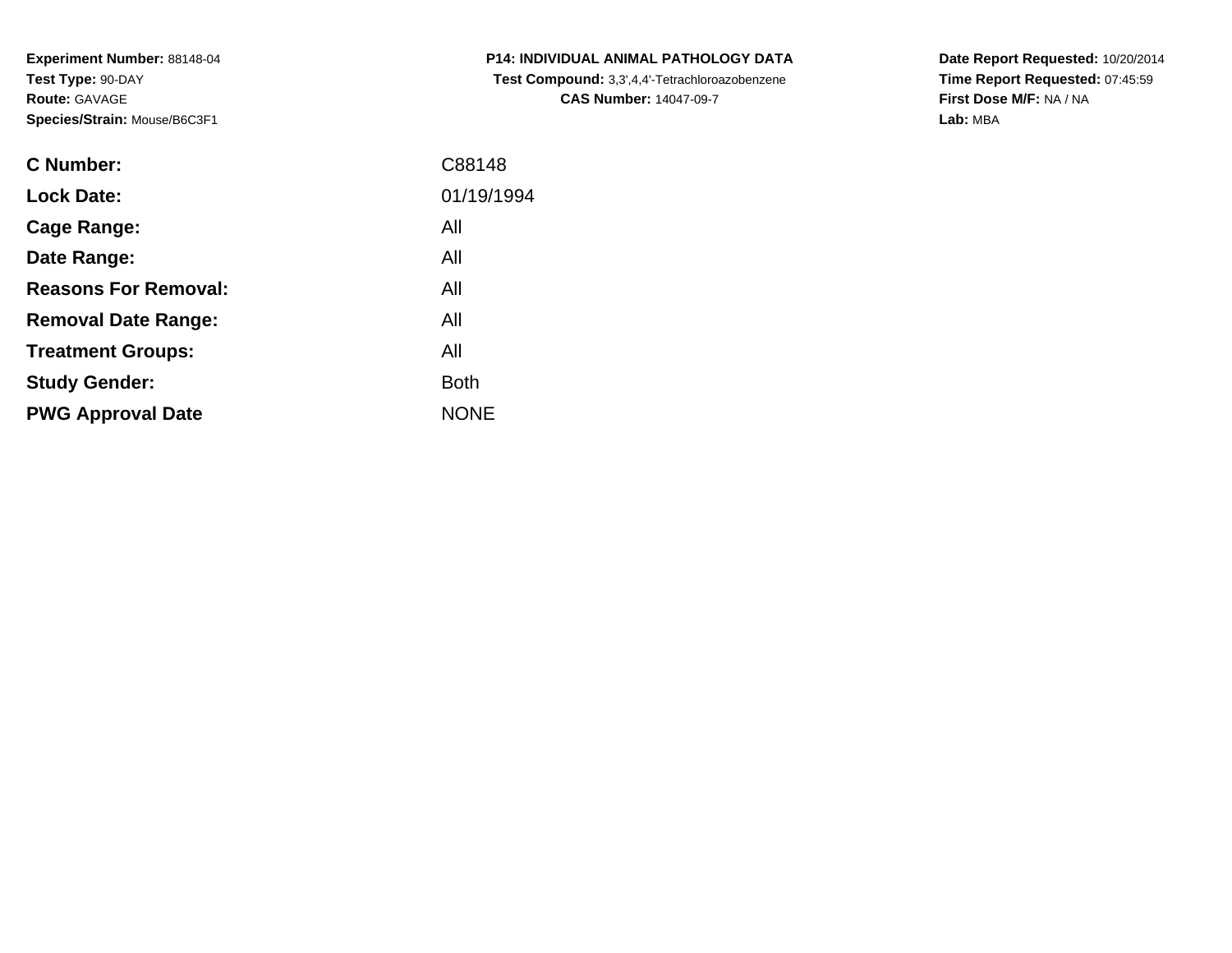**Experiment Number:** 88148-04**Test Type:** 90-DAY**Route:** GAVAGE**Species/Strain:** Mouse/B6C3F1

| <b>C Number:</b>            | C88148      |
|-----------------------------|-------------|
| <b>Lock Date:</b>           | 01/19/1994  |
| <b>Cage Range:</b>          | All         |
| Date Range:                 | All         |
| <b>Reasons For Removal:</b> | All         |
| <b>Removal Date Range:</b>  | All         |
| <b>Treatment Groups:</b>    | All         |
| <b>Study Gender:</b>        | <b>Both</b> |
| <b>PWG Approval Date</b>    | <b>NONE</b> |
|                             |             |

**P14: INDIVIDUAL ANIMAL PATHOLOGY DATA Test Compound:** 3,3',4,4'-Tetrachloroazobenzene**CAS Number:** 14047-09-7

**Date Report Requested:** 10/20/2014 **Time Report Requested:** 07:45:59**First Dose M/F:** NA / NA**Lab:** MBA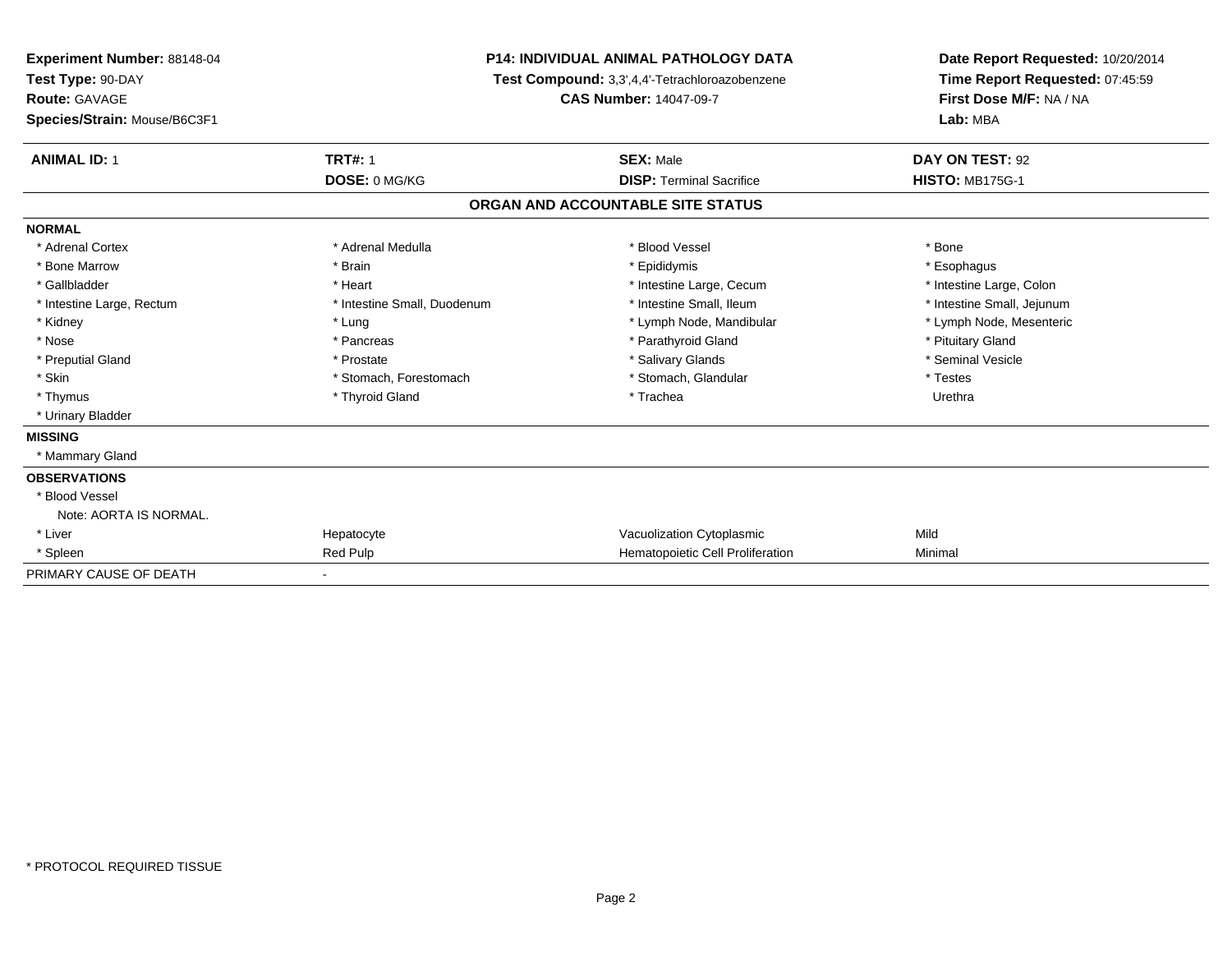| <b>Experiment Number: 88148-04</b><br>Test Type: 90-DAY<br><b>Route: GAVAGE</b> |                             | <b>P14: INDIVIDUAL ANIMAL PATHOLOGY DATA</b><br>Test Compound: 3,3',4,4'-Tetrachloroazobenzene | Date Report Requested: 10/20/2014<br>Time Report Requested: 07:45:59<br>First Dose M/F: NA / NA |  |
|---------------------------------------------------------------------------------|-----------------------------|------------------------------------------------------------------------------------------------|-------------------------------------------------------------------------------------------------|--|
|                                                                                 |                             | <b>CAS Number: 14047-09-7</b>                                                                  |                                                                                                 |  |
| Species/Strain: Mouse/B6C3F1                                                    |                             |                                                                                                | Lab: MBA                                                                                        |  |
| <b>ANIMAL ID: 1</b>                                                             | <b>TRT#: 1</b>              | <b>SEX: Male</b>                                                                               | DAY ON TEST: 92                                                                                 |  |
|                                                                                 | DOSE: 0 MG/KG               | <b>DISP: Terminal Sacrifice</b>                                                                | <b>HISTO: MB175G-1</b>                                                                          |  |
|                                                                                 |                             | ORGAN AND ACCOUNTABLE SITE STATUS                                                              |                                                                                                 |  |
| <b>NORMAL</b>                                                                   |                             |                                                                                                |                                                                                                 |  |
| * Adrenal Cortex                                                                | * Adrenal Medulla           | * Blood Vessel                                                                                 | * Bone                                                                                          |  |
| * Bone Marrow                                                                   | * Brain                     | * Epididymis                                                                                   | * Esophagus                                                                                     |  |
| * Gallbladder                                                                   | * Heart                     | * Intestine Large, Cecum                                                                       | * Intestine Large, Colon                                                                        |  |
| * Intestine Large, Rectum                                                       | * Intestine Small, Duodenum | * Intestine Small, Ileum                                                                       | * Intestine Small, Jejunum                                                                      |  |
| * Kidney                                                                        | * Lung                      | * Lymph Node, Mandibular                                                                       | * Lymph Node, Mesenteric                                                                        |  |
| * Nose                                                                          | * Pancreas                  | * Parathyroid Gland                                                                            | * Pituitary Gland                                                                               |  |
| * Preputial Gland                                                               | * Prostate                  | * Salivary Glands                                                                              | * Seminal Vesicle                                                                               |  |
| * Skin                                                                          | * Stomach, Forestomach      | * Stomach, Glandular                                                                           | * Testes                                                                                        |  |
| * Thymus                                                                        | * Thyroid Gland             | * Trachea                                                                                      | Urethra                                                                                         |  |
| * Urinary Bladder                                                               |                             |                                                                                                |                                                                                                 |  |
| <b>MISSING</b>                                                                  |                             |                                                                                                |                                                                                                 |  |
| * Mammary Gland                                                                 |                             |                                                                                                |                                                                                                 |  |
| <b>OBSERVATIONS</b>                                                             |                             |                                                                                                |                                                                                                 |  |
| * Blood Vessel                                                                  |                             |                                                                                                |                                                                                                 |  |
| Note: AORTA IS NORMAL.                                                          |                             |                                                                                                |                                                                                                 |  |
| * Liver                                                                         | Hepatocyte                  | Vacuolization Cytoplasmic                                                                      | Mild                                                                                            |  |
| * Spleen                                                                        | <b>Red Pulp</b>             | Hematopoietic Cell Proliferation                                                               | Minimal                                                                                         |  |
| PRIMARY CAUSE OF DEATH                                                          |                             |                                                                                                |                                                                                                 |  |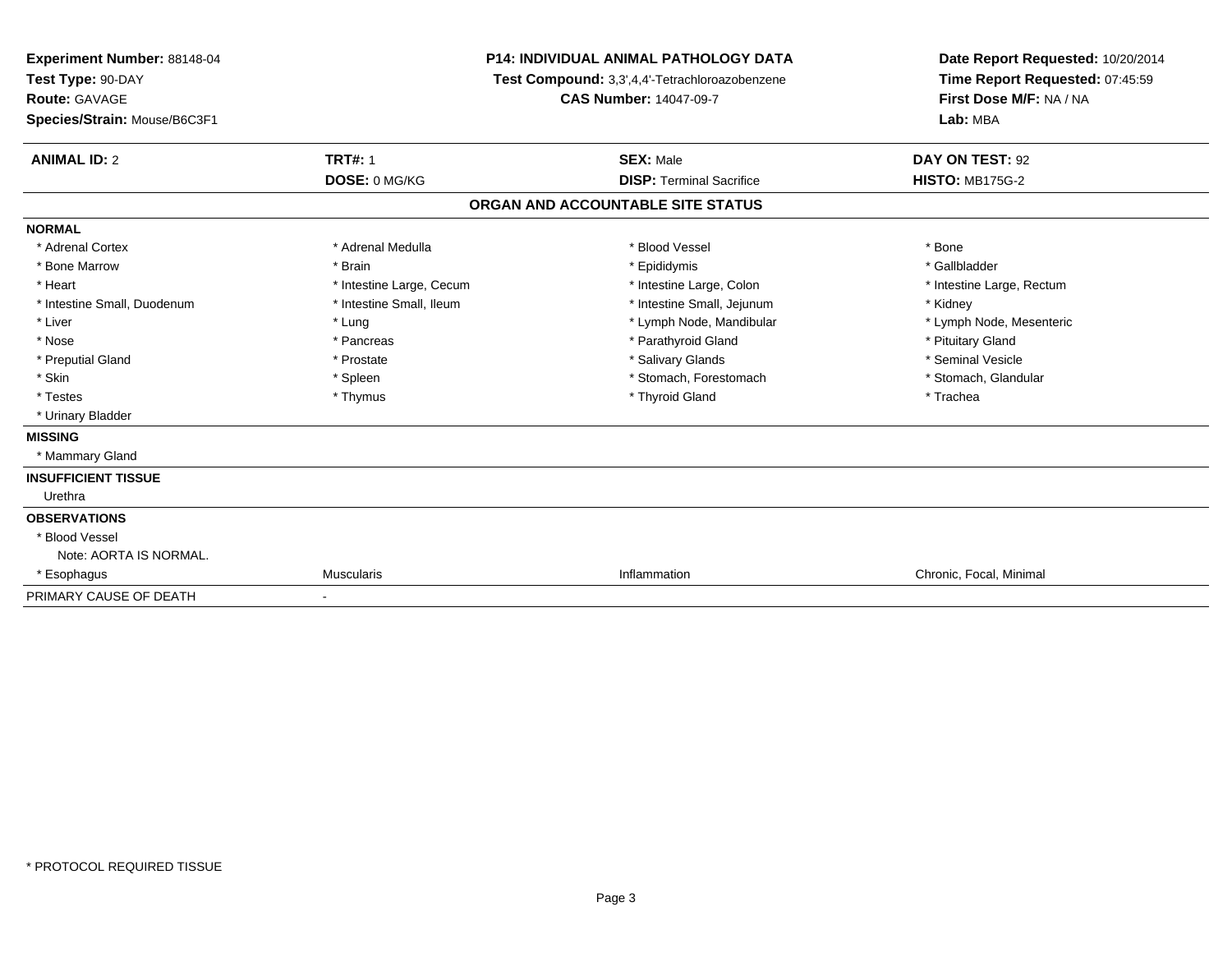| Experiment Number: 88148-04<br>Test Type: 90-DAY<br><b>Route: GAVAGE</b> |                          | <b>P14: INDIVIDUAL ANIMAL PATHOLOGY DATA</b>   | Date Report Requested: 10/20/2014 |  |
|--------------------------------------------------------------------------|--------------------------|------------------------------------------------|-----------------------------------|--|
|                                                                          |                          | Test Compound: 3,3',4,4'-Tetrachloroazobenzene | Time Report Requested: 07:45:59   |  |
|                                                                          |                          | <b>CAS Number: 14047-09-7</b>                  | First Dose M/F: NA / NA           |  |
| Species/Strain: Mouse/B6C3F1                                             |                          |                                                | Lab: MBA                          |  |
| <b>ANIMAL ID: 2</b>                                                      | <b>TRT#: 1</b>           | <b>SEX: Male</b>                               | DAY ON TEST: 92                   |  |
|                                                                          | DOSE: 0 MG/KG            | <b>DISP: Terminal Sacrifice</b>                | <b>HISTO: MB175G-2</b>            |  |
|                                                                          |                          | ORGAN AND ACCOUNTABLE SITE STATUS              |                                   |  |
| <b>NORMAL</b>                                                            |                          |                                                |                                   |  |
| * Adrenal Cortex                                                         | * Adrenal Medulla        | * Blood Vessel                                 | * Bone                            |  |
| * Bone Marrow                                                            | * Brain                  | * Epididymis                                   | * Gallbladder                     |  |
| * Heart                                                                  | * Intestine Large, Cecum | * Intestine Large, Colon                       | * Intestine Large, Rectum         |  |
| * Intestine Small, Duodenum                                              | * Intestine Small, Ileum | * Intestine Small, Jejunum                     | * Kidney                          |  |
| * Liver                                                                  | * Lung                   | * Lymph Node, Mandibular                       | * Lymph Node, Mesenteric          |  |
| * Nose                                                                   | * Pancreas               | * Parathyroid Gland                            | * Pituitary Gland                 |  |
| * Preputial Gland                                                        | * Prostate               | * Salivary Glands                              | * Seminal Vesicle                 |  |
| * Skin                                                                   | * Spleen                 | * Stomach, Forestomach                         | * Stomach, Glandular              |  |
| * Testes                                                                 | * Thymus                 | * Thyroid Gland                                | * Trachea                         |  |
| * Urinary Bladder                                                        |                          |                                                |                                   |  |
| <b>MISSING</b>                                                           |                          |                                                |                                   |  |
| * Mammary Gland                                                          |                          |                                                |                                   |  |
| <b>INSUFFICIENT TISSUE</b>                                               |                          |                                                |                                   |  |
| Urethra                                                                  |                          |                                                |                                   |  |
| <b>OBSERVATIONS</b>                                                      |                          |                                                |                                   |  |
| * Blood Vessel                                                           |                          |                                                |                                   |  |
| Note: AORTA IS NORMAL.                                                   |                          |                                                |                                   |  |
| * Esophagus                                                              | <b>Muscularis</b>        | Inflammation                                   | Chronic, Focal, Minimal           |  |
| PRIMARY CAUSE OF DEATH                                                   | $\blacksquare$           |                                                |                                   |  |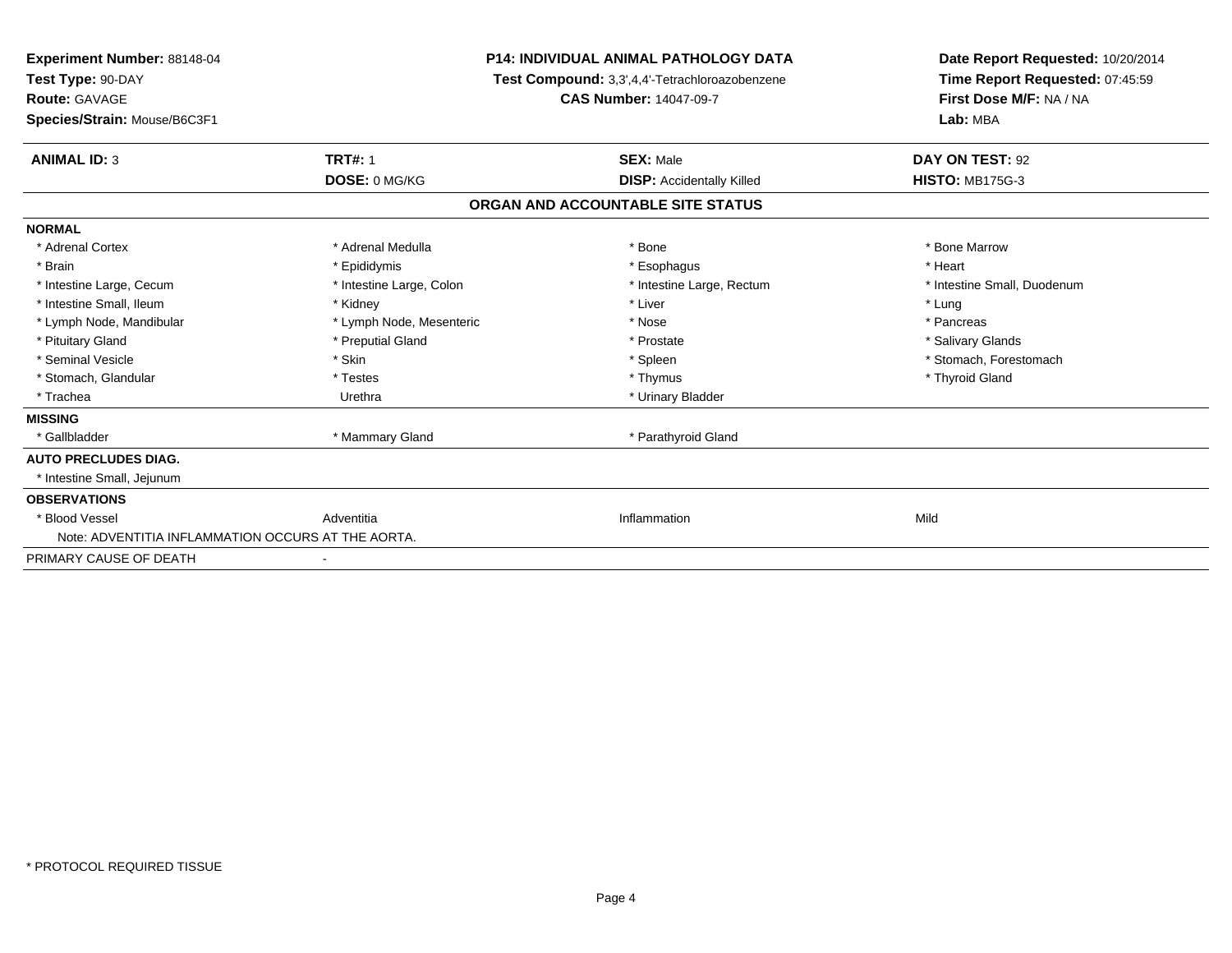| <b>Experiment Number: 88148-04</b><br>Test Type: 90-DAY<br>Route: GAVAGE<br>Species/Strain: Mouse/B6C3F1 | <b>P14: INDIVIDUAL ANIMAL PATHOLOGY DATA</b><br>Test Compound: 3,3',4,4'-Tetrachloroazobenzene<br><b>CAS Number: 14047-09-7</b> |                                   | Date Report Requested: 10/20/2014<br>Time Report Requested: 07:45:59<br>First Dose M/F: NA / NA<br>Lab: MBA |  |
|----------------------------------------------------------------------------------------------------------|---------------------------------------------------------------------------------------------------------------------------------|-----------------------------------|-------------------------------------------------------------------------------------------------------------|--|
| <b>ANIMAL ID: 3</b>                                                                                      | <b>TRT#: 1</b>                                                                                                                  | <b>SEX: Male</b>                  | DAY ON TEST: 92                                                                                             |  |
|                                                                                                          | DOSE: 0 MG/KG                                                                                                                   | <b>DISP:</b> Accidentally Killed  | <b>HISTO: MB175G-3</b>                                                                                      |  |
|                                                                                                          |                                                                                                                                 | ORGAN AND ACCOUNTABLE SITE STATUS |                                                                                                             |  |
| <b>NORMAL</b>                                                                                            |                                                                                                                                 |                                   |                                                                                                             |  |
| * Adrenal Cortex                                                                                         | * Adrenal Medulla                                                                                                               | * Bone                            | * Bone Marrow                                                                                               |  |
| * Brain                                                                                                  | * Epididymis                                                                                                                    | * Esophagus                       | * Heart                                                                                                     |  |
| * Intestine Large, Cecum                                                                                 | * Intestine Large, Colon                                                                                                        | * Intestine Large, Rectum         | * Intestine Small, Duodenum                                                                                 |  |
| * Intestine Small, Ileum                                                                                 | * Kidney                                                                                                                        | * Liver                           | * Lung                                                                                                      |  |
| * Lymph Node, Mandibular                                                                                 | * Lymph Node, Mesenteric                                                                                                        | * Nose                            | * Pancreas                                                                                                  |  |
| * Pituitary Gland                                                                                        | * Preputial Gland                                                                                                               | * Prostate                        | * Salivary Glands                                                                                           |  |
| * Seminal Vesicle                                                                                        | * Skin                                                                                                                          | * Spleen                          | * Stomach, Forestomach                                                                                      |  |
| * Stomach, Glandular                                                                                     | * Testes                                                                                                                        | * Thymus                          | * Thyroid Gland                                                                                             |  |
| * Trachea                                                                                                | Urethra                                                                                                                         | * Urinary Bladder                 |                                                                                                             |  |
| <b>MISSING</b>                                                                                           |                                                                                                                                 |                                   |                                                                                                             |  |
| * Gallbladder                                                                                            | * Mammary Gland                                                                                                                 | * Parathyroid Gland               |                                                                                                             |  |
| <b>AUTO PRECLUDES DIAG.</b>                                                                              |                                                                                                                                 |                                   |                                                                                                             |  |
| * Intestine Small, Jejunum                                                                               |                                                                                                                                 |                                   |                                                                                                             |  |
| <b>OBSERVATIONS</b>                                                                                      |                                                                                                                                 |                                   |                                                                                                             |  |
| * Blood Vessel                                                                                           | Adventitia                                                                                                                      | Inflammation                      | Mild                                                                                                        |  |
| Note: ADVENTITIA INFLAMMATION OCCURS AT THE AORTA.                                                       |                                                                                                                                 |                                   |                                                                                                             |  |
| PRIMARY CAUSE OF DEATH                                                                                   |                                                                                                                                 |                                   |                                                                                                             |  |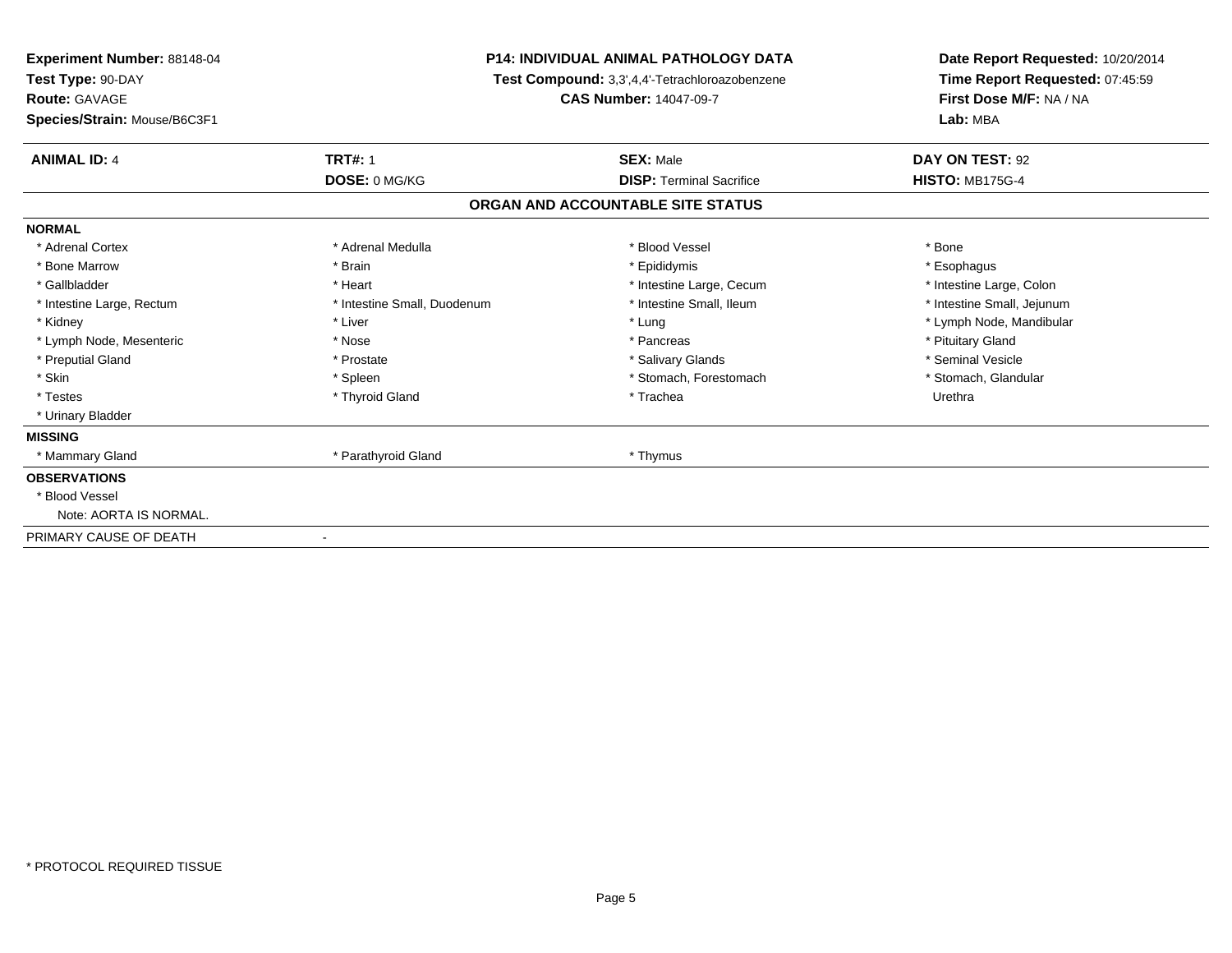| Experiment Number: 88148-04<br>Test Type: 90-DAY<br>Route: GAVAGE | <b>P14: INDIVIDUAL ANIMAL PATHOLOGY DATA</b><br>Test Compound: 3,3',4,4'-Tetrachloroazobenzene<br><b>CAS Number: 14047-09-7</b> |                                   | Date Report Requested: 10/20/2014<br>Time Report Requested: 07:45:59<br>First Dose M/F: NA / NA |  |
|-------------------------------------------------------------------|---------------------------------------------------------------------------------------------------------------------------------|-----------------------------------|-------------------------------------------------------------------------------------------------|--|
| Species/Strain: Mouse/B6C3F1                                      |                                                                                                                                 |                                   | Lab: MBA                                                                                        |  |
| <b>ANIMAL ID: 4</b>                                               | <b>TRT#: 1</b>                                                                                                                  | <b>SEX: Male</b>                  | DAY ON TEST: 92                                                                                 |  |
|                                                                   | DOSE: 0 MG/KG                                                                                                                   | <b>DISP: Terminal Sacrifice</b>   | <b>HISTO: MB175G-4</b>                                                                          |  |
|                                                                   |                                                                                                                                 | ORGAN AND ACCOUNTABLE SITE STATUS |                                                                                                 |  |
| <b>NORMAL</b>                                                     |                                                                                                                                 |                                   |                                                                                                 |  |
| * Adrenal Cortex                                                  | * Adrenal Medulla                                                                                                               | * Blood Vessel                    | * Bone                                                                                          |  |
| * Bone Marrow                                                     | * Brain                                                                                                                         | * Epididymis                      | * Esophagus                                                                                     |  |
| * Gallbladder                                                     | * Heart                                                                                                                         | * Intestine Large, Cecum          | * Intestine Large, Colon                                                                        |  |
| * Intestine Large, Rectum                                         | * Intestine Small, Duodenum                                                                                                     | * Intestine Small, Ileum          | * Intestine Small, Jejunum                                                                      |  |
| * Kidney                                                          | * Liver                                                                                                                         | * Lung                            | * Lymph Node, Mandibular                                                                        |  |
| * Lymph Node, Mesenteric                                          | * Nose                                                                                                                          | * Pancreas                        | * Pituitary Gland                                                                               |  |
| * Preputial Gland                                                 | * Prostate                                                                                                                      | * Salivary Glands                 | * Seminal Vesicle                                                                               |  |
| * Skin                                                            | * Spleen                                                                                                                        | * Stomach, Forestomach            | * Stomach, Glandular                                                                            |  |
| * Testes                                                          | * Thyroid Gland                                                                                                                 | * Trachea                         | Urethra                                                                                         |  |
| * Urinary Bladder                                                 |                                                                                                                                 |                                   |                                                                                                 |  |
| <b>MISSING</b>                                                    |                                                                                                                                 |                                   |                                                                                                 |  |
| * Mammary Gland                                                   | * Parathyroid Gland                                                                                                             | * Thymus                          |                                                                                                 |  |
| <b>OBSERVATIONS</b>                                               |                                                                                                                                 |                                   |                                                                                                 |  |
| * Blood Vessel                                                    |                                                                                                                                 |                                   |                                                                                                 |  |
| Note: AORTA IS NORMAL.                                            |                                                                                                                                 |                                   |                                                                                                 |  |
| PRIMARY CAUSE OF DEATH                                            |                                                                                                                                 |                                   |                                                                                                 |  |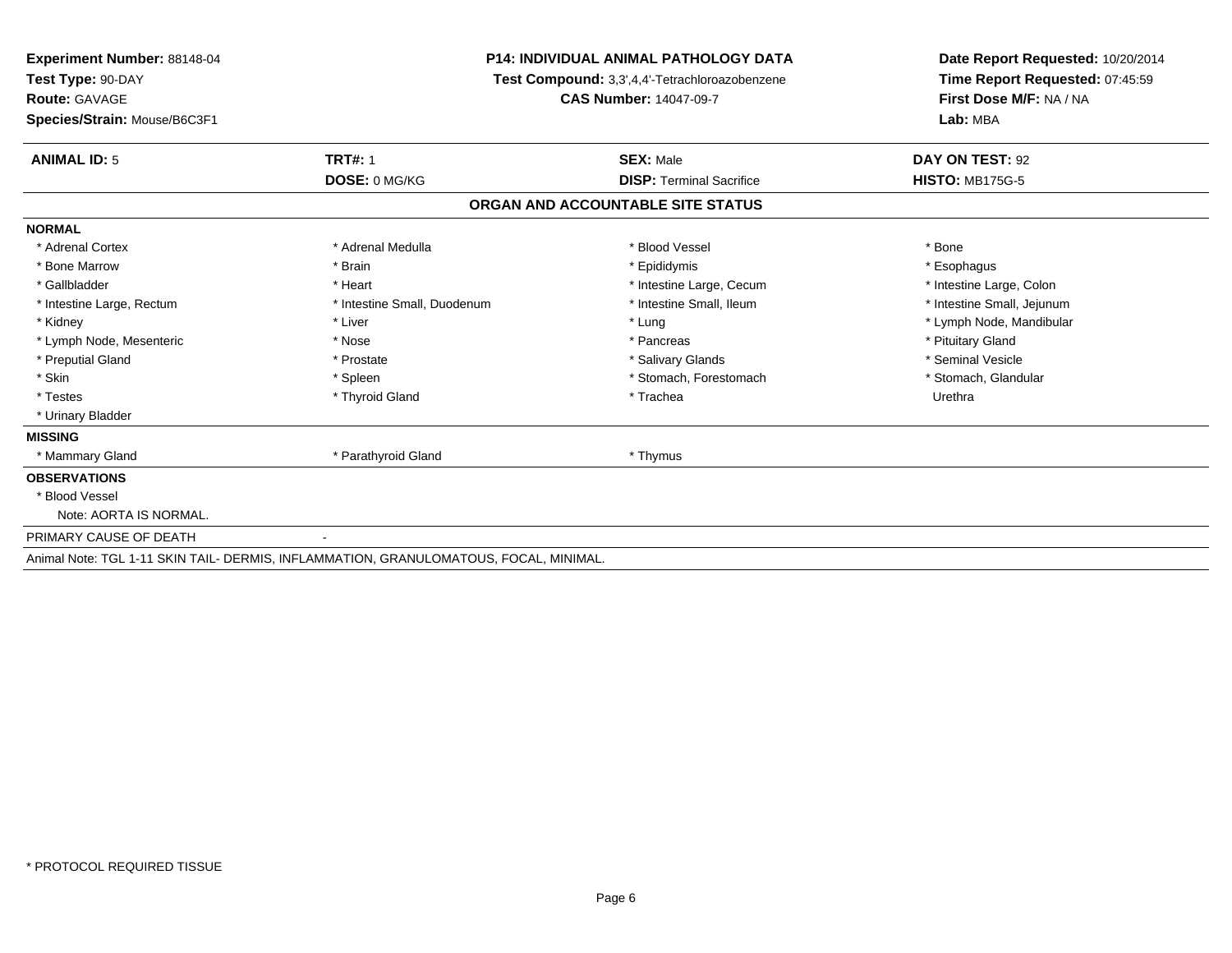| <b>Experiment Number: 88148-04</b><br>Test Type: 90-DAY |                                                                                       | <b>P14: INDIVIDUAL ANIMAL PATHOLOGY DATA</b><br>Test Compound: 3,3',4,4'-Tetrachloroazobenzene | Date Report Requested: 10/20/2014<br>Time Report Requested: 07:45:59 |  |
|---------------------------------------------------------|---------------------------------------------------------------------------------------|------------------------------------------------------------------------------------------------|----------------------------------------------------------------------|--|
| <b>Route: GAVAGE</b><br>Species/Strain: Mouse/B6C3F1    |                                                                                       | <b>CAS Number: 14047-09-7</b>                                                                  | First Dose M/F: NA / NA<br>Lab: MBA                                  |  |
| <b>ANIMAL ID: 5</b>                                     | <b>TRT#: 1</b>                                                                        | <b>SEX: Male</b>                                                                               | DAY ON TEST: 92                                                      |  |
|                                                         | DOSE: 0 MG/KG                                                                         | <b>DISP: Terminal Sacrifice</b>                                                                | <b>HISTO: MB175G-5</b>                                               |  |
|                                                         |                                                                                       | ORGAN AND ACCOUNTABLE SITE STATUS                                                              |                                                                      |  |
| <b>NORMAL</b>                                           |                                                                                       |                                                                                                |                                                                      |  |
| * Adrenal Cortex                                        | * Adrenal Medulla                                                                     | * Blood Vessel                                                                                 | * Bone                                                               |  |
| * Bone Marrow                                           | * Brain                                                                               | * Epididymis                                                                                   | * Esophagus                                                          |  |
| * Gallbladder                                           | * Heart                                                                               | * Intestine Large, Cecum                                                                       | * Intestine Large, Colon                                             |  |
| * Intestine Large, Rectum                               | * Intestine Small, Duodenum                                                           | * Intestine Small, Ileum                                                                       | * Intestine Small, Jejunum                                           |  |
| * Kidney                                                | * Liver                                                                               | * Lung                                                                                         | * Lymph Node, Mandibular                                             |  |
| * Lymph Node, Mesenteric                                | * Nose                                                                                | * Pancreas                                                                                     | * Pituitary Gland                                                    |  |
| * Preputial Gland                                       | * Prostate                                                                            | * Salivary Glands                                                                              | * Seminal Vesicle                                                    |  |
| * Skin                                                  | * Spleen                                                                              | * Stomach, Forestomach                                                                         | * Stomach, Glandular                                                 |  |
| * Testes                                                | * Thyroid Gland                                                                       | * Trachea                                                                                      | Urethra                                                              |  |
| * Urinary Bladder                                       |                                                                                       |                                                                                                |                                                                      |  |
| <b>MISSING</b>                                          |                                                                                       |                                                                                                |                                                                      |  |
| * Mammary Gland                                         | * Parathyroid Gland                                                                   | * Thymus                                                                                       |                                                                      |  |
| <b>OBSERVATIONS</b>                                     |                                                                                       |                                                                                                |                                                                      |  |
| * Blood Vessel                                          |                                                                                       |                                                                                                |                                                                      |  |
| Note: AORTA IS NORMAL.                                  |                                                                                       |                                                                                                |                                                                      |  |
| PRIMARY CAUSE OF DEATH                                  |                                                                                       |                                                                                                |                                                                      |  |
|                                                         | Animal Note: TGL 1-11 SKIN TAIL- DERMIS, INFLAMMATION, GRANULOMATOUS, FOCAL, MINIMAL. |                                                                                                |                                                                      |  |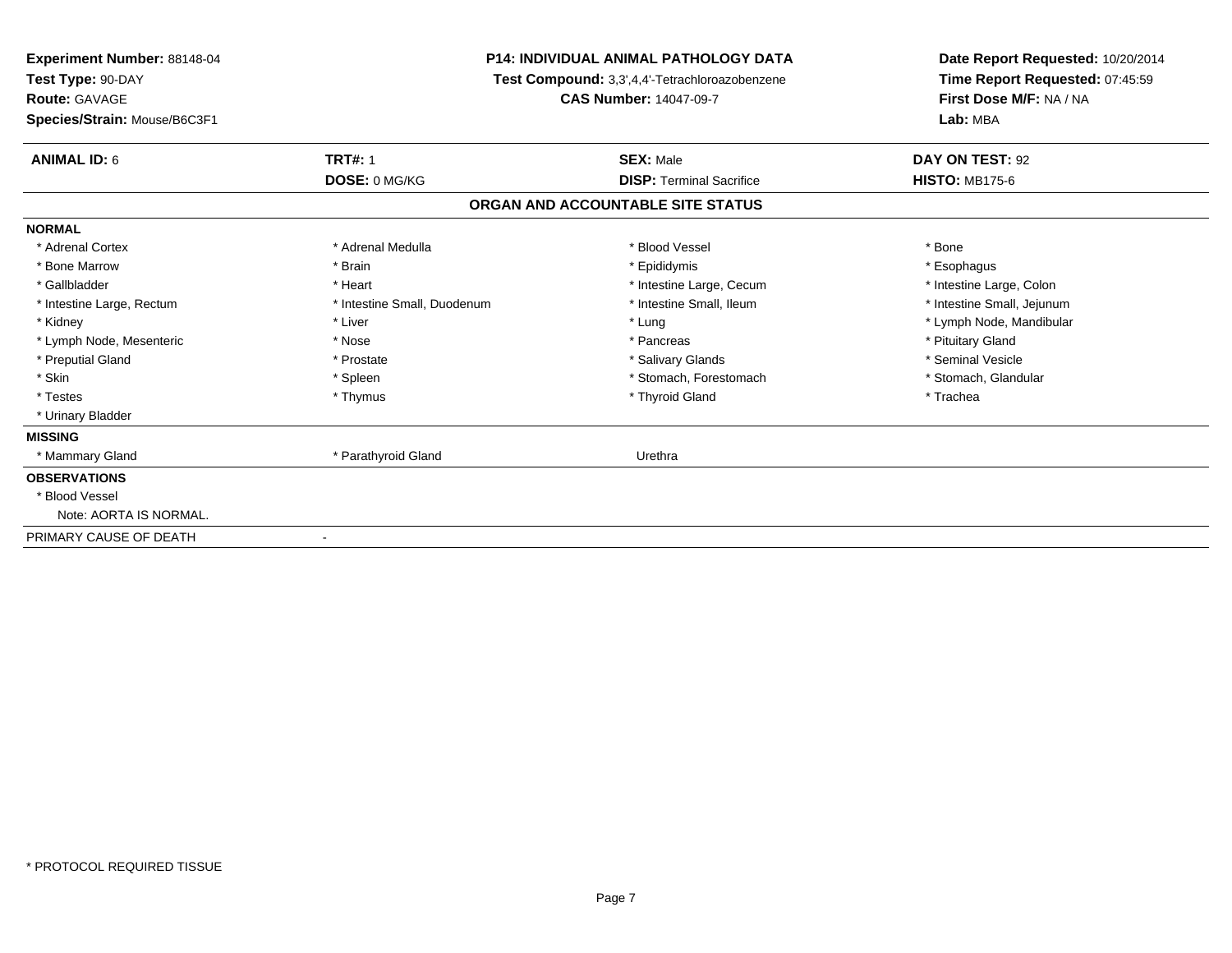| <b>Experiment Number: 88148-04</b><br>Test Type: 90-DAY<br><b>Route: GAVAGE</b><br>Species/Strain: Mouse/B6C3F1 | <b>P14: INDIVIDUAL ANIMAL PATHOLOGY DATA</b><br>Test Compound: 3,3',4,4'-Tetrachloroazobenzene<br><b>CAS Number: 14047-09-7</b> |                                   | Date Report Requested: 10/20/2014<br>Time Report Requested: 07:45:59<br>First Dose M/F: NA / NA<br>Lab: MBA |  |
|-----------------------------------------------------------------------------------------------------------------|---------------------------------------------------------------------------------------------------------------------------------|-----------------------------------|-------------------------------------------------------------------------------------------------------------|--|
| <b>ANIMAL ID: 6</b>                                                                                             | <b>TRT#: 1</b>                                                                                                                  | <b>SEX: Male</b>                  | DAY ON TEST: 92                                                                                             |  |
|                                                                                                                 | DOSE: 0 MG/KG                                                                                                                   | <b>DISP: Terminal Sacrifice</b>   | <b>HISTO: MB175-6</b>                                                                                       |  |
|                                                                                                                 |                                                                                                                                 | ORGAN AND ACCOUNTABLE SITE STATUS |                                                                                                             |  |
| <b>NORMAL</b>                                                                                                   |                                                                                                                                 |                                   |                                                                                                             |  |
| * Adrenal Cortex                                                                                                | * Adrenal Medulla                                                                                                               | * Blood Vessel                    | * Bone                                                                                                      |  |
| * Bone Marrow                                                                                                   | * Brain                                                                                                                         | * Epididymis                      | * Esophagus                                                                                                 |  |
| * Gallbladder                                                                                                   | * Heart                                                                                                                         | * Intestine Large, Cecum          | * Intestine Large, Colon                                                                                    |  |
| * Intestine Large, Rectum                                                                                       | * Intestine Small, Duodenum                                                                                                     | * Intestine Small, Ileum          | * Intestine Small, Jejunum                                                                                  |  |
| * Kidney                                                                                                        | * Liver                                                                                                                         | * Lung                            | * Lymph Node, Mandibular                                                                                    |  |
| * Lymph Node, Mesenteric                                                                                        | * Nose                                                                                                                          | * Pancreas                        | * Pituitary Gland                                                                                           |  |
| * Preputial Gland                                                                                               | * Prostate                                                                                                                      | * Salivary Glands                 | * Seminal Vesicle                                                                                           |  |
| * Skin                                                                                                          | * Spleen                                                                                                                        | * Stomach, Forestomach            | * Stomach, Glandular                                                                                        |  |
| * Testes                                                                                                        | * Thymus                                                                                                                        | * Thyroid Gland                   | * Trachea                                                                                                   |  |
| * Urinary Bladder                                                                                               |                                                                                                                                 |                                   |                                                                                                             |  |
| <b>MISSING</b>                                                                                                  |                                                                                                                                 |                                   |                                                                                                             |  |
| * Mammary Gland                                                                                                 | * Parathyroid Gland                                                                                                             | Urethra                           |                                                                                                             |  |
| <b>OBSERVATIONS</b>                                                                                             |                                                                                                                                 |                                   |                                                                                                             |  |
| * Blood Vessel                                                                                                  |                                                                                                                                 |                                   |                                                                                                             |  |
| Note: AORTA IS NORMAL.                                                                                          |                                                                                                                                 |                                   |                                                                                                             |  |
| PRIMARY CAUSE OF DEATH                                                                                          |                                                                                                                                 |                                   |                                                                                                             |  |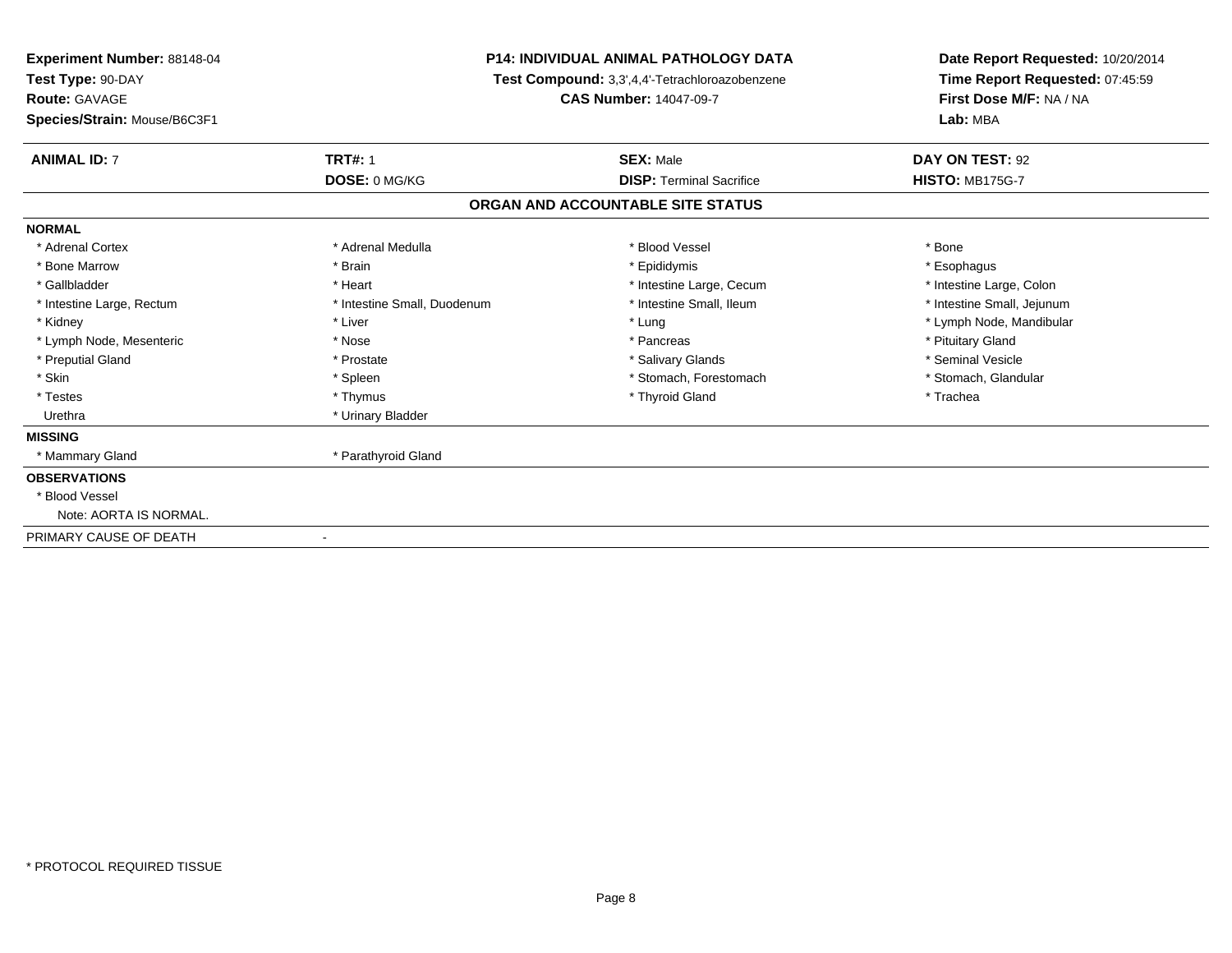| <b>Experiment Number: 88148-04</b><br>Test Type: 90-DAY<br><b>Route: GAVAGE</b><br>Species/Strain: Mouse/B6C3F1 | <b>P14: INDIVIDUAL ANIMAL PATHOLOGY DATA</b><br>Test Compound: 3,3',4,4'-Tetrachloroazobenzene<br><b>CAS Number: 14047-09-7</b> |                                   | Date Report Requested: 10/20/2014<br>Time Report Requested: 07:45:59<br>First Dose M/F: NA / NA<br>Lab: MBA |  |
|-----------------------------------------------------------------------------------------------------------------|---------------------------------------------------------------------------------------------------------------------------------|-----------------------------------|-------------------------------------------------------------------------------------------------------------|--|
| <b>ANIMAL ID: 7</b><br><b>TRT#: 1</b>                                                                           |                                                                                                                                 | <b>SEX: Male</b>                  | DAY ON TEST: 92                                                                                             |  |
|                                                                                                                 | DOSE: 0 MG/KG                                                                                                                   | <b>DISP:</b> Terminal Sacrifice   | <b>HISTO: MB175G-7</b>                                                                                      |  |
|                                                                                                                 |                                                                                                                                 | ORGAN AND ACCOUNTABLE SITE STATUS |                                                                                                             |  |
| <b>NORMAL</b>                                                                                                   |                                                                                                                                 |                                   |                                                                                                             |  |
| * Adrenal Cortex                                                                                                | * Adrenal Medulla                                                                                                               | * Blood Vessel                    | * Bone                                                                                                      |  |
| * Brain<br>* Bone Marrow                                                                                        |                                                                                                                                 | * Epididymis                      | * Esophagus                                                                                                 |  |
| * Gallbladder<br>* Heart                                                                                        |                                                                                                                                 | * Intestine Large, Cecum          | * Intestine Large, Colon                                                                                    |  |
| * Intestine Large, Rectum                                                                                       | * Intestine Small, Duodenum                                                                                                     | * Intestine Small, Ileum          | * Intestine Small, Jejunum                                                                                  |  |
| * Liver<br>* Kidney                                                                                             |                                                                                                                                 | * Lung                            | * Lymph Node, Mandibular                                                                                    |  |
| * Lymph Node, Mesenteric<br>* Nose                                                                              |                                                                                                                                 | * Pancreas                        | * Pituitary Gland                                                                                           |  |
| * Preputial Gland<br>* Prostate                                                                                 |                                                                                                                                 | * Salivary Glands                 | * Seminal Vesicle                                                                                           |  |
| * Skin<br>* Spleen                                                                                              |                                                                                                                                 | * Stomach, Forestomach            | * Stomach, Glandular                                                                                        |  |
| * Testes<br>* Thymus                                                                                            |                                                                                                                                 | * Thyroid Gland                   | * Trachea                                                                                                   |  |
| Urethra                                                                                                         | * Urinary Bladder                                                                                                               |                                   |                                                                                                             |  |
| <b>MISSING</b>                                                                                                  |                                                                                                                                 |                                   |                                                                                                             |  |
| * Mammary Gland                                                                                                 | * Parathyroid Gland                                                                                                             |                                   |                                                                                                             |  |
| <b>OBSERVATIONS</b>                                                                                             |                                                                                                                                 |                                   |                                                                                                             |  |
| * Blood Vessel                                                                                                  |                                                                                                                                 |                                   |                                                                                                             |  |
| Note: AORTA IS NORMAL.                                                                                          |                                                                                                                                 |                                   |                                                                                                             |  |
| PRIMARY CAUSE OF DEATH                                                                                          |                                                                                                                                 |                                   |                                                                                                             |  |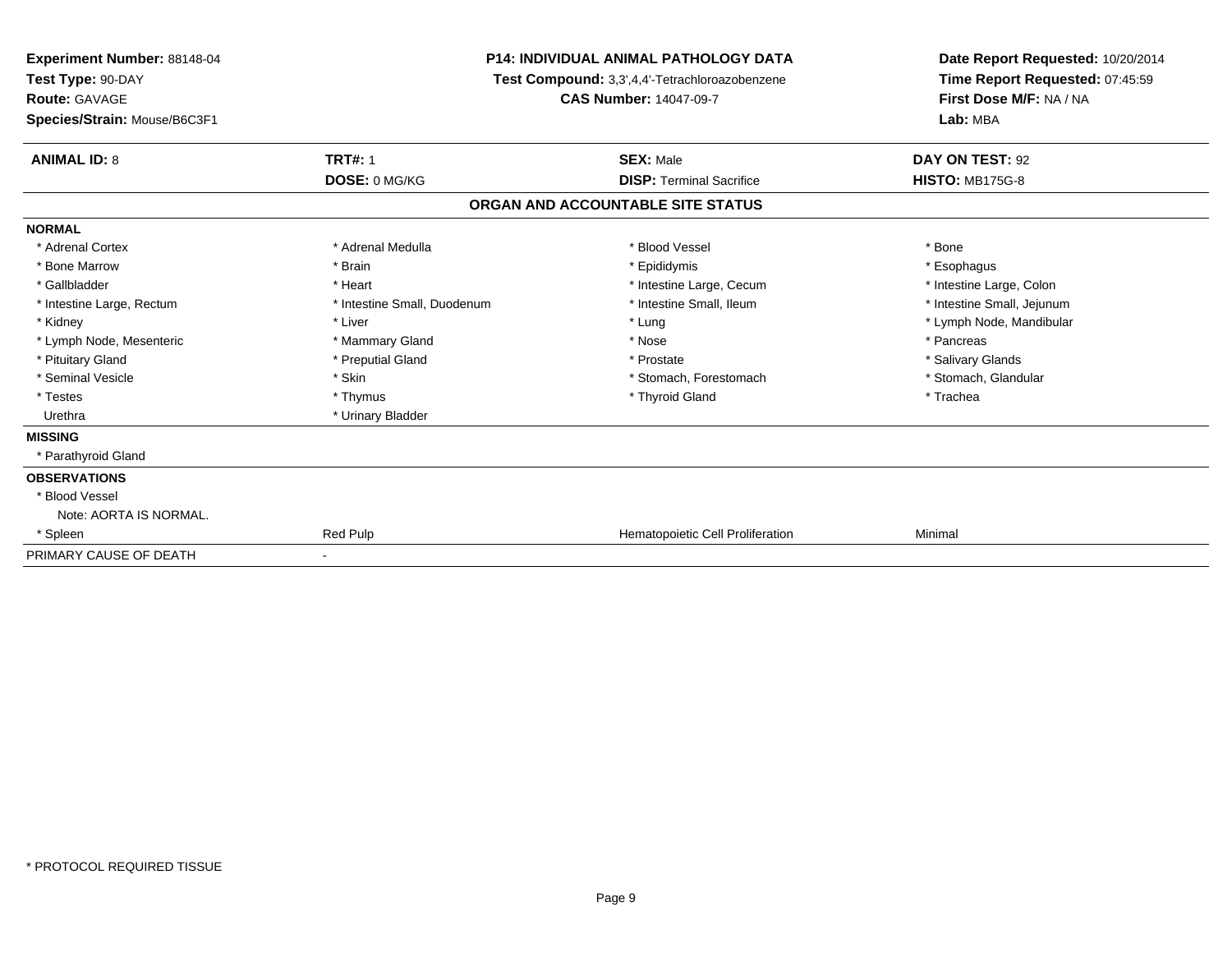| Experiment Number: 88148-04<br>Test Type: 90-DAY<br>Route: GAVAGE<br>Species/Strain: Mouse/B6C3F1 |                             | <b>P14: INDIVIDUAL ANIMAL PATHOLOGY DATA</b><br>Test Compound: 3,3',4,4'-Tetrachloroazobenzene<br><b>CAS Number: 14047-09-7</b> | Date Report Requested: 10/20/2014<br>Time Report Requested: 07:45:59<br>First Dose M/F: NA / NA<br>Lab: MBA |  |
|---------------------------------------------------------------------------------------------------|-----------------------------|---------------------------------------------------------------------------------------------------------------------------------|-------------------------------------------------------------------------------------------------------------|--|
| <b>ANIMAL ID: 8</b>                                                                               | <b>TRT#: 1</b>              | <b>SEX: Male</b>                                                                                                                | DAY ON TEST: 92                                                                                             |  |
|                                                                                                   | DOSE: 0 MG/KG               | <b>DISP: Terminal Sacrifice</b>                                                                                                 | <b>HISTO: MB175G-8</b>                                                                                      |  |
|                                                                                                   |                             | ORGAN AND ACCOUNTABLE SITE STATUS                                                                                               |                                                                                                             |  |
| <b>NORMAL</b>                                                                                     |                             |                                                                                                                                 |                                                                                                             |  |
| * Adrenal Cortex                                                                                  | * Adrenal Medulla           | * Blood Vessel                                                                                                                  | * Bone                                                                                                      |  |
| * Bone Marrow                                                                                     | * Brain                     | * Epididymis                                                                                                                    | * Esophagus                                                                                                 |  |
| * Gallbladder                                                                                     | * Heart                     | * Intestine Large, Cecum                                                                                                        | * Intestine Large, Colon                                                                                    |  |
| * Intestine Large, Rectum                                                                         | * Intestine Small, Duodenum | * Intestine Small, Ileum                                                                                                        | * Intestine Small, Jejunum                                                                                  |  |
| * Kidney                                                                                          | * Liver                     | * Lung                                                                                                                          | * Lymph Node, Mandibular                                                                                    |  |
| * Lymph Node, Mesenteric                                                                          | * Mammary Gland             | * Nose                                                                                                                          | * Pancreas                                                                                                  |  |
| * Pituitary Gland                                                                                 | * Preputial Gland           | * Prostate                                                                                                                      | * Salivary Glands                                                                                           |  |
| * Seminal Vesicle                                                                                 | * Skin                      | * Stomach, Forestomach                                                                                                          | * Stomach, Glandular                                                                                        |  |
| * Testes                                                                                          | * Thymus                    | * Thyroid Gland                                                                                                                 | * Trachea                                                                                                   |  |
| Urethra                                                                                           | * Urinary Bladder           |                                                                                                                                 |                                                                                                             |  |
| <b>MISSING</b>                                                                                    |                             |                                                                                                                                 |                                                                                                             |  |
| * Parathyroid Gland                                                                               |                             |                                                                                                                                 |                                                                                                             |  |
| <b>OBSERVATIONS</b>                                                                               |                             |                                                                                                                                 |                                                                                                             |  |
| * Blood Vessel                                                                                    |                             |                                                                                                                                 |                                                                                                             |  |
| Note: AORTA IS NORMAL.                                                                            |                             |                                                                                                                                 |                                                                                                             |  |
| * Spleen                                                                                          | Red Pulp                    | Hematopoietic Cell Proliferation                                                                                                | Minimal                                                                                                     |  |
| PRIMARY CAUSE OF DEATH                                                                            |                             |                                                                                                                                 |                                                                                                             |  |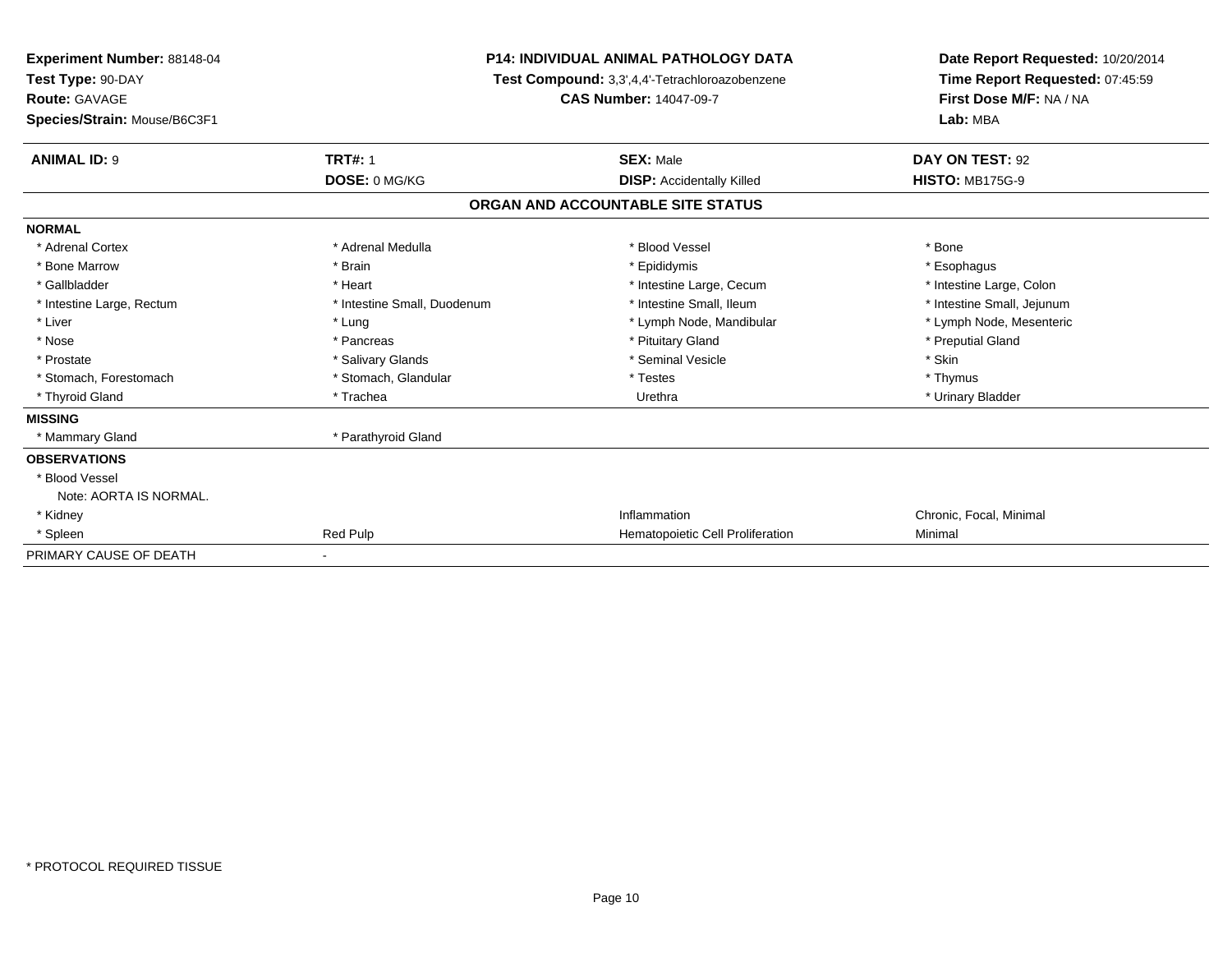| Experiment Number: 88148-04<br>Test Type: 90-DAY<br><b>Route: GAVAGE</b><br>Species/Strain: Mouse/B6C3F1 |                             | <b>P14: INDIVIDUAL ANIMAL PATHOLOGY DATA</b><br>Test Compound: 3,3',4,4'-Tetrachloroazobenzene<br><b>CAS Number: 14047-09-7</b> | Date Report Requested: 10/20/2014<br>Time Report Requested: 07:45:59<br>First Dose M/F: NA / NA<br>Lab: MBA |  |
|----------------------------------------------------------------------------------------------------------|-----------------------------|---------------------------------------------------------------------------------------------------------------------------------|-------------------------------------------------------------------------------------------------------------|--|
| <b>ANIMAL ID: 9</b>                                                                                      | <b>TRT#: 1</b>              | <b>SEX: Male</b>                                                                                                                | DAY ON TEST: 92                                                                                             |  |
|                                                                                                          | DOSE: 0 MG/KG               | <b>DISP:</b> Accidentally Killed                                                                                                | <b>HISTO: MB175G-9</b>                                                                                      |  |
|                                                                                                          |                             | ORGAN AND ACCOUNTABLE SITE STATUS                                                                                               |                                                                                                             |  |
| <b>NORMAL</b>                                                                                            |                             |                                                                                                                                 |                                                                                                             |  |
| * Adrenal Cortex                                                                                         | * Adrenal Medulla           | * Blood Vessel                                                                                                                  | * Bone                                                                                                      |  |
| * Bone Marrow                                                                                            | * Brain                     | * Epididymis                                                                                                                    | * Esophagus                                                                                                 |  |
| * Gallbladder                                                                                            | * Heart                     | * Intestine Large, Cecum                                                                                                        | * Intestine Large, Colon                                                                                    |  |
| * Intestine Large, Rectum                                                                                | * Intestine Small, Duodenum | * Intestine Small, Ileum                                                                                                        | * Intestine Small, Jejunum                                                                                  |  |
| * Liver                                                                                                  | * Lung                      | * Lymph Node, Mandibular                                                                                                        | * Lymph Node, Mesenteric                                                                                    |  |
| * Nose                                                                                                   | * Pancreas                  | * Pituitary Gland                                                                                                               | * Preputial Gland                                                                                           |  |
| * Prostate                                                                                               | * Salivary Glands           | * Seminal Vesicle                                                                                                               | * Skin                                                                                                      |  |
| * Stomach, Forestomach                                                                                   | * Stomach, Glandular        | * Testes                                                                                                                        | * Thymus                                                                                                    |  |
| * Thyroid Gland                                                                                          | * Trachea                   | Urethra                                                                                                                         | * Urinary Bladder                                                                                           |  |
| <b>MISSING</b>                                                                                           |                             |                                                                                                                                 |                                                                                                             |  |
| * Mammary Gland                                                                                          | * Parathyroid Gland         |                                                                                                                                 |                                                                                                             |  |
| <b>OBSERVATIONS</b>                                                                                      |                             |                                                                                                                                 |                                                                                                             |  |
| * Blood Vessel                                                                                           |                             |                                                                                                                                 |                                                                                                             |  |
| Note: AORTA IS NORMAL.                                                                                   |                             |                                                                                                                                 |                                                                                                             |  |
| * Kidney                                                                                                 |                             | Inflammation                                                                                                                    | Chronic, Focal, Minimal                                                                                     |  |
| * Spleen                                                                                                 | Red Pulp                    | Hematopoietic Cell Proliferation                                                                                                | Minimal                                                                                                     |  |
| PRIMARY CAUSE OF DEATH                                                                                   |                             |                                                                                                                                 |                                                                                                             |  |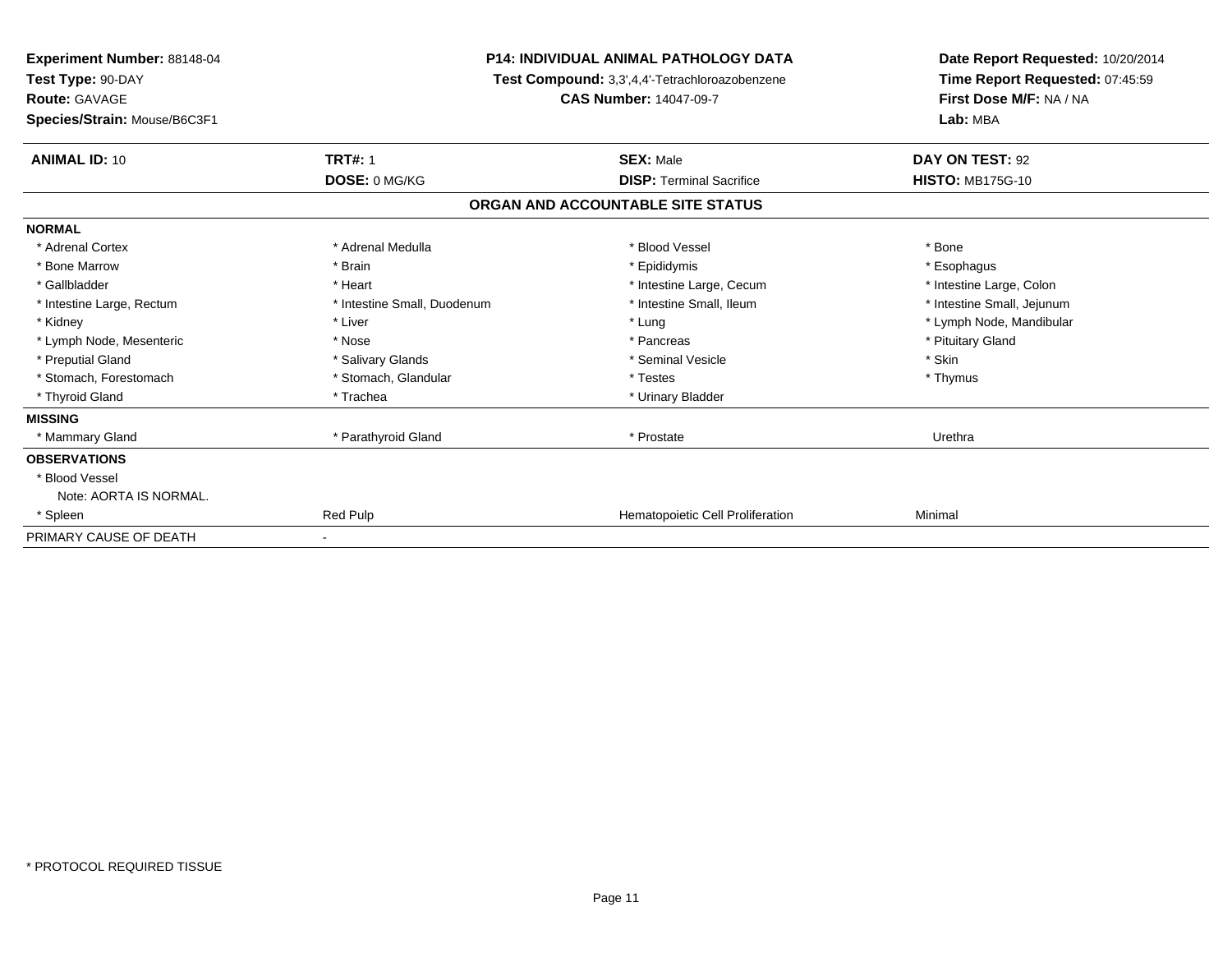| Experiment Number: 88148-04<br>Test Type: 90-DAY<br><b>Route: GAVAGE</b><br>Species/Strain: Mouse/B6C3F1 | <b>P14: INDIVIDUAL ANIMAL PATHOLOGY DATA</b><br>Test Compound: 3,3',4,4'-Tetrachloroazobenzene<br><b>CAS Number: 14047-09-7</b> |                                   | Date Report Requested: 10/20/2014<br>Time Report Requested: 07:45:59<br>First Dose M/F: NA / NA<br>Lab: MBA |  |
|----------------------------------------------------------------------------------------------------------|---------------------------------------------------------------------------------------------------------------------------------|-----------------------------------|-------------------------------------------------------------------------------------------------------------|--|
| <b>ANIMAL ID: 10</b>                                                                                     | <b>TRT#: 1</b>                                                                                                                  | <b>SEX: Male</b>                  | DAY ON TEST: 92                                                                                             |  |
|                                                                                                          | DOSE: 0 MG/KG                                                                                                                   | <b>DISP: Terminal Sacrifice</b>   | <b>HISTO: MB175G-10</b>                                                                                     |  |
|                                                                                                          |                                                                                                                                 | ORGAN AND ACCOUNTABLE SITE STATUS |                                                                                                             |  |
| <b>NORMAL</b>                                                                                            |                                                                                                                                 |                                   |                                                                                                             |  |
| * Adrenal Cortex                                                                                         | * Adrenal Medulla                                                                                                               | * Blood Vessel                    | * Bone                                                                                                      |  |
| * Bone Marrow                                                                                            | * Brain                                                                                                                         | * Epididymis                      | * Esophagus                                                                                                 |  |
| * Gallbladder                                                                                            | * Heart                                                                                                                         | * Intestine Large, Cecum          | * Intestine Large, Colon                                                                                    |  |
| * Intestine Large, Rectum                                                                                | * Intestine Small, Duodenum                                                                                                     | * Intestine Small, Ileum          | * Intestine Small, Jejunum                                                                                  |  |
| * Kidney                                                                                                 | * Liver                                                                                                                         | * Lung                            | * Lymph Node, Mandibular                                                                                    |  |
| * Lymph Node, Mesenteric                                                                                 | * Nose                                                                                                                          | * Pancreas                        | * Pituitary Gland                                                                                           |  |
| * Preputial Gland                                                                                        | * Salivary Glands                                                                                                               | * Seminal Vesicle                 | * Skin                                                                                                      |  |
| * Stomach, Forestomach                                                                                   | * Stomach, Glandular                                                                                                            | * Testes                          | * Thymus                                                                                                    |  |
| * Thyroid Gland                                                                                          | * Trachea                                                                                                                       | * Urinary Bladder                 |                                                                                                             |  |
| <b>MISSING</b>                                                                                           |                                                                                                                                 |                                   |                                                                                                             |  |
| * Mammary Gland                                                                                          | * Parathyroid Gland                                                                                                             | * Prostate                        | Urethra                                                                                                     |  |
| <b>OBSERVATIONS</b>                                                                                      |                                                                                                                                 |                                   |                                                                                                             |  |
| * Blood Vessel                                                                                           |                                                                                                                                 |                                   |                                                                                                             |  |
| Note: AORTA IS NORMAL.                                                                                   |                                                                                                                                 |                                   |                                                                                                             |  |
| * Spleen                                                                                                 | Red Pulp                                                                                                                        | Hematopoietic Cell Proliferation  | Minimal                                                                                                     |  |
| PRIMARY CAUSE OF DEATH                                                                                   |                                                                                                                                 |                                   |                                                                                                             |  |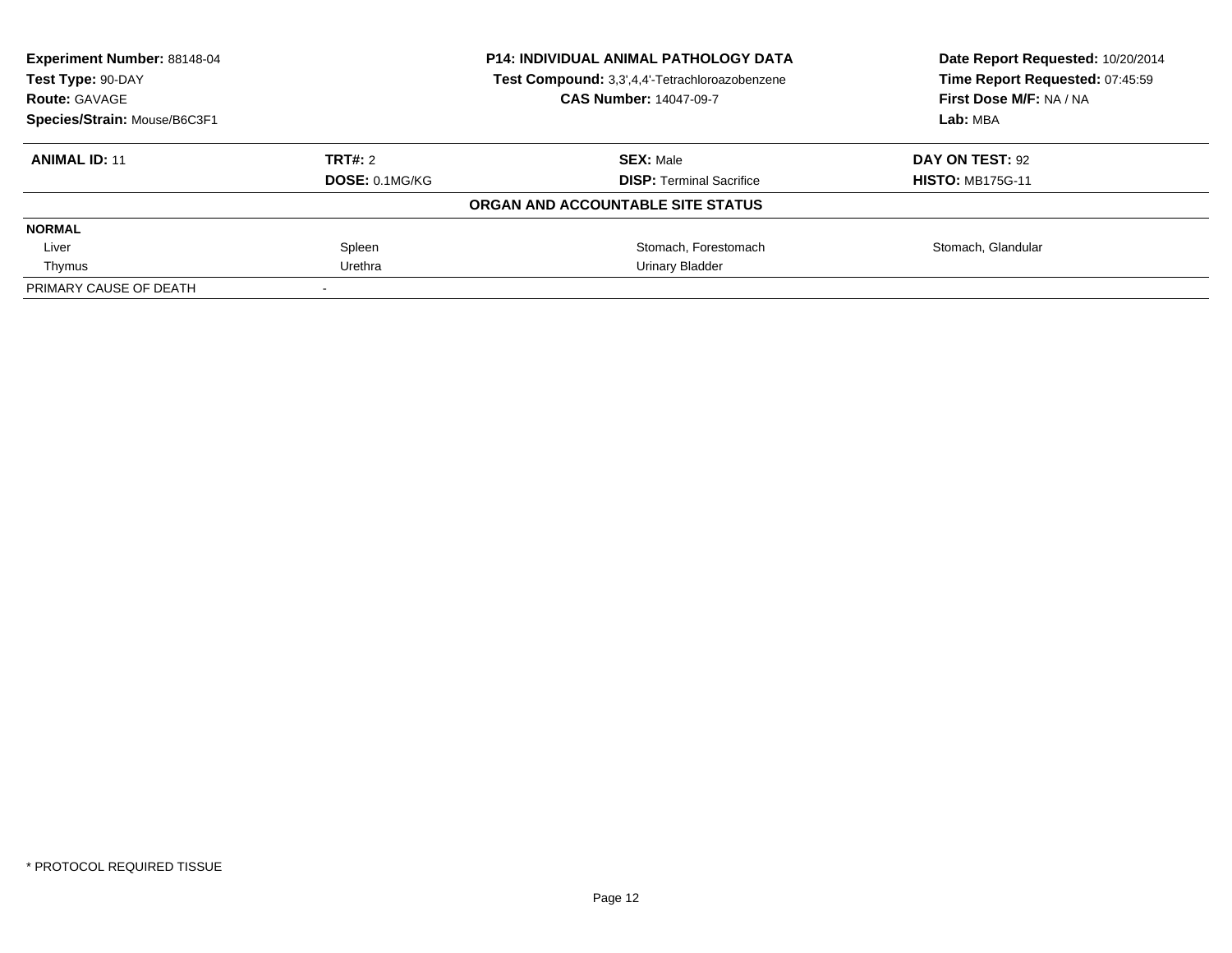| <b>Experiment Number: 88148-04</b><br>Test Type: 90-DAY<br><b>Route: GAVAGE</b><br>Species/Strain: Mouse/B6C3F1 | <b>P14: INDIVIDUAL ANIMAL PATHOLOGY DATA</b><br>Test Compound: 3,3',4,4'-Tetrachloroazobenzene<br><b>CAS Number: 14047-09-7</b> |                                   | Date Report Requested: 10/20/2014<br>Time Report Requested: 07:45:59<br>First Dose M/F: NA / NA<br>Lab: MBA |
|-----------------------------------------------------------------------------------------------------------------|---------------------------------------------------------------------------------------------------------------------------------|-----------------------------------|-------------------------------------------------------------------------------------------------------------|
| <b>ANIMAL ID: 11</b>                                                                                            | TRT#: 2<br><b>SEX: Male</b><br><b>DOSE: 0.1MG/KG</b><br><b>DISP:</b> Terminal Sacrifice                                         |                                   | DAY ON TEST: 92<br><b>HISTO: MB175G-11</b>                                                                  |
|                                                                                                                 |                                                                                                                                 | ORGAN AND ACCOUNTABLE SITE STATUS |                                                                                                             |
| <b>NORMAL</b>                                                                                                   |                                                                                                                                 |                                   |                                                                                                             |
| Liver                                                                                                           | Spleen                                                                                                                          | Stomach, Forestomach              | Stomach, Glandular                                                                                          |
| Thymus                                                                                                          | Urethra                                                                                                                         | Urinary Bladder                   |                                                                                                             |
| PRIMARY CAUSE OF DEATH                                                                                          |                                                                                                                                 |                                   |                                                                                                             |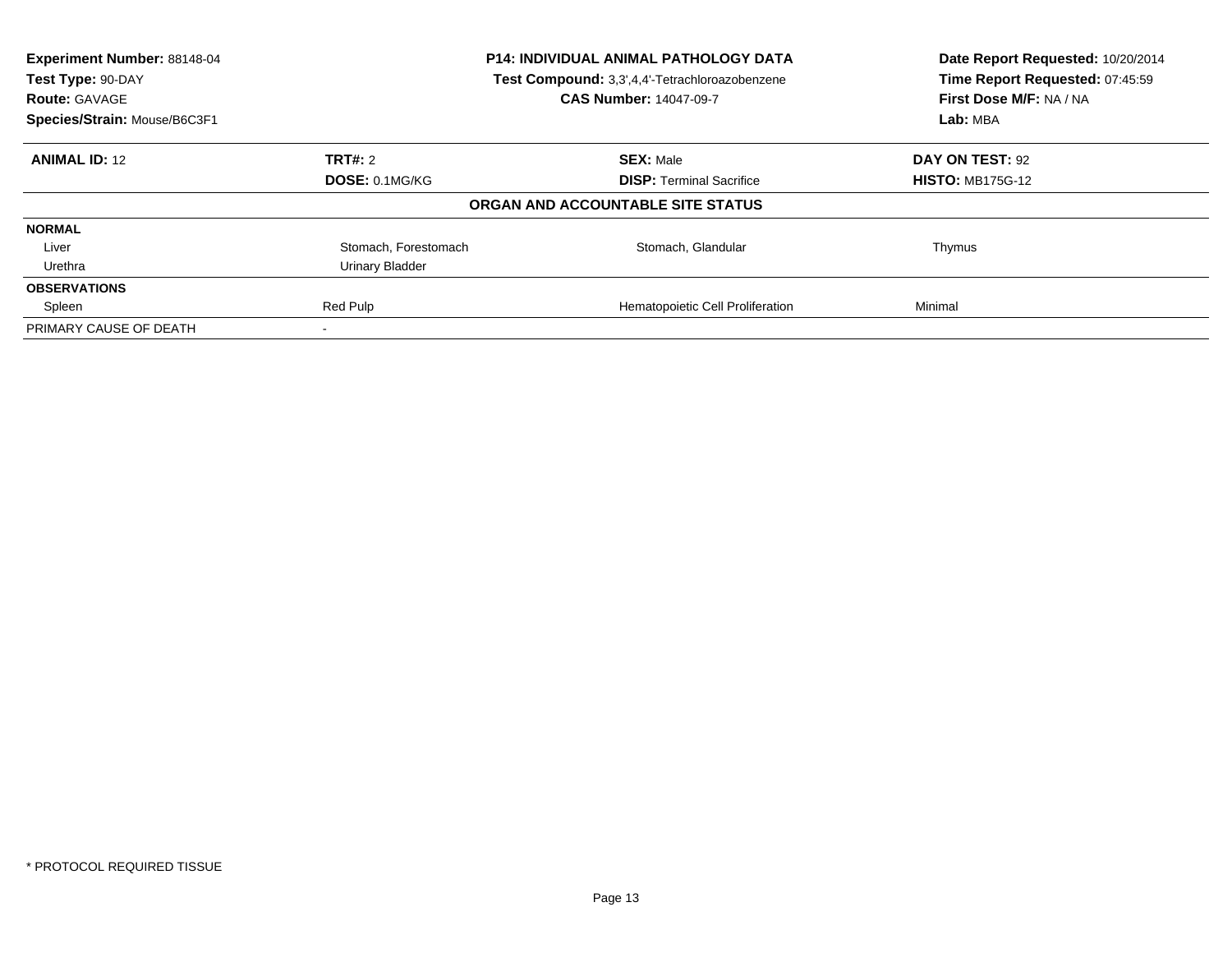| Experiment Number: 88148-04<br>Test Type: 90-DAY<br><b>Route: GAVAGE</b> | <b>P14: INDIVIDUAL ANIMAL PATHOLOGY DATA</b><br>Test Compound: 3,3',4,4'-Tetrachloroazobenzene<br><b>CAS Number: 14047-09-7</b> |                                   | Date Report Requested: 10/20/2014<br>Time Report Requested: 07:45:59<br>First Dose M/F: NA / NA |
|--------------------------------------------------------------------------|---------------------------------------------------------------------------------------------------------------------------------|-----------------------------------|-------------------------------------------------------------------------------------------------|
| Species/Strain: Mouse/B6C3F1                                             |                                                                                                                                 |                                   | Lab: MBA                                                                                        |
| <b>ANIMAL ID: 12</b>                                                     | TRT#: 2                                                                                                                         | <b>SEX: Male</b>                  | DAY ON TEST: 92                                                                                 |
|                                                                          | DOSE: 0.1MG/KG                                                                                                                  | <b>DISP:</b> Terminal Sacrifice   | <b>HISTO: MB175G-12</b>                                                                         |
|                                                                          |                                                                                                                                 | ORGAN AND ACCOUNTABLE SITE STATUS |                                                                                                 |
| <b>NORMAL</b>                                                            |                                                                                                                                 |                                   |                                                                                                 |
| Liver                                                                    | Stomach, Forestomach                                                                                                            | Stomach, Glandular                | Thymus                                                                                          |
| Urethra                                                                  | Urinary Bladder                                                                                                                 |                                   |                                                                                                 |
| <b>OBSERVATIONS</b>                                                      |                                                                                                                                 |                                   |                                                                                                 |
| Spleen                                                                   | Red Pulp                                                                                                                        | Hematopoietic Cell Proliferation  | Minimal                                                                                         |
| PRIMARY CAUSE OF DEATH                                                   |                                                                                                                                 |                                   |                                                                                                 |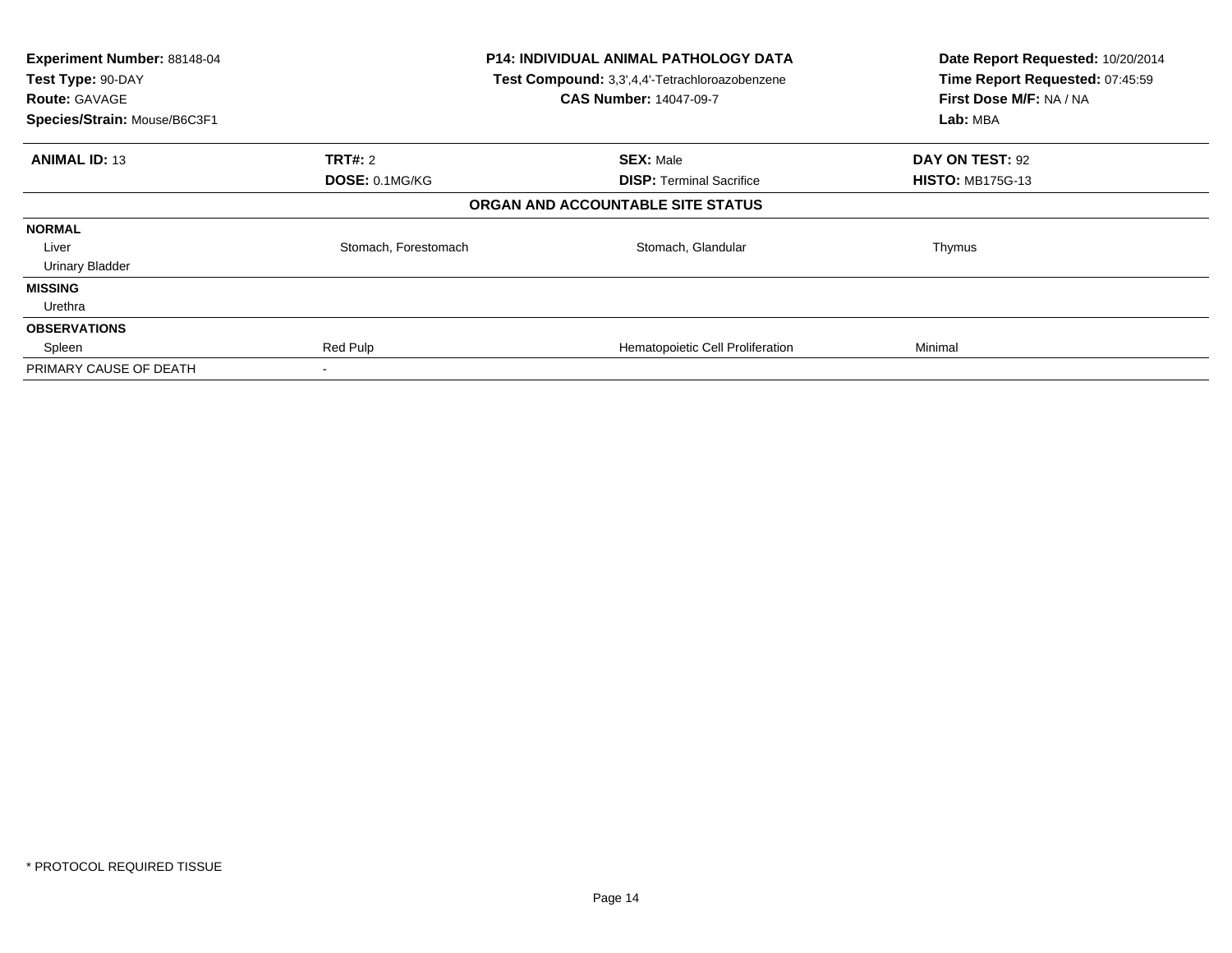| Experiment Number: 88148-04<br>Test Type: 90-DAY<br><b>Route: GAVAGE</b><br>Species/Strain: Mouse/B6C3F1 |                      | <b>P14: INDIVIDUAL ANIMAL PATHOLOGY DATA</b><br>Test Compound: 3,3',4,4'-Tetrachloroazobenzene<br><b>CAS Number: 14047-09-7</b> | Date Report Requested: 10/20/2014<br>Time Report Requested: 07:45:59<br>First Dose M/F: NA / NA<br>Lab: MBA |
|----------------------------------------------------------------------------------------------------------|----------------------|---------------------------------------------------------------------------------------------------------------------------------|-------------------------------------------------------------------------------------------------------------|
| <b>ANIMAL ID: 13</b>                                                                                     | <b>TRT#: 2</b>       | <b>SEX: Male</b>                                                                                                                | DAY ON TEST: 92                                                                                             |
|                                                                                                          | DOSE: 0.1MG/KG       | <b>DISP:</b> Terminal Sacrifice                                                                                                 | <b>HISTO: MB175G-13</b>                                                                                     |
|                                                                                                          |                      | ORGAN AND ACCOUNTABLE SITE STATUS                                                                                               |                                                                                                             |
| <b>NORMAL</b>                                                                                            |                      |                                                                                                                                 |                                                                                                             |
| Liver                                                                                                    | Stomach, Forestomach | Stomach, Glandular                                                                                                              | Thymus                                                                                                      |
| <b>Urinary Bladder</b>                                                                                   |                      |                                                                                                                                 |                                                                                                             |
| <b>MISSING</b>                                                                                           |                      |                                                                                                                                 |                                                                                                             |
| Urethra                                                                                                  |                      |                                                                                                                                 |                                                                                                             |
| <b>OBSERVATIONS</b>                                                                                      |                      |                                                                                                                                 |                                                                                                             |
| Spleen                                                                                                   | Red Pulp             | Hematopoietic Cell Proliferation                                                                                                | Minimal                                                                                                     |
| PRIMARY CAUSE OF DEATH                                                                                   | $\,$                 |                                                                                                                                 |                                                                                                             |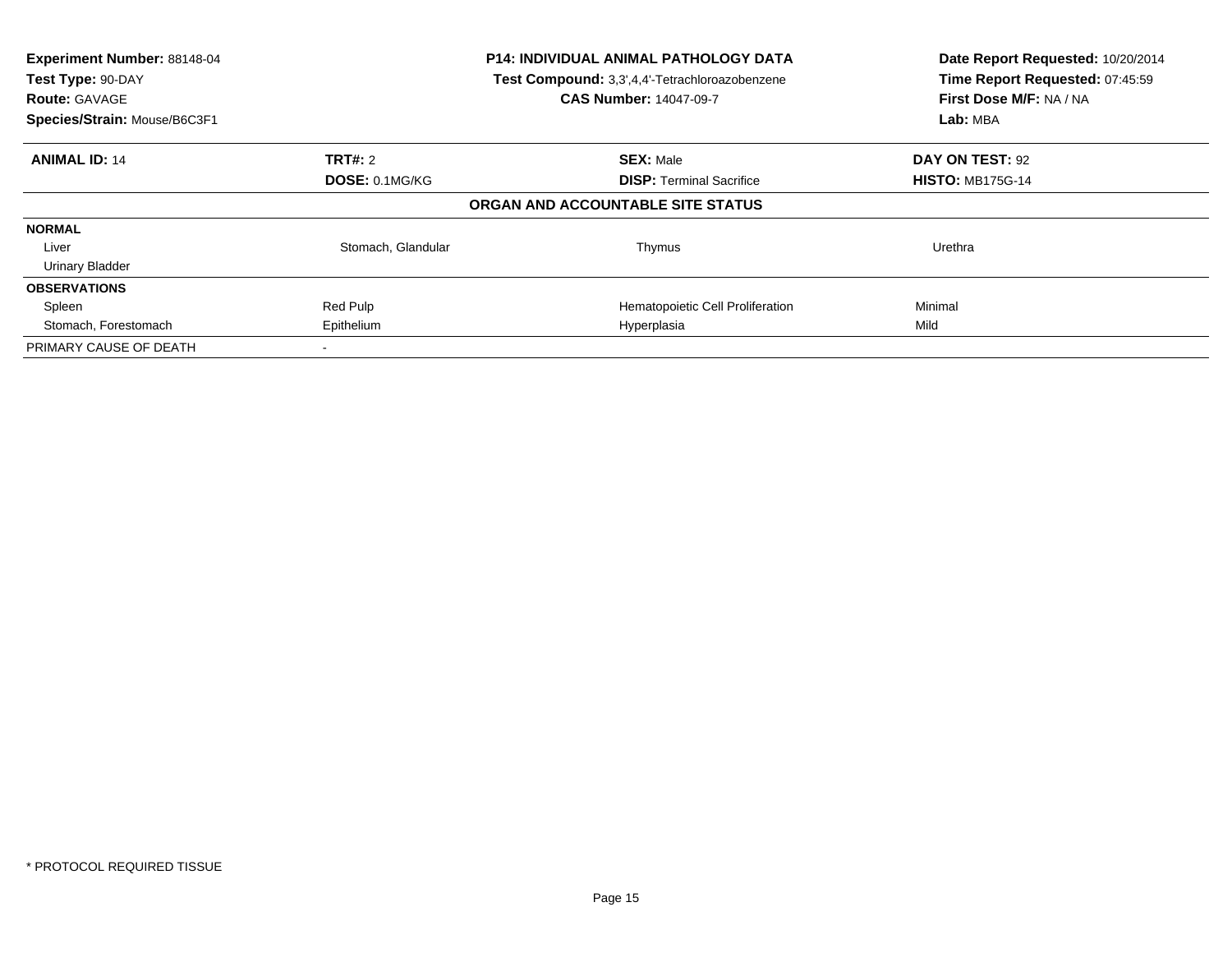| Experiment Number: 88148-04<br>Test Type: 90-DAY<br><b>Route: GAVAGE</b><br>Species/Strain: Mouse/B6C3F1 | <b>P14: INDIVIDUAL ANIMAL PATHOLOGY DATA</b><br>Test Compound: 3,3',4,4'-Tetrachloroazobenzene<br><b>CAS Number: 14047-09-7</b> |                                   | Date Report Requested: 10/20/2014<br>Time Report Requested: 07:45:59<br>First Dose M/F: NA / NA<br>Lab: MBA |
|----------------------------------------------------------------------------------------------------------|---------------------------------------------------------------------------------------------------------------------------------|-----------------------------------|-------------------------------------------------------------------------------------------------------------|
| <b>ANIMAL ID: 14</b>                                                                                     | TRT#: 2                                                                                                                         | <b>SEX: Male</b>                  | DAY ON TEST: 92                                                                                             |
|                                                                                                          | DOSE: 0.1MG/KG                                                                                                                  | <b>DISP:</b> Terminal Sacrifice   | <b>HISTO: MB175G-14</b>                                                                                     |
|                                                                                                          |                                                                                                                                 | ORGAN AND ACCOUNTABLE SITE STATUS |                                                                                                             |
| <b>NORMAL</b>                                                                                            |                                                                                                                                 |                                   |                                                                                                             |
| Liver                                                                                                    | Stomach, Glandular                                                                                                              | Thymus                            | Urethra                                                                                                     |
| <b>Urinary Bladder</b>                                                                                   |                                                                                                                                 |                                   |                                                                                                             |
| <b>OBSERVATIONS</b>                                                                                      |                                                                                                                                 |                                   |                                                                                                             |
| Spleen                                                                                                   | Red Pulp                                                                                                                        | Hematopoietic Cell Proliferation  | Minimal                                                                                                     |
| Stomach, Forestomach                                                                                     | Epithelium                                                                                                                      | Hyperplasia                       | Mild                                                                                                        |
| PRIMARY CAUSE OF DEATH                                                                                   |                                                                                                                                 |                                   |                                                                                                             |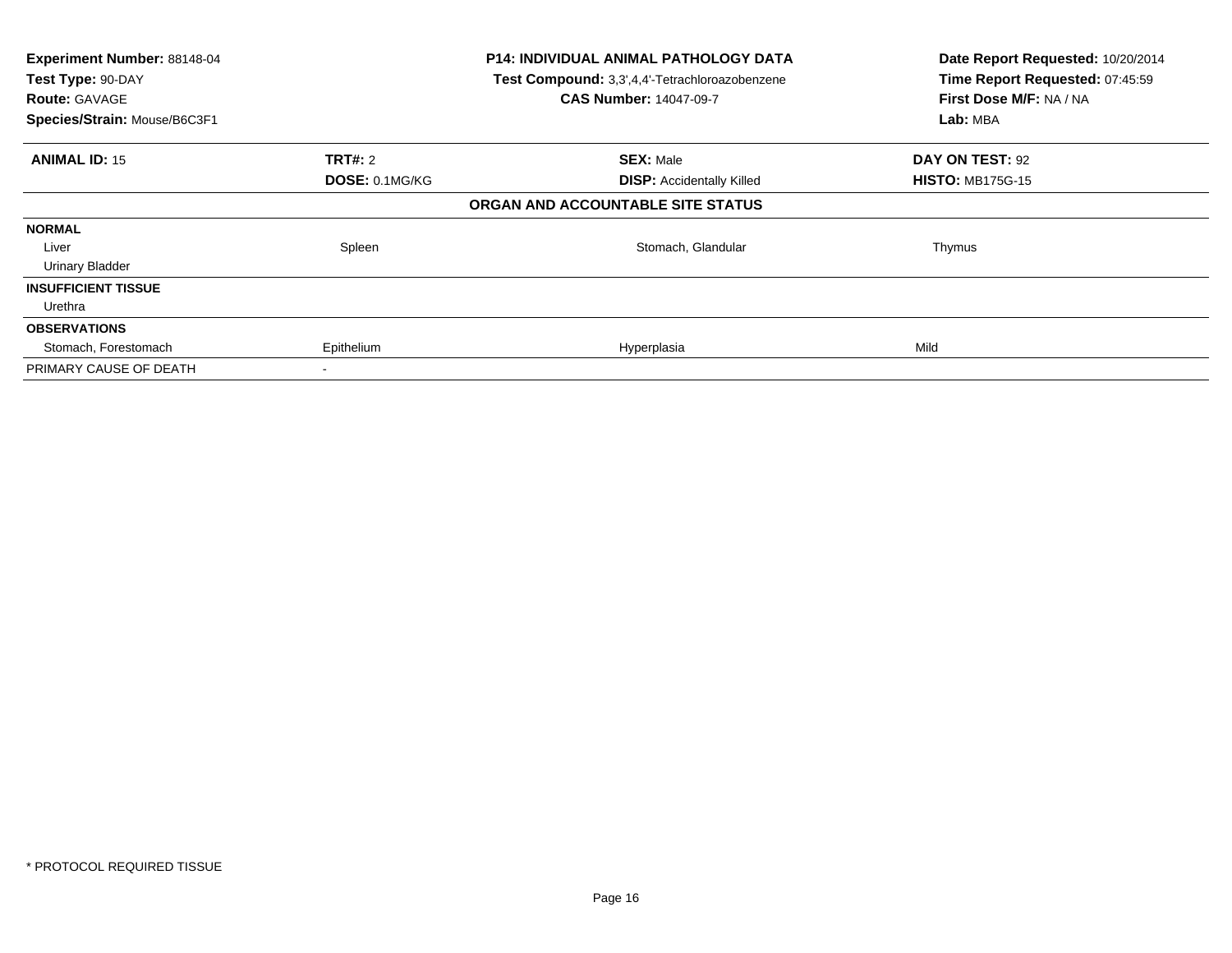| Experiment Number: 88148-04<br>Test Type: 90-DAY<br><b>Route: GAVAGE</b><br>Species/Strain: Mouse/B6C3F1 |                | P14: INDIVIDUAL ANIMAL PATHOLOGY DATA<br>Test Compound: 3,3',4,4'-Tetrachloroazobenzene<br><b>CAS Number: 14047-09-7</b> | Date Report Requested: 10/20/2014<br>Time Report Requested: 07:45:59<br>First Dose M/F: NA / NA<br>Lab: MBA |
|----------------------------------------------------------------------------------------------------------|----------------|--------------------------------------------------------------------------------------------------------------------------|-------------------------------------------------------------------------------------------------------------|
| <b>ANIMAL ID: 15</b>                                                                                     | <b>TRT#:</b> 2 | <b>SEX: Male</b>                                                                                                         | DAY ON TEST: 92                                                                                             |
|                                                                                                          | DOSE: 0.1MG/KG | <b>DISP: Accidentally Killed</b>                                                                                         | <b>HISTO: MB175G-15</b>                                                                                     |
|                                                                                                          |                | ORGAN AND ACCOUNTABLE SITE STATUS                                                                                        |                                                                                                             |
| <b>NORMAL</b>                                                                                            |                |                                                                                                                          |                                                                                                             |
| Liver                                                                                                    | Spleen         | Stomach, Glandular                                                                                                       | Thymus                                                                                                      |
| Urinary Bladder                                                                                          |                |                                                                                                                          |                                                                                                             |
| <b>INSUFFICIENT TISSUE</b>                                                                               |                |                                                                                                                          |                                                                                                             |
| Urethra                                                                                                  |                |                                                                                                                          |                                                                                                             |
| <b>OBSERVATIONS</b>                                                                                      |                |                                                                                                                          |                                                                                                             |
| Stomach, Forestomach                                                                                     | Epithelium     | Hyperplasia                                                                                                              | Mild                                                                                                        |
| PRIMARY CAUSE OF DEATH                                                                                   |                |                                                                                                                          |                                                                                                             |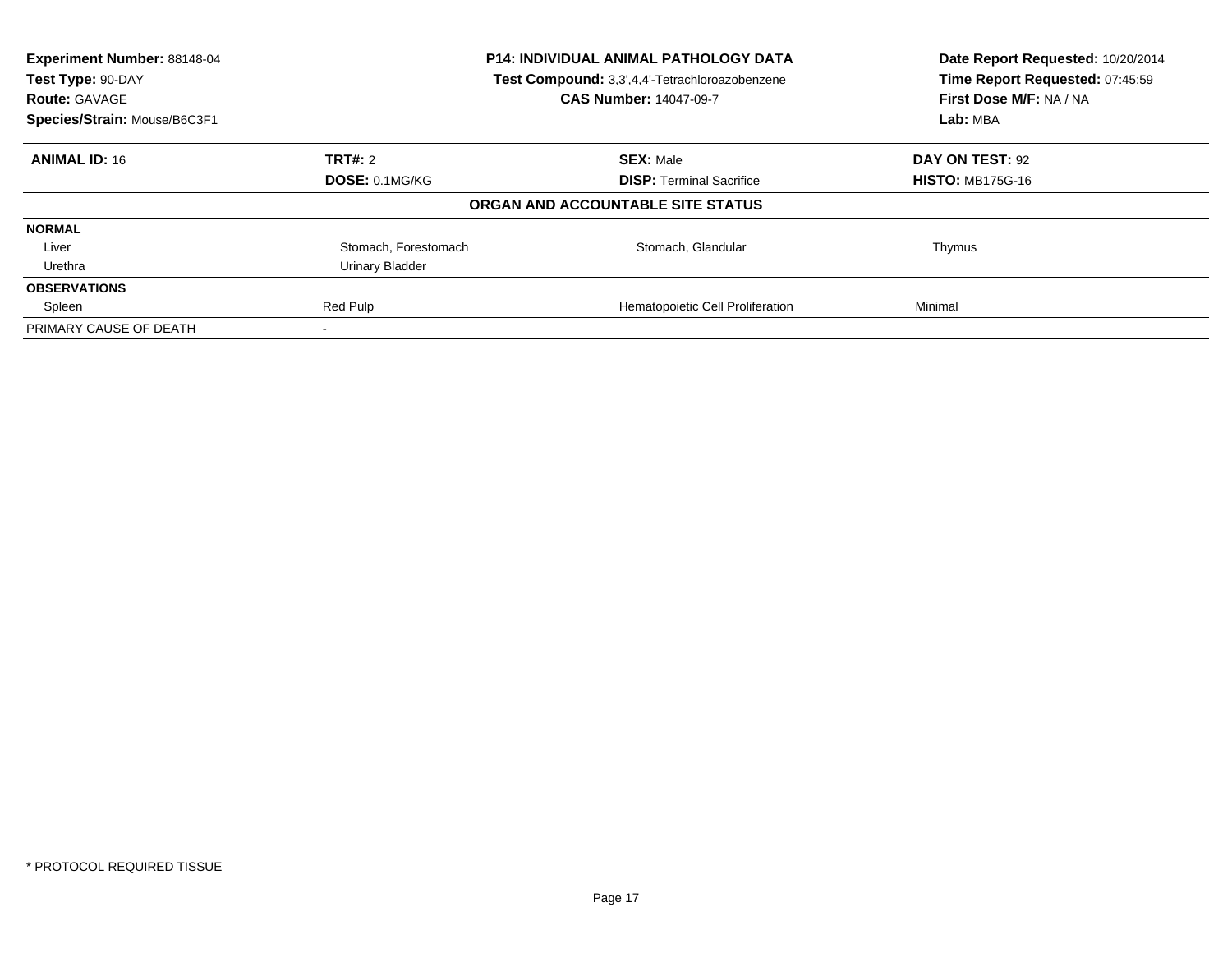| Experiment Number: 88148-04<br>Test Type: 90-DAY<br><b>Route: GAVAGE</b> | <b>P14: INDIVIDUAL ANIMAL PATHOLOGY DATA</b><br>Test Compound: 3,3',4,4'-Tetrachloroazobenzene<br><b>CAS Number: 14047-09-7</b> |                                   | Date Report Requested: 10/20/2014<br>Time Report Requested: 07:45:59<br>First Dose M/F: NA / NA |
|--------------------------------------------------------------------------|---------------------------------------------------------------------------------------------------------------------------------|-----------------------------------|-------------------------------------------------------------------------------------------------|
| Species/Strain: Mouse/B6C3F1                                             |                                                                                                                                 |                                   | Lab: MBA                                                                                        |
| <b>ANIMAL ID: 16</b>                                                     | TRT#: 2                                                                                                                         | <b>SEX: Male</b>                  | DAY ON TEST: 92                                                                                 |
|                                                                          | <b>DOSE: 0.1MG/KG</b>                                                                                                           | <b>DISP:</b> Terminal Sacrifice   | <b>HISTO: MB175G-16</b>                                                                         |
|                                                                          |                                                                                                                                 | ORGAN AND ACCOUNTABLE SITE STATUS |                                                                                                 |
| <b>NORMAL</b>                                                            |                                                                                                                                 |                                   |                                                                                                 |
| Liver                                                                    | Stomach, Forestomach                                                                                                            | Stomach, Glandular                | Thymus                                                                                          |
| Urethra                                                                  | Urinary Bladder                                                                                                                 |                                   |                                                                                                 |
| <b>OBSERVATIONS</b>                                                      |                                                                                                                                 |                                   |                                                                                                 |
| Spleen                                                                   | Red Pulp                                                                                                                        | Hematopoietic Cell Proliferation  | Minimal                                                                                         |
| PRIMARY CAUSE OF DEATH                                                   |                                                                                                                                 |                                   |                                                                                                 |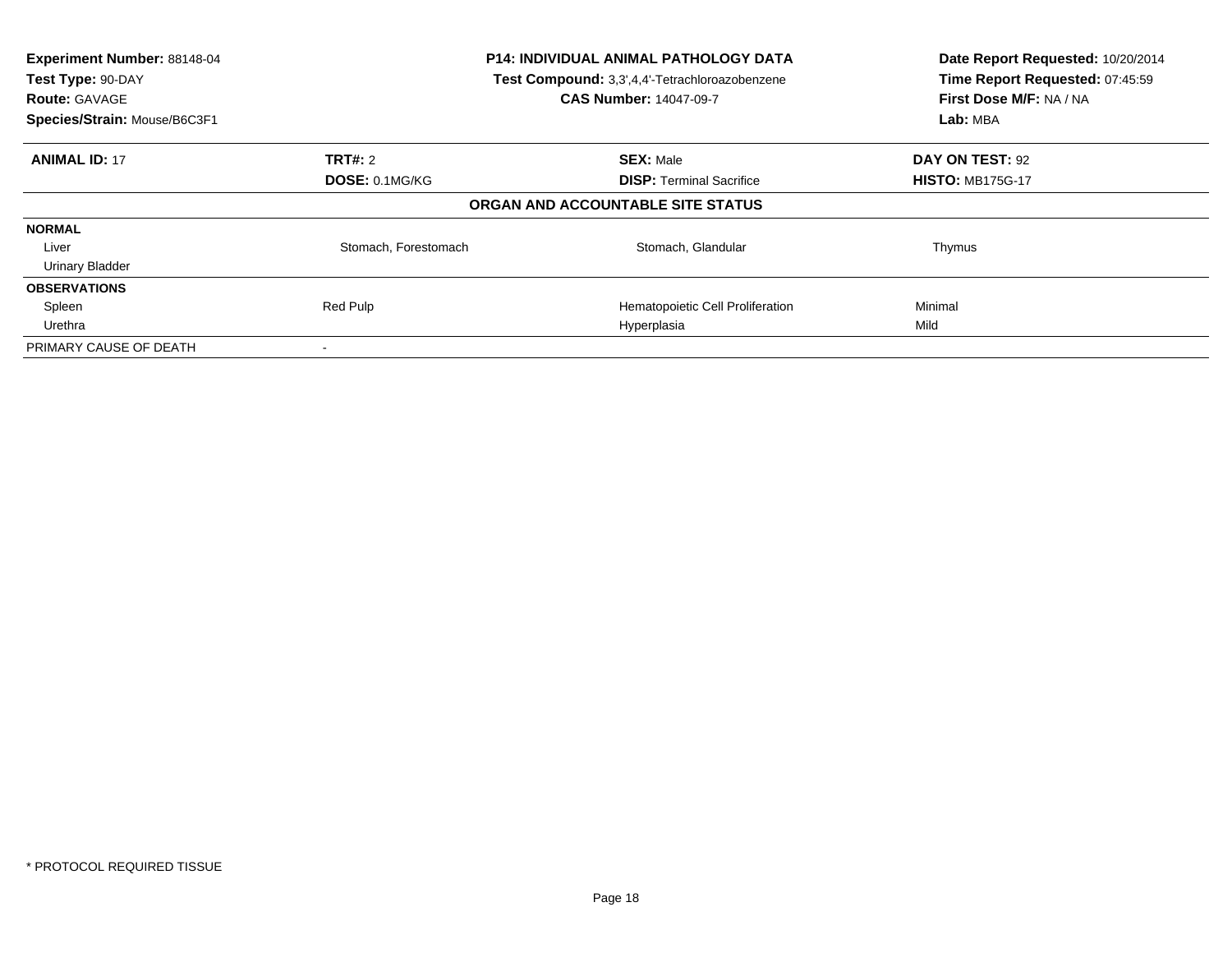| Experiment Number: 88148-04<br>Test Type: 90-DAY<br><b>Route: GAVAGE</b> | <b>P14: INDIVIDUAL ANIMAL PATHOLOGY DATA</b><br>Test Compound: 3,3',4,4'-Tetrachloroazobenzene<br><b>CAS Number: 14047-09-7</b> |                                   | Date Report Requested: 10/20/2014<br>Time Report Requested: 07:45:59<br>First Dose M/F: NA / NA |
|--------------------------------------------------------------------------|---------------------------------------------------------------------------------------------------------------------------------|-----------------------------------|-------------------------------------------------------------------------------------------------|
| Species/Strain: Mouse/B6C3F1                                             |                                                                                                                                 |                                   | Lab: MBA                                                                                        |
| <b>ANIMAL ID: 17</b>                                                     | <b>TRT#: 2</b>                                                                                                                  | <b>SEX: Male</b>                  | DAY ON TEST: 92                                                                                 |
|                                                                          | DOSE: 0.1MG/KG                                                                                                                  | <b>DISP:</b> Terminal Sacrifice   | <b>HISTO: MB175G-17</b>                                                                         |
|                                                                          |                                                                                                                                 | ORGAN AND ACCOUNTABLE SITE STATUS |                                                                                                 |
| <b>NORMAL</b>                                                            |                                                                                                                                 |                                   |                                                                                                 |
| Liver                                                                    | Stomach, Forestomach                                                                                                            | Stomach, Glandular                | Thymus                                                                                          |
| <b>Urinary Bladder</b>                                                   |                                                                                                                                 |                                   |                                                                                                 |
| <b>OBSERVATIONS</b>                                                      |                                                                                                                                 |                                   |                                                                                                 |
| Spleen                                                                   | Red Pulp                                                                                                                        | Hematopoietic Cell Proliferation  | Minimal                                                                                         |
| Urethra                                                                  |                                                                                                                                 | Hyperplasia                       | Mild                                                                                            |
| PRIMARY CAUSE OF DEATH                                                   |                                                                                                                                 |                                   |                                                                                                 |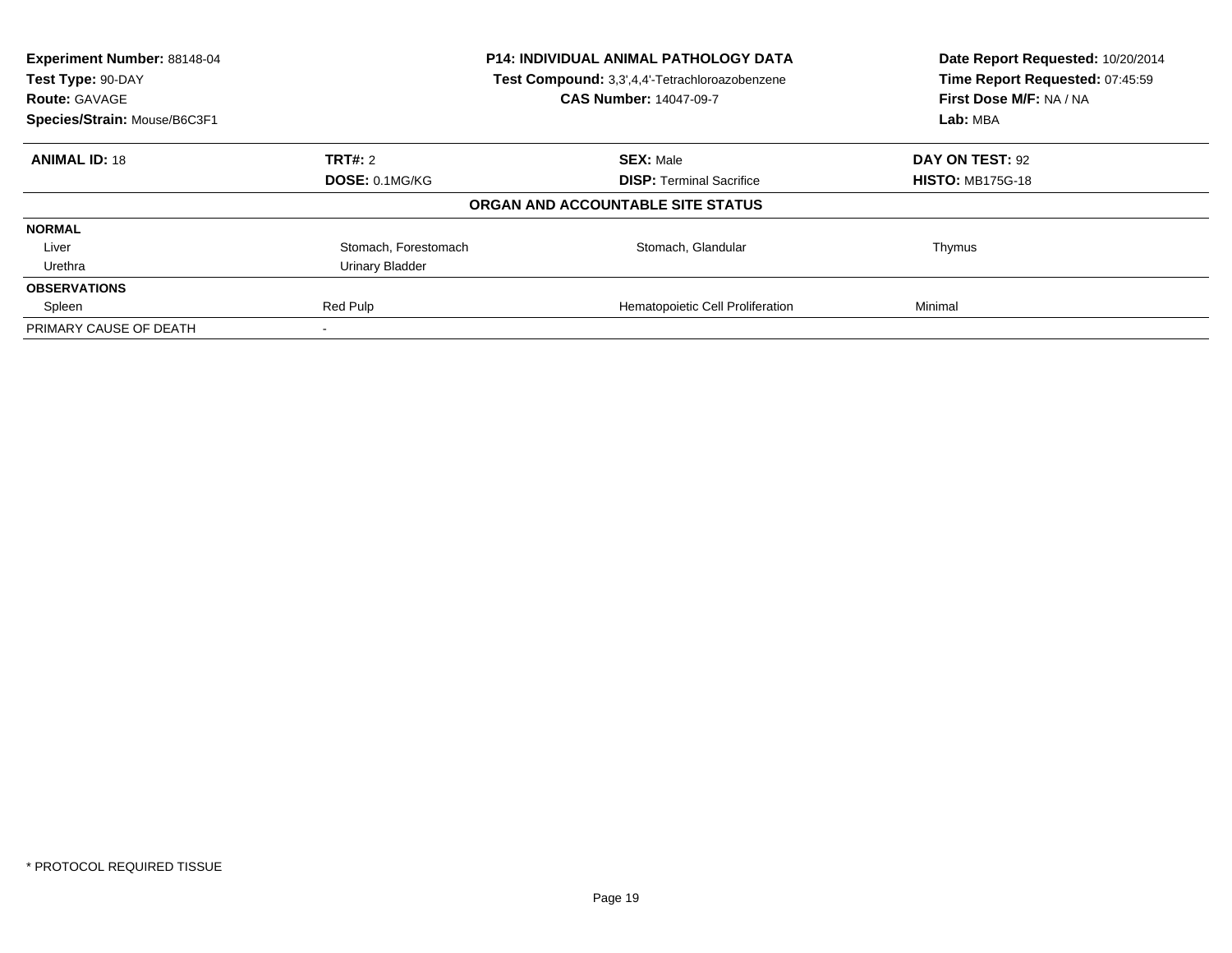| Experiment Number: 88148-04<br>Test Type: 90-DAY<br><b>Route: GAVAGE</b> | <b>P14: INDIVIDUAL ANIMAL PATHOLOGY DATA</b><br>Test Compound: 3,3',4,4'-Tetrachloroazobenzene<br><b>CAS Number: 14047-09-7</b> |                                   | Date Report Requested: 10/20/2014<br>Time Report Requested: 07:45:59<br>First Dose M/F: NA / NA |
|--------------------------------------------------------------------------|---------------------------------------------------------------------------------------------------------------------------------|-----------------------------------|-------------------------------------------------------------------------------------------------|
| Species/Strain: Mouse/B6C3F1                                             |                                                                                                                                 |                                   | Lab: MBA                                                                                        |
| <b>ANIMAL ID: 18</b>                                                     | TRT#: 2                                                                                                                         | <b>SEX: Male</b>                  | DAY ON TEST: 92                                                                                 |
|                                                                          | DOSE: 0.1MG/KG                                                                                                                  | <b>DISP:</b> Terminal Sacrifice   | <b>HISTO: MB175G-18</b>                                                                         |
|                                                                          |                                                                                                                                 | ORGAN AND ACCOUNTABLE SITE STATUS |                                                                                                 |
| <b>NORMAL</b>                                                            |                                                                                                                                 |                                   |                                                                                                 |
| Liver                                                                    | Stomach, Forestomach                                                                                                            | Stomach, Glandular                | Thymus                                                                                          |
| Urethra                                                                  | Urinary Bladder                                                                                                                 |                                   |                                                                                                 |
| <b>OBSERVATIONS</b>                                                      |                                                                                                                                 |                                   |                                                                                                 |
| Spleen                                                                   | Red Pulp                                                                                                                        | Hematopoietic Cell Proliferation  | Minimal                                                                                         |
| PRIMARY CAUSE OF DEATH                                                   |                                                                                                                                 |                                   |                                                                                                 |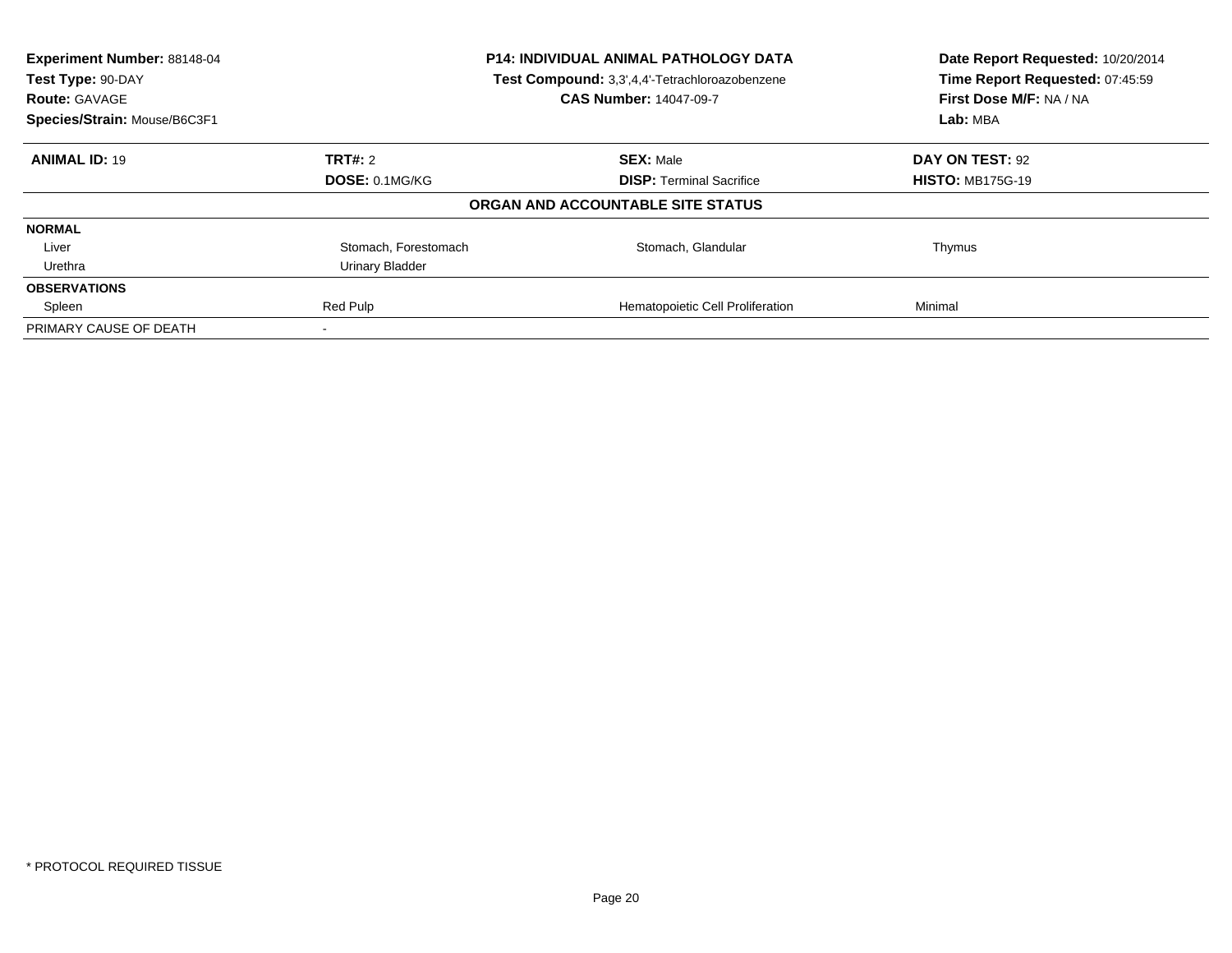| Experiment Number: 88148-04<br>Test Type: 90-DAY<br><b>Route: GAVAGE</b> | <b>P14: INDIVIDUAL ANIMAL PATHOLOGY DATA</b><br>Test Compound: 3,3',4,4'-Tetrachloroazobenzene<br><b>CAS Number: 14047-09-7</b> |                                   | Date Report Requested: 10/20/2014<br>Time Report Requested: 07:45:59<br>First Dose M/F: NA / NA |
|--------------------------------------------------------------------------|---------------------------------------------------------------------------------------------------------------------------------|-----------------------------------|-------------------------------------------------------------------------------------------------|
| Species/Strain: Mouse/B6C3F1                                             |                                                                                                                                 |                                   | Lab: MBA                                                                                        |
| <b>ANIMAL ID: 19</b>                                                     | TRT#: 2                                                                                                                         | <b>SEX: Male</b>                  | DAY ON TEST: 92                                                                                 |
|                                                                          | <b>DOSE: 0.1MG/KG</b>                                                                                                           | <b>DISP:</b> Terminal Sacrifice   | <b>HISTO: MB175G-19</b>                                                                         |
|                                                                          |                                                                                                                                 | ORGAN AND ACCOUNTABLE SITE STATUS |                                                                                                 |
| <b>NORMAL</b>                                                            |                                                                                                                                 |                                   |                                                                                                 |
| Liver                                                                    | Stomach, Forestomach                                                                                                            | Stomach, Glandular                | Thymus                                                                                          |
| Urethra                                                                  | Urinary Bladder                                                                                                                 |                                   |                                                                                                 |
| <b>OBSERVATIONS</b>                                                      |                                                                                                                                 |                                   |                                                                                                 |
| Spleen                                                                   | Red Pulp                                                                                                                        | Hematopoietic Cell Proliferation  | Minimal                                                                                         |
| PRIMARY CAUSE OF DEATH                                                   |                                                                                                                                 |                                   |                                                                                                 |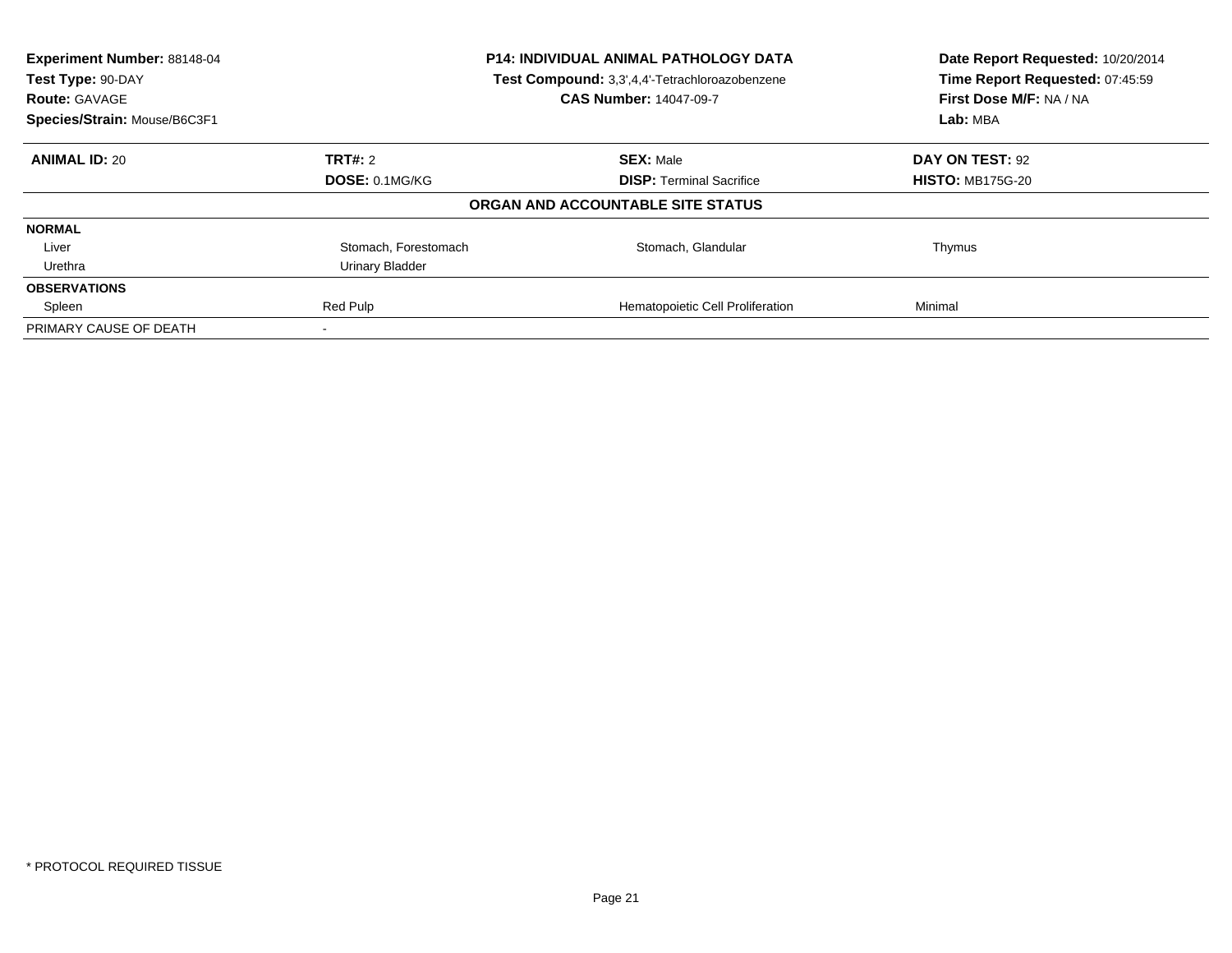| Experiment Number: 88148-04<br>Test Type: 90-DAY<br><b>Route: GAVAGE</b> | <b>P14: INDIVIDUAL ANIMAL PATHOLOGY DATA</b><br>Test Compound: 3,3',4,4'-Tetrachloroazobenzene<br><b>CAS Number: 14047-09-7</b> |                                   | Date Report Requested: 10/20/2014<br>Time Report Requested: 07:45:59<br>First Dose M/F: NA / NA |
|--------------------------------------------------------------------------|---------------------------------------------------------------------------------------------------------------------------------|-----------------------------------|-------------------------------------------------------------------------------------------------|
| Species/Strain: Mouse/B6C3F1                                             |                                                                                                                                 |                                   | Lab: MBA                                                                                        |
| <b>ANIMAL ID: 20</b>                                                     | TRT#: 2                                                                                                                         | <b>SEX: Male</b>                  | DAY ON TEST: 92                                                                                 |
|                                                                          | <b>DOSE: 0.1MG/KG</b>                                                                                                           | <b>DISP:</b> Terminal Sacrifice   | <b>HISTO: MB175G-20</b>                                                                         |
|                                                                          |                                                                                                                                 | ORGAN AND ACCOUNTABLE SITE STATUS |                                                                                                 |
| <b>NORMAL</b>                                                            |                                                                                                                                 |                                   |                                                                                                 |
| Liver                                                                    | Stomach, Forestomach                                                                                                            | Stomach, Glandular                | Thymus                                                                                          |
| Urethra                                                                  | Urinary Bladder                                                                                                                 |                                   |                                                                                                 |
| <b>OBSERVATIONS</b>                                                      |                                                                                                                                 |                                   |                                                                                                 |
| Spleen                                                                   | Red Pulp                                                                                                                        | Hematopoietic Cell Proliferation  | Minimal                                                                                         |
| PRIMARY CAUSE OF DEATH                                                   |                                                                                                                                 |                                   |                                                                                                 |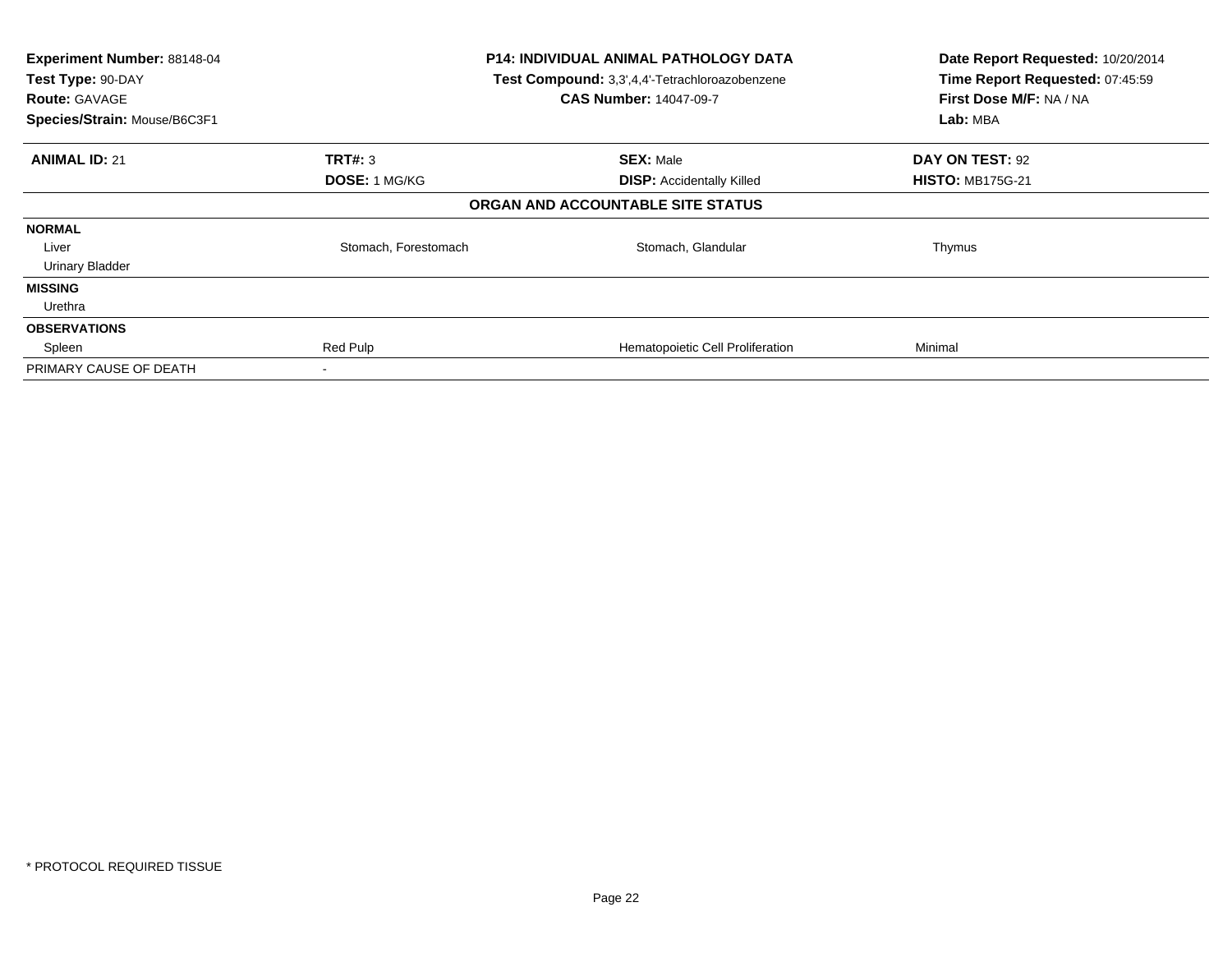| Experiment Number: 88148-04<br>Test Type: 90-DAY<br><b>Route: GAVAGE</b><br>Species/Strain: Mouse/B6C3F1 |                      | <b>P14: INDIVIDUAL ANIMAL PATHOLOGY DATA</b><br>Test Compound: 3,3',4,4'-Tetrachloroazobenzene<br><b>CAS Number: 14047-09-7</b> | Date Report Requested: 10/20/2014<br>Time Report Requested: 07:45:59<br>First Dose M/F: NA / NA<br>Lab: MBA |
|----------------------------------------------------------------------------------------------------------|----------------------|---------------------------------------------------------------------------------------------------------------------------------|-------------------------------------------------------------------------------------------------------------|
| <b>ANIMAL ID: 21</b>                                                                                     | <b>TRT#: 3</b>       | <b>SEX: Male</b>                                                                                                                | DAY ON TEST: 92                                                                                             |
|                                                                                                          | <b>DOSE: 1 MG/KG</b> | <b>DISP:</b> Accidentally Killed                                                                                                | <b>HISTO: MB175G-21</b>                                                                                     |
|                                                                                                          |                      | ORGAN AND ACCOUNTABLE SITE STATUS                                                                                               |                                                                                                             |
| <b>NORMAL</b>                                                                                            |                      |                                                                                                                                 |                                                                                                             |
| Liver                                                                                                    | Stomach, Forestomach | Stomach, Glandular                                                                                                              | Thymus                                                                                                      |
| <b>Urinary Bladder</b>                                                                                   |                      |                                                                                                                                 |                                                                                                             |
| <b>MISSING</b>                                                                                           |                      |                                                                                                                                 |                                                                                                             |
| Urethra                                                                                                  |                      |                                                                                                                                 |                                                                                                             |
| <b>OBSERVATIONS</b>                                                                                      |                      |                                                                                                                                 |                                                                                                             |
| Spleen                                                                                                   | Red Pulp             | Hematopoietic Cell Proliferation                                                                                                | Minimal                                                                                                     |
| PRIMARY CAUSE OF DEATH                                                                                   | $\,$                 |                                                                                                                                 |                                                                                                             |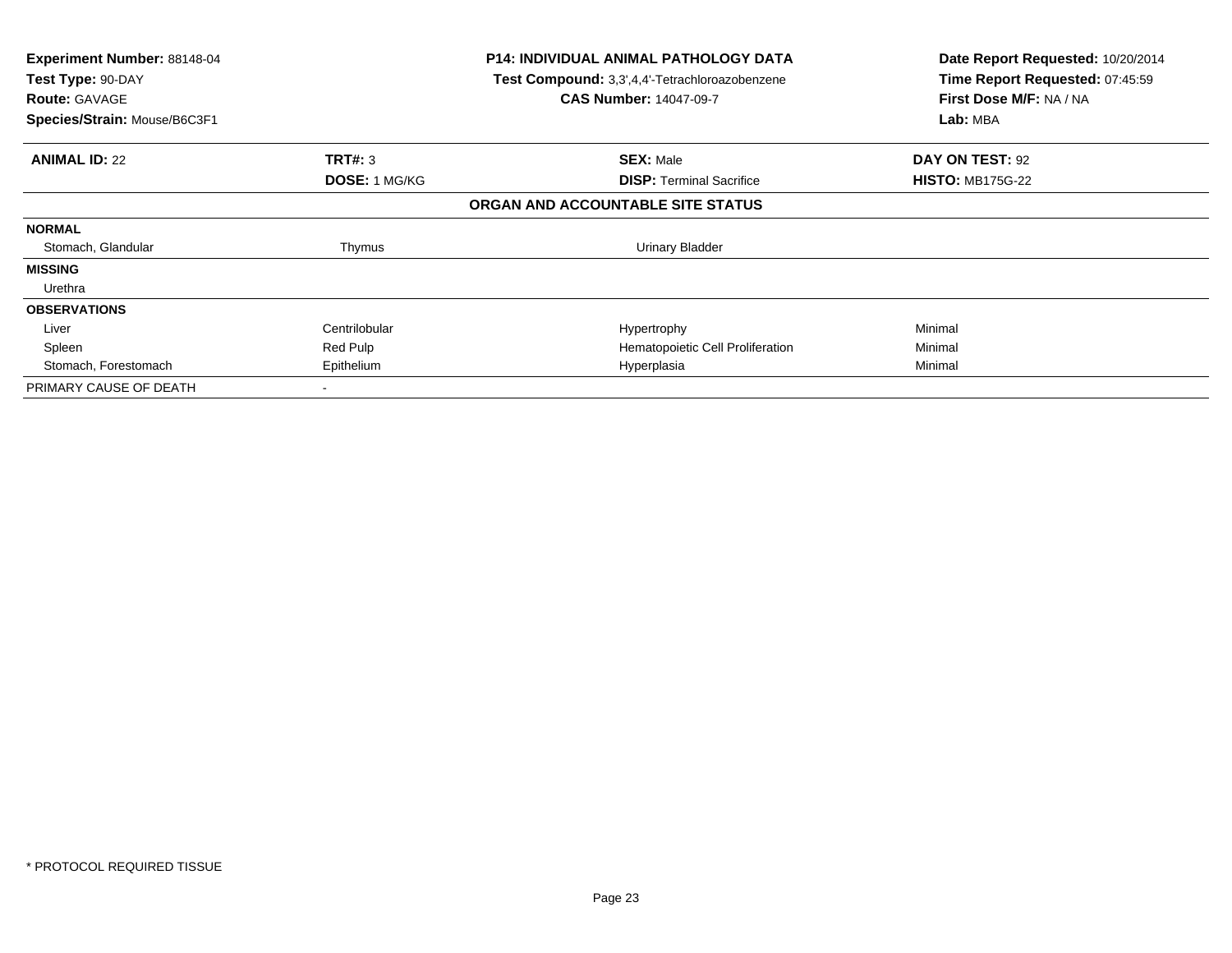| Experiment Number: 88148-04<br>Test Type: 90-DAY<br><b>Route: GAVAGE</b><br>Species/Strain: Mouse/B6C3F1 |                      | <b>P14: INDIVIDUAL ANIMAL PATHOLOGY DATA</b><br>Test Compound: 3,3',4,4'-Tetrachloroazobenzene<br><b>CAS Number: 14047-09-7</b> | Date Report Requested: 10/20/2014<br>Time Report Requested: 07:45:59<br>First Dose M/F: NA / NA<br>Lab: MBA |
|----------------------------------------------------------------------------------------------------------|----------------------|---------------------------------------------------------------------------------------------------------------------------------|-------------------------------------------------------------------------------------------------------------|
|                                                                                                          |                      |                                                                                                                                 |                                                                                                             |
| <b>ANIMAL ID: 22</b>                                                                                     | TRT#: 3              | <b>SEX: Male</b>                                                                                                                | DAY ON TEST: 92                                                                                             |
|                                                                                                          | <b>DOSE: 1 MG/KG</b> | <b>DISP:</b> Terminal Sacrifice                                                                                                 | <b>HISTO: MB175G-22</b>                                                                                     |
|                                                                                                          |                      | ORGAN AND ACCOUNTABLE SITE STATUS                                                                                               |                                                                                                             |
| <b>NORMAL</b>                                                                                            |                      |                                                                                                                                 |                                                                                                             |
| Stomach, Glandular                                                                                       | Thymus               | <b>Urinary Bladder</b>                                                                                                          |                                                                                                             |
| <b>MISSING</b>                                                                                           |                      |                                                                                                                                 |                                                                                                             |
| Urethra                                                                                                  |                      |                                                                                                                                 |                                                                                                             |
| <b>OBSERVATIONS</b>                                                                                      |                      |                                                                                                                                 |                                                                                                             |
| Liver                                                                                                    | Centrilobular        | Hypertrophy                                                                                                                     | Minimal                                                                                                     |
| Spleen                                                                                                   | Red Pulp             | Hematopoietic Cell Proliferation                                                                                                | Minimal                                                                                                     |
| Stomach, Forestomach                                                                                     | Epithelium           | Hyperplasia                                                                                                                     | Minimal                                                                                                     |
| PRIMARY CAUSE OF DEATH                                                                                   |                      |                                                                                                                                 |                                                                                                             |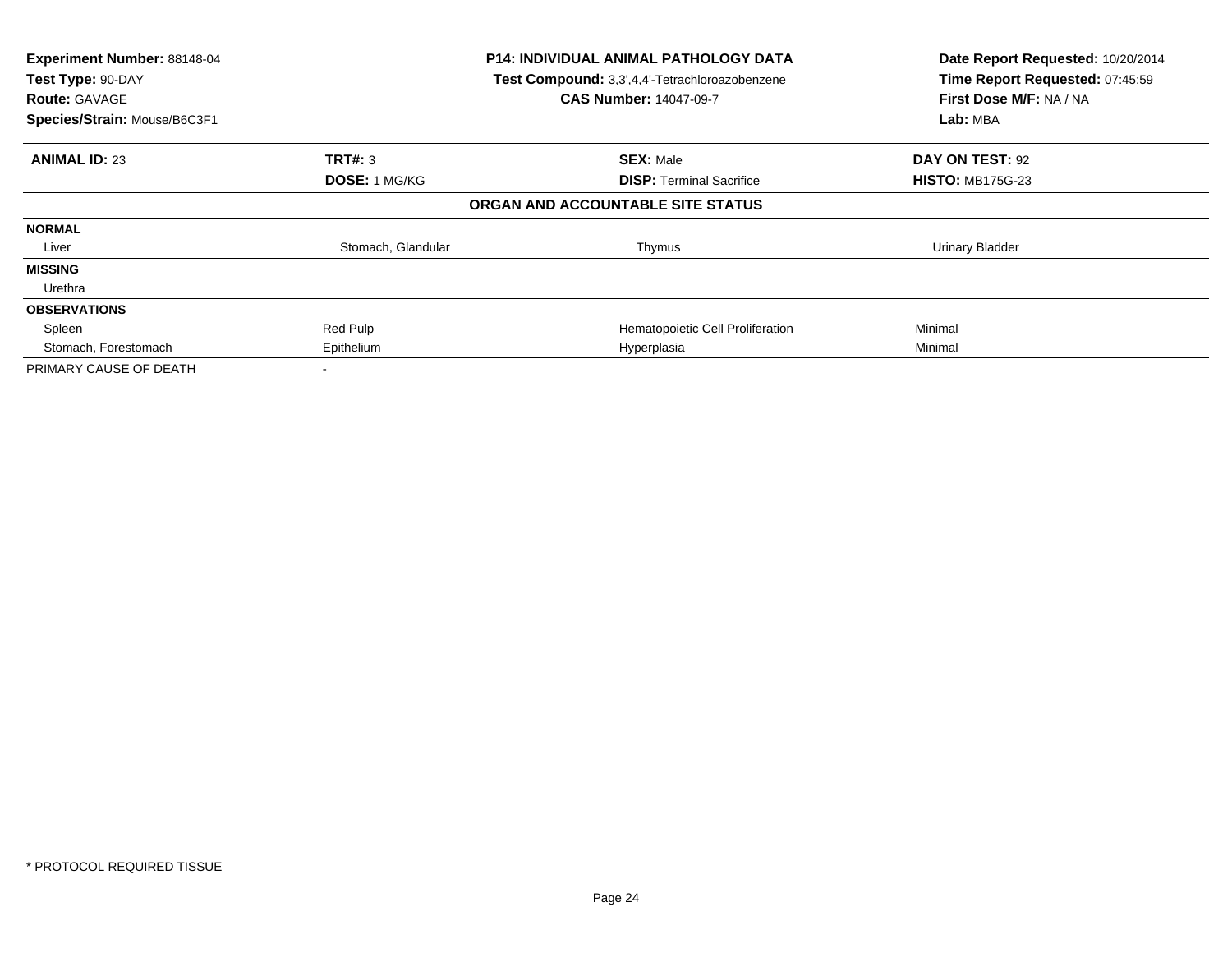| Experiment Number: 88148-04<br>Test Type: 90-DAY<br><b>Route: GAVAGE</b><br>Species/Strain: Mouse/B6C3F1 |                      | <b>P14: INDIVIDUAL ANIMAL PATHOLOGY DATA</b><br>Test Compound: 3,3',4,4'-Tetrachloroazobenzene<br><b>CAS Number: 14047-09-7</b> | Date Report Requested: 10/20/2014<br>Time Report Requested: 07:45:59<br>First Dose M/F: NA / NA<br>Lab: MBA |
|----------------------------------------------------------------------------------------------------------|----------------------|---------------------------------------------------------------------------------------------------------------------------------|-------------------------------------------------------------------------------------------------------------|
| <b>ANIMAL ID: 23</b>                                                                                     | <b>TRT#: 3</b>       | <b>SEX: Male</b>                                                                                                                | DAY ON TEST: 92                                                                                             |
|                                                                                                          | <b>DOSE: 1 MG/KG</b> | <b>DISP:</b> Terminal Sacrifice                                                                                                 | <b>HISTO: MB175G-23</b>                                                                                     |
|                                                                                                          |                      | ORGAN AND ACCOUNTABLE SITE STATUS                                                                                               |                                                                                                             |
| <b>NORMAL</b>                                                                                            |                      |                                                                                                                                 |                                                                                                             |
| Liver                                                                                                    | Stomach, Glandular   | Thymus                                                                                                                          | Urinary Bladder                                                                                             |
| <b>MISSING</b>                                                                                           |                      |                                                                                                                                 |                                                                                                             |
| Urethra                                                                                                  |                      |                                                                                                                                 |                                                                                                             |
| <b>OBSERVATIONS</b>                                                                                      |                      |                                                                                                                                 |                                                                                                             |
| Spleen                                                                                                   | Red Pulp             | Hematopoietic Cell Proliferation                                                                                                | Minimal                                                                                                     |
| Stomach, Forestomach                                                                                     | Epithelium           | Hyperplasia                                                                                                                     | Minimal                                                                                                     |
| PRIMARY CAUSE OF DEATH                                                                                   |                      |                                                                                                                                 |                                                                                                             |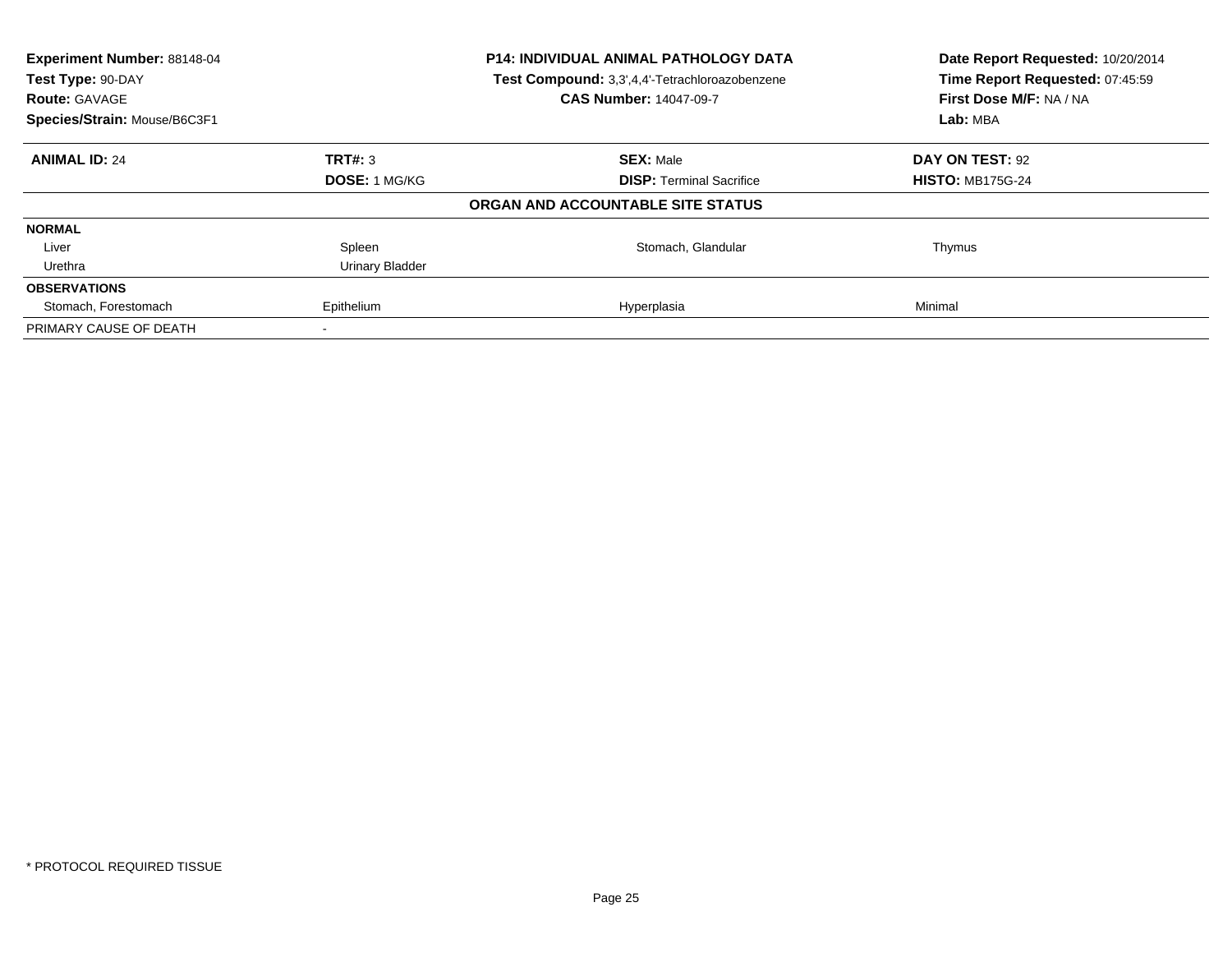| Experiment Number: 88148-04<br>Test Type: 90-DAY<br><b>Route: GAVAGE</b> |                        | P14: INDIVIDUAL ANIMAL PATHOLOGY DATA<br>Test Compound: 3,3',4,4'-Tetrachloroazobenzene<br><b>CAS Number: 14047-09-7</b> | Date Report Requested: 10/20/2014<br>Time Report Requested: 07:45:59<br>First Dose M/F: NA / NA |  |
|--------------------------------------------------------------------------|------------------------|--------------------------------------------------------------------------------------------------------------------------|-------------------------------------------------------------------------------------------------|--|
| Species/Strain: Mouse/B6C3F1                                             |                        |                                                                                                                          | Lab: MBA                                                                                        |  |
| <b>ANIMAL ID: 24</b>                                                     | TRT#: 3                | <b>SEX: Male</b>                                                                                                         | DAY ON TEST: 92                                                                                 |  |
|                                                                          | <b>DOSE: 1 MG/KG</b>   | <b>DISP:</b> Terminal Sacrifice                                                                                          | <b>HISTO: MB175G-24</b>                                                                         |  |
|                                                                          |                        | ORGAN AND ACCOUNTABLE SITE STATUS                                                                                        |                                                                                                 |  |
| <b>NORMAL</b>                                                            |                        |                                                                                                                          |                                                                                                 |  |
| Liver                                                                    | Spleen                 | Stomach, Glandular                                                                                                       | Thymus                                                                                          |  |
| Urethra                                                                  | <b>Urinary Bladder</b> |                                                                                                                          |                                                                                                 |  |
| <b>OBSERVATIONS</b>                                                      |                        |                                                                                                                          |                                                                                                 |  |
| Stomach, Forestomach                                                     | Epithelium             | Hyperplasia                                                                                                              | Minimal                                                                                         |  |
| PRIMARY CAUSE OF DEATH                                                   |                        |                                                                                                                          |                                                                                                 |  |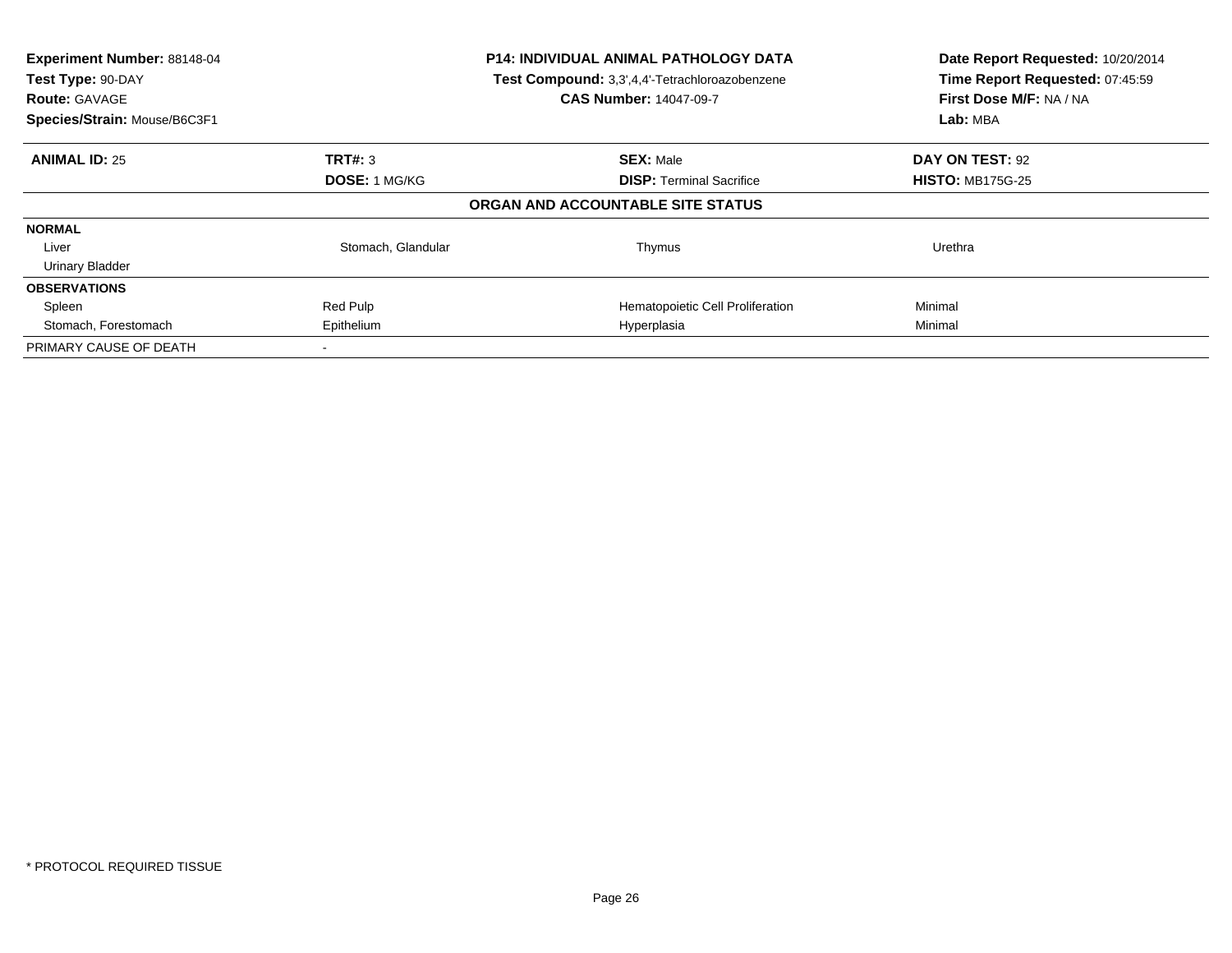| Experiment Number: 88148-04<br>Test Type: 90-DAY<br><b>Route: GAVAGE</b> | <b>P14: INDIVIDUAL ANIMAL PATHOLOGY DATA</b><br>Test Compound: 3,3',4,4'-Tetrachloroazobenzene<br><b>CAS Number: 14047-09-7</b> |                                   | Date Report Requested: 10/20/2014<br>Time Report Requested: 07:45:59<br>First Dose M/F: NA / NA |
|--------------------------------------------------------------------------|---------------------------------------------------------------------------------------------------------------------------------|-----------------------------------|-------------------------------------------------------------------------------------------------|
| Species/Strain: Mouse/B6C3F1                                             |                                                                                                                                 |                                   | Lab: MBA                                                                                        |
| <b>ANIMAL ID: 25</b>                                                     | TRT#: 3                                                                                                                         | <b>SEX: Male</b>                  | DAY ON TEST: 92                                                                                 |
|                                                                          | <b>DOSE: 1 MG/KG</b>                                                                                                            | <b>DISP:</b> Terminal Sacrifice   | <b>HISTO: MB175G-25</b>                                                                         |
|                                                                          |                                                                                                                                 | ORGAN AND ACCOUNTABLE SITE STATUS |                                                                                                 |
| <b>NORMAL</b>                                                            |                                                                                                                                 |                                   |                                                                                                 |
| Liver                                                                    | Stomach, Glandular                                                                                                              | Thymus                            | Urethra                                                                                         |
| <b>Urinary Bladder</b>                                                   |                                                                                                                                 |                                   |                                                                                                 |
| <b>OBSERVATIONS</b>                                                      |                                                                                                                                 |                                   |                                                                                                 |
| Spleen                                                                   | Red Pulp                                                                                                                        | Hematopoietic Cell Proliferation  | Minimal                                                                                         |
| Stomach, Forestomach                                                     | Epithelium                                                                                                                      | Hyperplasia                       | Minimal                                                                                         |
| PRIMARY CAUSE OF DEATH                                                   |                                                                                                                                 |                                   |                                                                                                 |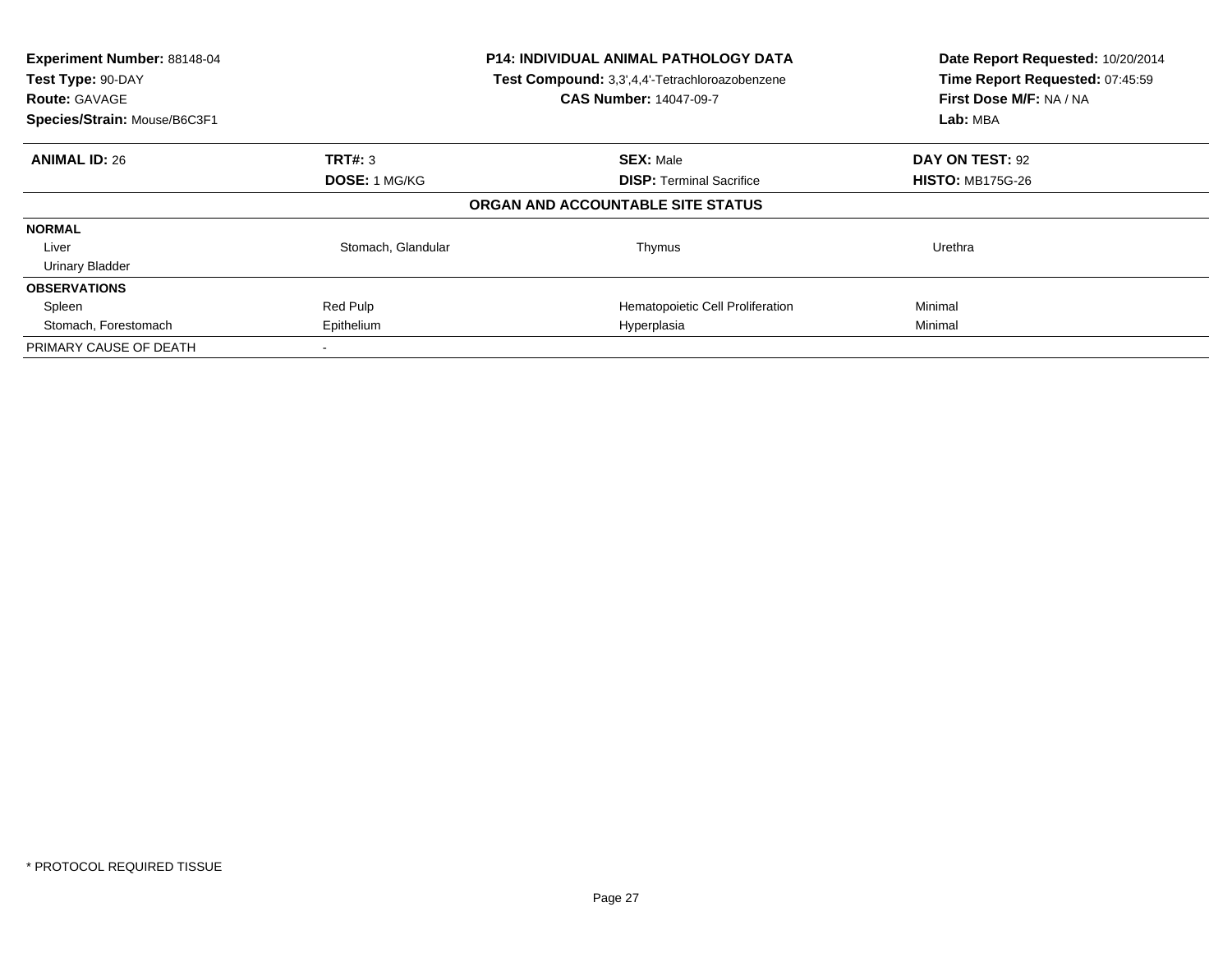| Experiment Number: 88148-04<br>Test Type: 90-DAY     |                      | <b>P14: INDIVIDUAL ANIMAL PATHOLOGY DATA</b><br>Test Compound: 3,3',4,4'-Tetrachloroazobenzene | Date Report Requested: 10/20/2014<br>Time Report Requested: 07:45:59 |
|------------------------------------------------------|----------------------|------------------------------------------------------------------------------------------------|----------------------------------------------------------------------|
| <b>Route: GAVAGE</b><br>Species/Strain: Mouse/B6C3F1 |                      | <b>CAS Number: 14047-09-7</b>                                                                  | First Dose M/F: NA / NA<br>Lab: MBA                                  |
|                                                      |                      |                                                                                                |                                                                      |
| <b>ANIMAL ID: 26</b>                                 | TRT#: 3              | <b>SEX: Male</b>                                                                               | DAY ON TEST: 92                                                      |
|                                                      | <b>DOSE: 1 MG/KG</b> | <b>DISP:</b> Terminal Sacrifice                                                                | <b>HISTO: MB175G-26</b>                                              |
|                                                      |                      | ORGAN AND ACCOUNTABLE SITE STATUS                                                              |                                                                      |
| <b>NORMAL</b>                                        |                      |                                                                                                |                                                                      |
| Liver                                                | Stomach, Glandular   | Thymus                                                                                         | Urethra                                                              |
| <b>Urinary Bladder</b>                               |                      |                                                                                                |                                                                      |
| <b>OBSERVATIONS</b>                                  |                      |                                                                                                |                                                                      |
| Spleen                                               | Red Pulp             | Hematopoietic Cell Proliferation                                                               | Minimal                                                              |
| Stomach, Forestomach                                 | Epithelium           | Hyperplasia                                                                                    | Minimal                                                              |
| PRIMARY CAUSE OF DEATH                               |                      |                                                                                                |                                                                      |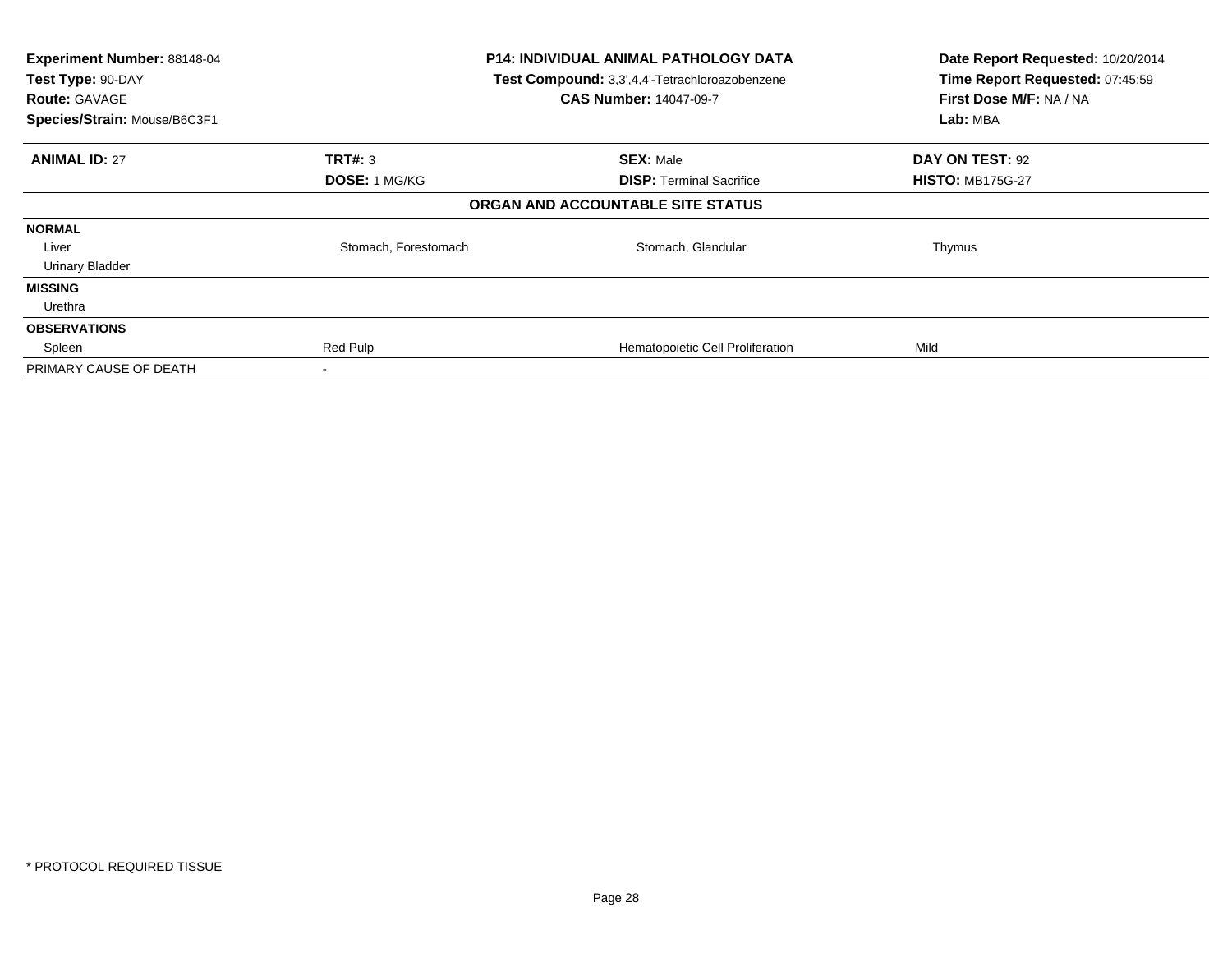| Experiment Number: 88148-04<br>Test Type: 90-DAY<br><b>Route: GAVAGE</b><br>Species/Strain: Mouse/B6C3F1 |                      | P14: INDIVIDUAL ANIMAL PATHOLOGY DATA<br>Test Compound: 3,3',4,4'-Tetrachloroazobenzene<br><b>CAS Number: 14047-09-7</b> | Date Report Requested: 10/20/2014<br>Time Report Requested: 07:45:59<br>First Dose M/F: NA / NA<br>Lab: MBA |
|----------------------------------------------------------------------------------------------------------|----------------------|--------------------------------------------------------------------------------------------------------------------------|-------------------------------------------------------------------------------------------------------------|
| <b>ANIMAL ID: 27</b>                                                                                     | <b>TRT#: 3</b>       | <b>SEX: Male</b>                                                                                                         | DAY ON TEST: 92                                                                                             |
|                                                                                                          | DOSE: 1 MG/KG        | <b>DISP:</b> Terminal Sacrifice                                                                                          | <b>HISTO: MB175G-27</b>                                                                                     |
|                                                                                                          |                      | ORGAN AND ACCOUNTABLE SITE STATUS                                                                                        |                                                                                                             |
| <b>NORMAL</b>                                                                                            |                      |                                                                                                                          |                                                                                                             |
| Liver                                                                                                    | Stomach, Forestomach | Stomach, Glandular                                                                                                       | Thymus                                                                                                      |
| <b>Urinary Bladder</b>                                                                                   |                      |                                                                                                                          |                                                                                                             |
| <b>MISSING</b>                                                                                           |                      |                                                                                                                          |                                                                                                             |
| Urethra                                                                                                  |                      |                                                                                                                          |                                                                                                             |
| <b>OBSERVATIONS</b>                                                                                      |                      |                                                                                                                          |                                                                                                             |
| Spleen                                                                                                   | Red Pulp             | Hematopoietic Cell Proliferation                                                                                         | Mild                                                                                                        |
| PRIMARY CAUSE OF DEATH                                                                                   |                      |                                                                                                                          |                                                                                                             |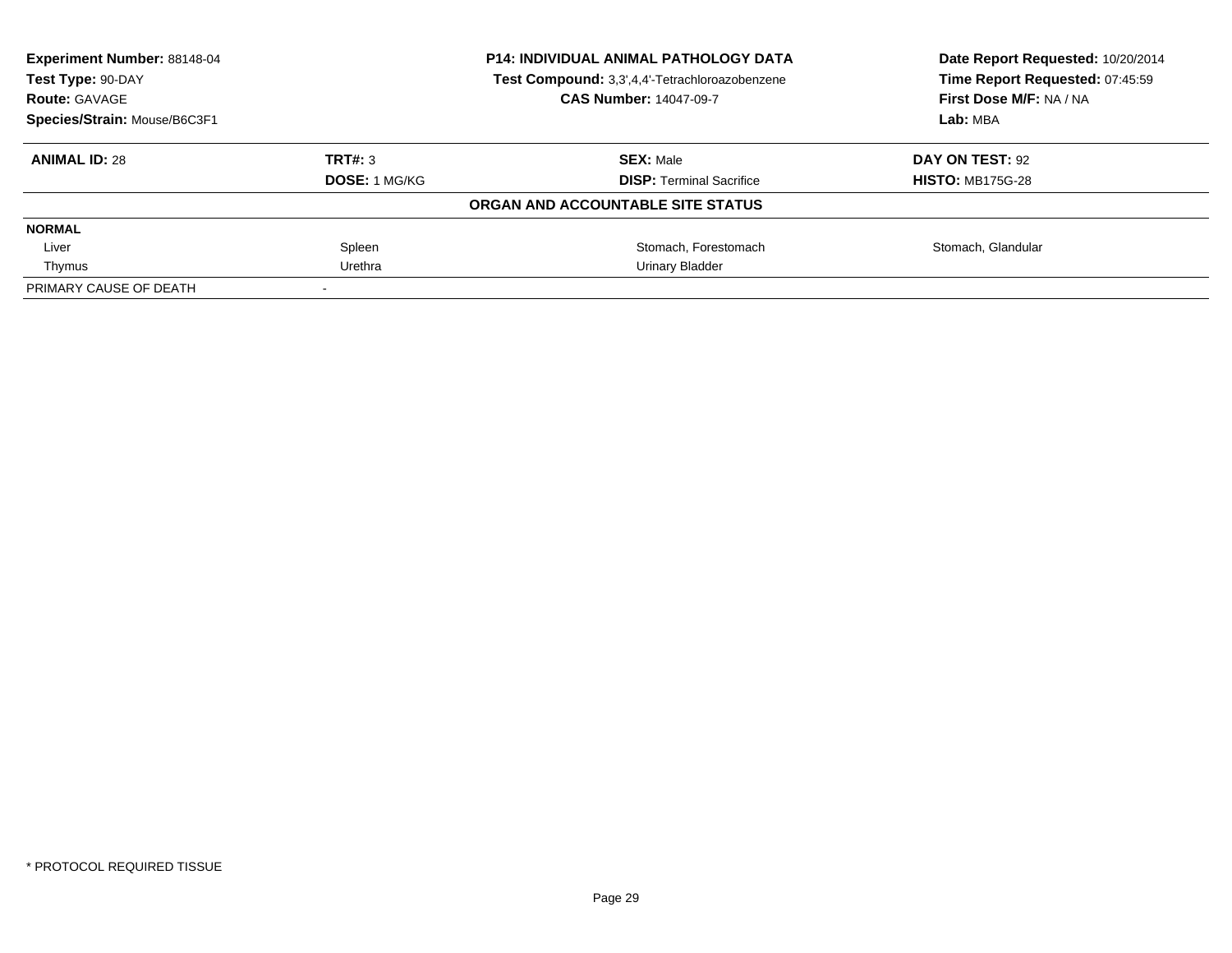| Experiment Number: 88148-04<br>Test Type: 90-DAY |               | <b>P14: INDIVIDUAL ANIMAL PATHOLOGY DATA</b>   | Date Report Requested: 10/20/2014<br>Time Report Requested: 07:45:59 |
|--------------------------------------------------|---------------|------------------------------------------------|----------------------------------------------------------------------|
|                                                  |               | Test Compound: 3,3',4,4'-Tetrachloroazobenzene |                                                                      |
| <b>Route: GAVAGE</b>                             |               | <b>CAS Number: 14047-09-7</b>                  | First Dose M/F: NA / NA                                              |
| Species/Strain: Mouse/B6C3F1                     |               |                                                | Lab: MBA                                                             |
| <b>ANIMAL ID: 28</b>                             | TRT#: 3       | <b>SEX: Male</b>                               | DAY ON TEST: 92                                                      |
|                                                  | DOSE: 1 MG/KG | <b>DISP:</b> Terminal Sacrifice                | <b>HISTO: MB175G-28</b>                                              |
|                                                  |               | ORGAN AND ACCOUNTABLE SITE STATUS              |                                                                      |
| <b>NORMAL</b>                                    |               |                                                |                                                                      |
| Liver                                            | Spleen        | Stomach, Forestomach                           | Stomach, Glandular                                                   |
| Thymus                                           | Urethra       | Urinary Bladder                                |                                                                      |
| PRIMARY CAUSE OF DEATH                           |               |                                                |                                                                      |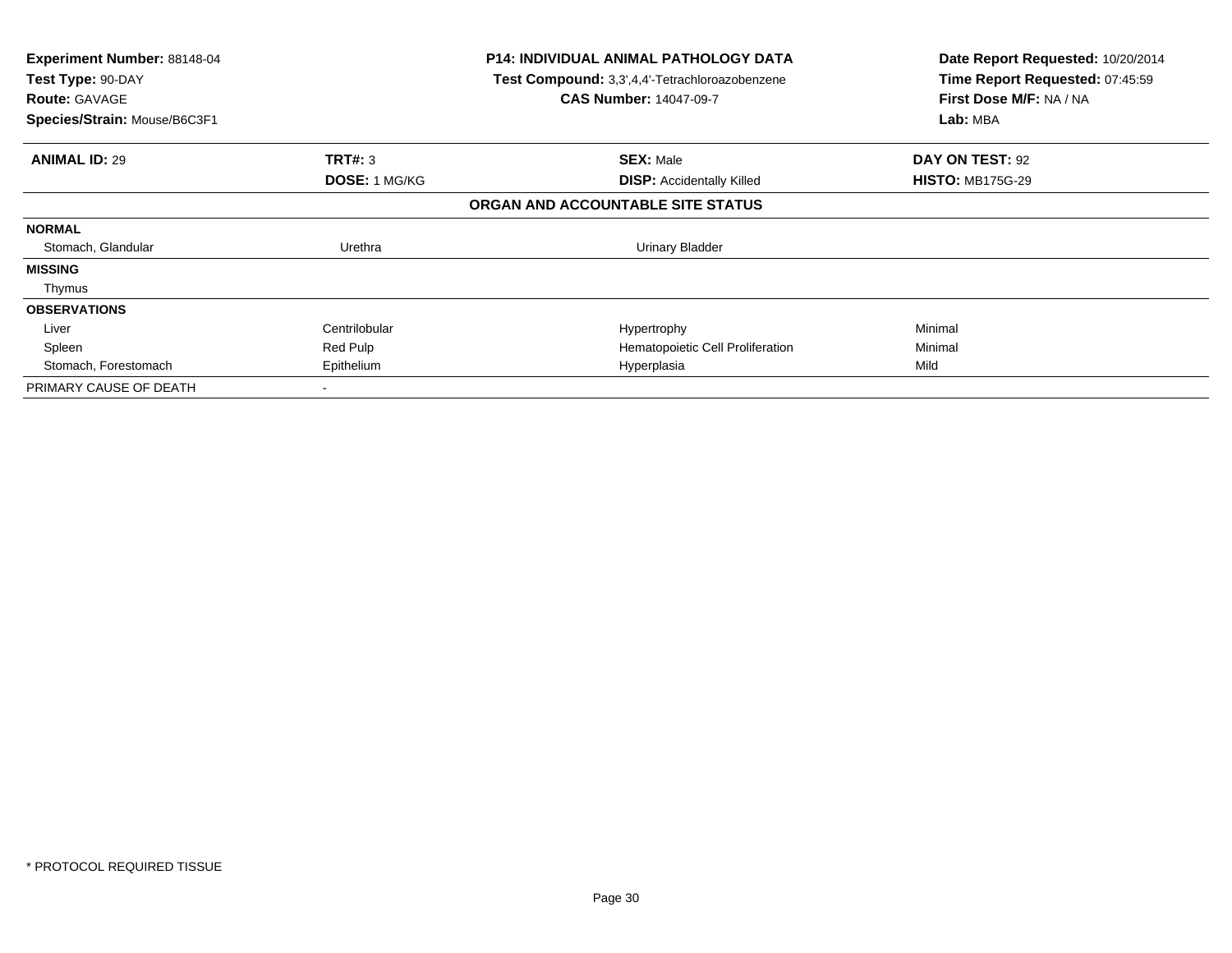| Experiment Number: 88148-04<br>Test Type: 90-DAY<br><b>Route: GAVAGE</b><br>Species/Strain: Mouse/B6C3F1 |                      | <b>P14: INDIVIDUAL ANIMAL PATHOLOGY DATA</b><br>Test Compound: 3,3',4,4'-Tetrachloroazobenzene<br><b>CAS Number: 14047-09-7</b> | Date Report Requested: 10/20/2014<br>Time Report Requested: 07:45:59<br>First Dose M/F: NA / NA<br>Lab: MBA |
|----------------------------------------------------------------------------------------------------------|----------------------|---------------------------------------------------------------------------------------------------------------------------------|-------------------------------------------------------------------------------------------------------------|
|                                                                                                          |                      |                                                                                                                                 |                                                                                                             |
| <b>ANIMAL ID: 29</b>                                                                                     | TRT#: 3              | <b>SEX: Male</b>                                                                                                                | DAY ON TEST: 92                                                                                             |
|                                                                                                          | <b>DOSE: 1 MG/KG</b> | <b>DISP:</b> Accidentally Killed                                                                                                | <b>HISTO: MB175G-29</b>                                                                                     |
|                                                                                                          |                      | ORGAN AND ACCOUNTABLE SITE STATUS                                                                                               |                                                                                                             |
| <b>NORMAL</b>                                                                                            |                      |                                                                                                                                 |                                                                                                             |
| Stomach, Glandular                                                                                       | Urethra              | Urinary Bladder                                                                                                                 |                                                                                                             |
| <b>MISSING</b>                                                                                           |                      |                                                                                                                                 |                                                                                                             |
| Thymus                                                                                                   |                      |                                                                                                                                 |                                                                                                             |
| <b>OBSERVATIONS</b>                                                                                      |                      |                                                                                                                                 |                                                                                                             |
| Liver                                                                                                    | Centrilobular        | Hypertrophy                                                                                                                     | Minimal                                                                                                     |
| Spleen                                                                                                   | Red Pulp             | Hematopoietic Cell Proliferation                                                                                                | Minimal                                                                                                     |
| Stomach, Forestomach                                                                                     | Epithelium           | Hyperplasia                                                                                                                     | Mild                                                                                                        |
| PRIMARY CAUSE OF DEATH                                                                                   |                      |                                                                                                                                 |                                                                                                             |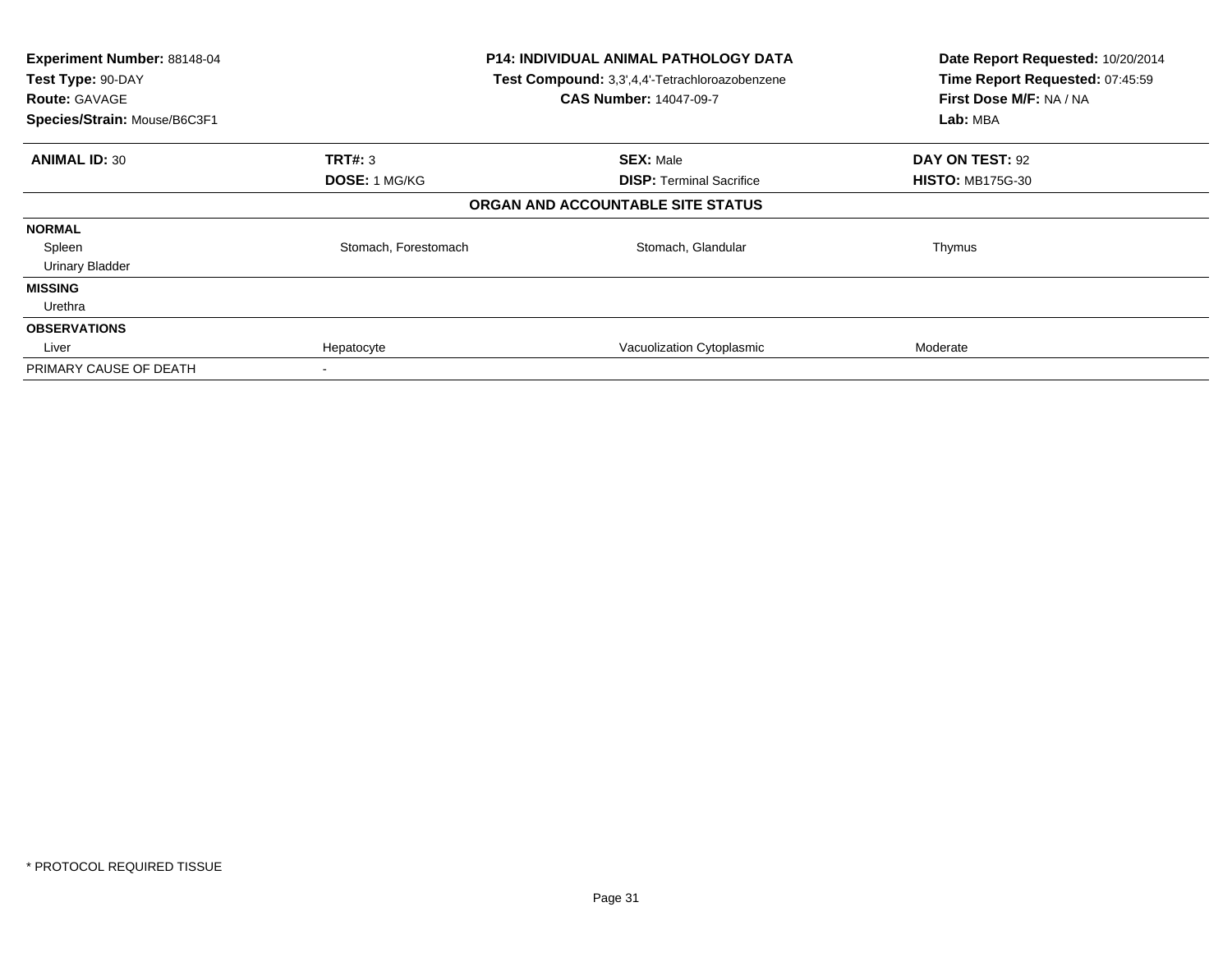| Experiment Number: 88148-04<br>Test Type: 90-DAY<br><b>Route: GAVAGE</b><br>Species/Strain: Mouse/B6C3F1 |                      | <b>P14: INDIVIDUAL ANIMAL PATHOLOGY DATA</b><br>Test Compound: 3,3',4,4'-Tetrachloroazobenzene<br><b>CAS Number: 14047-09-7</b> | Date Report Requested: 10/20/2014<br>Time Report Requested: 07:45:59<br>First Dose M/F: NA / NA<br>Lab: MBA |
|----------------------------------------------------------------------------------------------------------|----------------------|---------------------------------------------------------------------------------------------------------------------------------|-------------------------------------------------------------------------------------------------------------|
| <b>ANIMAL ID: 30</b>                                                                                     | <b>TRT#: 3</b>       | <b>SEX: Male</b>                                                                                                                | DAY ON TEST: 92                                                                                             |
|                                                                                                          | DOSE: 1 MG/KG        | <b>DISP:</b> Terminal Sacrifice                                                                                                 | <b>HISTO: MB175G-30</b>                                                                                     |
|                                                                                                          |                      | ORGAN AND ACCOUNTABLE SITE STATUS                                                                                               |                                                                                                             |
| <b>NORMAL</b>                                                                                            |                      |                                                                                                                                 |                                                                                                             |
| Spleen                                                                                                   | Stomach, Forestomach | Stomach, Glandular                                                                                                              | Thymus                                                                                                      |
| <b>Urinary Bladder</b>                                                                                   |                      |                                                                                                                                 |                                                                                                             |
| <b>MISSING</b>                                                                                           |                      |                                                                                                                                 |                                                                                                             |
| Urethra                                                                                                  |                      |                                                                                                                                 |                                                                                                             |
| <b>OBSERVATIONS</b>                                                                                      |                      |                                                                                                                                 |                                                                                                             |
| Liver                                                                                                    | Hepatocyte           | Vacuolization Cytoplasmic                                                                                                       | Moderate                                                                                                    |
| PRIMARY CAUSE OF DEATH                                                                                   |                      |                                                                                                                                 |                                                                                                             |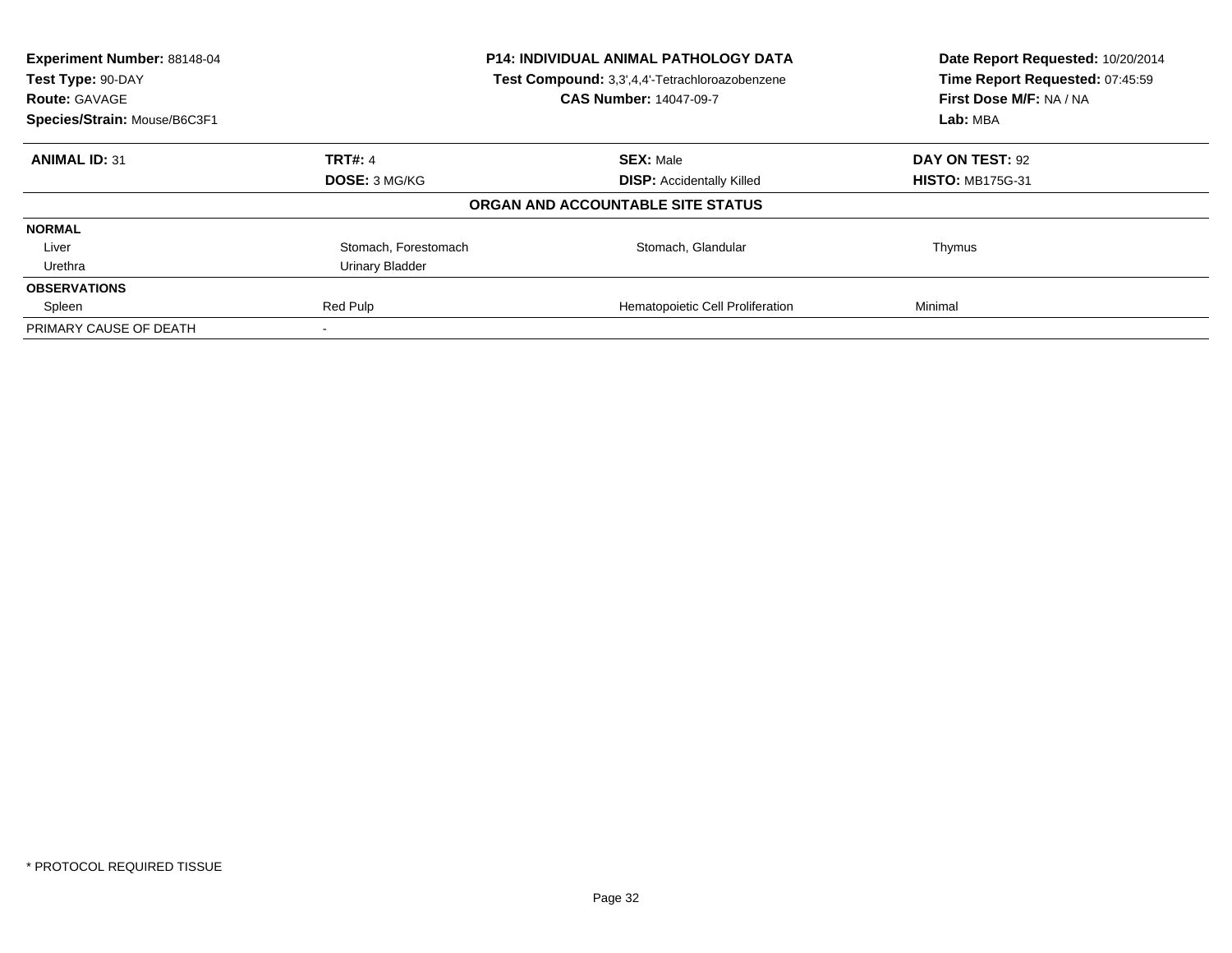| Experiment Number: 88148-04<br>Test Type: 90-DAY<br><b>Route: GAVAGE</b> | <b>P14: INDIVIDUAL ANIMAL PATHOLOGY DATA</b><br>Test Compound: 3,3',4,4'-Tetrachloroazobenzene<br><b>CAS Number: 14047-09-7</b> |                                   | Date Report Requested: 10/20/2014<br>Time Report Requested: 07:45:59<br>First Dose M/F: NA / NA |
|--------------------------------------------------------------------------|---------------------------------------------------------------------------------------------------------------------------------|-----------------------------------|-------------------------------------------------------------------------------------------------|
| Species/Strain: Mouse/B6C3F1                                             |                                                                                                                                 |                                   | Lab: MBA                                                                                        |
| <b>ANIMAL ID: 31</b>                                                     | <b>TRT#: 4</b>                                                                                                                  | <b>SEX: Male</b>                  | DAY ON TEST: 92                                                                                 |
|                                                                          | <b>DOSE: 3 MG/KG</b>                                                                                                            | <b>DISP:</b> Accidentally Killed  | <b>HISTO: MB175G-31</b>                                                                         |
|                                                                          |                                                                                                                                 | ORGAN AND ACCOUNTABLE SITE STATUS |                                                                                                 |
| <b>NORMAL</b>                                                            |                                                                                                                                 |                                   |                                                                                                 |
| Liver                                                                    | Stomach, Forestomach                                                                                                            | Stomach, Glandular                | Thymus                                                                                          |
| Urethra                                                                  | Urinary Bladder                                                                                                                 |                                   |                                                                                                 |
| <b>OBSERVATIONS</b>                                                      |                                                                                                                                 |                                   |                                                                                                 |
| Spleen                                                                   | Red Pulp                                                                                                                        | Hematopoietic Cell Proliferation  | Minimal                                                                                         |
| PRIMARY CAUSE OF DEATH                                                   |                                                                                                                                 |                                   |                                                                                                 |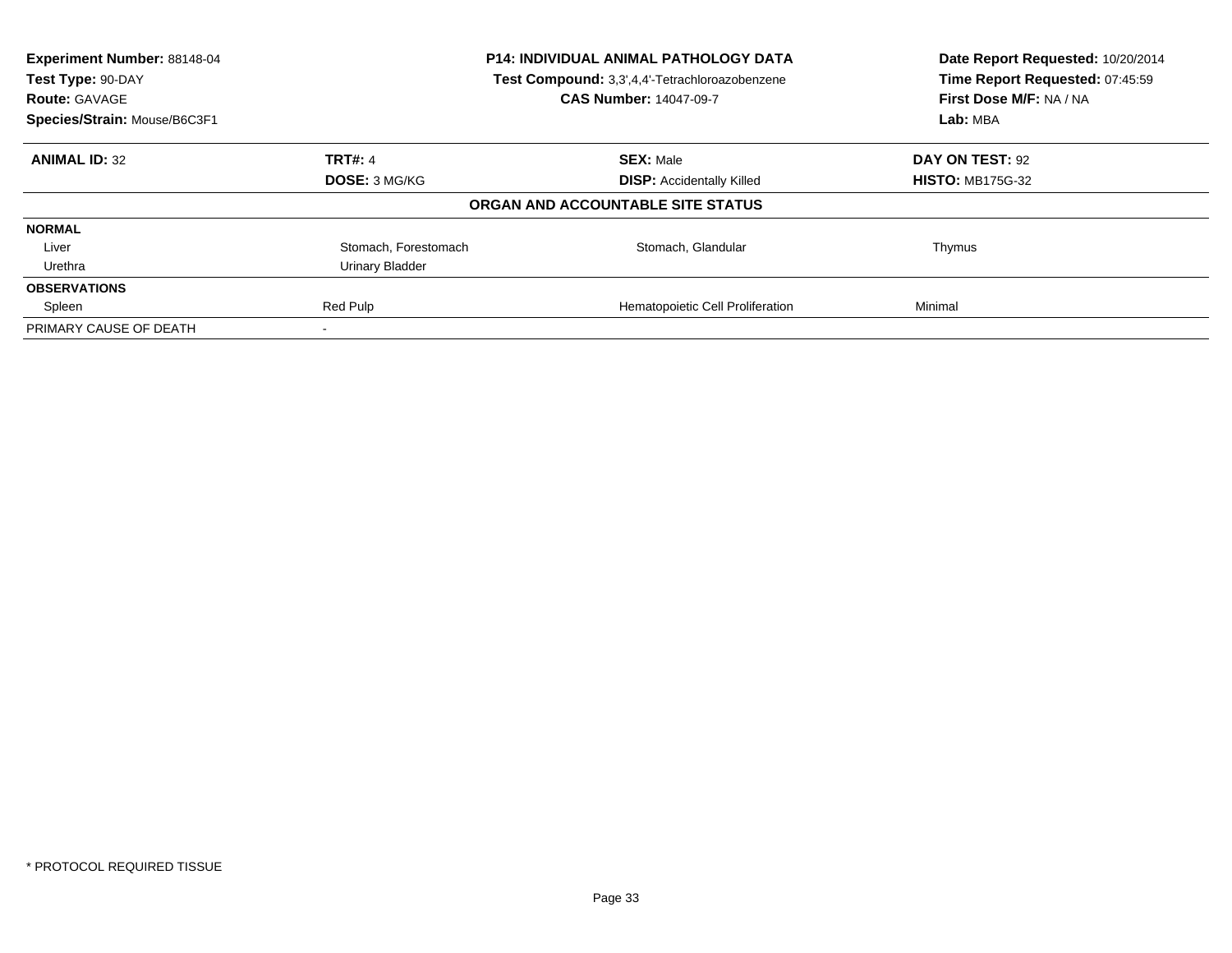| Experiment Number: 88148-04<br>Test Type: 90-DAY<br><b>Route: GAVAGE</b> | <b>P14: INDIVIDUAL ANIMAL PATHOLOGY DATA</b><br>Test Compound: 3,3',4,4'-Tetrachloroazobenzene<br><b>CAS Number: 14047-09-7</b> |                                   | Date Report Requested: 10/20/2014<br>Time Report Requested: 07:45:59<br>First Dose M/F: NA / NA |
|--------------------------------------------------------------------------|---------------------------------------------------------------------------------------------------------------------------------|-----------------------------------|-------------------------------------------------------------------------------------------------|
| Species/Strain: Mouse/B6C3F1                                             |                                                                                                                                 |                                   | Lab: MBA                                                                                        |
| <b>ANIMAL ID: 32</b>                                                     | <b>TRT#: 4</b>                                                                                                                  | <b>SEX: Male</b>                  | DAY ON TEST: 92                                                                                 |
|                                                                          | <b>DOSE: 3 MG/KG</b>                                                                                                            | <b>DISP:</b> Accidentally Killed  | <b>HISTO: MB175G-32</b>                                                                         |
|                                                                          |                                                                                                                                 | ORGAN AND ACCOUNTABLE SITE STATUS |                                                                                                 |
| <b>NORMAL</b>                                                            |                                                                                                                                 |                                   |                                                                                                 |
| Liver                                                                    | Stomach, Forestomach                                                                                                            | Stomach, Glandular                | Thymus                                                                                          |
| Urethra                                                                  | Urinary Bladder                                                                                                                 |                                   |                                                                                                 |
| <b>OBSERVATIONS</b>                                                      |                                                                                                                                 |                                   |                                                                                                 |
| Spleen                                                                   | Red Pulp                                                                                                                        | Hematopoietic Cell Proliferation  | Minimal                                                                                         |
| PRIMARY CAUSE OF DEATH                                                   |                                                                                                                                 |                                   |                                                                                                 |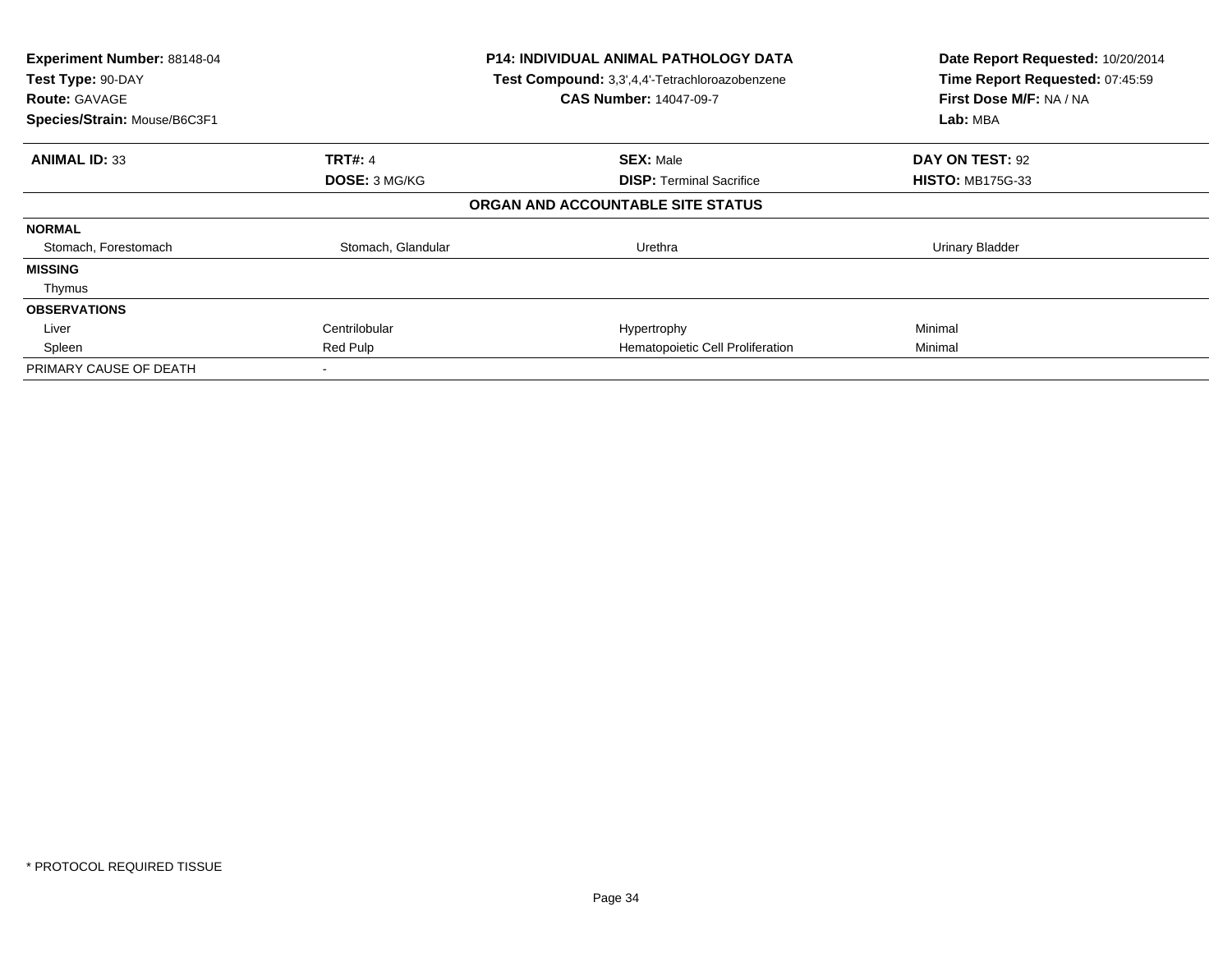| Experiment Number: 88148-04<br>Test Type: 90-DAY<br><b>Route: GAVAGE</b><br>Species/Strain: Mouse/B6C3F1 | <b>P14: INDIVIDUAL ANIMAL PATHOLOGY DATA</b><br>Test Compound: 3,3',4,4'-Tetrachloroazobenzene<br><b>CAS Number: 14047-09-7</b> |                                   | Date Report Requested: 10/20/2014<br>Time Report Requested: 07:45:59<br>First Dose M/F: NA / NA<br>Lab: MBA |
|----------------------------------------------------------------------------------------------------------|---------------------------------------------------------------------------------------------------------------------------------|-----------------------------------|-------------------------------------------------------------------------------------------------------------|
| <b>ANIMAL ID: 33</b>                                                                                     | <b>TRT#: 4</b>                                                                                                                  | <b>SEX: Male</b>                  | DAY ON TEST: 92                                                                                             |
|                                                                                                          | <b>DOSE: 3 MG/KG</b>                                                                                                            | <b>DISP: Terminal Sacrifice</b>   | <b>HISTO: MB175G-33</b>                                                                                     |
|                                                                                                          |                                                                                                                                 | ORGAN AND ACCOUNTABLE SITE STATUS |                                                                                                             |
| <b>NORMAL</b>                                                                                            |                                                                                                                                 |                                   |                                                                                                             |
| Stomach, Forestomach                                                                                     | Stomach, Glandular                                                                                                              | Urethra                           | Urinary Bladder                                                                                             |
| <b>MISSING</b>                                                                                           |                                                                                                                                 |                                   |                                                                                                             |
| Thymus                                                                                                   |                                                                                                                                 |                                   |                                                                                                             |
| <b>OBSERVATIONS</b>                                                                                      |                                                                                                                                 |                                   |                                                                                                             |
| Liver                                                                                                    | Centrilobular                                                                                                                   | Hypertrophy                       | Minimal                                                                                                     |
| Spleen                                                                                                   | Red Pulp                                                                                                                        | Hematopoietic Cell Proliferation  | Minimal                                                                                                     |
| PRIMARY CAUSE OF DEATH                                                                                   |                                                                                                                                 |                                   |                                                                                                             |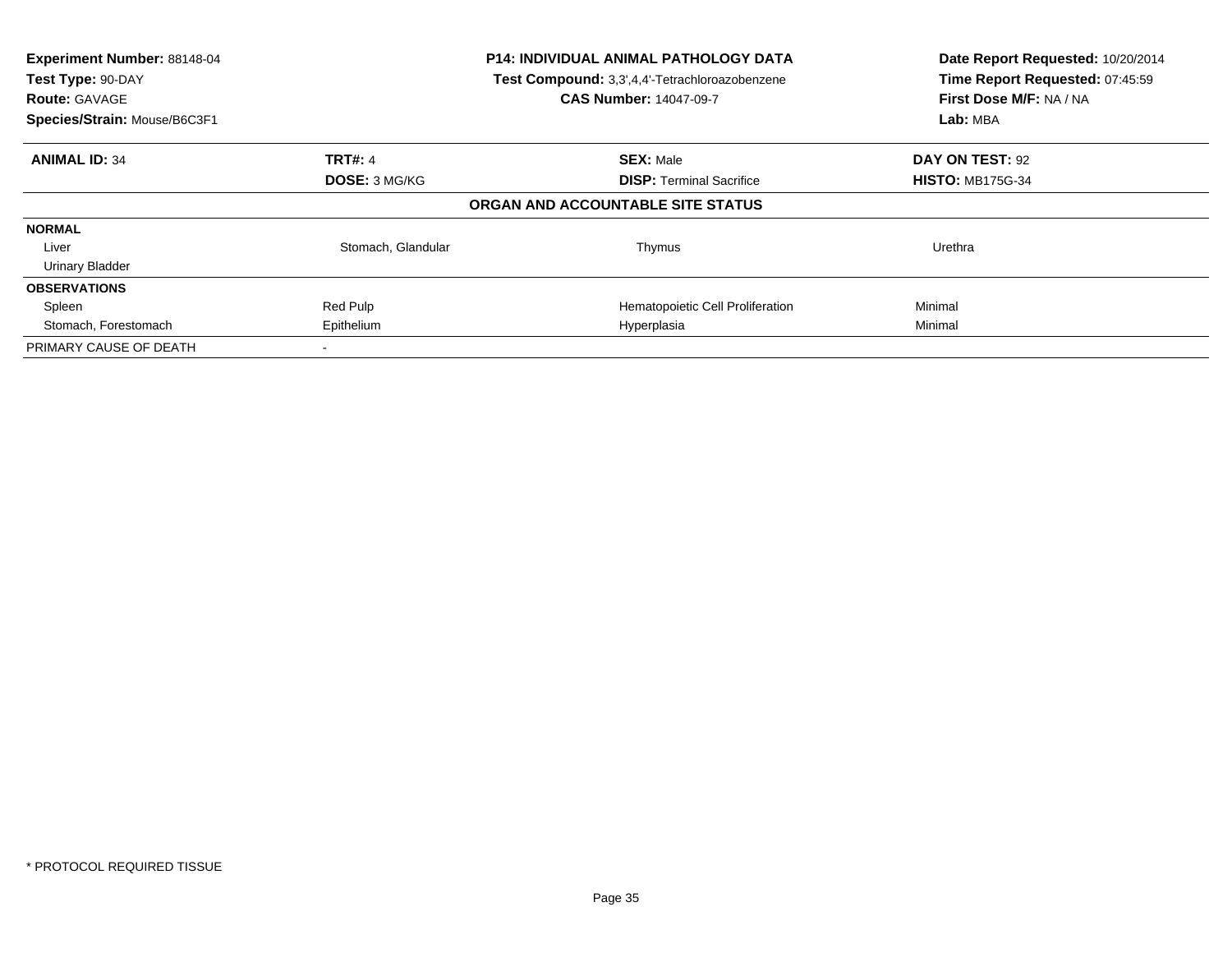| Experiment Number: 88148-04<br>Test Type: 90-DAY<br><b>Route: GAVAGE</b><br>Species/Strain: Mouse/B6C3F1 | <b>P14: INDIVIDUAL ANIMAL PATHOLOGY DATA</b><br>Test Compound: 3,3',4,4'-Tetrachloroazobenzene<br><b>CAS Number: 14047-09-7</b> |                                   | Date Report Requested: 10/20/2014<br>Time Report Requested: 07:45:59<br>First Dose M/F: NA / NA<br>Lab: MBA |
|----------------------------------------------------------------------------------------------------------|---------------------------------------------------------------------------------------------------------------------------------|-----------------------------------|-------------------------------------------------------------------------------------------------------------|
| <b>ANIMAL ID: 34</b>                                                                                     | <b>TRT#: 4</b>                                                                                                                  | <b>SEX: Male</b>                  | DAY ON TEST: 92                                                                                             |
|                                                                                                          | <b>DOSE: 3 MG/KG</b>                                                                                                            | <b>DISP:</b> Terminal Sacrifice   | <b>HISTO: MB175G-34</b>                                                                                     |
|                                                                                                          |                                                                                                                                 | ORGAN AND ACCOUNTABLE SITE STATUS |                                                                                                             |
| <b>NORMAL</b>                                                                                            |                                                                                                                                 |                                   |                                                                                                             |
| Liver                                                                                                    | Stomach, Glandular                                                                                                              | Thymus                            | Urethra                                                                                                     |
| <b>Urinary Bladder</b>                                                                                   |                                                                                                                                 |                                   |                                                                                                             |
| <b>OBSERVATIONS</b>                                                                                      |                                                                                                                                 |                                   |                                                                                                             |
| Spleen                                                                                                   | Red Pulp                                                                                                                        | Hematopoietic Cell Proliferation  | Minimal                                                                                                     |
| Stomach, Forestomach                                                                                     | Epithelium                                                                                                                      | Hyperplasia                       | Minimal                                                                                                     |
| PRIMARY CAUSE OF DEATH                                                                                   |                                                                                                                                 |                                   |                                                                                                             |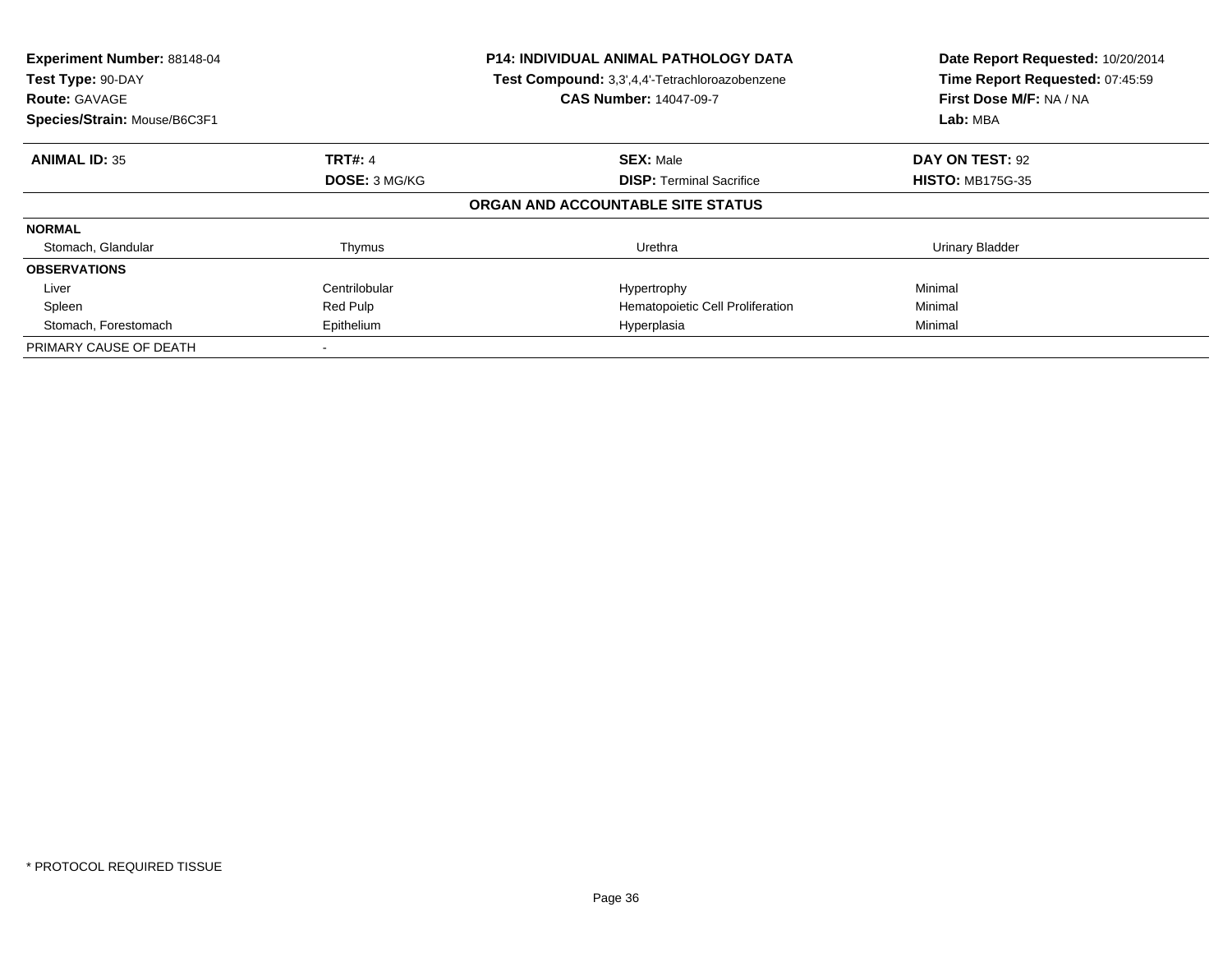| Experiment Number: 88148-04<br>Test Type: 90-DAY<br><b>Route: GAVAGE</b><br>Species/Strain: Mouse/B6C3F1 |                | <b>P14: INDIVIDUAL ANIMAL PATHOLOGY DATA</b><br>Test Compound: 3,3',4,4'-Tetrachloroazobenzene<br><b>CAS Number: 14047-09-7</b> | Date Report Requested: 10/20/2014<br>Time Report Requested: 07:45:59<br>First Dose M/F: NA / NA<br>Lab: MBA |
|----------------------------------------------------------------------------------------------------------|----------------|---------------------------------------------------------------------------------------------------------------------------------|-------------------------------------------------------------------------------------------------------------|
| <b>ANIMAL ID: 35</b>                                                                                     | <b>TRT#: 4</b> | <b>SEX: Male</b>                                                                                                                | DAY ON TEST: 92                                                                                             |
|                                                                                                          | DOSE: 3 MG/KG  | <b>DISP: Terminal Sacrifice</b>                                                                                                 | <b>HISTO: MB175G-35</b>                                                                                     |
|                                                                                                          |                | ORGAN AND ACCOUNTABLE SITE STATUS                                                                                               |                                                                                                             |
| <b>NORMAL</b>                                                                                            |                |                                                                                                                                 |                                                                                                             |
| Stomach, Glandular                                                                                       | Thymus         | Urethra                                                                                                                         | <b>Urinary Bladder</b>                                                                                      |
| <b>OBSERVATIONS</b>                                                                                      |                |                                                                                                                                 |                                                                                                             |
| Liver                                                                                                    | Centrilobular  | Hypertrophy                                                                                                                     | Minimal                                                                                                     |
| Spleen                                                                                                   | Red Pulp       | Hematopoietic Cell Proliferation                                                                                                | Minimal                                                                                                     |
| Stomach, Forestomach                                                                                     | Epithelium     | Hyperplasia                                                                                                                     | Minimal                                                                                                     |
| PRIMARY CAUSE OF DEATH                                                                                   |                |                                                                                                                                 |                                                                                                             |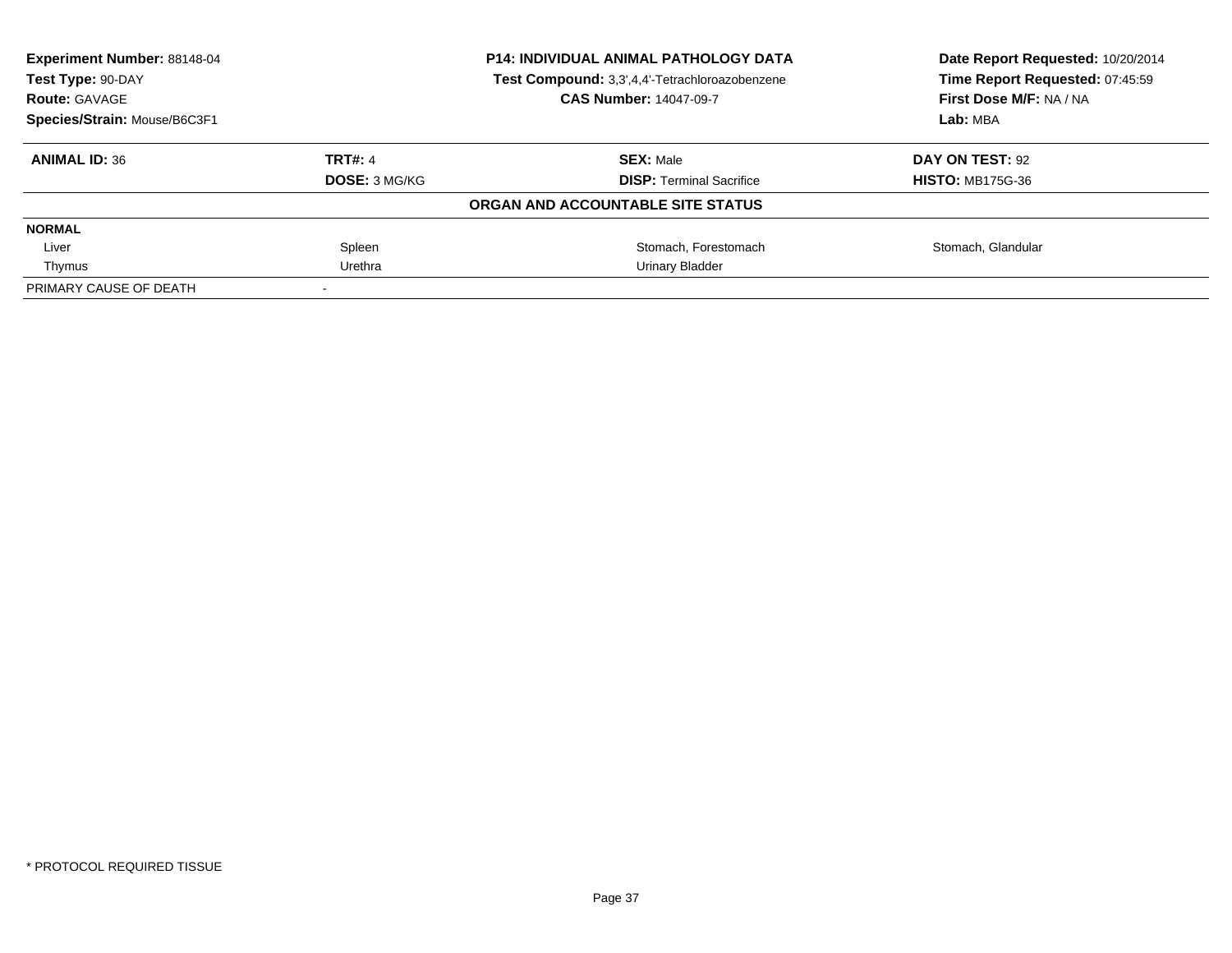| <b>Experiment Number: 88148-04</b><br>Test Type: 90-DAY<br><b>Route: GAVAGE</b><br>Species/Strain: Mouse/B6C3F1 | <b>P14: INDIVIDUAL ANIMAL PATHOLOGY DATA</b><br>Test Compound: 3,3',4,4'-Tetrachloroazobenzene<br><b>CAS Number: 14047-09-7</b> |                                   | Date Report Requested: 10/20/2014<br>Time Report Requested: 07:45:59<br>First Dose M/F: NA / NA<br>Lab: MBA |
|-----------------------------------------------------------------------------------------------------------------|---------------------------------------------------------------------------------------------------------------------------------|-----------------------------------|-------------------------------------------------------------------------------------------------------------|
|                                                                                                                 |                                                                                                                                 |                                   |                                                                                                             |
| <b>ANIMAL ID: 36</b>                                                                                            | <b>TRT#: 4</b>                                                                                                                  | <b>SEX: Male</b>                  | DAY ON TEST: 92                                                                                             |
|                                                                                                                 | DOSE: 3 MG/KG                                                                                                                   | <b>DISP:</b> Terminal Sacrifice   | <b>HISTO: MB175G-36</b>                                                                                     |
|                                                                                                                 |                                                                                                                                 | ORGAN AND ACCOUNTABLE SITE STATUS |                                                                                                             |
| <b>NORMAL</b>                                                                                                   |                                                                                                                                 |                                   |                                                                                                             |
| Liver                                                                                                           | Spleen                                                                                                                          | Stomach, Forestomach              | Stomach, Glandular                                                                                          |
| Thymus                                                                                                          | Urethra                                                                                                                         | Urinary Bladder                   |                                                                                                             |
| PRIMARY CAUSE OF DEATH                                                                                          |                                                                                                                                 |                                   |                                                                                                             |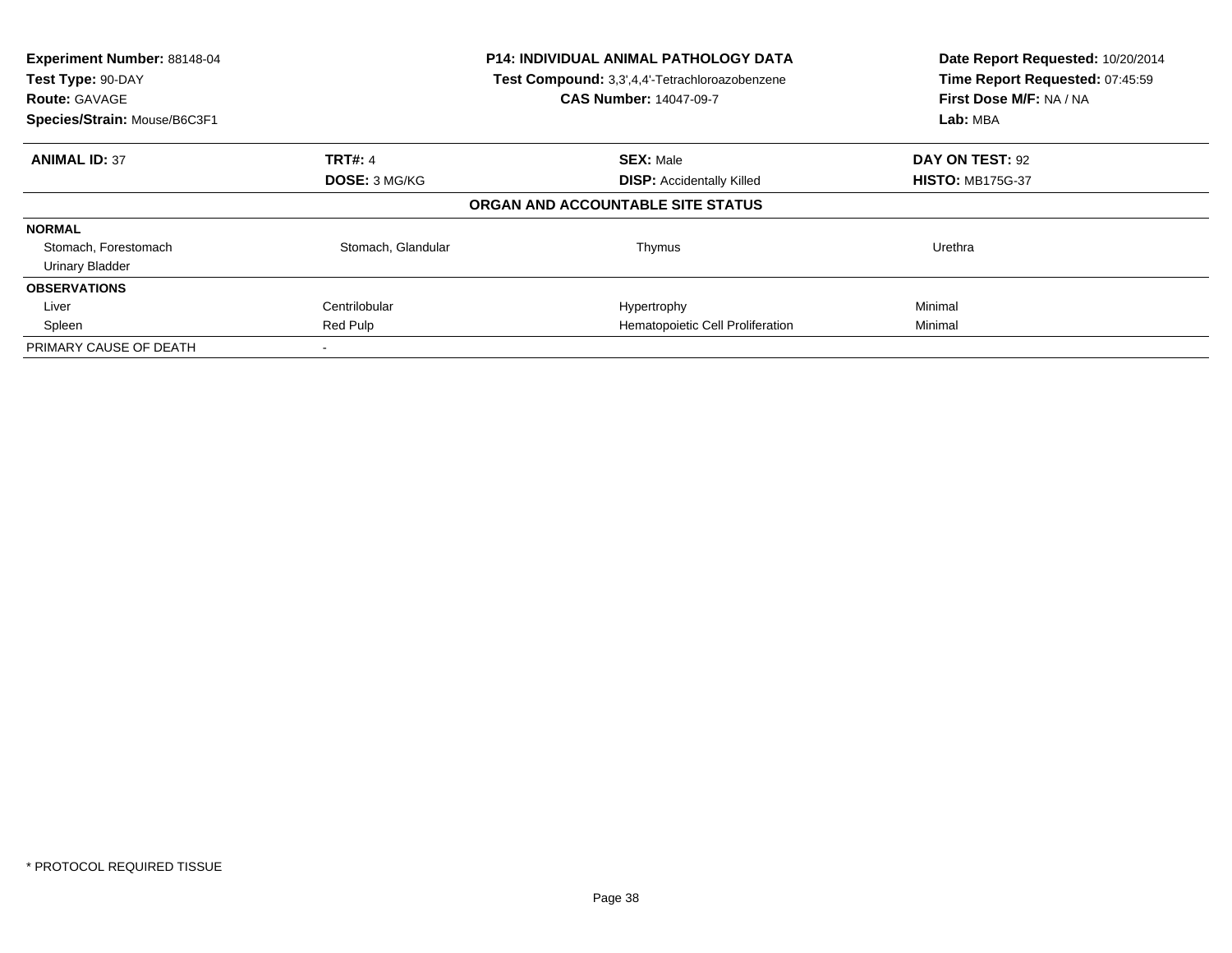| Experiment Number: 88148-04<br>Test Type: 90-DAY<br><b>Route: GAVAGE</b><br>Species/Strain: Mouse/B6C3F1 |                      | <b>P14: INDIVIDUAL ANIMAL PATHOLOGY DATA</b><br>Test Compound: 3,3',4,4'-Tetrachloroazobenzene<br><b>CAS Number: 14047-09-7</b> | Date Report Requested: 10/20/2014<br>Time Report Requested: 07:45:59<br>First Dose M/F: NA / NA<br>Lab: MBA |
|----------------------------------------------------------------------------------------------------------|----------------------|---------------------------------------------------------------------------------------------------------------------------------|-------------------------------------------------------------------------------------------------------------|
| <b>ANIMAL ID: 37</b>                                                                                     | TRT#: 4              | <b>SEX: Male</b>                                                                                                                | DAY ON TEST: 92                                                                                             |
|                                                                                                          | <b>DOSE: 3 MG/KG</b> | <b>DISP:</b> Accidentally Killed                                                                                                | <b>HISTO: MB175G-37</b>                                                                                     |
|                                                                                                          |                      | ORGAN AND ACCOUNTABLE SITE STATUS                                                                                               |                                                                                                             |
| <b>NORMAL</b>                                                                                            |                      |                                                                                                                                 |                                                                                                             |
| Stomach, Forestomach                                                                                     | Stomach, Glandular   | Thymus                                                                                                                          | Urethra                                                                                                     |
| <b>Urinary Bladder</b>                                                                                   |                      |                                                                                                                                 |                                                                                                             |
| <b>OBSERVATIONS</b>                                                                                      |                      |                                                                                                                                 |                                                                                                             |
| Liver                                                                                                    | Centrilobular        | Hypertrophy                                                                                                                     | Minimal                                                                                                     |
| Spleen                                                                                                   | Red Pulp             | Hematopoietic Cell Proliferation                                                                                                | Minimal                                                                                                     |
| PRIMARY CAUSE OF DEATH                                                                                   |                      |                                                                                                                                 |                                                                                                             |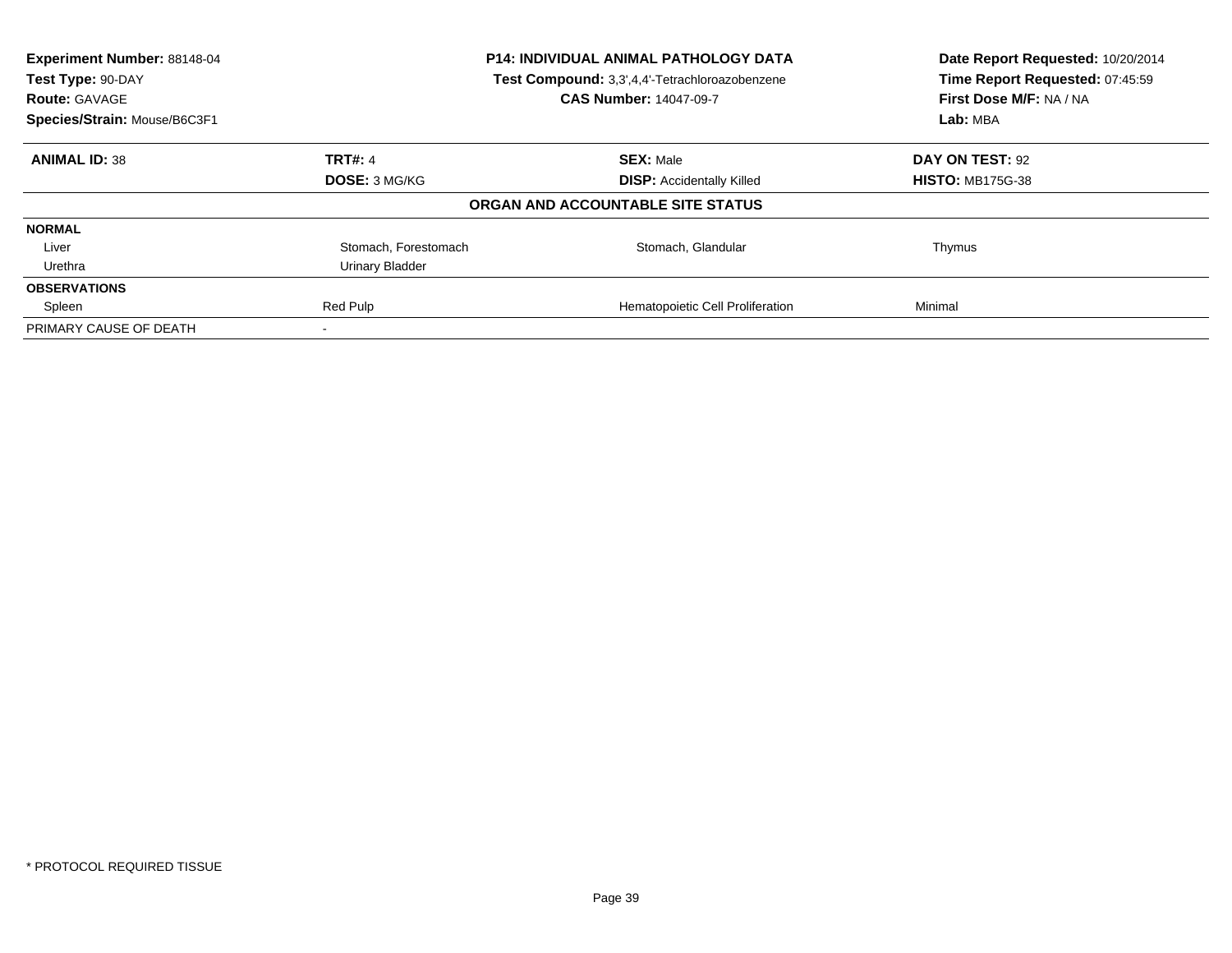| Experiment Number: 88148-04<br>Test Type: 90-DAY<br><b>Route: GAVAGE</b> |                      | <b>P14: INDIVIDUAL ANIMAL PATHOLOGY DATA</b><br>Test Compound: 3,3',4,4'-Tetrachloroazobenzene<br><b>CAS Number: 14047-09-7</b> | Date Report Requested: 10/20/2014<br>Time Report Requested: 07:45:59<br>First Dose M/F: NA / NA |
|--------------------------------------------------------------------------|----------------------|---------------------------------------------------------------------------------------------------------------------------------|-------------------------------------------------------------------------------------------------|
| Species/Strain: Mouse/B6C3F1                                             |                      |                                                                                                                                 | Lab: MBA                                                                                        |
| <b>ANIMAL ID: 38</b>                                                     | <b>TRT#: 4</b>       | <b>SEX: Male</b>                                                                                                                | DAY ON TEST: 92                                                                                 |
|                                                                          | <b>DOSE: 3 MG/KG</b> | <b>DISP:</b> Accidentally Killed                                                                                                | <b>HISTO: MB175G-38</b>                                                                         |
|                                                                          |                      | ORGAN AND ACCOUNTABLE SITE STATUS                                                                                               |                                                                                                 |
| <b>NORMAL</b>                                                            |                      |                                                                                                                                 |                                                                                                 |
| Liver                                                                    | Stomach, Forestomach | Stomach, Glandular                                                                                                              | Thymus                                                                                          |
| Urethra                                                                  | Urinary Bladder      |                                                                                                                                 |                                                                                                 |
| <b>OBSERVATIONS</b>                                                      |                      |                                                                                                                                 |                                                                                                 |
| Spleen                                                                   | Red Pulp             | Hematopoietic Cell Proliferation                                                                                                | Minimal                                                                                         |
| PRIMARY CAUSE OF DEATH                                                   |                      |                                                                                                                                 |                                                                                                 |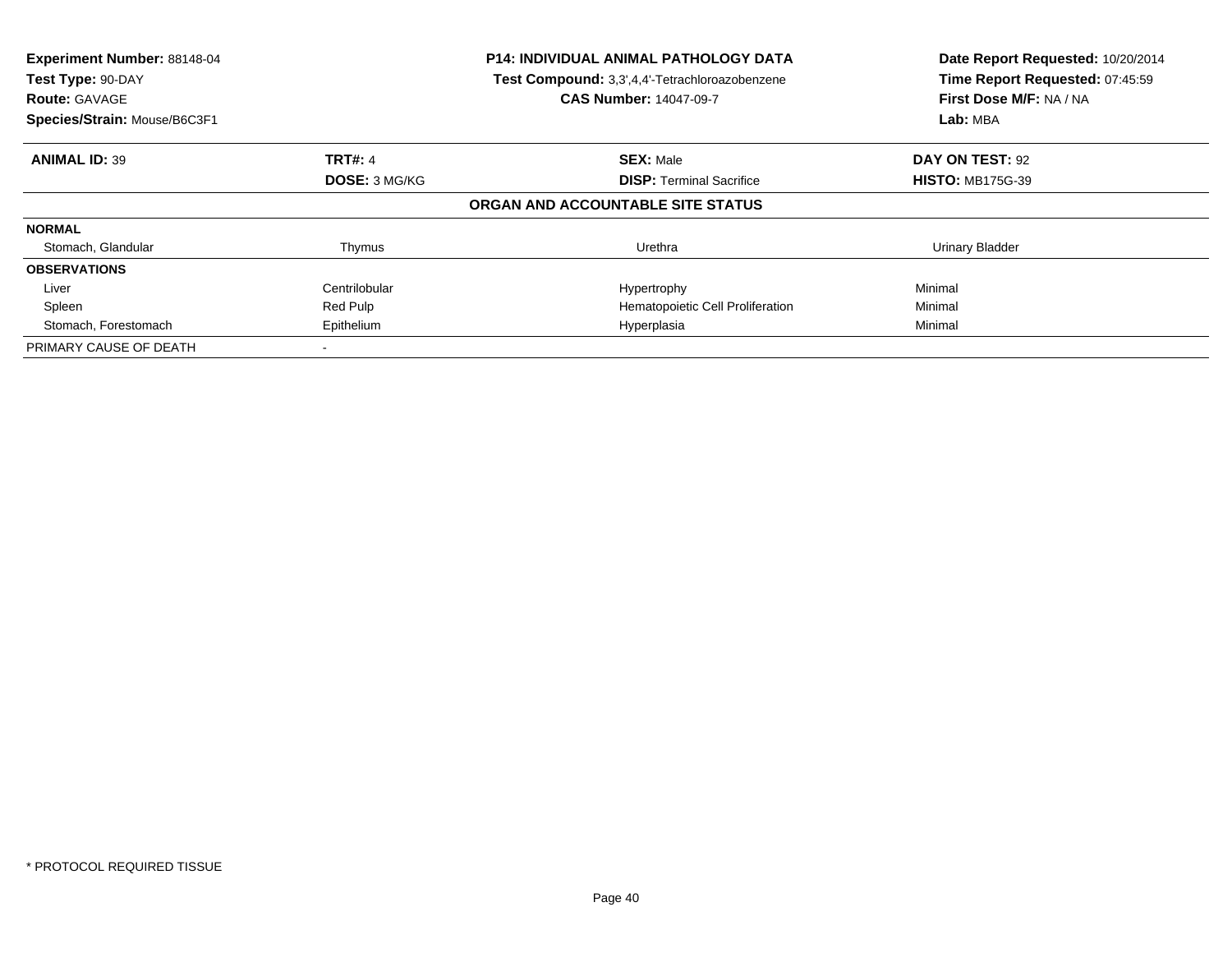| Experiment Number: 88148-04<br>Test Type: 90-DAY<br><b>Route: GAVAGE</b><br>Species/Strain: Mouse/B6C3F1 |                | <b>P14: INDIVIDUAL ANIMAL PATHOLOGY DATA</b><br>Test Compound: 3,3',4,4'-Tetrachloroazobenzene<br><b>CAS Number: 14047-09-7</b> | Date Report Requested: 10/20/2014<br>Time Report Requested: 07:45:59<br>First Dose M/F: NA / NA<br>Lab: MBA |
|----------------------------------------------------------------------------------------------------------|----------------|---------------------------------------------------------------------------------------------------------------------------------|-------------------------------------------------------------------------------------------------------------|
| <b>ANIMAL ID: 39</b>                                                                                     | <b>TRT#: 4</b> | <b>SEX: Male</b>                                                                                                                | DAY ON TEST: 92                                                                                             |
|                                                                                                          | DOSE: 3 MG/KG  | <b>DISP: Terminal Sacrifice</b>                                                                                                 | <b>HISTO: MB175G-39</b>                                                                                     |
|                                                                                                          |                | ORGAN AND ACCOUNTABLE SITE STATUS                                                                                               |                                                                                                             |
| <b>NORMAL</b>                                                                                            |                |                                                                                                                                 |                                                                                                             |
| Stomach, Glandular                                                                                       | Thymus         | Urethra                                                                                                                         | <b>Urinary Bladder</b>                                                                                      |
| <b>OBSERVATIONS</b>                                                                                      |                |                                                                                                                                 |                                                                                                             |
| Liver                                                                                                    | Centrilobular  | Hypertrophy                                                                                                                     | Minimal                                                                                                     |
| Spleen                                                                                                   | Red Pulp       | Hematopoietic Cell Proliferation                                                                                                | Minimal                                                                                                     |
| Stomach, Forestomach                                                                                     | Epithelium     | Hyperplasia                                                                                                                     | Minimal                                                                                                     |
| PRIMARY CAUSE OF DEATH                                                                                   |                |                                                                                                                                 |                                                                                                             |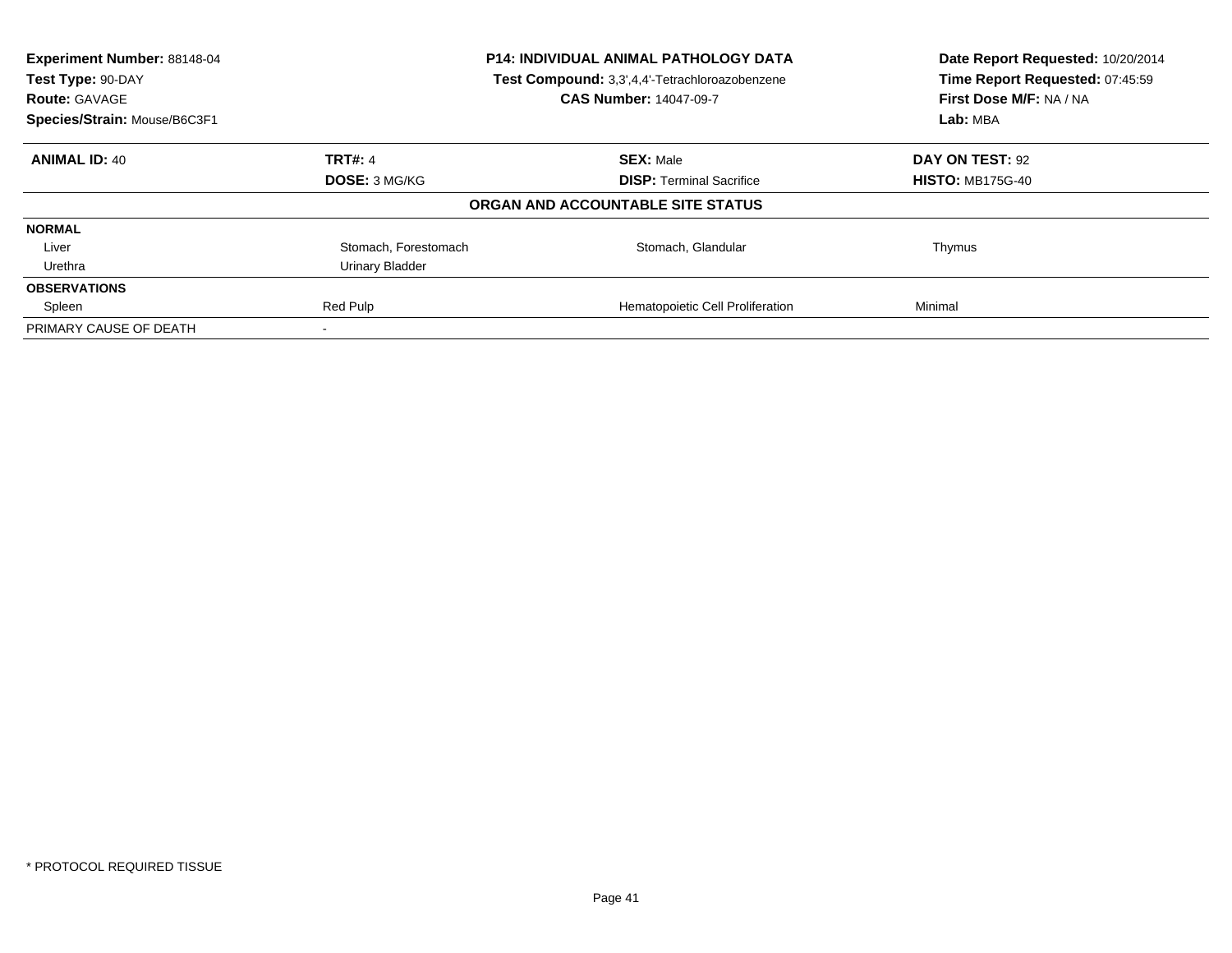| Experiment Number: 88148-04<br>Test Type: 90-DAY<br><b>Route: GAVAGE</b> |                      | <b>P14: INDIVIDUAL ANIMAL PATHOLOGY DATA</b><br>Test Compound: 3,3',4,4'-Tetrachloroazobenzene<br><b>CAS Number: 14047-09-7</b> | Date Report Requested: 10/20/2014<br>Time Report Requested: 07:45:59<br>First Dose M/F: NA / NA |
|--------------------------------------------------------------------------|----------------------|---------------------------------------------------------------------------------------------------------------------------------|-------------------------------------------------------------------------------------------------|
| Species/Strain: Mouse/B6C3F1                                             |                      |                                                                                                                                 | Lab: MBA                                                                                        |
| <b>ANIMAL ID: 40</b>                                                     | <b>TRT#: 4</b>       | <b>SEX: Male</b>                                                                                                                | DAY ON TEST: 92                                                                                 |
|                                                                          | <b>DOSE: 3 MG/KG</b> | <b>DISP:</b> Terminal Sacrifice                                                                                                 | <b>HISTO: MB175G-40</b>                                                                         |
|                                                                          |                      | ORGAN AND ACCOUNTABLE SITE STATUS                                                                                               |                                                                                                 |
| <b>NORMAL</b>                                                            |                      |                                                                                                                                 |                                                                                                 |
| Liver                                                                    | Stomach, Forestomach | Stomach, Glandular                                                                                                              | Thymus                                                                                          |
| Urethra                                                                  | Urinary Bladder      |                                                                                                                                 |                                                                                                 |
| <b>OBSERVATIONS</b>                                                      |                      |                                                                                                                                 |                                                                                                 |
| Spleen                                                                   | Red Pulp             | Hematopoietic Cell Proliferation                                                                                                | Minimal                                                                                         |
| PRIMARY CAUSE OF DEATH                                                   |                      |                                                                                                                                 |                                                                                                 |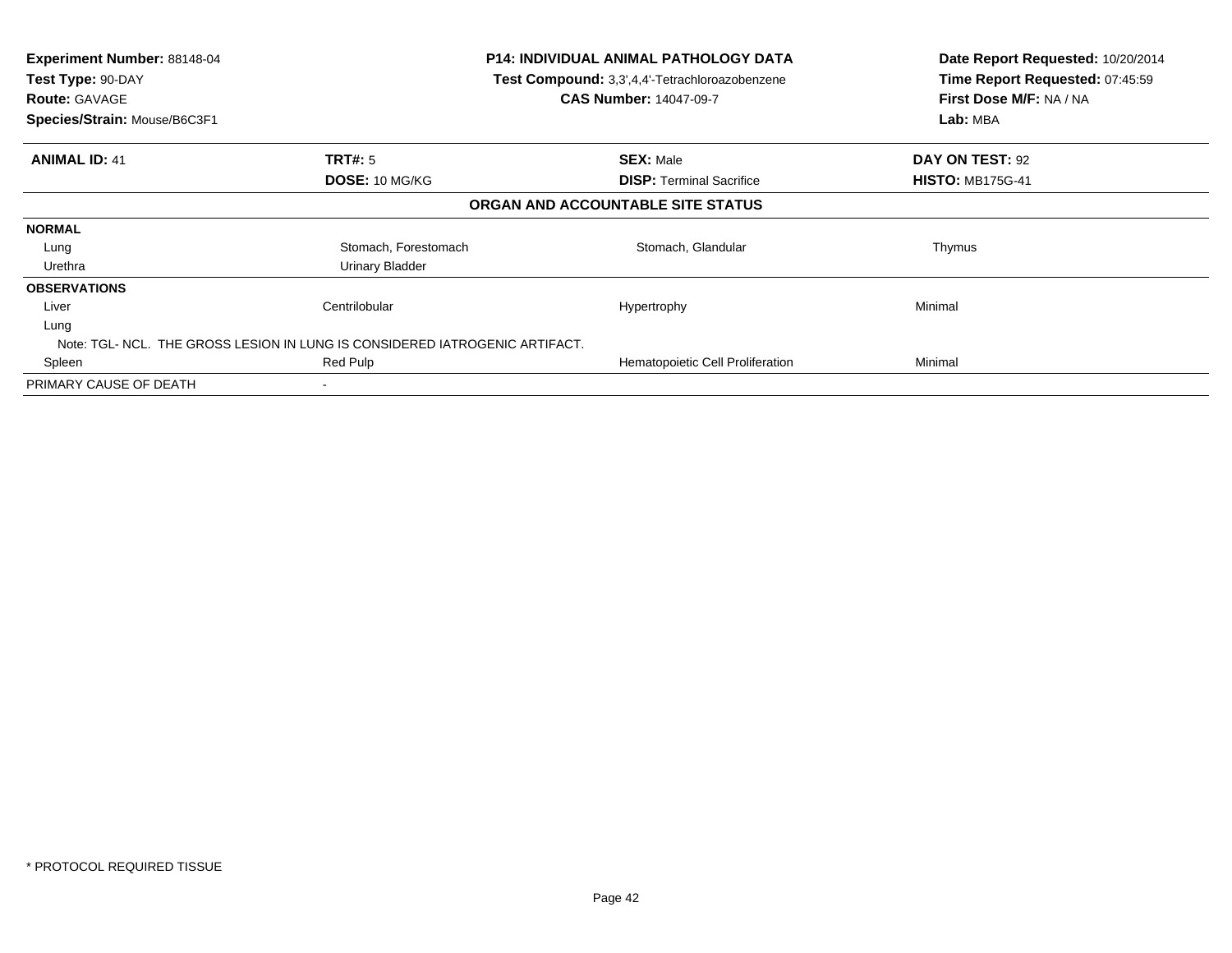| <b>Experiment Number: 88148-04</b><br>Test Type: 90-DAY<br><b>Route: GAVAGE</b><br>Species/Strain: Mouse/B6C3F1 |                                                                             | P14: INDIVIDUAL ANIMAL PATHOLOGY DATA<br>Test Compound: 3,3',4,4'-Tetrachloroazobenzene<br><b>CAS Number: 14047-09-7</b> | Date Report Requested: 10/20/2014<br>Time Report Requested: 07:45:59<br>First Dose M/F: NA / NA<br>Lab: MBA |
|-----------------------------------------------------------------------------------------------------------------|-----------------------------------------------------------------------------|--------------------------------------------------------------------------------------------------------------------------|-------------------------------------------------------------------------------------------------------------|
| <b>ANIMAL ID: 41</b>                                                                                            | <b>TRT#:</b> 5                                                              | <b>SEX: Male</b>                                                                                                         | DAY ON TEST: 92                                                                                             |
|                                                                                                                 | DOSE: 10 MG/KG                                                              | <b>DISP: Terminal Sacrifice</b>                                                                                          | <b>HISTO: MB175G-41</b>                                                                                     |
|                                                                                                                 |                                                                             | ORGAN AND ACCOUNTABLE SITE STATUS                                                                                        |                                                                                                             |
| <b>NORMAL</b>                                                                                                   |                                                                             |                                                                                                                          |                                                                                                             |
| Lung                                                                                                            | Stomach, Forestomach                                                        | Stomach, Glandular                                                                                                       | Thymus                                                                                                      |
| Urethra                                                                                                         | Urinary Bladder                                                             |                                                                                                                          |                                                                                                             |
| <b>OBSERVATIONS</b>                                                                                             |                                                                             |                                                                                                                          |                                                                                                             |
| Liver                                                                                                           | Centrilobular                                                               | Hypertrophy                                                                                                              | Minimal                                                                                                     |
| Lung                                                                                                            |                                                                             |                                                                                                                          |                                                                                                             |
|                                                                                                                 | Note: TGL- NCL. THE GROSS LESION IN LUNG IS CONSIDERED IATROGENIC ARTIFACT. |                                                                                                                          |                                                                                                             |
| Spleen                                                                                                          | Red Pulp                                                                    | Hematopoietic Cell Proliferation                                                                                         | Minimal                                                                                                     |
| PRIMARY CAUSE OF DEATH                                                                                          |                                                                             |                                                                                                                          |                                                                                                             |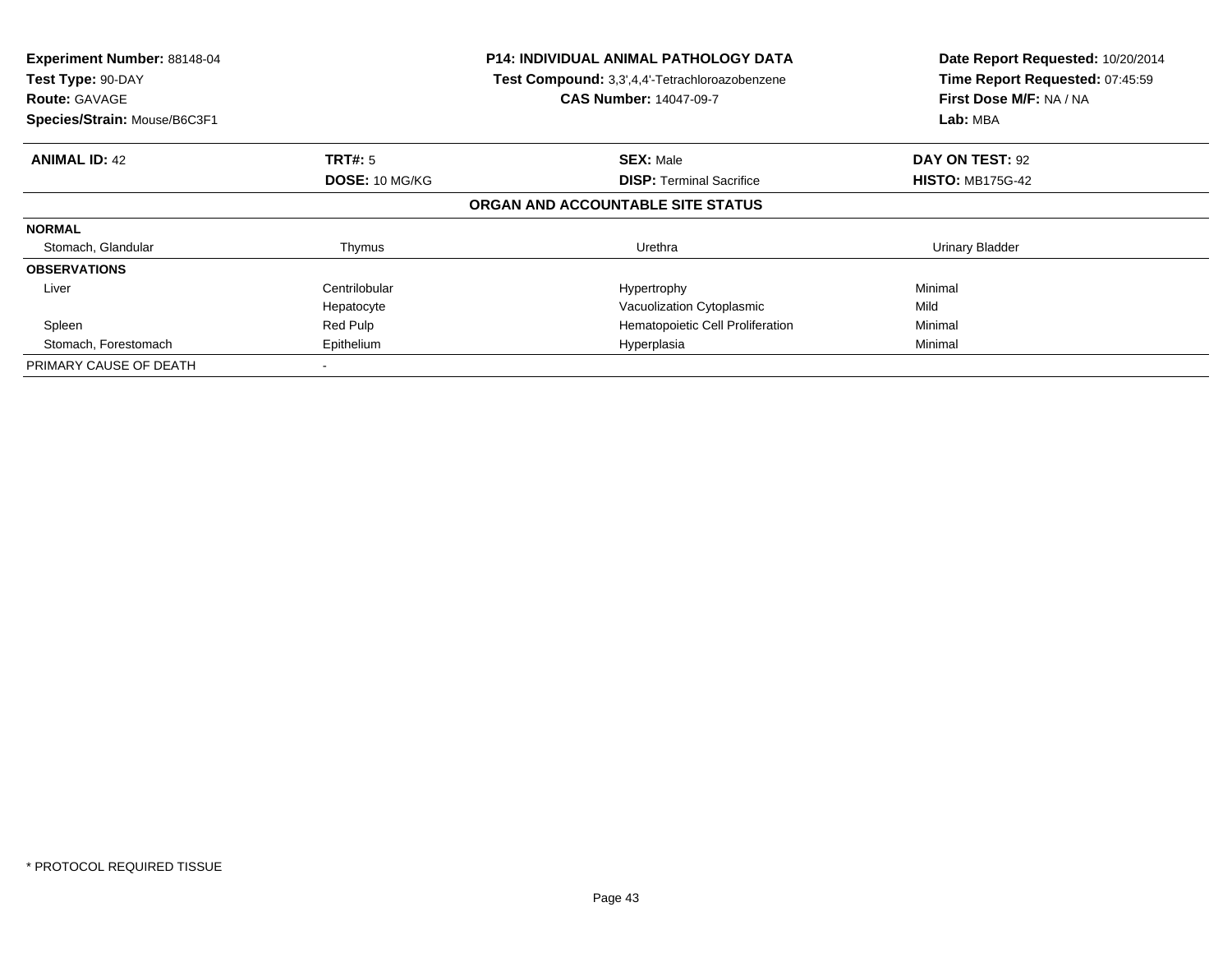| Experiment Number: 88148-04<br>Test Type: 90-DAY<br><b>Route: GAVAGE</b><br>Species/Strain: Mouse/B6C3F1 |                | <b>P14: INDIVIDUAL ANIMAL PATHOLOGY DATA</b><br>Test Compound: 3,3',4,4'-Tetrachloroazobenzene<br><b>CAS Number: 14047-09-7</b> | Date Report Requested: 10/20/2014<br>Time Report Requested: 07:45:59<br>First Dose M/F: NA / NA<br>Lab: MBA |
|----------------------------------------------------------------------------------------------------------|----------------|---------------------------------------------------------------------------------------------------------------------------------|-------------------------------------------------------------------------------------------------------------|
|                                                                                                          |                |                                                                                                                                 |                                                                                                             |
| <b>ANIMAL ID: 42</b>                                                                                     | <b>TRT#: 5</b> | <b>SEX: Male</b>                                                                                                                | DAY ON TEST: 92                                                                                             |
|                                                                                                          | DOSE: 10 MG/KG | <b>DISP:</b> Terminal Sacrifice                                                                                                 | <b>HISTO: MB175G-42</b>                                                                                     |
|                                                                                                          |                | ORGAN AND ACCOUNTABLE SITE STATUS                                                                                               |                                                                                                             |
| <b>NORMAL</b>                                                                                            |                |                                                                                                                                 |                                                                                                             |
| Stomach, Glandular                                                                                       | Thymus         | Urethra                                                                                                                         | Urinary Bladder                                                                                             |
| <b>OBSERVATIONS</b>                                                                                      |                |                                                                                                                                 |                                                                                                             |
| Liver                                                                                                    | Centrilobular  | Hypertrophy                                                                                                                     | Minimal                                                                                                     |
|                                                                                                          | Hepatocyte     | Vacuolization Cytoplasmic                                                                                                       | Mild                                                                                                        |
| Spleen                                                                                                   | Red Pulp       | Hematopoietic Cell Proliferation                                                                                                | Minimal                                                                                                     |
| Stomach, Forestomach                                                                                     | Epithelium     | Hyperplasia                                                                                                                     | Minimal                                                                                                     |
| PRIMARY CAUSE OF DEATH                                                                                   |                |                                                                                                                                 |                                                                                                             |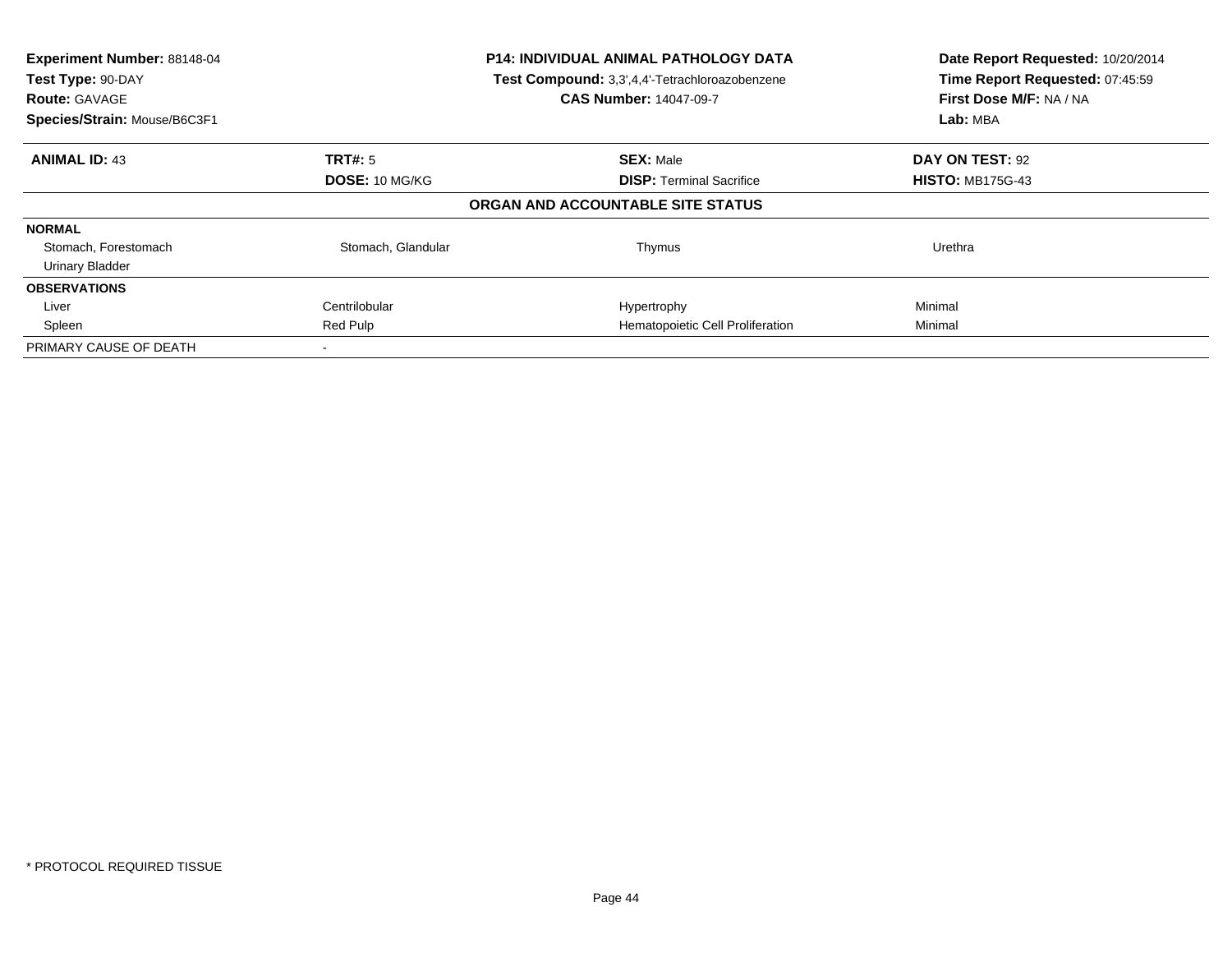| Experiment Number: 88148-04<br>Test Type: 90-DAY<br><b>Route: GAVAGE</b><br>Species/Strain: Mouse/B6C3F1 |                    | <b>P14: INDIVIDUAL ANIMAL PATHOLOGY DATA</b><br>Test Compound: 3,3',4,4'-Tetrachloroazobenzene<br><b>CAS Number: 14047-09-7</b> | Date Report Requested: 10/20/2014<br>Time Report Requested: 07:45:59<br>First Dose M/F: NA / NA<br>Lab: MBA |
|----------------------------------------------------------------------------------------------------------|--------------------|---------------------------------------------------------------------------------------------------------------------------------|-------------------------------------------------------------------------------------------------------------|
| <b>ANIMAL ID: 43</b>                                                                                     | TRT#: 5            | <b>SEX: Male</b>                                                                                                                | DAY ON TEST: 92                                                                                             |
|                                                                                                          | DOSE: 10 MG/KG     | <b>DISP:</b> Terminal Sacrifice                                                                                                 | <b>HISTO: MB175G-43</b>                                                                                     |
|                                                                                                          |                    | ORGAN AND ACCOUNTABLE SITE STATUS                                                                                               |                                                                                                             |
| <b>NORMAL</b>                                                                                            |                    |                                                                                                                                 |                                                                                                             |
| Stomach, Forestomach                                                                                     | Stomach, Glandular | Thymus                                                                                                                          | Urethra                                                                                                     |
| <b>Urinary Bladder</b>                                                                                   |                    |                                                                                                                                 |                                                                                                             |
| <b>OBSERVATIONS</b>                                                                                      |                    |                                                                                                                                 |                                                                                                             |
| Liver                                                                                                    | Centrilobular      | Hypertrophy                                                                                                                     | Minimal                                                                                                     |
| Spleen                                                                                                   | Red Pulp           | Hematopoietic Cell Proliferation                                                                                                | Minimal                                                                                                     |
| PRIMARY CAUSE OF DEATH                                                                                   |                    |                                                                                                                                 |                                                                                                             |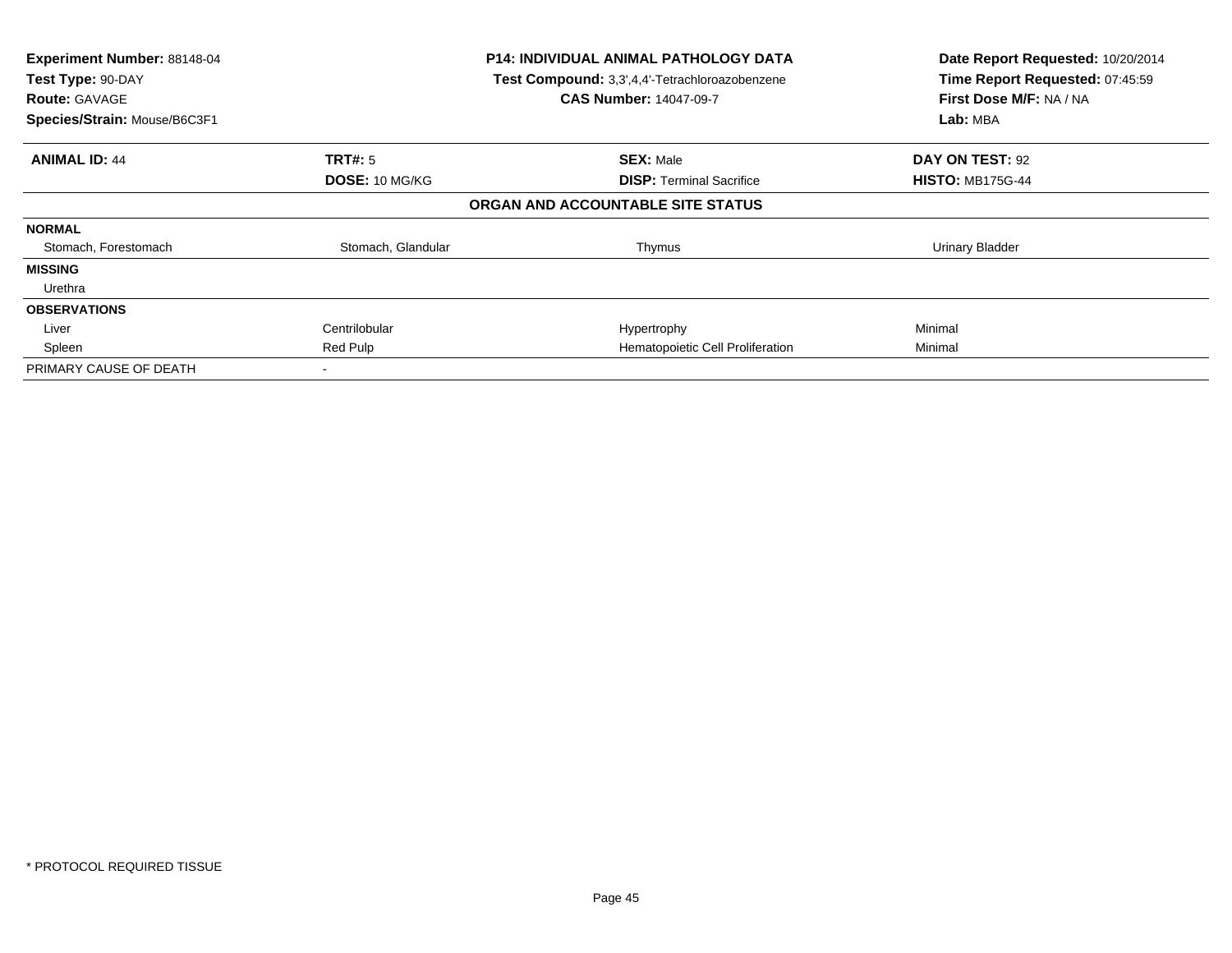| Experiment Number: 88148-04<br>Test Type: 90-DAY<br><b>Route: GAVAGE</b><br>Species/Strain: Mouse/B6C3F1 |                    | <b>P14: INDIVIDUAL ANIMAL PATHOLOGY DATA</b><br>Test Compound: 3,3',4,4'-Tetrachloroazobenzene<br><b>CAS Number: 14047-09-7</b> | Date Report Requested: 10/20/2014<br>Time Report Requested: 07:45:59<br>First Dose M/F: NA / NA<br>Lab: MBA |
|----------------------------------------------------------------------------------------------------------|--------------------|---------------------------------------------------------------------------------------------------------------------------------|-------------------------------------------------------------------------------------------------------------|
| <b>ANIMAL ID: 44</b>                                                                                     | <b>TRT#:</b> 5     | <b>SEX: Male</b>                                                                                                                | DAY ON TEST: 92                                                                                             |
|                                                                                                          | DOSE: 10 MG/KG     | <b>DISP: Terminal Sacrifice</b>                                                                                                 | <b>HISTO: MB175G-44</b>                                                                                     |
|                                                                                                          |                    | ORGAN AND ACCOUNTABLE SITE STATUS                                                                                               |                                                                                                             |
| <b>NORMAL</b>                                                                                            |                    |                                                                                                                                 |                                                                                                             |
| Stomach, Forestomach                                                                                     | Stomach, Glandular | Thymus                                                                                                                          | Urinary Bladder                                                                                             |
| <b>MISSING</b>                                                                                           |                    |                                                                                                                                 |                                                                                                             |
| Urethra                                                                                                  |                    |                                                                                                                                 |                                                                                                             |
| <b>OBSERVATIONS</b>                                                                                      |                    |                                                                                                                                 |                                                                                                             |
| Liver                                                                                                    | Centrilobular      | Hypertrophy                                                                                                                     | Minimal                                                                                                     |
| Spleen                                                                                                   | Red Pulp           | Hematopoietic Cell Proliferation                                                                                                | Minimal                                                                                                     |
| PRIMARY CAUSE OF DEATH                                                                                   |                    |                                                                                                                                 |                                                                                                             |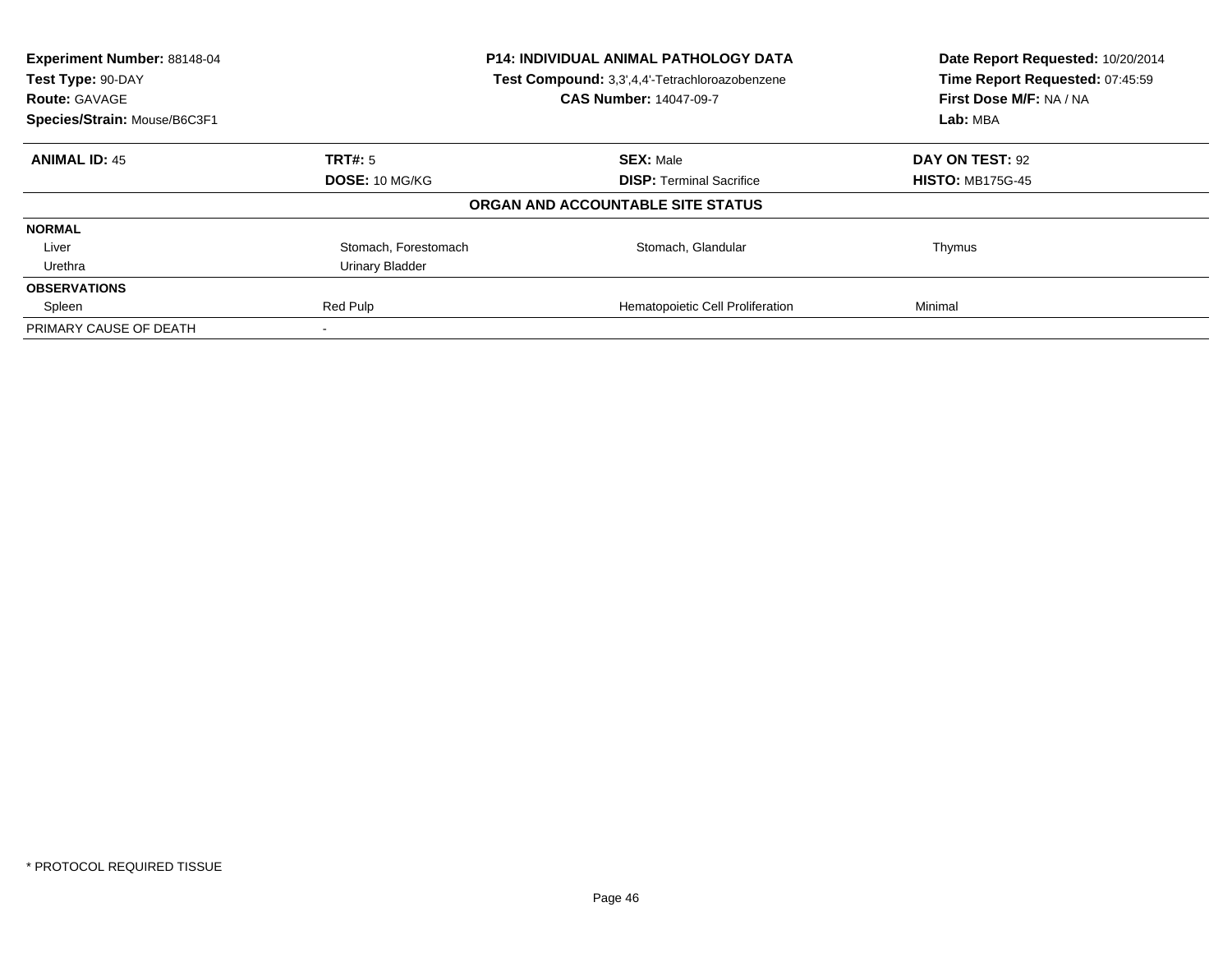| Experiment Number: 88148-04<br>Test Type: 90-DAY<br><b>Route: GAVAGE</b> |                       | <b>P14: INDIVIDUAL ANIMAL PATHOLOGY DATA</b><br>Test Compound: 3,3',4,4'-Tetrachloroazobenzene<br><b>CAS Number: 14047-09-7</b> | Date Report Requested: 10/20/2014<br>Time Report Requested: 07:45:59<br>First Dose M/F: NA / NA |
|--------------------------------------------------------------------------|-----------------------|---------------------------------------------------------------------------------------------------------------------------------|-------------------------------------------------------------------------------------------------|
| Species/Strain: Mouse/B6C3F1                                             |                       |                                                                                                                                 | Lab: MBA                                                                                        |
| <b>ANIMAL ID: 45</b>                                                     | TRT#: 5               | <b>SEX: Male</b>                                                                                                                | DAY ON TEST: 92                                                                                 |
|                                                                          | <b>DOSE: 10 MG/KG</b> | <b>DISP:</b> Terminal Sacrifice                                                                                                 | <b>HISTO: MB175G-45</b>                                                                         |
|                                                                          |                       | ORGAN AND ACCOUNTABLE SITE STATUS                                                                                               |                                                                                                 |
| <b>NORMAL</b>                                                            |                       |                                                                                                                                 |                                                                                                 |
| Liver                                                                    | Stomach, Forestomach  | Stomach, Glandular                                                                                                              | Thymus                                                                                          |
| Urethra                                                                  | Urinary Bladder       |                                                                                                                                 |                                                                                                 |
| <b>OBSERVATIONS</b>                                                      |                       |                                                                                                                                 |                                                                                                 |
| Spleen                                                                   | Red Pulp              | Hematopoietic Cell Proliferation                                                                                                | Minimal                                                                                         |
| PRIMARY CAUSE OF DEATH                                                   |                       |                                                                                                                                 |                                                                                                 |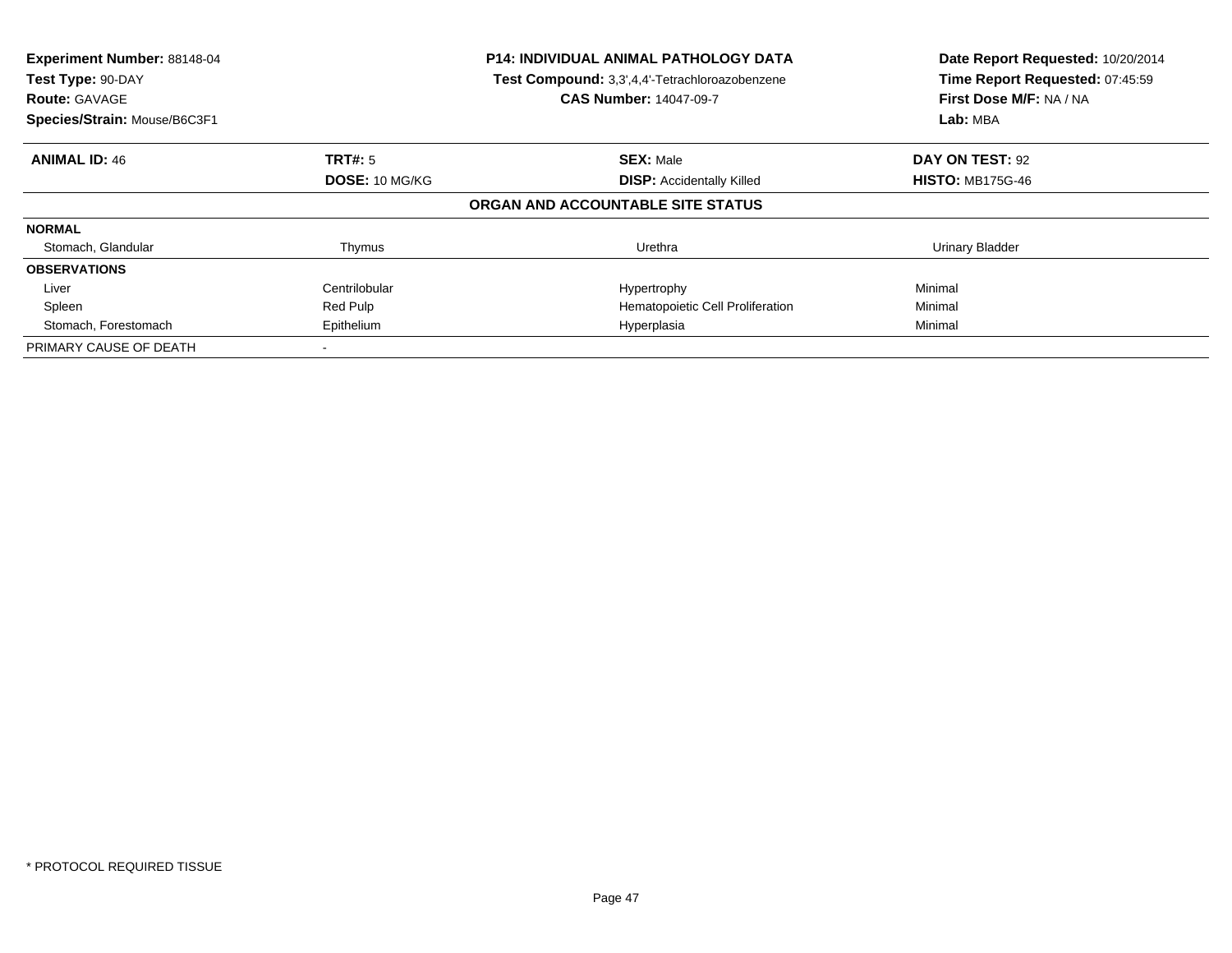| Experiment Number: 88148-04<br>Test Type: 90-DAY<br><b>Route: GAVAGE</b><br>Species/Strain: Mouse/B6C3F1 |                       | <b>P14: INDIVIDUAL ANIMAL PATHOLOGY DATA</b><br>Test Compound: 3,3',4,4'-Tetrachloroazobenzene<br><b>CAS Number: 14047-09-7</b> | Date Report Requested: 10/20/2014<br>Time Report Requested: 07:45:59<br>First Dose M/F: NA / NA<br>Lab: MBA |
|----------------------------------------------------------------------------------------------------------|-----------------------|---------------------------------------------------------------------------------------------------------------------------------|-------------------------------------------------------------------------------------------------------------|
| <b>ANIMAL ID: 46</b>                                                                                     | <b>TRT#:</b> 5        | <b>SEX: Male</b>                                                                                                                | DAY ON TEST: 92                                                                                             |
|                                                                                                          | <b>DOSE: 10 MG/KG</b> | <b>DISP:</b> Accidentally Killed                                                                                                | <b>HISTO: MB175G-46</b>                                                                                     |
|                                                                                                          |                       | ORGAN AND ACCOUNTABLE SITE STATUS                                                                                               |                                                                                                             |
| <b>NORMAL</b>                                                                                            |                       |                                                                                                                                 |                                                                                                             |
| Stomach, Glandular                                                                                       | Thymus                | Urethra                                                                                                                         | <b>Urinary Bladder</b>                                                                                      |
| <b>OBSERVATIONS</b>                                                                                      |                       |                                                                                                                                 |                                                                                                             |
| Liver                                                                                                    | Centrilobular         | Hypertrophy                                                                                                                     | Minimal                                                                                                     |
| Spleen                                                                                                   | Red Pulp              | Hematopoietic Cell Proliferation                                                                                                | Minimal                                                                                                     |
| Stomach, Forestomach                                                                                     | Epithelium            | Hyperplasia                                                                                                                     | Minimal                                                                                                     |
| PRIMARY CAUSE OF DEATH                                                                                   |                       |                                                                                                                                 |                                                                                                             |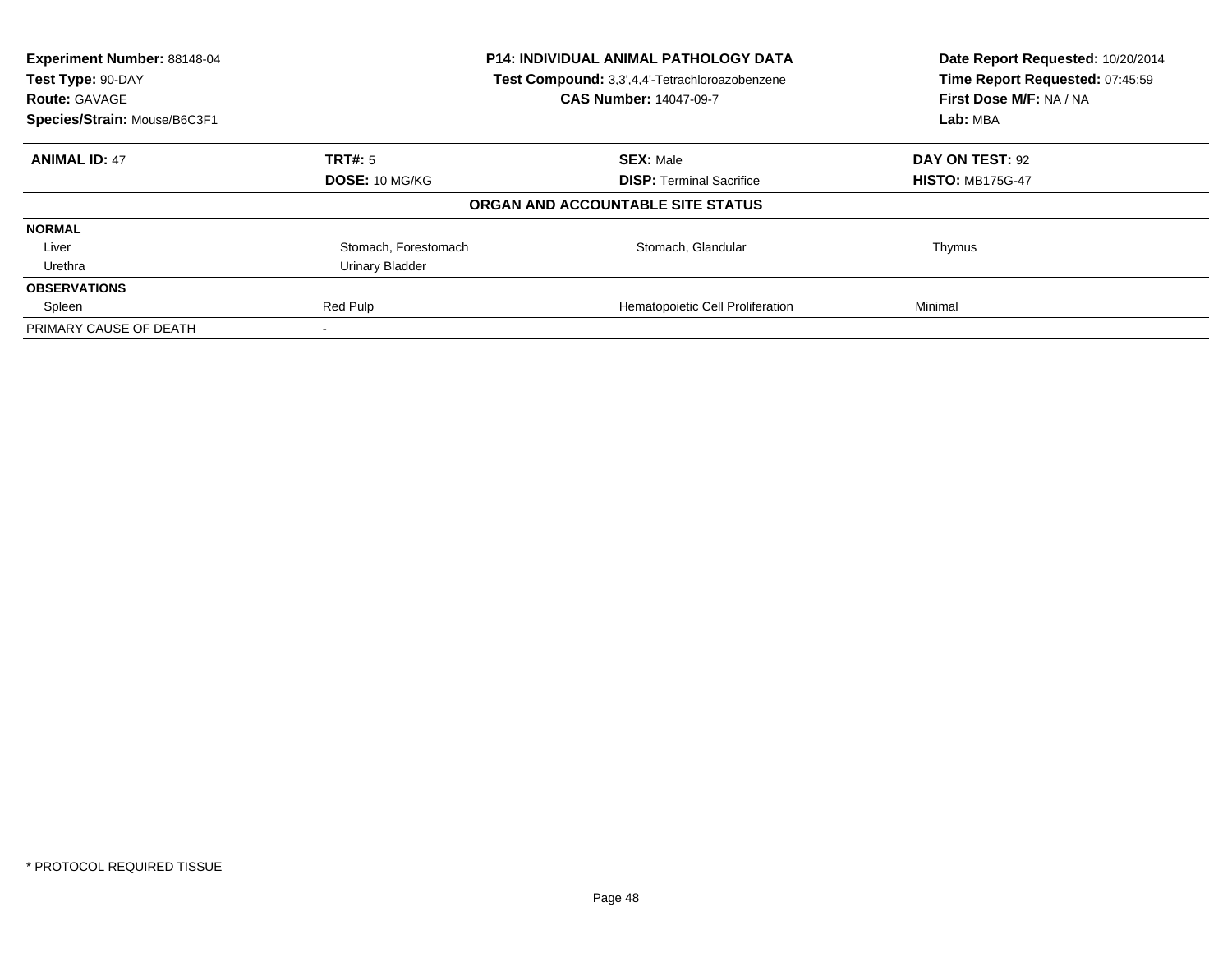| Experiment Number: 88148-04<br>Test Type: 90-DAY<br><b>Route: GAVAGE</b> |                       | <b>P14: INDIVIDUAL ANIMAL PATHOLOGY DATA</b><br>Test Compound: 3,3',4,4'-Tetrachloroazobenzene<br><b>CAS Number: 14047-09-7</b> | Date Report Requested: 10/20/2014<br>Time Report Requested: 07:45:59<br>First Dose M/F: NA / NA |
|--------------------------------------------------------------------------|-----------------------|---------------------------------------------------------------------------------------------------------------------------------|-------------------------------------------------------------------------------------------------|
| Species/Strain: Mouse/B6C3F1                                             |                       |                                                                                                                                 | Lab: MBA                                                                                        |
| <b>ANIMAL ID: 47</b>                                                     | TRT#: 5               | <b>SEX: Male</b>                                                                                                                | DAY ON TEST: 92                                                                                 |
|                                                                          | <b>DOSE: 10 MG/KG</b> | <b>DISP:</b> Terminal Sacrifice                                                                                                 | <b>HISTO: MB175G-47</b>                                                                         |
|                                                                          |                       | ORGAN AND ACCOUNTABLE SITE STATUS                                                                                               |                                                                                                 |
| <b>NORMAL</b>                                                            |                       |                                                                                                                                 |                                                                                                 |
| Liver                                                                    | Stomach, Forestomach  | Stomach, Glandular                                                                                                              | Thymus                                                                                          |
| Urethra                                                                  | Urinary Bladder       |                                                                                                                                 |                                                                                                 |
| <b>OBSERVATIONS</b>                                                      |                       |                                                                                                                                 |                                                                                                 |
| Spleen                                                                   | Red Pulp              | Hematopoietic Cell Proliferation                                                                                                | Minimal                                                                                         |
| PRIMARY CAUSE OF DEATH                                                   |                       |                                                                                                                                 |                                                                                                 |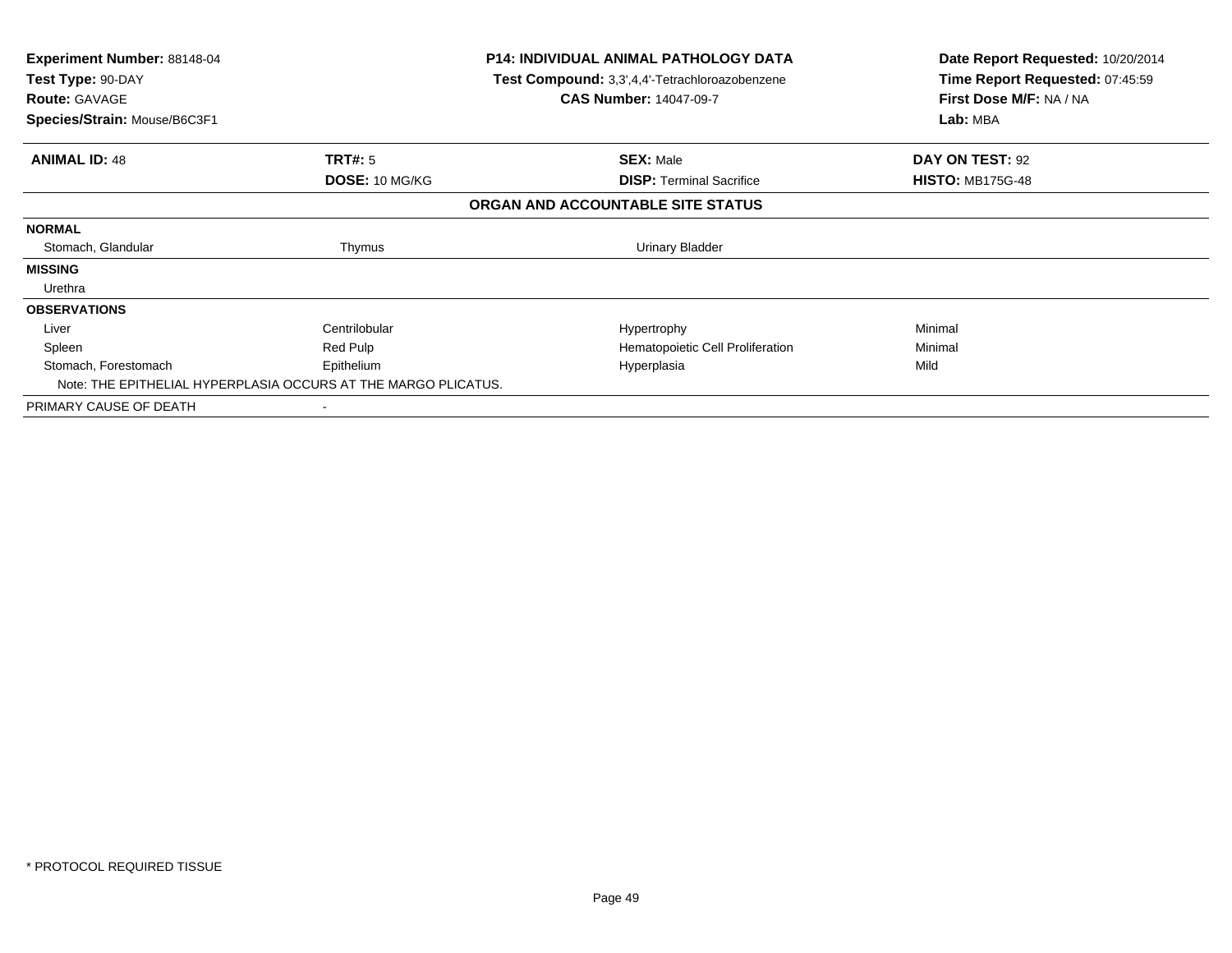| Experiment Number: 88148-04<br>Test Type: 90-DAY<br><b>Route: GAVAGE</b><br>Species/Strain: Mouse/B6C3F1 |                | <b>P14: INDIVIDUAL ANIMAL PATHOLOGY DATA</b><br>Test Compound: 3,3',4,4'-Tetrachloroazobenzene<br><b>CAS Number: 14047-09-7</b> | Date Report Requested: 10/20/2014<br>Time Report Requested: 07:45:59<br>First Dose M/F: NA / NA<br>Lab: MBA |
|----------------------------------------------------------------------------------------------------------|----------------|---------------------------------------------------------------------------------------------------------------------------------|-------------------------------------------------------------------------------------------------------------|
| <b>ANIMAL ID: 48</b>                                                                                     | TRT#: 5        | <b>SEX: Male</b>                                                                                                                | DAY ON TEST: 92                                                                                             |
|                                                                                                          | DOSE: 10 MG/KG | <b>DISP:</b> Terminal Sacrifice                                                                                                 | <b>HISTO: MB175G-48</b>                                                                                     |
|                                                                                                          |                | ORGAN AND ACCOUNTABLE SITE STATUS                                                                                               |                                                                                                             |
| <b>NORMAL</b>                                                                                            |                |                                                                                                                                 |                                                                                                             |
| Stomach, Glandular                                                                                       | Thymus         | <b>Urinary Bladder</b>                                                                                                          |                                                                                                             |
| <b>MISSING</b>                                                                                           |                |                                                                                                                                 |                                                                                                             |
| Urethra                                                                                                  |                |                                                                                                                                 |                                                                                                             |
| <b>OBSERVATIONS</b>                                                                                      |                |                                                                                                                                 |                                                                                                             |
| Liver                                                                                                    | Centrilobular  | Hypertrophy                                                                                                                     | Minimal                                                                                                     |
| Spleen                                                                                                   | Red Pulp       | Hematopoietic Cell Proliferation                                                                                                | Minimal                                                                                                     |
| Stomach, Forestomach                                                                                     | Epithelium     | Hyperplasia                                                                                                                     | Mild                                                                                                        |
| Note: THE EPITHELIAL HYPERPLASIA OCCURS AT THE MARGO PLICATUS.                                           |                |                                                                                                                                 |                                                                                                             |
| PRIMARY CAUSE OF DEATH                                                                                   |                |                                                                                                                                 |                                                                                                             |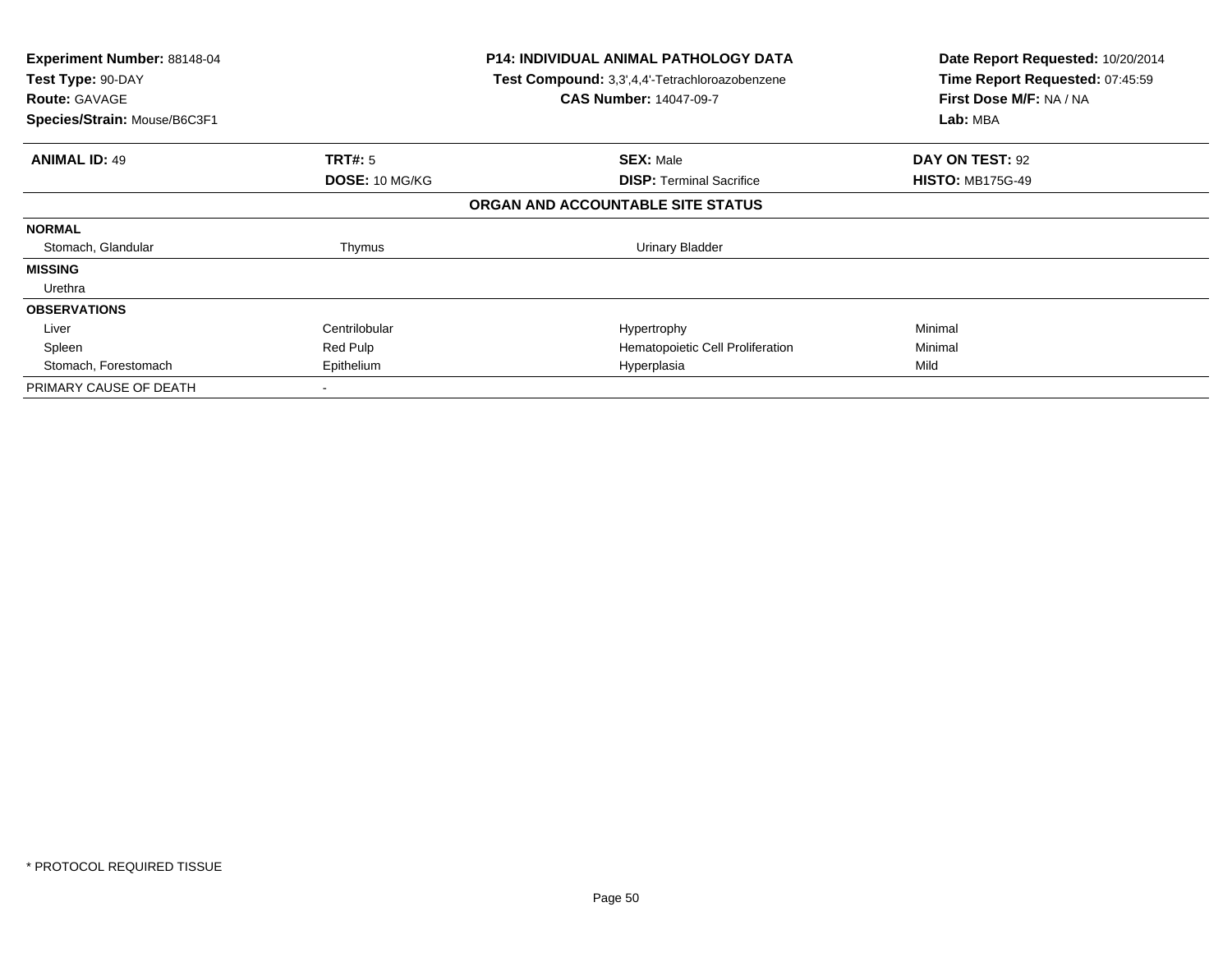| Experiment Number: 88148-04<br>Test Type: 90-DAY<br><b>Route: GAVAGE</b><br>Species/Strain: Mouse/B6C3F1 |                | <b>P14: INDIVIDUAL ANIMAL PATHOLOGY DATA</b><br>Test Compound: 3,3',4,4'-Tetrachloroazobenzene<br><b>CAS Number: 14047-09-7</b> | Date Report Requested: 10/20/2014<br>Time Report Requested: 07:45:59<br>First Dose M/F: NA / NA<br>Lab: MBA |
|----------------------------------------------------------------------------------------------------------|----------------|---------------------------------------------------------------------------------------------------------------------------------|-------------------------------------------------------------------------------------------------------------|
|                                                                                                          |                |                                                                                                                                 |                                                                                                             |
| <b>ANIMAL ID: 49</b>                                                                                     | <b>TRT#: 5</b> | <b>SEX: Male</b>                                                                                                                | DAY ON TEST: 92                                                                                             |
|                                                                                                          | DOSE: 10 MG/KG | <b>DISP:</b> Terminal Sacrifice                                                                                                 | <b>HISTO: MB175G-49</b>                                                                                     |
|                                                                                                          |                | ORGAN AND ACCOUNTABLE SITE STATUS                                                                                               |                                                                                                             |
| <b>NORMAL</b>                                                                                            |                |                                                                                                                                 |                                                                                                             |
| Stomach, Glandular                                                                                       | Thymus         | <b>Urinary Bladder</b>                                                                                                          |                                                                                                             |
| <b>MISSING</b>                                                                                           |                |                                                                                                                                 |                                                                                                             |
| Urethra                                                                                                  |                |                                                                                                                                 |                                                                                                             |
| <b>OBSERVATIONS</b>                                                                                      |                |                                                                                                                                 |                                                                                                             |
| Liver                                                                                                    | Centrilobular  | Hypertrophy                                                                                                                     | Minimal                                                                                                     |
| Spleen                                                                                                   | Red Pulp       | Hematopoietic Cell Proliferation                                                                                                | Minimal                                                                                                     |
| Stomach, Forestomach                                                                                     | Epithelium     | Hyperplasia                                                                                                                     | Mild                                                                                                        |
| PRIMARY CAUSE OF DEATH                                                                                   |                |                                                                                                                                 |                                                                                                             |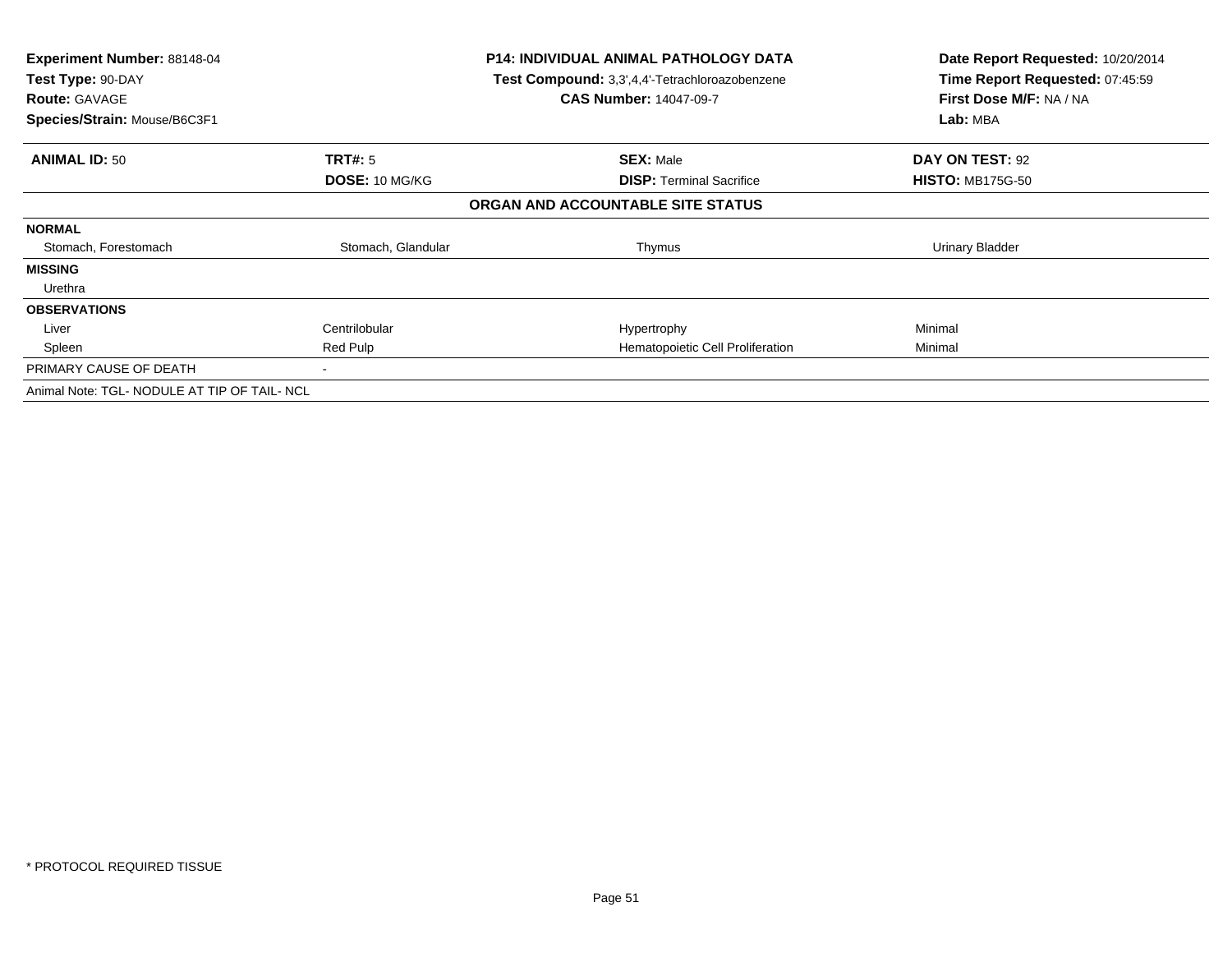| <b>Experiment Number: 88148-04</b><br>Test Type: 90-DAY<br><b>Route: GAVAGE</b><br>Species/Strain: Mouse/B6C3F1 |                    | <b>P14: INDIVIDUAL ANIMAL PATHOLOGY DATA</b><br>Test Compound: 3,3',4,4'-Tetrachloroazobenzene<br><b>CAS Number: 14047-09-7</b> | Date Report Requested: 10/20/2014<br>Time Report Requested: 07:45:59<br>First Dose M/F: NA / NA<br>Lab: MBA |
|-----------------------------------------------------------------------------------------------------------------|--------------------|---------------------------------------------------------------------------------------------------------------------------------|-------------------------------------------------------------------------------------------------------------|
| <b>ANIMAL ID: 50</b>                                                                                            | <b>TRT#:</b> 5     | <b>SEX: Male</b>                                                                                                                | DAY ON TEST: 92                                                                                             |
|                                                                                                                 | DOSE: 10 MG/KG     | <b>DISP:</b> Terminal Sacrifice                                                                                                 | <b>HISTO: MB175G-50</b>                                                                                     |
|                                                                                                                 |                    | ORGAN AND ACCOUNTABLE SITE STATUS                                                                                               |                                                                                                             |
| <b>NORMAL</b>                                                                                                   |                    |                                                                                                                                 |                                                                                                             |
| Stomach, Forestomach                                                                                            | Stomach, Glandular | Thymus                                                                                                                          | Urinary Bladder                                                                                             |
| <b>MISSING</b>                                                                                                  |                    |                                                                                                                                 |                                                                                                             |
| Urethra                                                                                                         |                    |                                                                                                                                 |                                                                                                             |
| <b>OBSERVATIONS</b>                                                                                             |                    |                                                                                                                                 |                                                                                                             |
| Liver                                                                                                           | Centrilobular      | Hypertrophy                                                                                                                     | Minimal                                                                                                     |
| Spleen                                                                                                          | Red Pulp           | Hematopoietic Cell Proliferation                                                                                                | Minimal                                                                                                     |
| PRIMARY CAUSE OF DEATH                                                                                          |                    |                                                                                                                                 |                                                                                                             |
| Animal Note: TGL- NODULE AT TIP OF TAIL- NCL                                                                    |                    |                                                                                                                                 |                                                                                                             |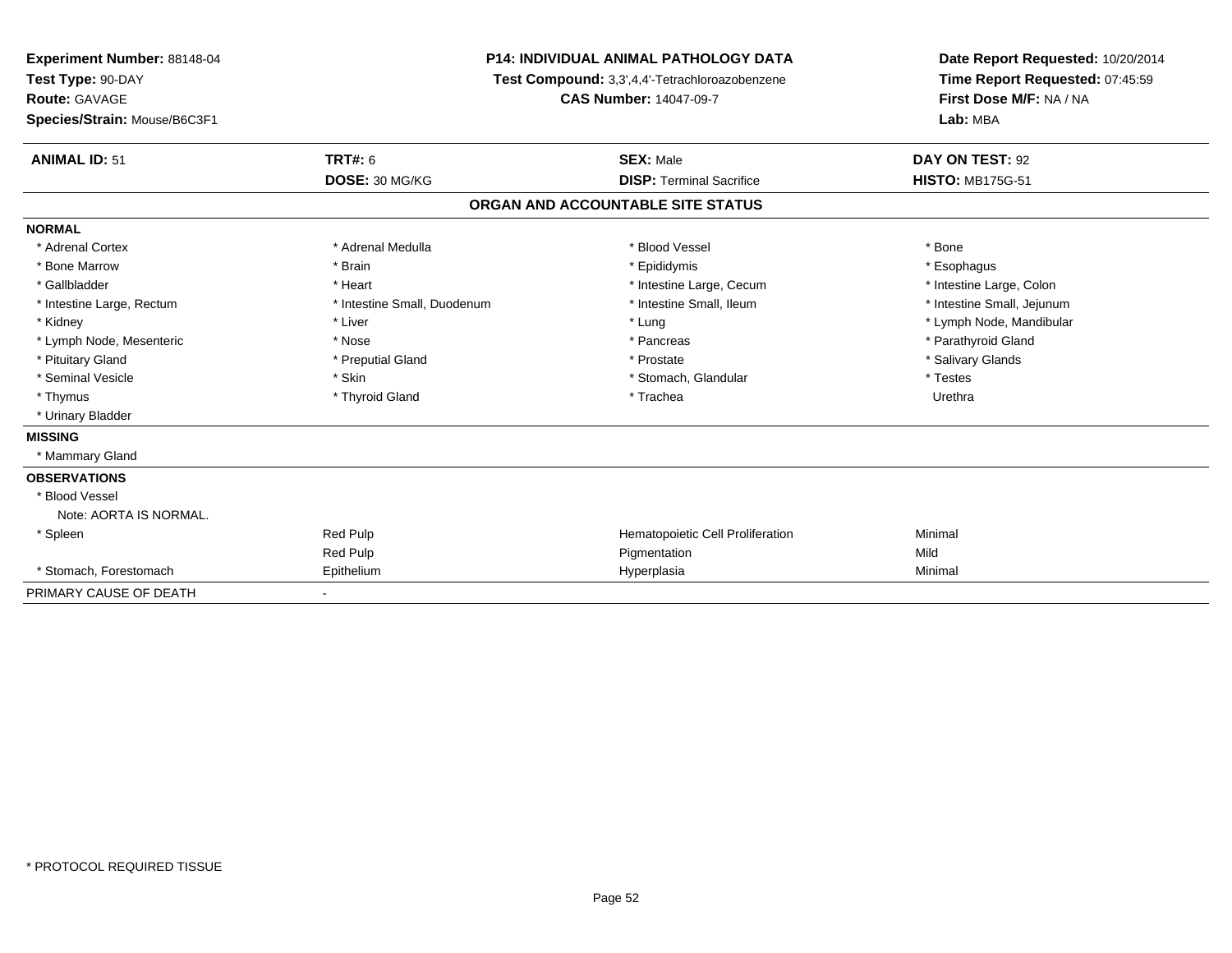| <b>Experiment Number: 88148-04</b><br>Test Type: 90-DAY |                             | <b>P14: INDIVIDUAL ANIMAL PATHOLOGY DATA</b>   | Date Report Requested: 10/20/2014<br>Time Report Requested: 07:45:59 |  |
|---------------------------------------------------------|-----------------------------|------------------------------------------------|----------------------------------------------------------------------|--|
|                                                         |                             | Test Compound: 3,3',4,4'-Tetrachloroazobenzene |                                                                      |  |
| <b>Route: GAVAGE</b>                                    |                             | <b>CAS Number: 14047-09-7</b>                  | First Dose M/F: NA / NA                                              |  |
| Species/Strain: Mouse/B6C3F1                            |                             |                                                | Lab: MBA                                                             |  |
| <b>ANIMAL ID: 51</b>                                    | <b>TRT#: 6</b>              | <b>SEX: Male</b>                               | DAY ON TEST: 92                                                      |  |
|                                                         | DOSE: 30 MG/KG              | <b>DISP: Terminal Sacrifice</b>                | <b>HISTO: MB175G-51</b>                                              |  |
|                                                         |                             | ORGAN AND ACCOUNTABLE SITE STATUS              |                                                                      |  |
| <b>NORMAL</b>                                           |                             |                                                |                                                                      |  |
| * Adrenal Cortex                                        | * Adrenal Medulla           | * Blood Vessel                                 | * Bone                                                               |  |
| * Bone Marrow                                           | * Brain                     | * Epididymis                                   | * Esophagus                                                          |  |
| * Gallbladder                                           | * Heart                     | * Intestine Large, Cecum                       | * Intestine Large, Colon                                             |  |
| * Intestine Large, Rectum                               | * Intestine Small, Duodenum | * Intestine Small, Ileum                       | * Intestine Small, Jejunum                                           |  |
| * Kidney                                                | * Liver                     | * Lung                                         | * Lymph Node, Mandibular                                             |  |
| * Lymph Node, Mesenteric                                | * Nose                      | * Pancreas                                     | * Parathyroid Gland                                                  |  |
| * Pituitary Gland                                       | * Preputial Gland           | * Prostate                                     | * Salivary Glands                                                    |  |
| * Seminal Vesicle                                       | * Skin                      | * Stomach, Glandular                           | * Testes                                                             |  |
| * Thymus                                                | * Thyroid Gland             | * Trachea                                      | Urethra                                                              |  |
| * Urinary Bladder                                       |                             |                                                |                                                                      |  |
| <b>MISSING</b>                                          |                             |                                                |                                                                      |  |
| * Mammary Gland                                         |                             |                                                |                                                                      |  |
| <b>OBSERVATIONS</b>                                     |                             |                                                |                                                                      |  |
| * Blood Vessel                                          |                             |                                                |                                                                      |  |
| Note: AORTA IS NORMAL.                                  |                             |                                                |                                                                      |  |
| * Spleen                                                | Red Pulp                    | Hematopoietic Cell Proliferation               | Minimal                                                              |  |
|                                                         | Red Pulp                    | Pigmentation                                   | Mild                                                                 |  |
| * Stomach, Forestomach                                  | Epithelium                  | Hyperplasia                                    | Minimal                                                              |  |
| PRIMARY CAUSE OF DEATH                                  |                             |                                                |                                                                      |  |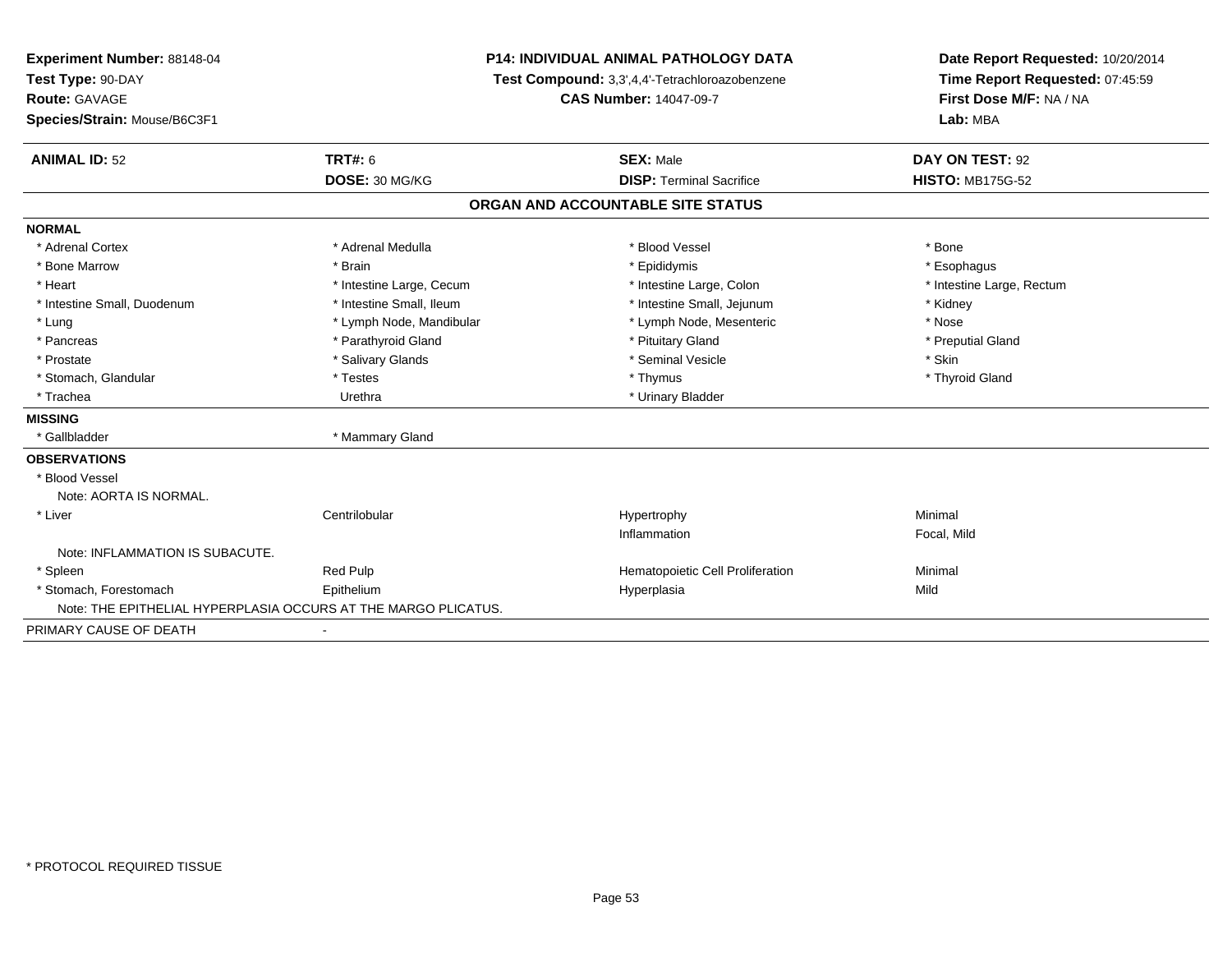| Experiment Number: 88148-04                                    | <b>P14: INDIVIDUAL ANIMAL PATHOLOGY DATA</b> |                                                | Date Report Requested: 10/20/2014 |
|----------------------------------------------------------------|----------------------------------------------|------------------------------------------------|-----------------------------------|
| Test Type: 90-DAY                                              |                                              | Test Compound: 3,3',4,4'-Tetrachloroazobenzene | Time Report Requested: 07:45:59   |
| <b>Route: GAVAGE</b>                                           |                                              | <b>CAS Number: 14047-09-7</b>                  | First Dose M/F: NA / NA           |
| Species/Strain: Mouse/B6C3F1                                   |                                              |                                                | Lab: MBA                          |
| <b>ANIMAL ID: 52</b>                                           | <b>TRT#: 6</b>                               | <b>SEX: Male</b>                               | DAY ON TEST: 92                   |
|                                                                | DOSE: 30 MG/KG                               | <b>DISP: Terminal Sacrifice</b>                | <b>HISTO: MB175G-52</b>           |
|                                                                |                                              | ORGAN AND ACCOUNTABLE SITE STATUS              |                                   |
| <b>NORMAL</b>                                                  |                                              |                                                |                                   |
| * Adrenal Cortex                                               | * Adrenal Medulla                            | * Blood Vessel                                 | * Bone                            |
| * Bone Marrow                                                  | * Brain                                      | * Epididymis                                   | * Esophagus                       |
| * Heart                                                        | * Intestine Large, Cecum                     | * Intestine Large, Colon                       | * Intestine Large, Rectum         |
| * Intestine Small, Duodenum                                    | * Intestine Small, Ileum                     | * Intestine Small, Jejunum                     | * Kidney                          |
| * Lung                                                         | * Lymph Node, Mandibular                     | * Lymph Node, Mesenteric                       | * Nose                            |
| * Pancreas                                                     | * Parathyroid Gland                          | * Pituitary Gland                              | * Preputial Gland                 |
| * Prostate                                                     | * Salivary Glands                            | * Seminal Vesicle                              | * Skin                            |
| * Stomach, Glandular                                           | * Testes                                     | * Thymus                                       | * Thyroid Gland                   |
| * Trachea                                                      | Urethra                                      | * Urinary Bladder                              |                                   |
| <b>MISSING</b>                                                 |                                              |                                                |                                   |
| * Gallbladder                                                  | * Mammary Gland                              |                                                |                                   |
| <b>OBSERVATIONS</b>                                            |                                              |                                                |                                   |
| * Blood Vessel                                                 |                                              |                                                |                                   |
| Note: AORTA IS NORMAL.                                         |                                              |                                                |                                   |
| * Liver                                                        | Centrilobular                                | Hypertrophy                                    | Minimal                           |
|                                                                |                                              | Inflammation                                   | Focal, Mild                       |
| Note: INFLAMMATION IS SUBACUTE.                                |                                              |                                                |                                   |
| * Spleen                                                       | Red Pulp                                     | Hematopoietic Cell Proliferation               | Minimal                           |
| * Stomach. Forestomach                                         | Epithelium                                   | Hyperplasia                                    | Mild                              |
| Note: THE EPITHELIAL HYPERPLASIA OCCURS AT THE MARGO PLICATUS. |                                              |                                                |                                   |
| PRIMARY CAUSE OF DEATH                                         |                                              |                                                |                                   |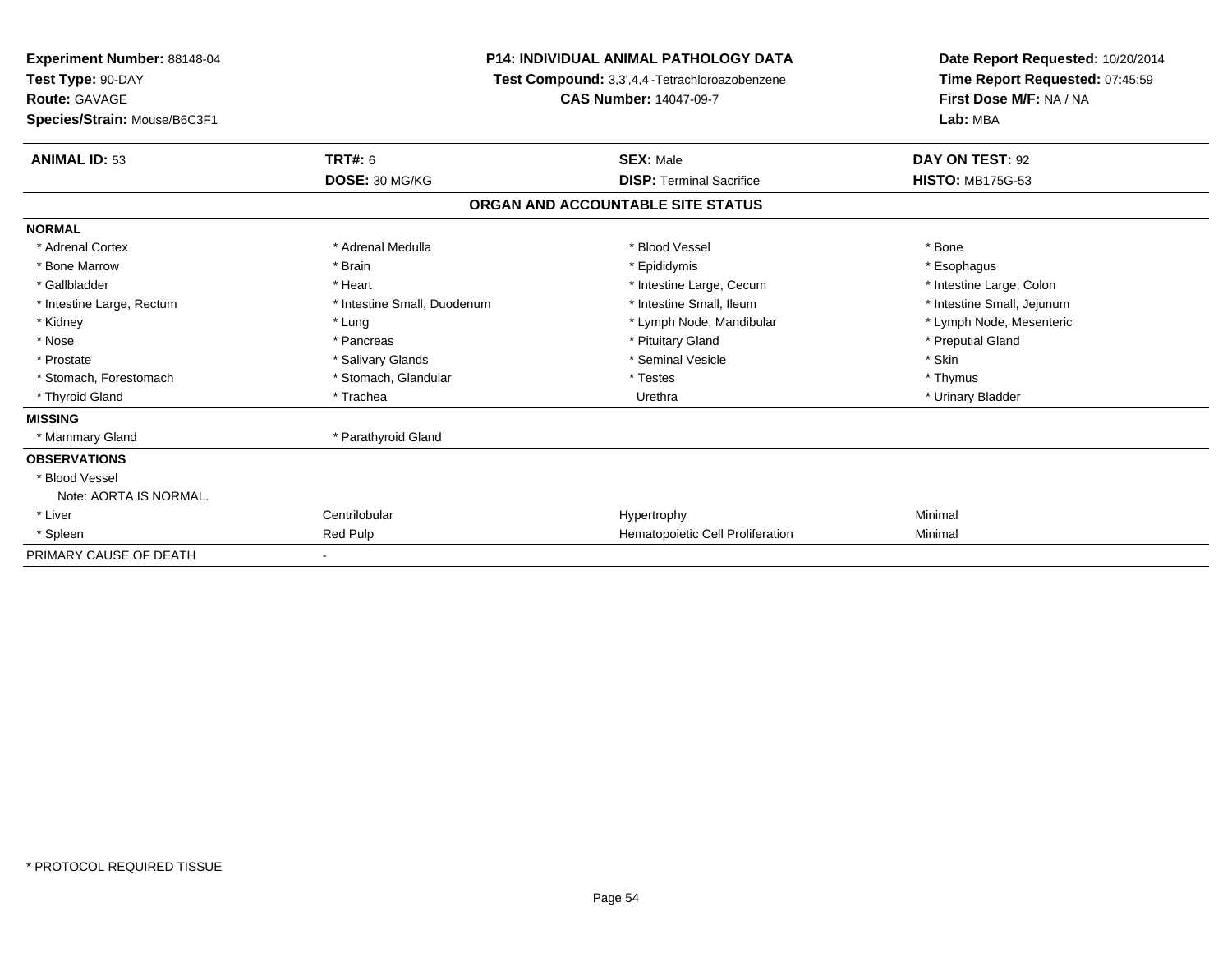| <b>Experiment Number: 88148-04</b><br>Test Type: 90-DAY<br><b>Route: GAVAGE</b><br>Species/Strain: Mouse/B6C3F1 | <b>P14: INDIVIDUAL ANIMAL PATHOLOGY DATA</b><br>Test Compound: 3,3',4,4'-Tetrachloroazobenzene<br><b>CAS Number: 14047-09-7</b> |                                   | Date Report Requested: 10/20/2014<br>Time Report Requested: 07:45:59<br>First Dose M/F: NA / NA<br>Lab: MBA |  |
|-----------------------------------------------------------------------------------------------------------------|---------------------------------------------------------------------------------------------------------------------------------|-----------------------------------|-------------------------------------------------------------------------------------------------------------|--|
| <b>ANIMAL ID: 53</b>                                                                                            | TRT#: 6                                                                                                                         | <b>SEX: Male</b>                  | DAY ON TEST: 92                                                                                             |  |
|                                                                                                                 | DOSE: 30 MG/KG                                                                                                                  | <b>DISP: Terminal Sacrifice</b>   | <b>HISTO: MB175G-53</b>                                                                                     |  |
|                                                                                                                 |                                                                                                                                 | ORGAN AND ACCOUNTABLE SITE STATUS |                                                                                                             |  |
| <b>NORMAL</b>                                                                                                   |                                                                                                                                 |                                   |                                                                                                             |  |
| * Adrenal Cortex                                                                                                | * Adrenal Medulla                                                                                                               | * Blood Vessel                    | * Bone                                                                                                      |  |
| * Bone Marrow                                                                                                   | * Brain                                                                                                                         | * Epididymis                      | * Esophagus                                                                                                 |  |
| * Gallbladder                                                                                                   | * Heart                                                                                                                         | * Intestine Large, Cecum          | * Intestine Large, Colon                                                                                    |  |
| * Intestine Large, Rectum                                                                                       | * Intestine Small, Duodenum                                                                                                     | * Intestine Small, Ileum          | * Intestine Small, Jejunum                                                                                  |  |
| * Kidney                                                                                                        | * Lung                                                                                                                          | * Lymph Node, Mandibular          | * Lymph Node, Mesenteric                                                                                    |  |
| * Nose                                                                                                          | * Pancreas                                                                                                                      | * Pituitary Gland                 | * Preputial Gland                                                                                           |  |
| * Prostate                                                                                                      | * Salivary Glands                                                                                                               | * Seminal Vesicle                 | * Skin                                                                                                      |  |
| * Stomach, Forestomach                                                                                          | * Stomach, Glandular                                                                                                            | * Testes                          | * Thymus                                                                                                    |  |
| * Thyroid Gland                                                                                                 | * Trachea                                                                                                                       | Urethra                           | * Urinary Bladder                                                                                           |  |
| <b>MISSING</b>                                                                                                  |                                                                                                                                 |                                   |                                                                                                             |  |
| * Mammary Gland                                                                                                 | * Parathyroid Gland                                                                                                             |                                   |                                                                                                             |  |
| <b>OBSERVATIONS</b>                                                                                             |                                                                                                                                 |                                   |                                                                                                             |  |
| * Blood Vessel                                                                                                  |                                                                                                                                 |                                   |                                                                                                             |  |
| Note: AORTA IS NORMAL.                                                                                          |                                                                                                                                 |                                   |                                                                                                             |  |
| * Liver                                                                                                         | Centrilobular                                                                                                                   | Hypertrophy                       | Minimal                                                                                                     |  |
| * Spleen                                                                                                        | Red Pulp                                                                                                                        | Hematopoietic Cell Proliferation  | Minimal                                                                                                     |  |
| PRIMARY CAUSE OF DEATH                                                                                          |                                                                                                                                 |                                   |                                                                                                             |  |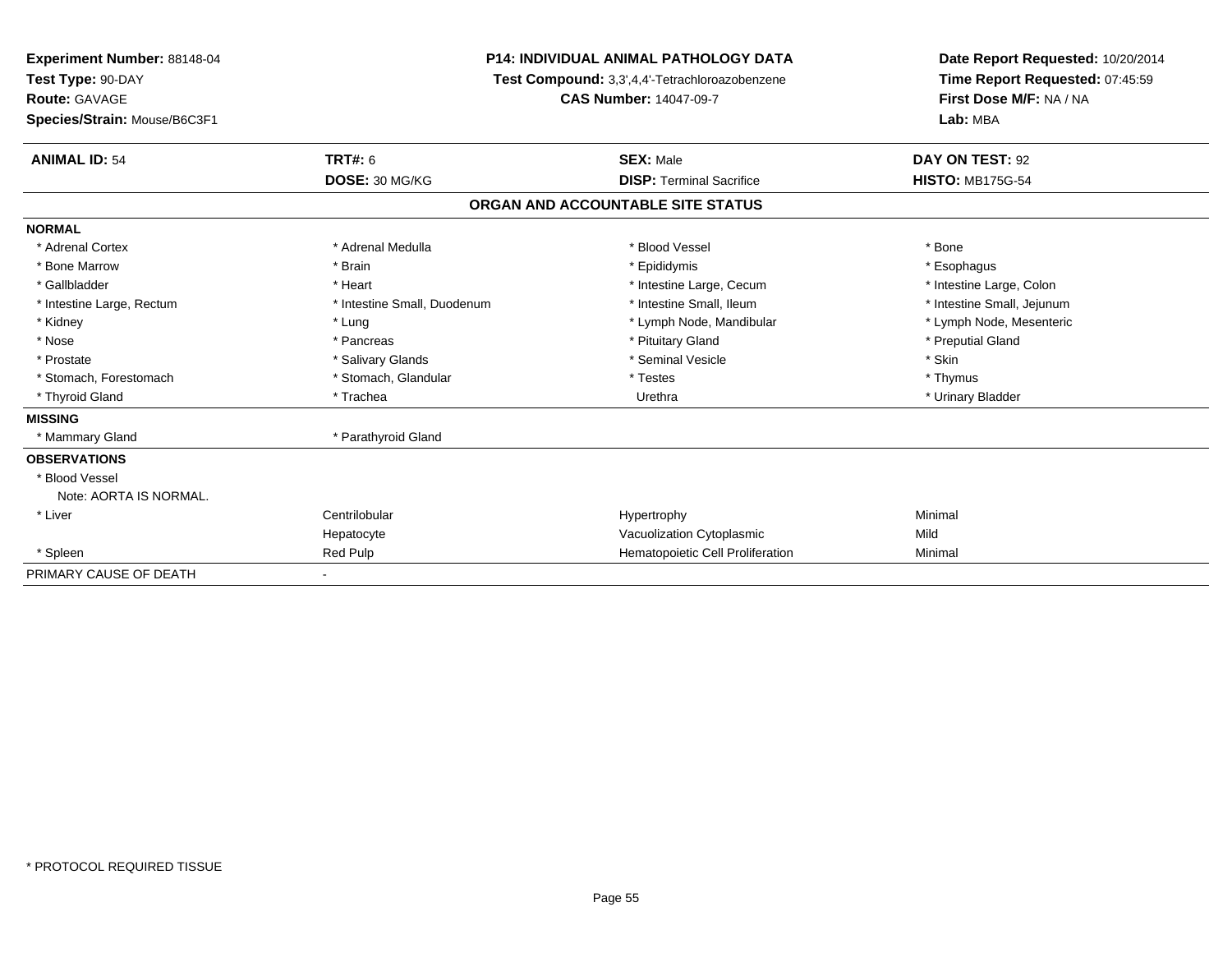| <b>Experiment Number: 88148-04</b><br>Test Type: 90-DAY |                             | <b>P14: INDIVIDUAL ANIMAL PATHOLOGY DATA</b>   | Date Report Requested: 10/20/2014<br>Time Report Requested: 07:45:59 |
|---------------------------------------------------------|-----------------------------|------------------------------------------------|----------------------------------------------------------------------|
|                                                         |                             | Test Compound: 3,3',4,4'-Tetrachloroazobenzene |                                                                      |
| <b>Route: GAVAGE</b>                                    |                             | <b>CAS Number: 14047-09-7</b>                  | First Dose M/F: NA / NA                                              |
| Species/Strain: Mouse/B6C3F1                            |                             |                                                | Lab: MBA                                                             |
| <b>ANIMAL ID: 54</b>                                    | <b>TRT#: 6</b>              | <b>SEX: Male</b>                               | DAY ON TEST: 92                                                      |
|                                                         | DOSE: 30 MG/KG              | <b>DISP: Terminal Sacrifice</b>                | <b>HISTO: MB175G-54</b>                                              |
|                                                         |                             | ORGAN AND ACCOUNTABLE SITE STATUS              |                                                                      |
| <b>NORMAL</b>                                           |                             |                                                |                                                                      |
| * Adrenal Cortex                                        | * Adrenal Medulla           | * Blood Vessel                                 | * Bone                                                               |
| * Bone Marrow                                           | * Brain                     | * Epididymis                                   | * Esophagus                                                          |
| * Gallbladder                                           | * Heart                     | * Intestine Large, Cecum                       | * Intestine Large, Colon                                             |
| * Intestine Large, Rectum                               | * Intestine Small, Duodenum | * Intestine Small, Ileum                       | * Intestine Small, Jejunum                                           |
| * Kidney                                                | * Lung                      | * Lymph Node, Mandibular                       | * Lymph Node, Mesenteric                                             |
| * Nose                                                  | * Pancreas                  | * Pituitary Gland                              | * Preputial Gland                                                    |
| * Prostate                                              | * Salivary Glands           | * Seminal Vesicle                              | * Skin                                                               |
| * Stomach, Forestomach                                  | * Stomach, Glandular        | * Testes                                       | * Thymus                                                             |
| * Thyroid Gland                                         | * Trachea                   | Urethra                                        | * Urinary Bladder                                                    |
| <b>MISSING</b>                                          |                             |                                                |                                                                      |
| * Mammary Gland                                         | * Parathyroid Gland         |                                                |                                                                      |
| <b>OBSERVATIONS</b>                                     |                             |                                                |                                                                      |
| * Blood Vessel                                          |                             |                                                |                                                                      |
| Note: AORTA IS NORMAL.                                  |                             |                                                |                                                                      |
| * Liver                                                 | Centrilobular               | Hypertrophy                                    | Minimal                                                              |
|                                                         | Hepatocyte                  | Vacuolization Cytoplasmic                      | Mild                                                                 |
| * Spleen                                                | <b>Red Pulp</b>             | Hematopoietic Cell Proliferation               | Minimal                                                              |
| PRIMARY CAUSE OF DEATH                                  |                             |                                                |                                                                      |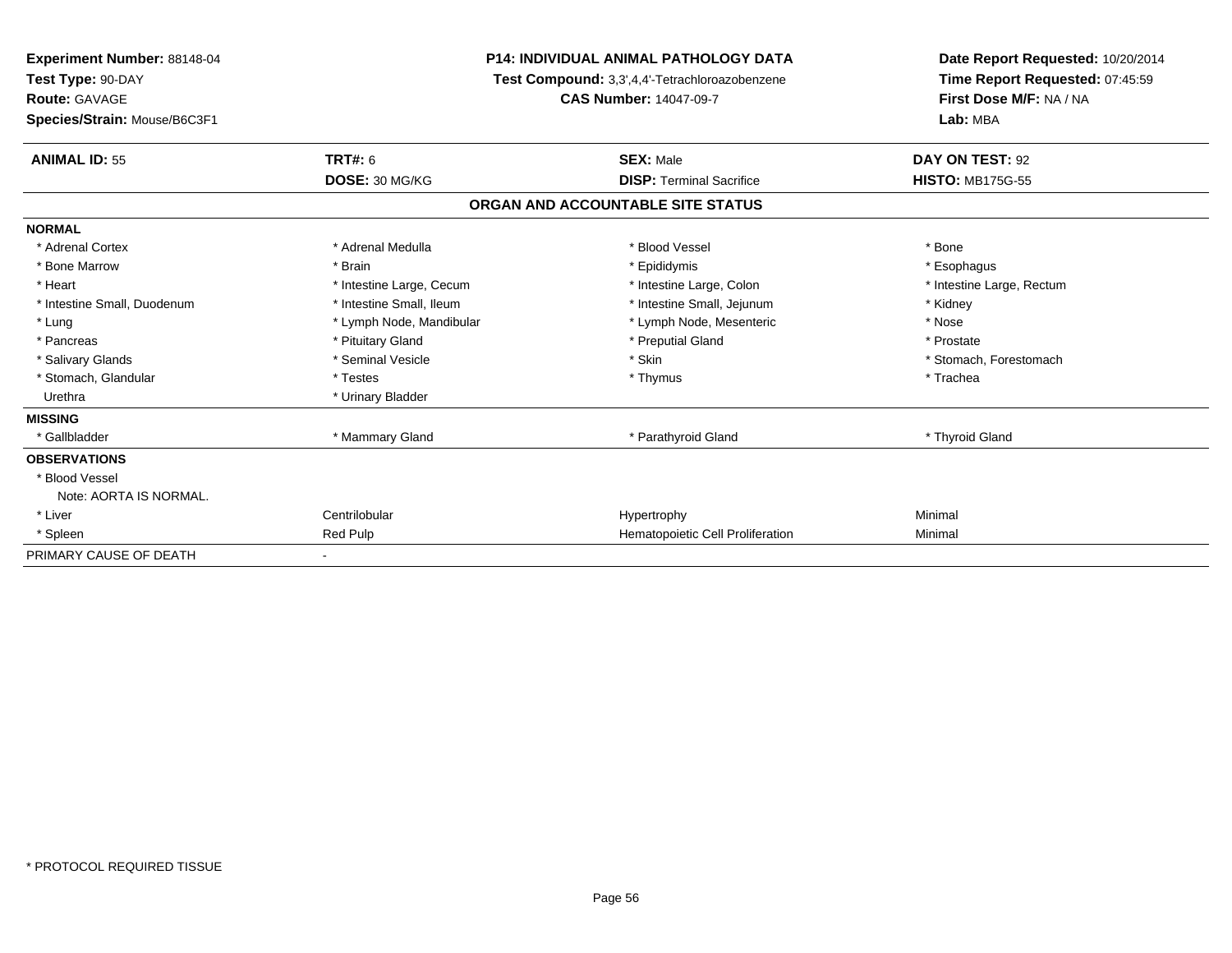| <b>Experiment Number: 88148-04</b><br>Test Type: 90-DAY<br><b>Route: GAVAGE</b><br>Species/Strain: Mouse/B6C3F1 |                          | <b>P14: INDIVIDUAL ANIMAL PATHOLOGY DATA</b><br>Test Compound: 3,3',4,4'-Tetrachloroazobenzene<br><b>CAS Number: 14047-09-7</b> | Date Report Requested: 10/20/2014<br>Time Report Requested: 07:45:59<br>First Dose M/F: NA / NA<br>Lab: MBA |  |
|-----------------------------------------------------------------------------------------------------------------|--------------------------|---------------------------------------------------------------------------------------------------------------------------------|-------------------------------------------------------------------------------------------------------------|--|
| <b>ANIMAL ID: 55</b>                                                                                            | TRT#: 6                  | <b>SEX: Male</b>                                                                                                                | DAY ON TEST: 92                                                                                             |  |
|                                                                                                                 | DOSE: 30 MG/KG           | <b>DISP: Terminal Sacrifice</b>                                                                                                 | <b>HISTO: MB175G-55</b>                                                                                     |  |
|                                                                                                                 |                          | ORGAN AND ACCOUNTABLE SITE STATUS                                                                                               |                                                                                                             |  |
| <b>NORMAL</b>                                                                                                   |                          |                                                                                                                                 |                                                                                                             |  |
| * Adrenal Cortex                                                                                                | * Adrenal Medulla        | * Blood Vessel                                                                                                                  | * Bone                                                                                                      |  |
| * Bone Marrow                                                                                                   | * Brain                  | * Epididymis                                                                                                                    | * Esophagus                                                                                                 |  |
| * Heart                                                                                                         | * Intestine Large, Cecum | * Intestine Large, Colon                                                                                                        | * Intestine Large, Rectum                                                                                   |  |
| * Intestine Small, Duodenum                                                                                     | * Intestine Small, Ileum | * Intestine Small, Jejunum                                                                                                      | * Kidney                                                                                                    |  |
| * Lung                                                                                                          | * Lymph Node, Mandibular | * Lymph Node, Mesenteric                                                                                                        | * Nose                                                                                                      |  |
| * Pancreas                                                                                                      | * Pituitary Gland        | * Preputial Gland                                                                                                               | * Prostate                                                                                                  |  |
| * Salivary Glands                                                                                               | * Seminal Vesicle        | * Skin                                                                                                                          | * Stomach, Forestomach                                                                                      |  |
| * Stomach, Glandular                                                                                            | * Testes                 | * Thymus                                                                                                                        | * Trachea                                                                                                   |  |
| Urethra                                                                                                         | * Urinary Bladder        |                                                                                                                                 |                                                                                                             |  |
| <b>MISSING</b>                                                                                                  |                          |                                                                                                                                 |                                                                                                             |  |
| * Gallbladder                                                                                                   | * Mammary Gland          | * Parathyroid Gland                                                                                                             | * Thyroid Gland                                                                                             |  |
| <b>OBSERVATIONS</b>                                                                                             |                          |                                                                                                                                 |                                                                                                             |  |
| * Blood Vessel                                                                                                  |                          |                                                                                                                                 |                                                                                                             |  |
| Note: AORTA IS NORMAL.                                                                                          |                          |                                                                                                                                 |                                                                                                             |  |
| * Liver                                                                                                         | Centrilobular            | Hypertrophy                                                                                                                     | Minimal                                                                                                     |  |
| * Spleen                                                                                                        | Red Pulp                 | Hematopoietic Cell Proliferation                                                                                                | Minimal                                                                                                     |  |
| PRIMARY CAUSE OF DEATH                                                                                          |                          |                                                                                                                                 |                                                                                                             |  |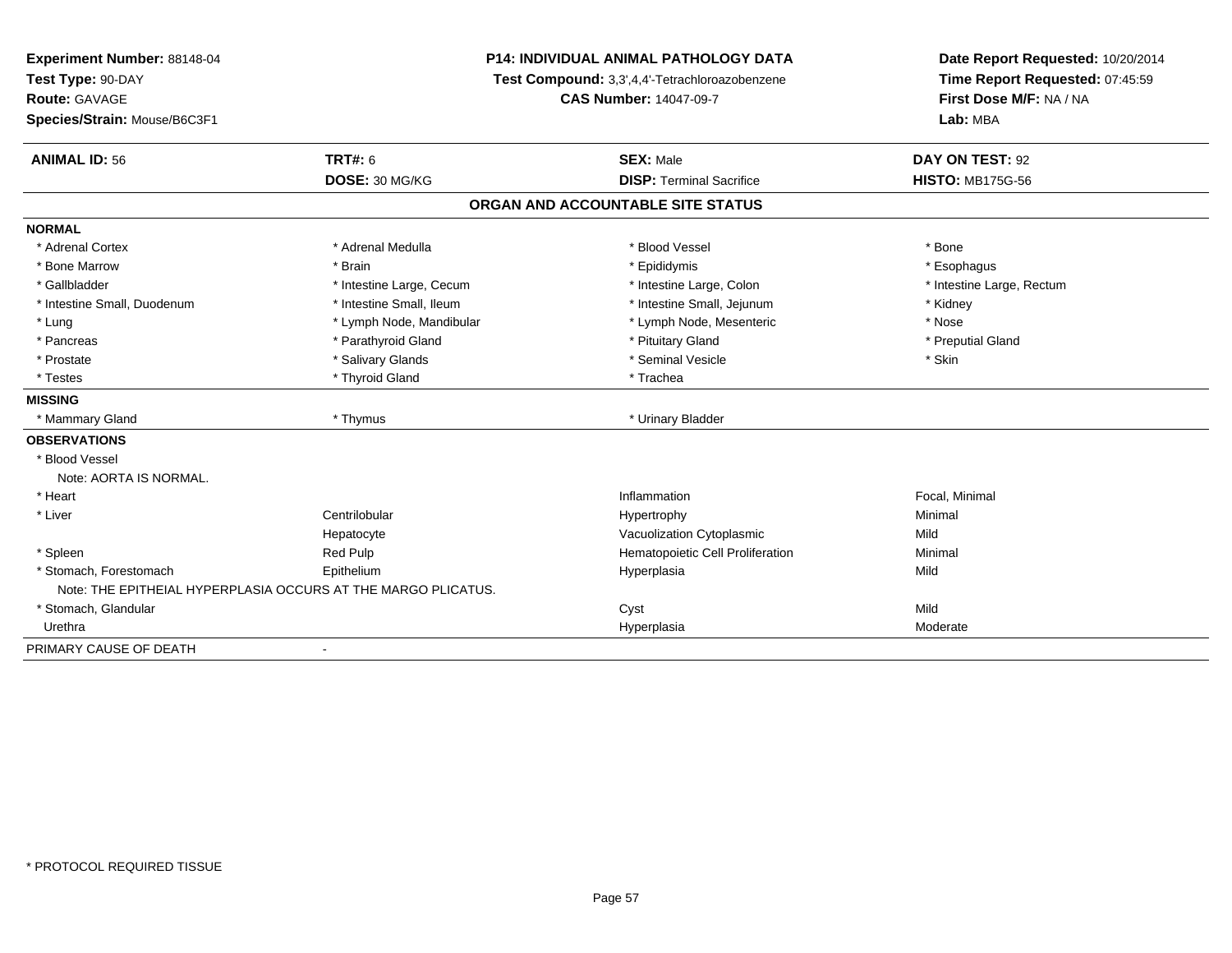| Experiment Number: 88148-04<br>Test Type: 90-DAY<br><b>Route: GAVAGE</b><br>Species/Strain: Mouse/B6C3F1 |                                                               | <b>P14: INDIVIDUAL ANIMAL PATHOLOGY DATA</b><br>Test Compound: 3,3',4,4'-Tetrachloroazobenzene<br><b>CAS Number: 14047-09-7</b> |                           |
|----------------------------------------------------------------------------------------------------------|---------------------------------------------------------------|---------------------------------------------------------------------------------------------------------------------------------|---------------------------|
| <b>ANIMAL ID: 56</b>                                                                                     | <b>TRT#: 6</b>                                                | <b>SEX: Male</b>                                                                                                                | DAY ON TEST: 92           |
|                                                                                                          | DOSE: 30 MG/KG                                                | <b>DISP: Terminal Sacrifice</b>                                                                                                 | <b>HISTO: MB175G-56</b>   |
|                                                                                                          |                                                               | ORGAN AND ACCOUNTABLE SITE STATUS                                                                                               |                           |
| <b>NORMAL</b>                                                                                            |                                                               |                                                                                                                                 |                           |
| * Adrenal Cortex                                                                                         | * Adrenal Medulla                                             | * Blood Vessel                                                                                                                  | * Bone                    |
| * Bone Marrow                                                                                            | * Brain                                                       | * Epididymis                                                                                                                    | * Esophagus               |
| * Gallbladder                                                                                            | * Intestine Large, Cecum                                      | * Intestine Large, Colon                                                                                                        | * Intestine Large, Rectum |
| * Intestine Small, Duodenum                                                                              | * Intestine Small. Ileum                                      | * Intestine Small, Jejunum                                                                                                      | * Kidney                  |
| * Lung                                                                                                   | * Lymph Node, Mandibular                                      | * Lymph Node, Mesenteric                                                                                                        | * Nose                    |
| * Pancreas                                                                                               | * Parathyroid Gland                                           | * Pituitary Gland                                                                                                               | * Preputial Gland         |
| * Prostate                                                                                               | * Salivary Glands                                             | * Seminal Vesicle                                                                                                               | * Skin                    |
| * Testes                                                                                                 | * Thyroid Gland                                               | * Trachea                                                                                                                       |                           |
| <b>MISSING</b>                                                                                           |                                                               |                                                                                                                                 |                           |
| * Mammary Gland                                                                                          | * Thymus                                                      | * Urinary Bladder                                                                                                               |                           |
| <b>OBSERVATIONS</b>                                                                                      |                                                               |                                                                                                                                 |                           |
| * Blood Vessel                                                                                           |                                                               |                                                                                                                                 |                           |
| Note: AORTA IS NORMAL.                                                                                   |                                                               |                                                                                                                                 |                           |
| * Heart                                                                                                  |                                                               | Inflammation                                                                                                                    | Focal, Minimal            |
| * Liver                                                                                                  | Centrilobular                                                 | Hypertrophy                                                                                                                     | Minimal                   |
|                                                                                                          | Hepatocyte                                                    | Vacuolization Cytoplasmic                                                                                                       | Mild                      |
| * Spleen                                                                                                 | <b>Red Pulp</b>                                               | Hematopoietic Cell Proliferation                                                                                                | Minimal                   |
| * Stomach, Forestomach                                                                                   | Epithelium                                                    | Hyperplasia                                                                                                                     | Mild                      |
|                                                                                                          | Note: THE EPITHEIAL HYPERPLASIA OCCURS AT THE MARGO PLICATUS. |                                                                                                                                 |                           |
| * Stomach, Glandular                                                                                     |                                                               | Cyst                                                                                                                            | Mild                      |
| Urethra                                                                                                  |                                                               | Hyperplasia                                                                                                                     | Moderate                  |
| PRIMARY CAUSE OF DEATH                                                                                   | $\blacksquare$                                                |                                                                                                                                 |                           |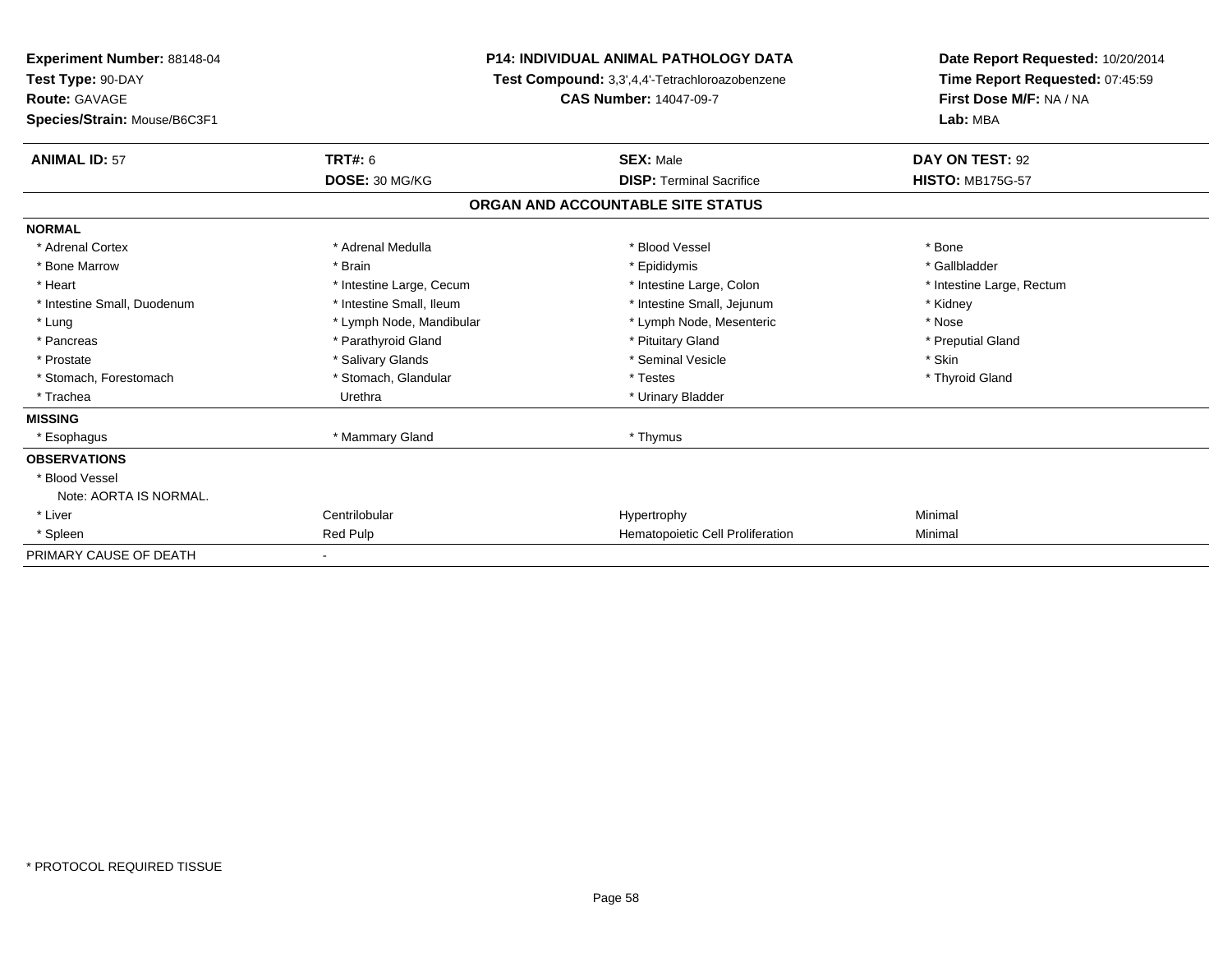| Experiment Number: 88148-04<br>Test Type: 90-DAY |                               | <b>P14: INDIVIDUAL ANIMAL PATHOLOGY DATA</b>   | Date Report Requested: 10/20/2014<br>Time Report Requested: 07:45:59 |
|--------------------------------------------------|-------------------------------|------------------------------------------------|----------------------------------------------------------------------|
|                                                  |                               | Test Compound: 3,3',4,4'-Tetrachloroazobenzene |                                                                      |
| Route: GAVAGE                                    | <b>CAS Number: 14047-09-7</b> |                                                | First Dose M/F: NA / NA                                              |
| Species/Strain: Mouse/B6C3F1                     |                               |                                                | Lab: MBA                                                             |
| <b>ANIMAL ID: 57</b>                             | TRT#: 6                       | <b>SEX: Male</b>                               | DAY ON TEST: 92                                                      |
|                                                  | DOSE: 30 MG/KG                | <b>DISP: Terminal Sacrifice</b>                | <b>HISTO: MB175G-57</b>                                              |
|                                                  |                               | ORGAN AND ACCOUNTABLE SITE STATUS              |                                                                      |
| <b>NORMAL</b>                                    |                               |                                                |                                                                      |
| * Adrenal Cortex                                 | * Adrenal Medulla             | * Blood Vessel                                 | * Bone                                                               |
| * Bone Marrow                                    | * Brain                       | * Epididymis                                   | * Gallbladder                                                        |
| * Heart                                          | * Intestine Large, Cecum      | * Intestine Large, Colon                       | * Intestine Large, Rectum                                            |
| * Intestine Small, Duodenum                      | * Intestine Small, Ileum      | * Intestine Small, Jejunum                     | * Kidney                                                             |
| * Lung                                           | * Lymph Node, Mandibular      | * Lymph Node, Mesenteric                       | * Nose                                                               |
| * Pancreas                                       | * Parathyroid Gland           | * Pituitary Gland                              | * Preputial Gland                                                    |
| * Prostate                                       | * Salivary Glands             | * Seminal Vesicle                              | * Skin                                                               |
| * Stomach, Forestomach                           | * Stomach, Glandular          | * Testes                                       | * Thyroid Gland                                                      |
| * Trachea                                        | Urethra                       | * Urinary Bladder                              |                                                                      |
| <b>MISSING</b>                                   |                               |                                                |                                                                      |
| * Esophagus                                      | * Mammary Gland               | * Thymus                                       |                                                                      |
| <b>OBSERVATIONS</b>                              |                               |                                                |                                                                      |
| * Blood Vessel                                   |                               |                                                |                                                                      |
| Note: AORTA IS NORMAL.                           |                               |                                                |                                                                      |
| * Liver                                          | Centrilobular                 | Hypertrophy                                    | Minimal                                                              |
| * Spleen                                         | Red Pulp                      | Hematopoietic Cell Proliferation               | Minimal                                                              |
| PRIMARY CAUSE OF DEATH                           |                               |                                                |                                                                      |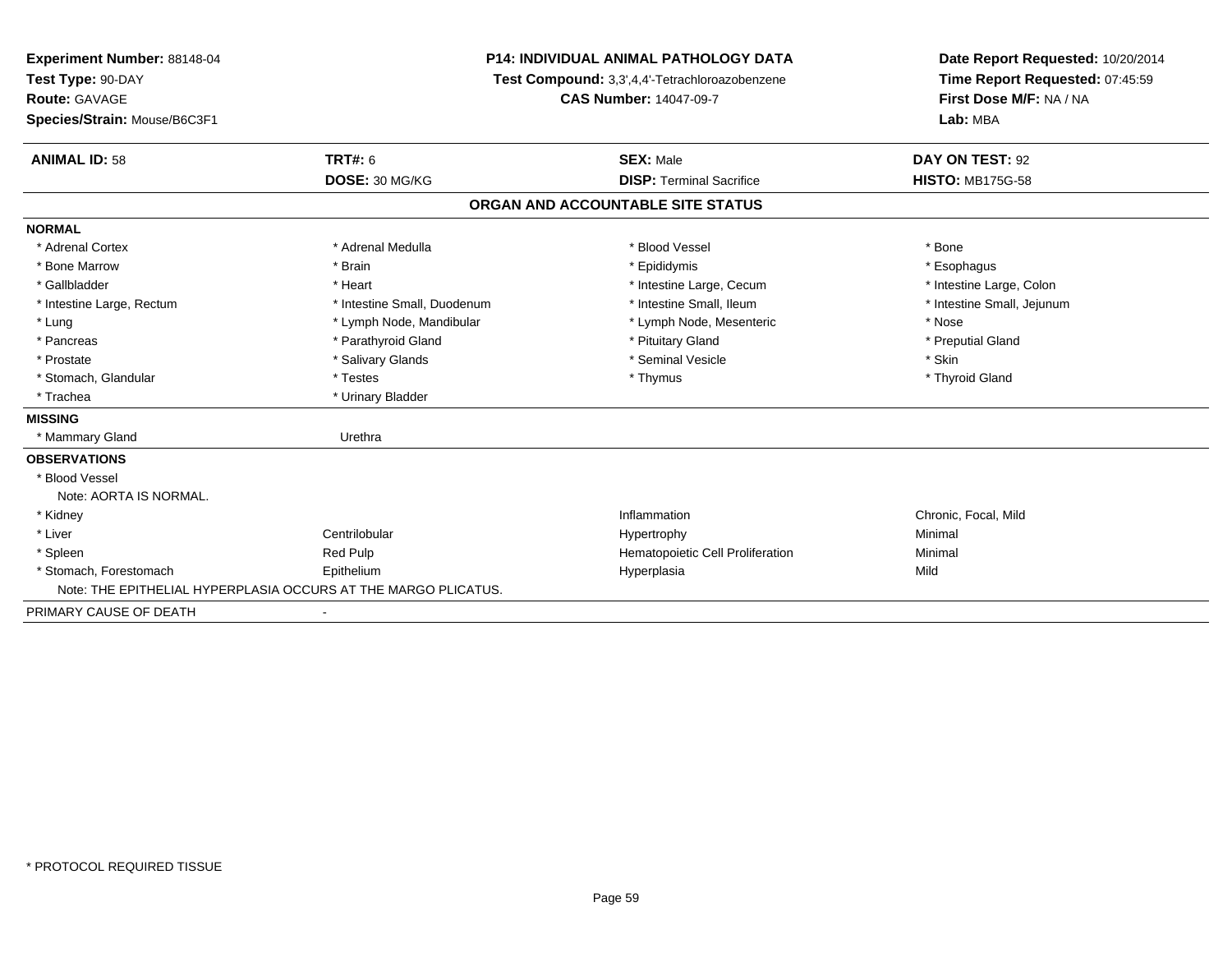| Experiment Number: 88148-04                                    | <b>P14: INDIVIDUAL ANIMAL PATHOLOGY DATA</b> |                                                | Date Report Requested: 10/20/2014 |  |
|----------------------------------------------------------------|----------------------------------------------|------------------------------------------------|-----------------------------------|--|
| Test Type: 90-DAY                                              |                                              | Test Compound: 3,3',4,4'-Tetrachloroazobenzene | Time Report Requested: 07:45:59   |  |
| <b>Route: GAVAGE</b>                                           |                                              | <b>CAS Number: 14047-09-7</b>                  | First Dose M/F: NA / NA           |  |
| Species/Strain: Mouse/B6C3F1                                   |                                              |                                                | Lab: MBA                          |  |
| <b>ANIMAL ID: 58</b>                                           | <b>TRT#: 6</b>                               | <b>SEX: Male</b>                               | DAY ON TEST: 92                   |  |
|                                                                | DOSE: 30 MG/KG                               | <b>DISP: Terminal Sacrifice</b>                | <b>HISTO: MB175G-58</b>           |  |
|                                                                |                                              | ORGAN AND ACCOUNTABLE SITE STATUS              |                                   |  |
| <b>NORMAL</b>                                                  |                                              |                                                |                                   |  |
| * Adrenal Cortex                                               | * Adrenal Medulla                            | * Blood Vessel                                 | * Bone                            |  |
| * Bone Marrow                                                  | * Brain                                      | * Epididymis                                   | * Esophagus                       |  |
| * Gallbladder                                                  | * Heart                                      | * Intestine Large, Cecum                       | * Intestine Large, Colon          |  |
| * Intestine Large, Rectum                                      | * Intestine Small, Duodenum                  | * Intestine Small, Ileum                       | * Intestine Small, Jejunum        |  |
| * Lung                                                         | * Lymph Node, Mandibular                     | * Lymph Node, Mesenteric                       | * Nose                            |  |
| * Pancreas                                                     | * Parathyroid Gland                          | * Pituitary Gland                              | * Preputial Gland                 |  |
| * Prostate                                                     | * Salivary Glands                            | * Seminal Vesicle                              | * Skin                            |  |
| * Stomach, Glandular                                           | * Testes                                     | * Thymus                                       | * Thyroid Gland                   |  |
| * Trachea                                                      | * Urinary Bladder                            |                                                |                                   |  |
| <b>MISSING</b>                                                 |                                              |                                                |                                   |  |
| * Mammary Gland                                                | Urethra                                      |                                                |                                   |  |
| <b>OBSERVATIONS</b>                                            |                                              |                                                |                                   |  |
| * Blood Vessel                                                 |                                              |                                                |                                   |  |
| Note: AORTA IS NORMAL.                                         |                                              |                                                |                                   |  |
| * Kidney                                                       |                                              | Inflammation                                   | Chronic, Focal, Mild              |  |
| * Liver                                                        | Centrilobular                                | Hypertrophy                                    | Minimal                           |  |
| * Spleen                                                       | Red Pulp                                     | Hematopoietic Cell Proliferation               | Minimal                           |  |
| * Stomach, Forestomach                                         | Epithelium                                   | Hyperplasia                                    | Mild                              |  |
| Note: THE EPITHELIAL HYPERPLASIA OCCURS AT THE MARGO PLICATUS. |                                              |                                                |                                   |  |
| PRIMARY CAUSE OF DEATH                                         |                                              |                                                |                                   |  |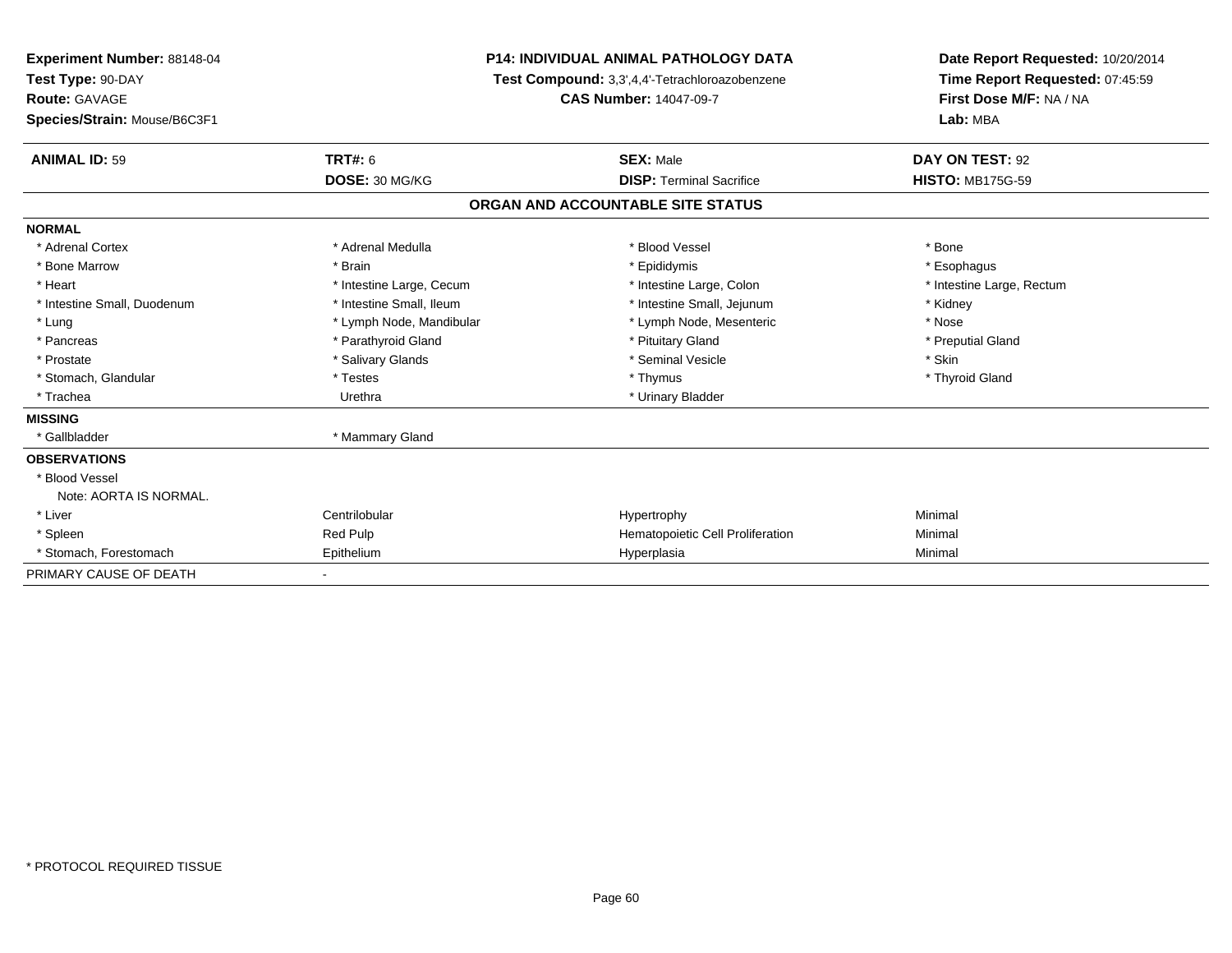| <b>Experiment Number: 88148-04</b> | <b>P14: INDIVIDUAL ANIMAL PATHOLOGY DATA</b> |                                                | Date Report Requested: 10/20/2014 |  |
|------------------------------------|----------------------------------------------|------------------------------------------------|-----------------------------------|--|
| Test Type: 90-DAY                  |                                              | Test Compound: 3,3',4,4'-Tetrachloroazobenzene | Time Report Requested: 07:45:59   |  |
| <b>Route: GAVAGE</b>               | <b>CAS Number: 14047-09-7</b>                |                                                | First Dose M/F: NA / NA           |  |
| Species/Strain: Mouse/B6C3F1       |                                              |                                                | Lab: MBA                          |  |
| <b>ANIMAL ID: 59</b>               | <b>TRT#: 6</b>                               | <b>SEX: Male</b>                               | DAY ON TEST: 92                   |  |
|                                    | DOSE: 30 MG/KG                               | <b>DISP: Terminal Sacrifice</b>                | <b>HISTO: MB175G-59</b>           |  |
|                                    |                                              | ORGAN AND ACCOUNTABLE SITE STATUS              |                                   |  |
| <b>NORMAL</b>                      |                                              |                                                |                                   |  |
| * Adrenal Cortex                   | * Adrenal Medulla                            | * Blood Vessel                                 | * Bone                            |  |
| * Bone Marrow                      | * Brain                                      | * Epididymis                                   | * Esophagus                       |  |
| * Heart                            | * Intestine Large, Cecum                     | * Intestine Large, Colon                       | * Intestine Large, Rectum         |  |
| * Intestine Small, Duodenum        | * Intestine Small, Ileum                     | * Intestine Small, Jejunum                     | * Kidney                          |  |
| * Lung                             | * Lymph Node, Mandibular                     | * Lymph Node, Mesenteric                       | * Nose                            |  |
| * Pancreas                         | * Parathyroid Gland                          | * Pituitary Gland                              | * Preputial Gland                 |  |
| * Prostate                         | * Salivary Glands                            | * Seminal Vesicle                              | * Skin                            |  |
| * Stomach, Glandular               | * Testes                                     | * Thymus                                       | * Thyroid Gland                   |  |
| * Trachea                          | Urethra                                      | * Urinary Bladder                              |                                   |  |
| <b>MISSING</b>                     |                                              |                                                |                                   |  |
| * Gallbladder                      | * Mammary Gland                              |                                                |                                   |  |
| <b>OBSERVATIONS</b>                |                                              |                                                |                                   |  |
| * Blood Vessel                     |                                              |                                                |                                   |  |
| Note: AORTA IS NORMAL.             |                                              |                                                |                                   |  |
| * Liver                            | Centrilobular                                | Hypertrophy                                    | Minimal                           |  |
| * Spleen                           | Red Pulp                                     | Hematopoietic Cell Proliferation               | Minimal                           |  |
| * Stomach, Forestomach             | Epithelium                                   | Hyperplasia                                    | Minimal                           |  |
| PRIMARY CAUSE OF DEATH             |                                              |                                                |                                   |  |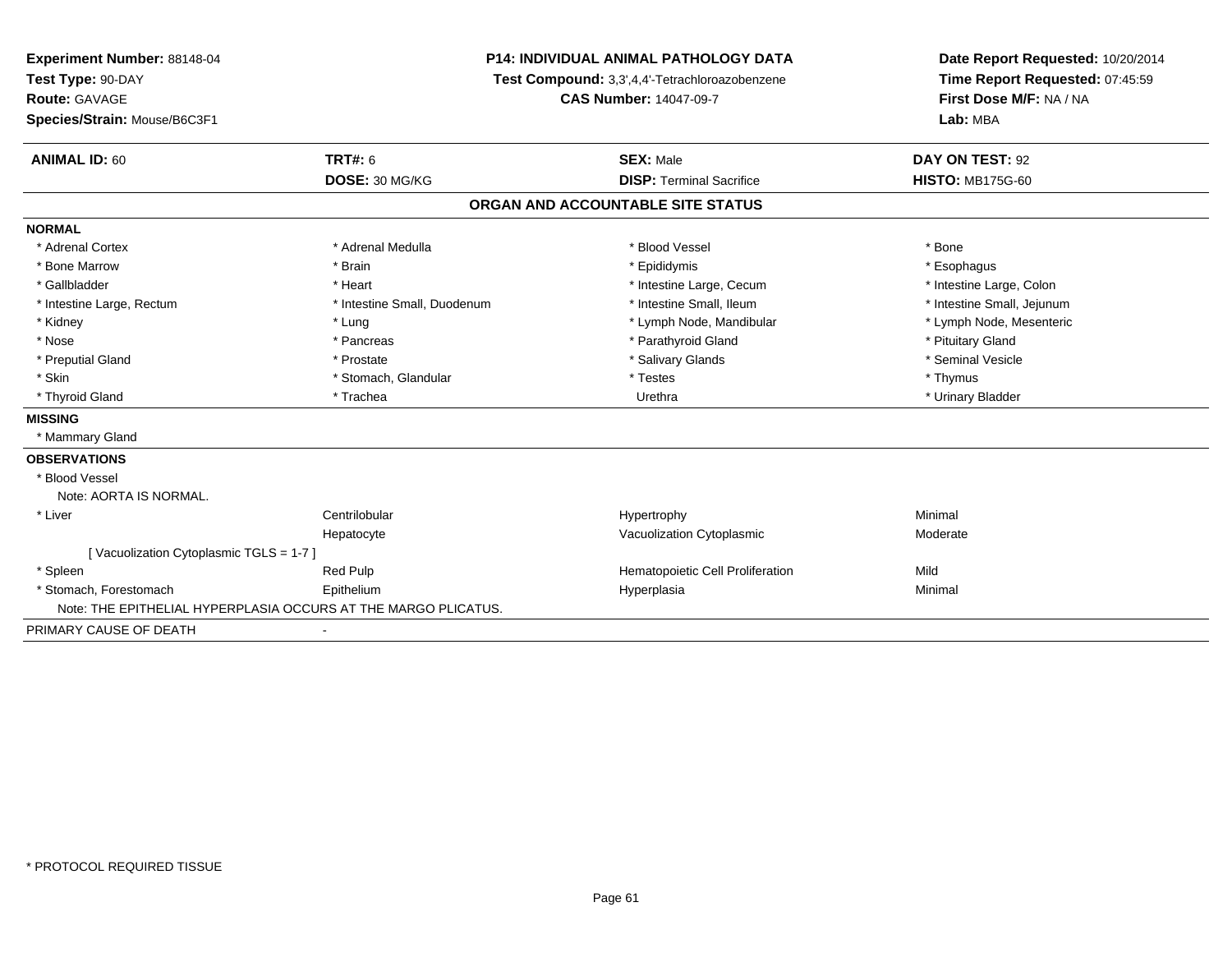| Experiment Number: 88148-04            | <b>P14: INDIVIDUAL ANIMAL PATHOLOGY DATA</b>                   |                                                | Date Report Requested: 10/20/2014 |
|----------------------------------------|----------------------------------------------------------------|------------------------------------------------|-----------------------------------|
| Test Type: 90-DAY                      |                                                                | Test Compound: 3,3',4,4'-Tetrachloroazobenzene | Time Report Requested: 07:45:59   |
| <b>Route: GAVAGE</b>                   |                                                                | <b>CAS Number: 14047-09-7</b>                  | First Dose M/F: NA / NA           |
| Species/Strain: Mouse/B6C3F1           |                                                                |                                                | Lab: MBA                          |
| <b>ANIMAL ID: 60</b>                   | <b>TRT#: 6</b>                                                 | <b>SEX: Male</b>                               | DAY ON TEST: 92                   |
|                                        | DOSE: 30 MG/KG                                                 | <b>DISP: Terminal Sacrifice</b>                | <b>HISTO: MB175G-60</b>           |
|                                        |                                                                | ORGAN AND ACCOUNTABLE SITE STATUS              |                                   |
| <b>NORMAL</b>                          |                                                                |                                                |                                   |
| * Adrenal Cortex                       | * Adrenal Medulla                                              | * Blood Vessel                                 | * Bone                            |
| * Bone Marrow                          | * Brain                                                        | * Epididymis                                   | * Esophagus                       |
| * Gallbladder                          | * Heart                                                        | * Intestine Large, Cecum                       | * Intestine Large, Colon          |
| * Intestine Large, Rectum              | * Intestine Small, Duodenum                                    | * Intestine Small. Ileum                       | * Intestine Small, Jejunum        |
| * Kidney                               | * Lung                                                         | * Lymph Node, Mandibular                       | * Lymph Node, Mesenteric          |
| * Nose                                 | * Pancreas                                                     | * Parathyroid Gland                            | * Pituitary Gland                 |
| * Preputial Gland                      | * Prostate                                                     | * Salivary Glands                              | * Seminal Vesicle                 |
| * Skin                                 | * Stomach, Glandular                                           | * Testes                                       | * Thymus                          |
| * Thyroid Gland                        | * Trachea                                                      | Urethra                                        | * Urinary Bladder                 |
| <b>MISSING</b>                         |                                                                |                                                |                                   |
| * Mammary Gland                        |                                                                |                                                |                                   |
| <b>OBSERVATIONS</b>                    |                                                                |                                                |                                   |
| * Blood Vessel                         |                                                                |                                                |                                   |
| Note: AORTA IS NORMAL.                 |                                                                |                                                |                                   |
| * Liver                                | Centrilobular                                                  | Hypertrophy                                    | Minimal                           |
|                                        | Hepatocyte                                                     | Vacuolization Cytoplasmic                      | Moderate                          |
| [Vacuolization Cytoplasmic TGLS = 1-7] |                                                                |                                                |                                   |
| * Spleen                               | Red Pulp                                                       | Hematopoietic Cell Proliferation               | Mild                              |
| * Stomach. Forestomach                 | Epithelium                                                     | Hyperplasia                                    | Minimal                           |
|                                        | Note: THE EPITHELIAL HYPERPLASIA OCCURS AT THE MARGO PLICATUS. |                                                |                                   |
| PRIMARY CAUSE OF DEATH                 |                                                                |                                                |                                   |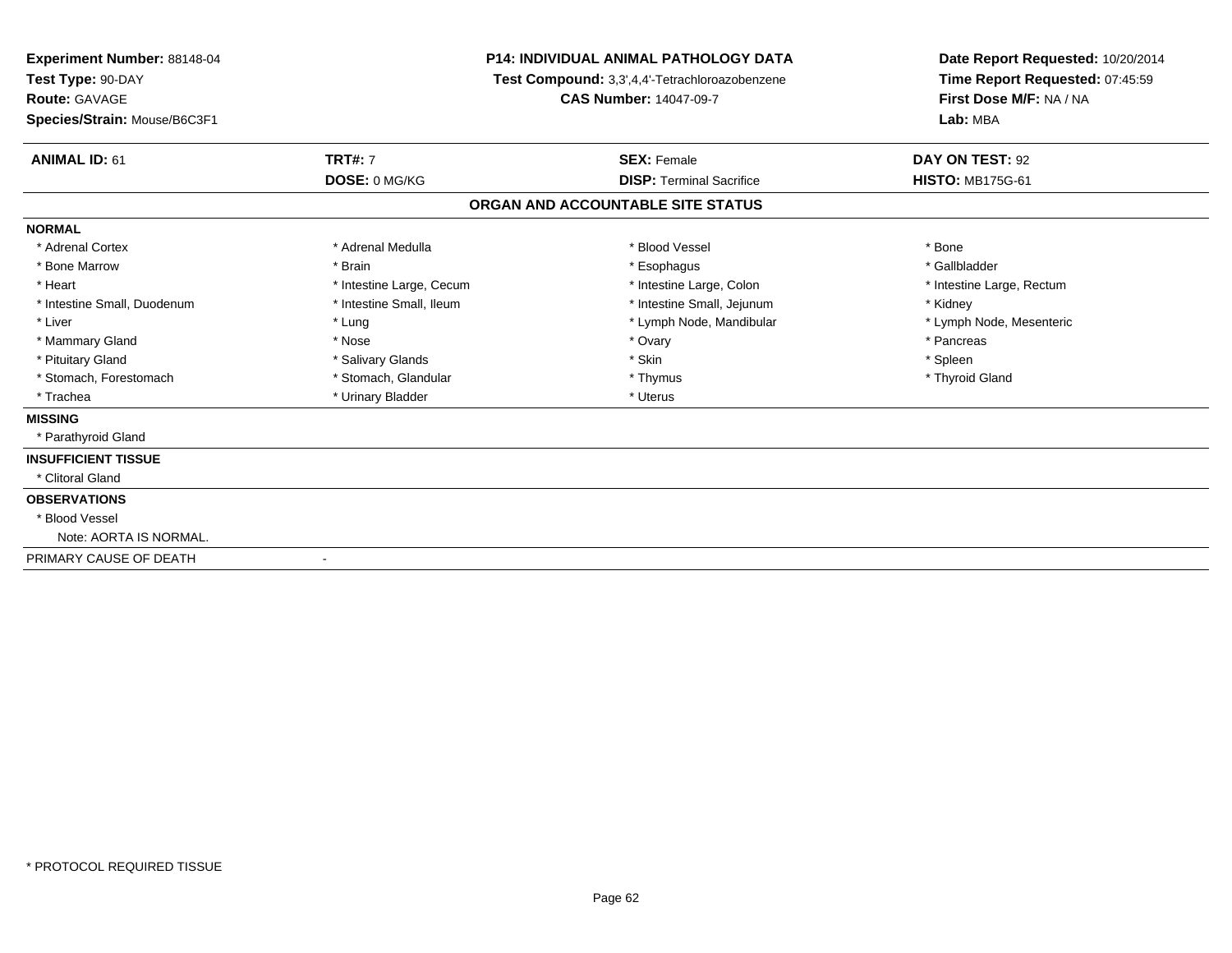| <b>Experiment Number: 88148-04</b><br>Test Type: 90-DAY<br>Route: GAVAGE<br>Species/Strain: Mouse/B6C3F1 | <b>P14: INDIVIDUAL ANIMAL PATHOLOGY DATA</b><br>Test Compound: 3,3',4,4'-Tetrachloroazobenzene<br><b>CAS Number: 14047-09-7</b> |                                   | Date Report Requested: 10/20/2014<br>Time Report Requested: 07:45:59<br>First Dose M/F: NA / NA<br>Lab: MBA |  |
|----------------------------------------------------------------------------------------------------------|---------------------------------------------------------------------------------------------------------------------------------|-----------------------------------|-------------------------------------------------------------------------------------------------------------|--|
| <b>TRT#: 7</b><br><b>ANIMAL ID: 61</b>                                                                   |                                                                                                                                 | <b>SEX: Female</b>                | DAY ON TEST: 92                                                                                             |  |
| DOSE: 0 MG/KG                                                                                            |                                                                                                                                 | <b>DISP: Terminal Sacrifice</b>   | <b>HISTO: MB175G-61</b>                                                                                     |  |
|                                                                                                          |                                                                                                                                 | ORGAN AND ACCOUNTABLE SITE STATUS |                                                                                                             |  |
| <b>NORMAL</b>                                                                                            |                                                                                                                                 |                                   |                                                                                                             |  |
| * Adrenal Cortex                                                                                         | * Adrenal Medulla                                                                                                               | * Blood Vessel                    | * Bone                                                                                                      |  |
| * Bone Marrow<br>* Brain                                                                                 |                                                                                                                                 | * Esophagus                       | * Gallbladder                                                                                               |  |
| * Heart                                                                                                  | * Intestine Large, Cecum                                                                                                        | * Intestine Large, Colon          | * Intestine Large, Rectum                                                                                   |  |
| * Intestine Small, Duodenum                                                                              | * Intestine Small, Ileum                                                                                                        | * Intestine Small, Jejunum        | * Kidney                                                                                                    |  |
| * Liver<br>* Lung                                                                                        |                                                                                                                                 | * Lymph Node, Mandibular          | * Lymph Node, Mesenteric                                                                                    |  |
| * Mammary Gland<br>* Nose                                                                                |                                                                                                                                 | * Ovary                           | * Pancreas                                                                                                  |  |
| * Pituitary Gland                                                                                        | * Salivary Glands                                                                                                               | * Skin                            | * Spleen                                                                                                    |  |
| * Stomach, Forestomach                                                                                   | * Stomach, Glandular                                                                                                            | * Thymus                          | * Thyroid Gland                                                                                             |  |
| * Trachea                                                                                                | * Urinary Bladder                                                                                                               | * Uterus                          |                                                                                                             |  |
| <b>MISSING</b>                                                                                           |                                                                                                                                 |                                   |                                                                                                             |  |
| * Parathyroid Gland                                                                                      |                                                                                                                                 |                                   |                                                                                                             |  |
| <b>INSUFFICIENT TISSUE</b>                                                                               |                                                                                                                                 |                                   |                                                                                                             |  |
| * Clitoral Gland                                                                                         |                                                                                                                                 |                                   |                                                                                                             |  |
| <b>OBSERVATIONS</b>                                                                                      |                                                                                                                                 |                                   |                                                                                                             |  |
| * Blood Vessel                                                                                           |                                                                                                                                 |                                   |                                                                                                             |  |
| Note: AORTA IS NORMAL.                                                                                   |                                                                                                                                 |                                   |                                                                                                             |  |
| PRIMARY CAUSE OF DEATH                                                                                   |                                                                                                                                 |                                   |                                                                                                             |  |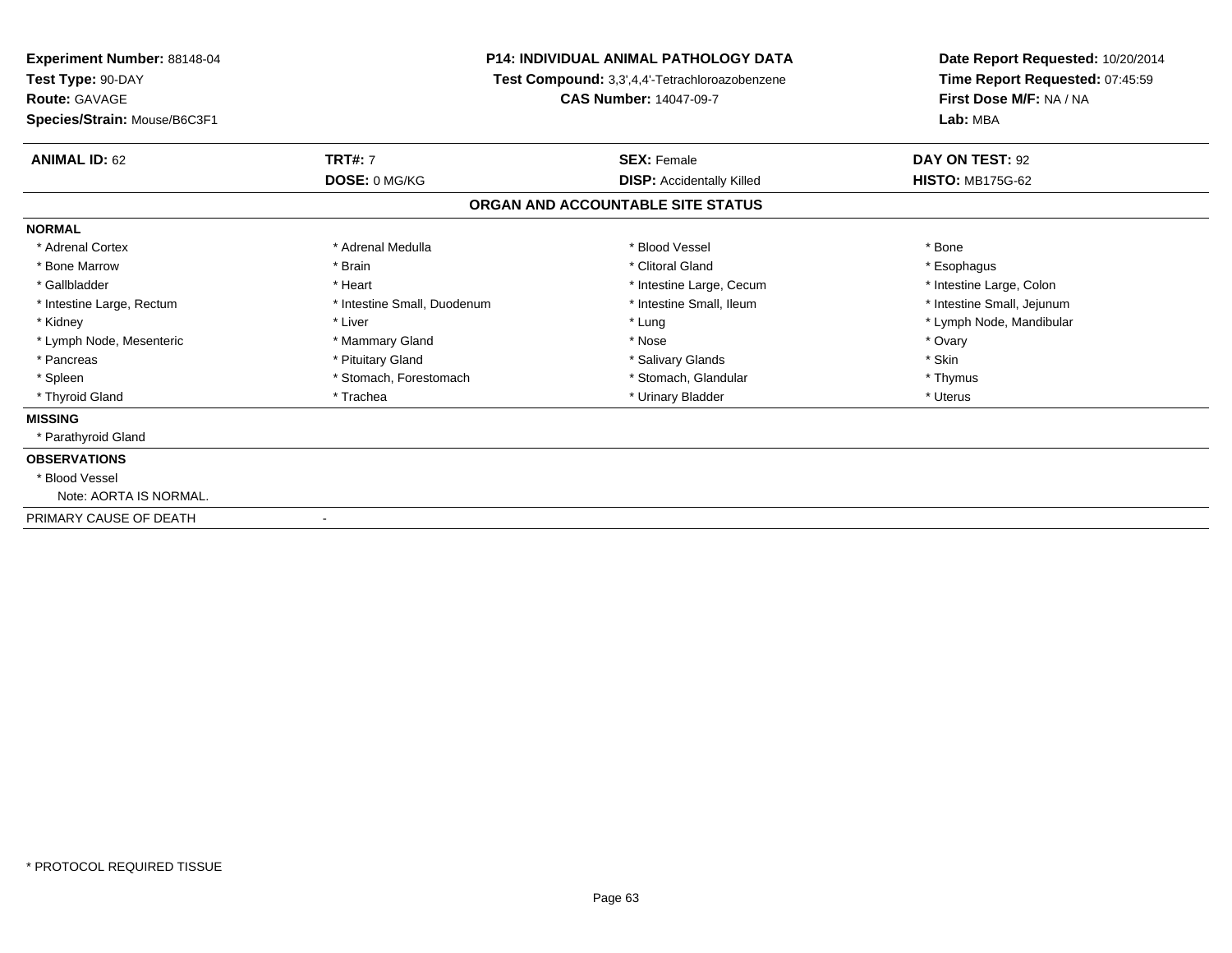| <b>Experiment Number: 88148-04</b><br>Test Type: 90-DAY |                              | <b>P14: INDIVIDUAL ANIMAL PATHOLOGY DATA</b><br>Test Compound: 3,3',4,4'-Tetrachloroazobenzene | Date Report Requested: 10/20/2014<br>Time Report Requested: 07:45:59<br>First Dose M/F: NA / NA<br>Lab: MBA |
|---------------------------------------------------------|------------------------------|------------------------------------------------------------------------------------------------|-------------------------------------------------------------------------------------------------------------|
| Route: GAVAGE<br>Species/Strain: Mouse/B6C3F1           |                              | <b>CAS Number: 14047-09-7</b>                                                                  |                                                                                                             |
| <b>ANIMAL ID: 62</b>                                    | <b>TRT#: 7</b>               | <b>SEX: Female</b>                                                                             | DAY ON TEST: 92                                                                                             |
|                                                         | DOSE: 0 MG/KG                | <b>DISP:</b> Accidentally Killed                                                               | <b>HISTO: MB175G-62</b>                                                                                     |
|                                                         |                              | ORGAN AND ACCOUNTABLE SITE STATUS                                                              |                                                                                                             |
| <b>NORMAL</b>                                           |                              |                                                                                                |                                                                                                             |
| * Adrenal Cortex                                        | * Adrenal Medulla            | * Blood Vessel                                                                                 | * Bone                                                                                                      |
| * Bone Marrow                                           | * Brain                      | * Clitoral Gland                                                                               | * Esophagus                                                                                                 |
| * Gallbladder                                           | * Heart                      | * Intestine Large, Cecum                                                                       | * Intestine Large, Colon                                                                                    |
| * Intestine Large, Rectum                               | * Intestine Small, Duodenum  | * Intestine Small, Ileum                                                                       | * Intestine Small, Jejunum                                                                                  |
| * Kidney                                                | * Liver                      | * Lung                                                                                         | * Lymph Node, Mandibular                                                                                    |
| * Lymph Node, Mesenteric                                | * Mammary Gland              | * Nose                                                                                         | * Ovary                                                                                                     |
| * Pancreas                                              | * Pituitary Gland            | * Salivary Glands                                                                              | * Skin                                                                                                      |
| * Spleen                                                | * Stomach, Forestomach       | * Stomach, Glandular                                                                           | * Thymus                                                                                                    |
| * Thyroid Gland                                         | * Trachea                    | * Urinary Bladder                                                                              | * Uterus                                                                                                    |
| <b>MISSING</b>                                          |                              |                                                                                                |                                                                                                             |
| * Parathyroid Gland                                     |                              |                                                                                                |                                                                                                             |
| <b>OBSERVATIONS</b>                                     |                              |                                                                                                |                                                                                                             |
| * Blood Vessel                                          |                              |                                                                                                |                                                                                                             |
| Note: AORTA IS NORMAL.                                  |                              |                                                                                                |                                                                                                             |
| PRIMARY CAUSE OF DEATH                                  | $\qquad \qquad \blacksquare$ |                                                                                                |                                                                                                             |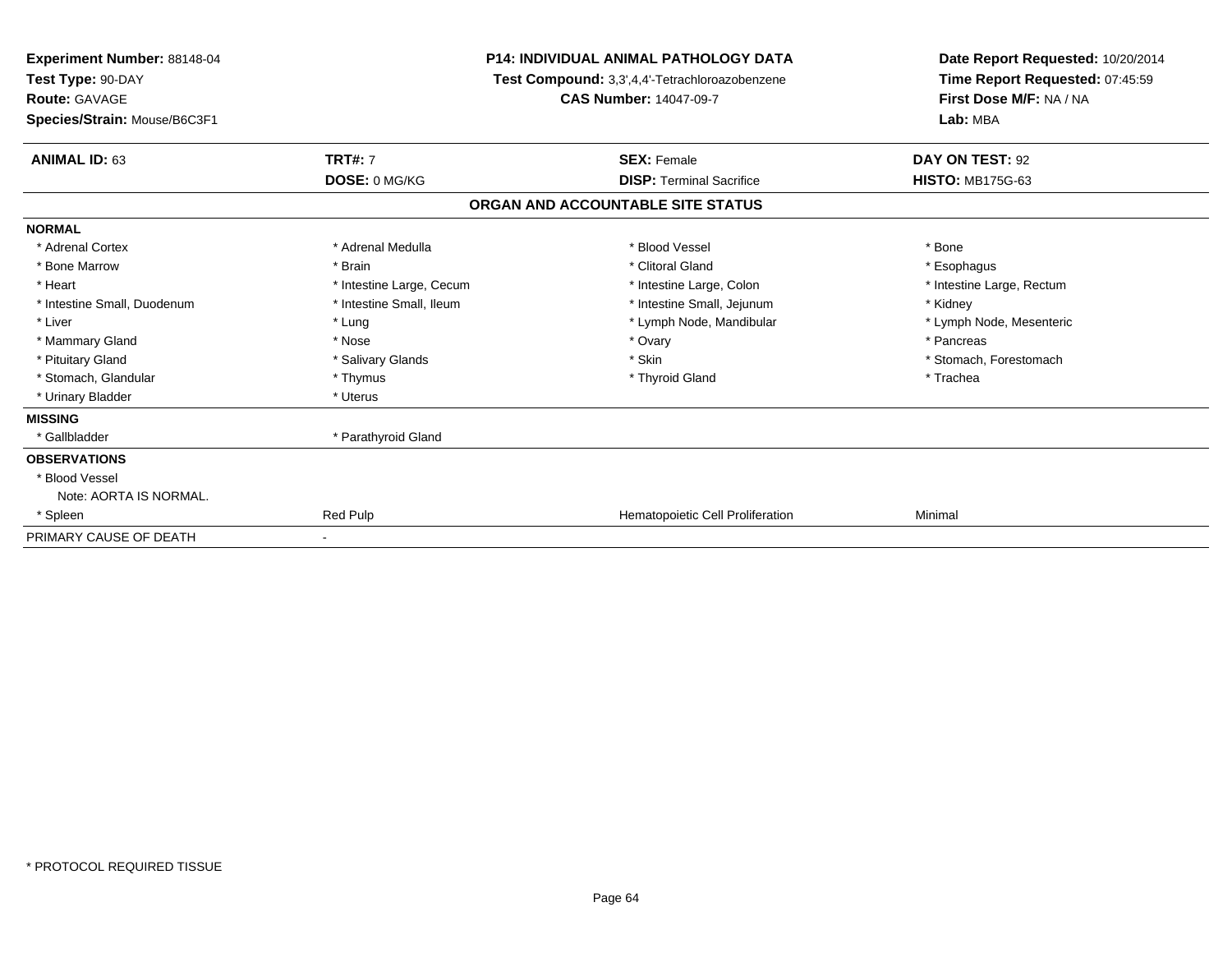| Experiment Number: 88148-04<br>Test Type: 90-DAY<br><b>Route: GAVAGE</b><br>Species/Strain: Mouse/B6C3F1 | <b>P14: INDIVIDUAL ANIMAL PATHOLOGY DATA</b><br>Test Compound: 3,3',4,4'-Tetrachloroazobenzene<br><b>CAS Number: 14047-09-7</b> |                                   | Date Report Requested: 10/20/2014<br>Time Report Requested: 07:45:59<br>First Dose M/F: NA / NA<br>Lab: MBA |  |
|----------------------------------------------------------------------------------------------------------|---------------------------------------------------------------------------------------------------------------------------------|-----------------------------------|-------------------------------------------------------------------------------------------------------------|--|
| <b>ANIMAL ID: 63</b>                                                                                     | <b>TRT#: 7</b>                                                                                                                  | <b>SEX: Female</b>                | DAY ON TEST: 92                                                                                             |  |
|                                                                                                          | DOSE: 0 MG/KG                                                                                                                   | <b>DISP: Terminal Sacrifice</b>   | <b>HISTO: MB175G-63</b>                                                                                     |  |
|                                                                                                          |                                                                                                                                 | ORGAN AND ACCOUNTABLE SITE STATUS |                                                                                                             |  |
| <b>NORMAL</b>                                                                                            |                                                                                                                                 |                                   |                                                                                                             |  |
| * Adrenal Cortex                                                                                         | * Adrenal Medulla                                                                                                               | * Blood Vessel                    | * Bone                                                                                                      |  |
| * Bone Marrow                                                                                            | * Brain                                                                                                                         | * Clitoral Gland                  | * Esophagus                                                                                                 |  |
| * Heart                                                                                                  | * Intestine Large, Cecum                                                                                                        | * Intestine Large, Colon          | * Intestine Large, Rectum                                                                                   |  |
| * Intestine Small, Duodenum                                                                              | * Intestine Small, Ileum                                                                                                        | * Intestine Small, Jejunum        | * Kidney                                                                                                    |  |
| * Liver                                                                                                  | * Lung                                                                                                                          | * Lymph Node, Mandibular          | * Lymph Node, Mesenteric                                                                                    |  |
| * Mammary Gland                                                                                          | * Nose                                                                                                                          | * Ovary                           | * Pancreas                                                                                                  |  |
| * Pituitary Gland                                                                                        | * Salivary Glands                                                                                                               | * Skin                            | * Stomach, Forestomach                                                                                      |  |
| * Stomach, Glandular                                                                                     | * Thymus                                                                                                                        | * Thyroid Gland                   | * Trachea                                                                                                   |  |
| * Urinary Bladder                                                                                        | * Uterus                                                                                                                        |                                   |                                                                                                             |  |
| <b>MISSING</b>                                                                                           |                                                                                                                                 |                                   |                                                                                                             |  |
| * Gallbladder                                                                                            | * Parathyroid Gland                                                                                                             |                                   |                                                                                                             |  |
| <b>OBSERVATIONS</b>                                                                                      |                                                                                                                                 |                                   |                                                                                                             |  |
| * Blood Vessel                                                                                           |                                                                                                                                 |                                   |                                                                                                             |  |
| Note: AORTA IS NORMAL.                                                                                   |                                                                                                                                 |                                   |                                                                                                             |  |
| * Spleen                                                                                                 | Red Pulp                                                                                                                        | Hematopoietic Cell Proliferation  | Minimal                                                                                                     |  |
| PRIMARY CAUSE OF DEATH                                                                                   |                                                                                                                                 |                                   |                                                                                                             |  |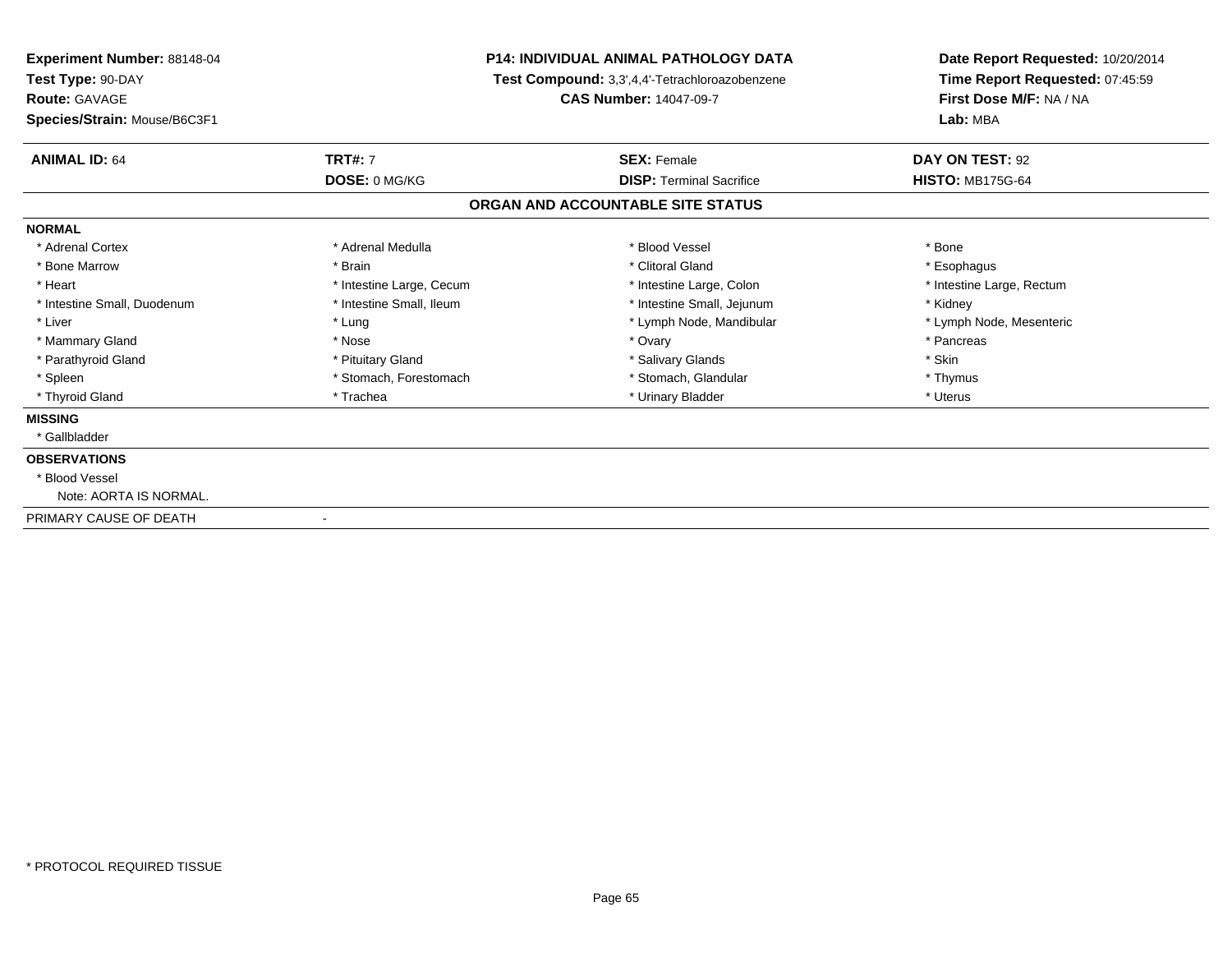| <b>Experiment Number: 88148-04</b><br>Test Type: 90-DAY |                          | <b>P14: INDIVIDUAL ANIMAL PATHOLOGY DATA</b>   | Date Report Requested: 10/20/2014<br>Time Report Requested: 07:45:59 |
|---------------------------------------------------------|--------------------------|------------------------------------------------|----------------------------------------------------------------------|
|                                                         |                          | Test Compound: 3,3',4,4'-Tetrachloroazobenzene |                                                                      |
| <b>Route: GAVAGE</b>                                    |                          | <b>CAS Number: 14047-09-7</b>                  | First Dose M/F: NA / NA                                              |
| Species/Strain: Mouse/B6C3F1                            |                          |                                                | Lab: MBA                                                             |
| <b>ANIMAL ID: 64</b>                                    | <b>TRT#: 7</b>           | <b>SEX: Female</b>                             | DAY ON TEST: 92                                                      |
|                                                         | DOSE: 0 MG/KG            | <b>DISP: Terminal Sacrifice</b>                | <b>HISTO: MB175G-64</b>                                              |
|                                                         |                          | ORGAN AND ACCOUNTABLE SITE STATUS              |                                                                      |
| <b>NORMAL</b>                                           |                          |                                                |                                                                      |
| * Adrenal Cortex                                        | * Adrenal Medulla        | * Blood Vessel                                 | * Bone                                                               |
| * Bone Marrow                                           | * Brain                  | * Clitoral Gland                               | * Esophagus                                                          |
| * Heart                                                 | * Intestine Large, Cecum | * Intestine Large, Colon                       | * Intestine Large, Rectum                                            |
| * Intestine Small, Duodenum                             | * Intestine Small, Ileum | * Intestine Small, Jejunum                     | * Kidney                                                             |
| * Liver                                                 | * Lung                   | * Lymph Node, Mandibular                       | * Lymph Node, Mesenteric                                             |
| * Mammary Gland                                         | * Nose                   | * Ovary                                        | * Pancreas                                                           |
| * Parathyroid Gland                                     | * Pituitary Gland        | * Salivary Glands                              | * Skin                                                               |
| * Spleen                                                | * Stomach, Forestomach   | * Stomach, Glandular                           | * Thymus                                                             |
| * Thyroid Gland                                         | * Trachea                | * Urinary Bladder                              | * Uterus                                                             |
| <b>MISSING</b>                                          |                          |                                                |                                                                      |
| * Gallbladder                                           |                          |                                                |                                                                      |
| <b>OBSERVATIONS</b>                                     |                          |                                                |                                                                      |
| * Blood Vessel                                          |                          |                                                |                                                                      |
| Note: AORTA IS NORMAL.                                  |                          |                                                |                                                                      |
| PRIMARY CAUSE OF DEATH                                  |                          |                                                |                                                                      |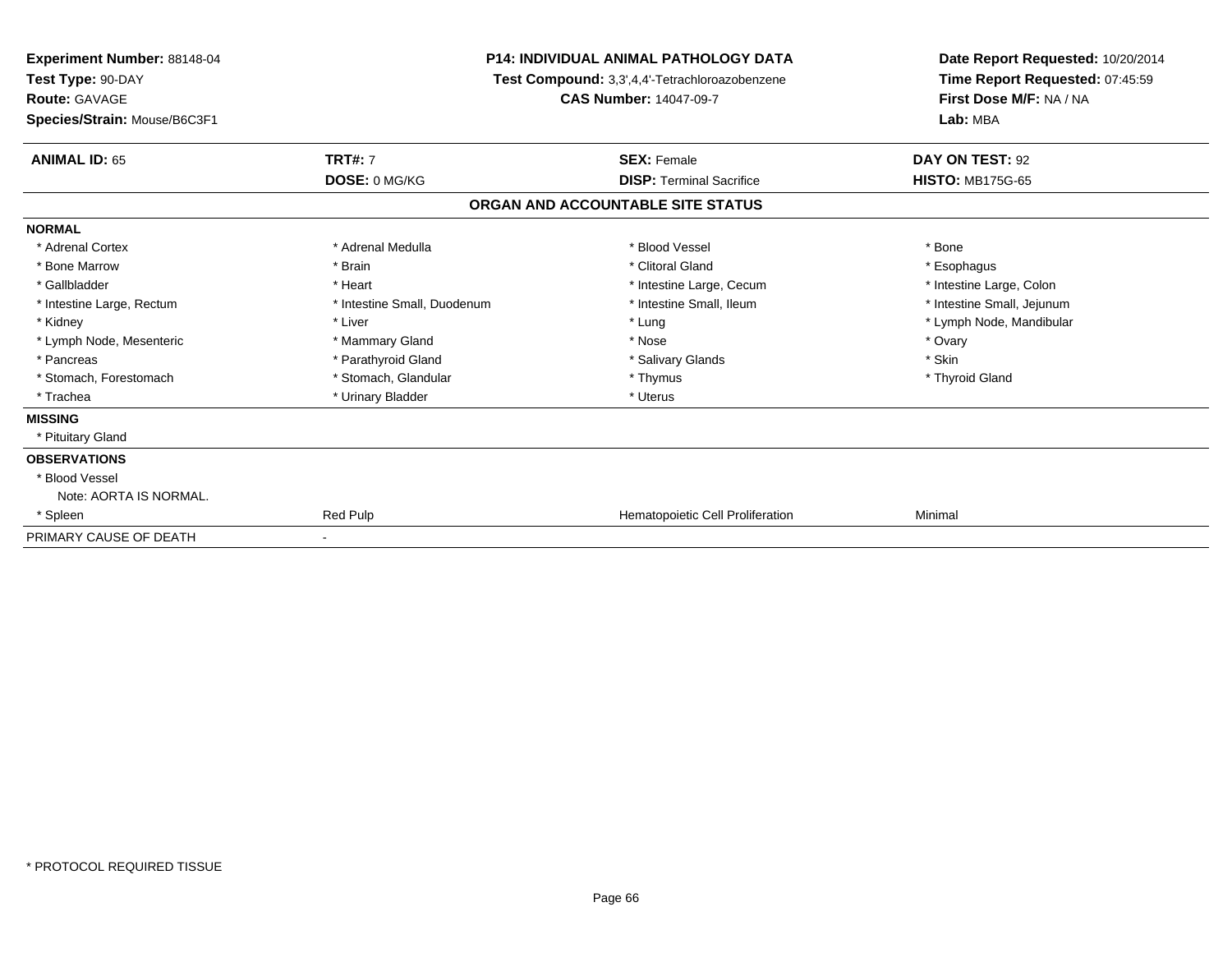| Experiment Number: 88148-04<br>Test Type: 90-DAY<br><b>Route: GAVAGE</b> |                             | <b>P14: INDIVIDUAL ANIMAL PATHOLOGY DATA</b><br>Test Compound: 3,3',4,4'-Tetrachloroazobenzene<br><b>CAS Number: 14047-09-7</b> | Date Report Requested: 10/20/2014<br>Time Report Requested: 07:45:59<br>First Dose M/F: NA / NA |
|--------------------------------------------------------------------------|-----------------------------|---------------------------------------------------------------------------------------------------------------------------------|-------------------------------------------------------------------------------------------------|
| Species/Strain: Mouse/B6C3F1                                             |                             |                                                                                                                                 | Lab: MBA                                                                                        |
| <b>ANIMAL ID: 65</b>                                                     | <b>TRT#: 7</b>              | <b>SEX: Female</b>                                                                                                              | DAY ON TEST: 92                                                                                 |
|                                                                          | DOSE: 0 MG/KG               | <b>DISP: Terminal Sacrifice</b>                                                                                                 | <b>HISTO: MB175G-65</b>                                                                         |
|                                                                          |                             | ORGAN AND ACCOUNTABLE SITE STATUS                                                                                               |                                                                                                 |
| <b>NORMAL</b>                                                            |                             |                                                                                                                                 |                                                                                                 |
| * Adrenal Cortex                                                         | * Adrenal Medulla           | * Blood Vessel                                                                                                                  | * Bone                                                                                          |
| * Bone Marrow                                                            | * Brain                     | * Clitoral Gland                                                                                                                | * Esophagus                                                                                     |
| * Gallbladder                                                            | * Heart                     | * Intestine Large, Cecum                                                                                                        | * Intestine Large, Colon                                                                        |
| * Intestine Large, Rectum                                                | * Intestine Small, Duodenum | * Intestine Small, Ileum                                                                                                        | * Intestine Small, Jejunum                                                                      |
| * Kidney                                                                 | * Liver                     | * Lung                                                                                                                          | * Lymph Node, Mandibular                                                                        |
| * Lymph Node, Mesenteric                                                 | * Mammary Gland             | * Nose                                                                                                                          | * Ovary                                                                                         |
| * Pancreas                                                               | * Parathyroid Gland         | * Salivary Glands                                                                                                               | * Skin                                                                                          |
| * Stomach, Forestomach                                                   | * Stomach, Glandular        | * Thymus                                                                                                                        | * Thyroid Gland                                                                                 |
| * Trachea                                                                | * Urinary Bladder           | * Uterus                                                                                                                        |                                                                                                 |
| <b>MISSING</b>                                                           |                             |                                                                                                                                 |                                                                                                 |
| * Pituitary Gland                                                        |                             |                                                                                                                                 |                                                                                                 |
| <b>OBSERVATIONS</b>                                                      |                             |                                                                                                                                 |                                                                                                 |
| * Blood Vessel                                                           |                             |                                                                                                                                 |                                                                                                 |
| Note: AORTA IS NORMAL.                                                   |                             |                                                                                                                                 |                                                                                                 |
| * Spleen                                                                 | Red Pulp                    | <b>Hematopoietic Cell Proliferation</b>                                                                                         | Minimal                                                                                         |
| PRIMARY CAUSE OF DEATH                                                   |                             |                                                                                                                                 |                                                                                                 |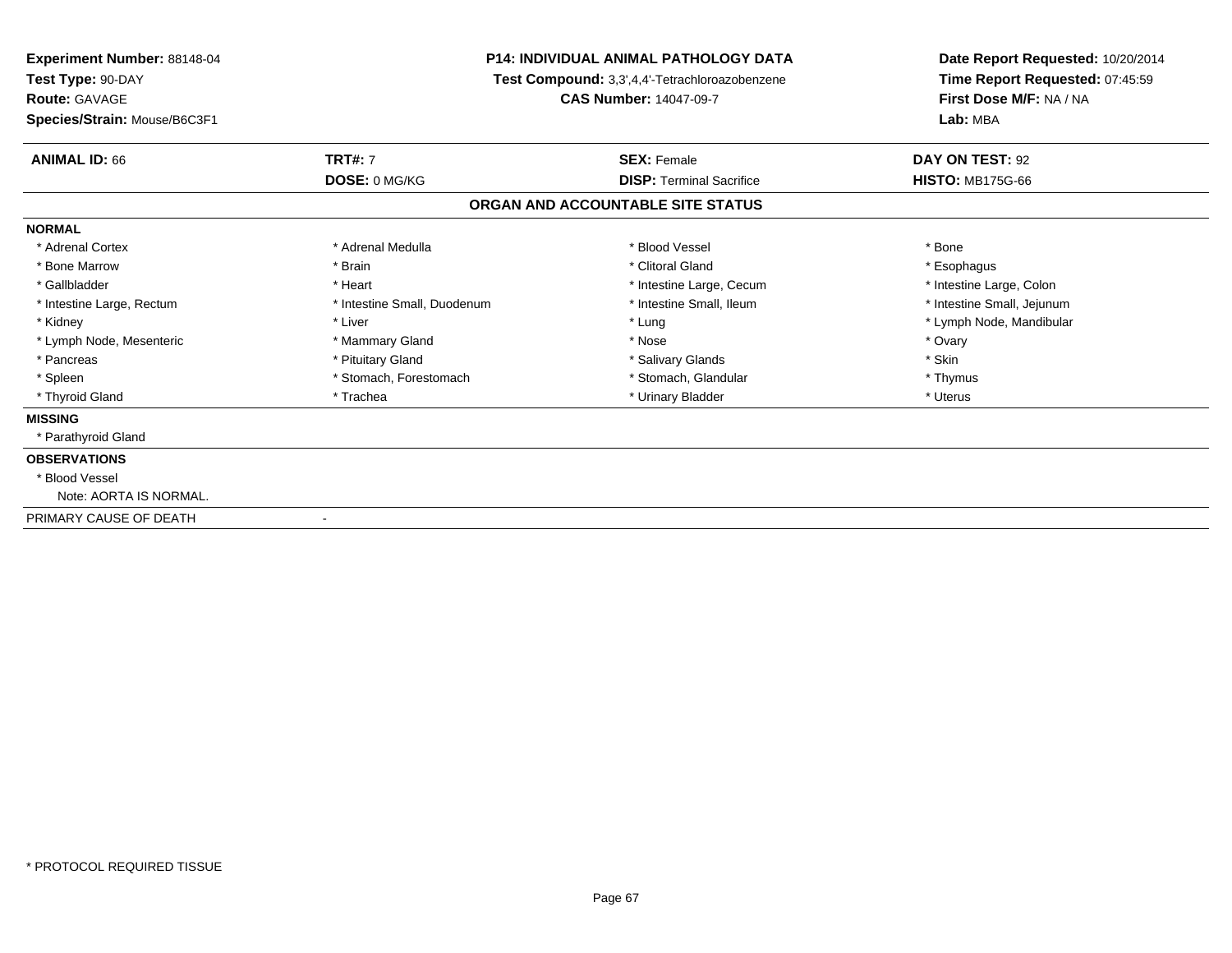| <b>Experiment Number: 88148-04</b><br>Test Type: 90-DAY |                             | <b>P14: INDIVIDUAL ANIMAL PATHOLOGY DATA</b><br>Test Compound: 3,3',4,4'-Tetrachloroazobenzene | Date Report Requested: 10/20/2014<br>Time Report Requested: 07:45:59<br>First Dose M/F: NA / NA<br>Lab: MBA |
|---------------------------------------------------------|-----------------------------|------------------------------------------------------------------------------------------------|-------------------------------------------------------------------------------------------------------------|
| Route: GAVAGE<br>Species/Strain: Mouse/B6C3F1           |                             | <b>CAS Number: 14047-09-7</b>                                                                  |                                                                                                             |
| <b>ANIMAL ID: 66</b>                                    | <b>TRT#: 7</b>              | <b>SEX: Female</b>                                                                             | DAY ON TEST: 92                                                                                             |
|                                                         | DOSE: 0 MG/KG               | <b>DISP: Terminal Sacrifice</b>                                                                | <b>HISTO: MB175G-66</b>                                                                                     |
|                                                         |                             | ORGAN AND ACCOUNTABLE SITE STATUS                                                              |                                                                                                             |
| <b>NORMAL</b>                                           |                             |                                                                                                |                                                                                                             |
| * Adrenal Cortex                                        | * Adrenal Medulla           | * Blood Vessel                                                                                 | * Bone                                                                                                      |
| * Bone Marrow                                           | * Brain                     | * Clitoral Gland                                                                               | * Esophagus                                                                                                 |
| * Gallbladder                                           | * Heart                     | * Intestine Large, Cecum                                                                       | * Intestine Large, Colon                                                                                    |
| * Intestine Large, Rectum                               | * Intestine Small, Duodenum | * Intestine Small, Ileum                                                                       | * Intestine Small, Jejunum                                                                                  |
| * Kidney                                                | * Liver                     | * Lung                                                                                         | * Lymph Node, Mandibular                                                                                    |
| * Lymph Node, Mesenteric                                | * Mammary Gland             | * Nose                                                                                         | * Ovary                                                                                                     |
| * Pancreas                                              | * Pituitary Gland           | * Salivary Glands                                                                              | * Skin                                                                                                      |
| * Spleen                                                | * Stomach, Forestomach      | * Stomach, Glandular                                                                           | * Thymus                                                                                                    |
| * Thyroid Gland                                         | * Trachea                   | * Urinary Bladder                                                                              | * Uterus                                                                                                    |
| <b>MISSING</b>                                          |                             |                                                                                                |                                                                                                             |
| * Parathyroid Gland                                     |                             |                                                                                                |                                                                                                             |
| <b>OBSERVATIONS</b>                                     |                             |                                                                                                |                                                                                                             |
| * Blood Vessel                                          |                             |                                                                                                |                                                                                                             |
| Note: AORTA IS NORMAL.                                  |                             |                                                                                                |                                                                                                             |
| PRIMARY CAUSE OF DEATH                                  |                             |                                                                                                |                                                                                                             |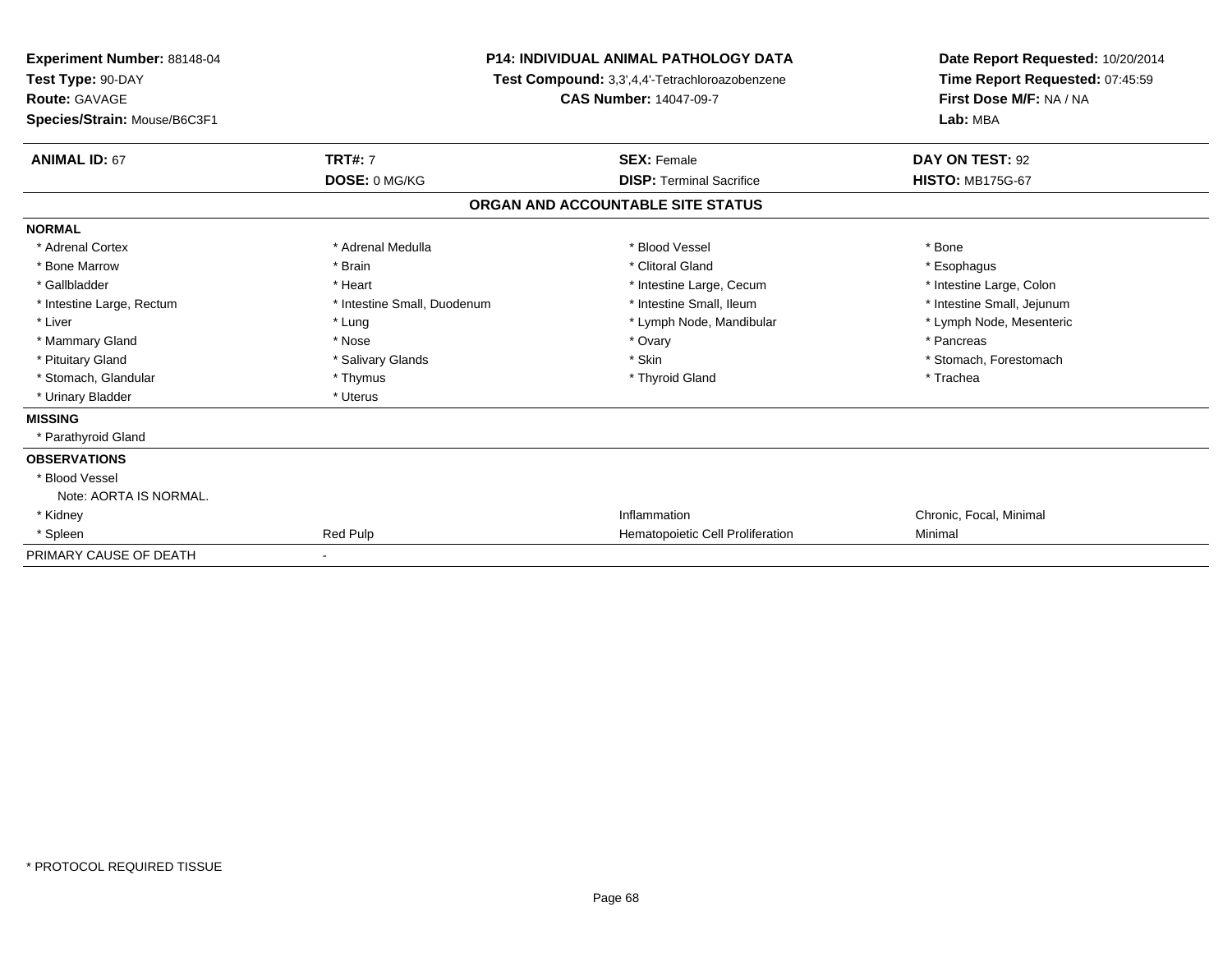| Experiment Number: 88148-04<br>Test Type: 90-DAY<br>Route: GAVAGE<br>Species/Strain: Mouse/B6C3F1 | <b>P14: INDIVIDUAL ANIMAL PATHOLOGY DATA</b><br>Test Compound: 3,3',4,4'-Tetrachloroazobenzene<br><b>CAS Number: 14047-09-7</b> |                                   | Date Report Requested: 10/20/2014<br>Time Report Requested: 07:45:59<br>First Dose M/F: NA / NA<br>Lab: MBA |  |
|---------------------------------------------------------------------------------------------------|---------------------------------------------------------------------------------------------------------------------------------|-----------------------------------|-------------------------------------------------------------------------------------------------------------|--|
| <b>ANIMAL ID: 67</b>                                                                              | <b>TRT#: 7</b>                                                                                                                  | <b>SEX: Female</b>                | DAY ON TEST: 92                                                                                             |  |
|                                                                                                   | DOSE: 0 MG/KG                                                                                                                   | <b>DISP: Terminal Sacrifice</b>   | <b>HISTO: MB175G-67</b>                                                                                     |  |
|                                                                                                   |                                                                                                                                 | ORGAN AND ACCOUNTABLE SITE STATUS |                                                                                                             |  |
| <b>NORMAL</b>                                                                                     |                                                                                                                                 |                                   |                                                                                                             |  |
| * Adrenal Cortex                                                                                  | * Adrenal Medulla                                                                                                               | * Blood Vessel                    | * Bone                                                                                                      |  |
| * Bone Marrow                                                                                     | * Brain                                                                                                                         | * Clitoral Gland                  | * Esophagus                                                                                                 |  |
| * Gallbladder                                                                                     | * Heart                                                                                                                         | * Intestine Large, Cecum          | * Intestine Large, Colon                                                                                    |  |
| * Intestine Large, Rectum                                                                         | * Intestine Small, Duodenum                                                                                                     | * Intestine Small, Ileum          | * Intestine Small, Jejunum                                                                                  |  |
| * Liver                                                                                           | * Lung                                                                                                                          | * Lymph Node, Mandibular          | * Lymph Node, Mesenteric                                                                                    |  |
| * Mammary Gland                                                                                   | * Nose                                                                                                                          | * Ovary                           | * Pancreas                                                                                                  |  |
| * Pituitary Gland                                                                                 | * Salivary Glands                                                                                                               | * Skin                            | * Stomach, Forestomach                                                                                      |  |
| * Stomach, Glandular                                                                              | * Thymus                                                                                                                        | * Thyroid Gland                   | * Trachea                                                                                                   |  |
| * Urinary Bladder                                                                                 | * Uterus                                                                                                                        |                                   |                                                                                                             |  |
| <b>MISSING</b>                                                                                    |                                                                                                                                 |                                   |                                                                                                             |  |
| * Parathyroid Gland                                                                               |                                                                                                                                 |                                   |                                                                                                             |  |
| <b>OBSERVATIONS</b>                                                                               |                                                                                                                                 |                                   |                                                                                                             |  |
| * Blood Vessel                                                                                    |                                                                                                                                 |                                   |                                                                                                             |  |
| Note: AORTA IS NORMAL.                                                                            |                                                                                                                                 |                                   |                                                                                                             |  |
| * Kidney                                                                                          |                                                                                                                                 | Inflammation                      | Chronic, Focal, Minimal                                                                                     |  |
| * Spleen                                                                                          | Red Pulp                                                                                                                        | Hematopoietic Cell Proliferation  | Minimal                                                                                                     |  |
| PRIMARY CAUSE OF DEATH                                                                            |                                                                                                                                 |                                   |                                                                                                             |  |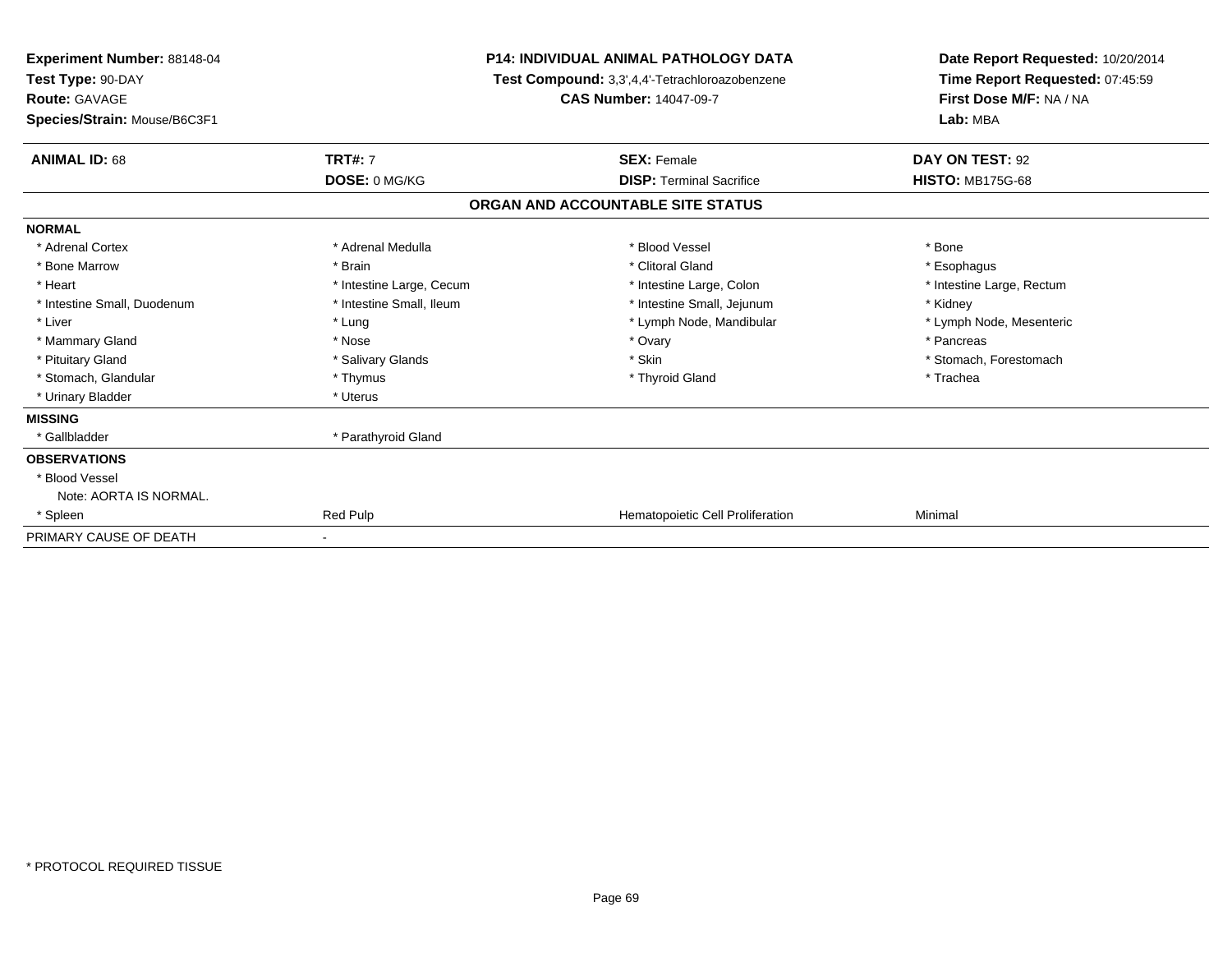| <b>Experiment Number: 88148-04</b><br>Test Type: 90-DAY<br><b>Route: GAVAGE</b><br>Species/Strain: Mouse/B6C3F1 | P14: INDIVIDUAL ANIMAL PATHOLOGY DATA<br>Test Compound: 3,3',4,4'-Tetrachloroazobenzene<br><b>CAS Number: 14047-09-7</b> |                                   | Date Report Requested: 10/20/2014<br>Time Report Requested: 07:45:59<br>First Dose M/F: NA / NA<br>Lab: MBA |  |
|-----------------------------------------------------------------------------------------------------------------|--------------------------------------------------------------------------------------------------------------------------|-----------------------------------|-------------------------------------------------------------------------------------------------------------|--|
| <b>ANIMAL ID: 68</b>                                                                                            | <b>TRT#: 7</b>                                                                                                           | <b>SEX: Female</b>                | DAY ON TEST: 92                                                                                             |  |
|                                                                                                                 | DOSE: 0 MG/KG                                                                                                            | <b>DISP: Terminal Sacrifice</b>   | <b>HISTO: MB175G-68</b>                                                                                     |  |
|                                                                                                                 |                                                                                                                          | ORGAN AND ACCOUNTABLE SITE STATUS |                                                                                                             |  |
| <b>NORMAL</b>                                                                                                   |                                                                                                                          |                                   |                                                                                                             |  |
| * Adrenal Cortex                                                                                                | * Adrenal Medulla                                                                                                        | * Blood Vessel                    | * Bone                                                                                                      |  |
| * Bone Marrow                                                                                                   | * Brain                                                                                                                  | * Clitoral Gland                  | * Esophagus                                                                                                 |  |
| * Heart                                                                                                         | * Intestine Large, Cecum                                                                                                 | * Intestine Large, Colon          | * Intestine Large, Rectum                                                                                   |  |
| * Intestine Small, Duodenum                                                                                     | * Intestine Small, Ileum                                                                                                 | * Intestine Small, Jejunum        | * Kidney                                                                                                    |  |
| * Liver                                                                                                         | * Lung                                                                                                                   | * Lymph Node, Mandibular          | * Lymph Node, Mesenteric                                                                                    |  |
| * Mammary Gland                                                                                                 | * Nose                                                                                                                   | * Ovary                           | * Pancreas                                                                                                  |  |
| * Pituitary Gland                                                                                               | * Salivary Glands                                                                                                        | * Skin                            | * Stomach, Forestomach                                                                                      |  |
| * Stomach, Glandular                                                                                            | * Thymus                                                                                                                 | * Thyroid Gland                   | * Trachea                                                                                                   |  |
| * Urinary Bladder                                                                                               | * Uterus                                                                                                                 |                                   |                                                                                                             |  |
| <b>MISSING</b>                                                                                                  |                                                                                                                          |                                   |                                                                                                             |  |
| * Gallbladder                                                                                                   | * Parathyroid Gland                                                                                                      |                                   |                                                                                                             |  |
| <b>OBSERVATIONS</b>                                                                                             |                                                                                                                          |                                   |                                                                                                             |  |
| * Blood Vessel                                                                                                  |                                                                                                                          |                                   |                                                                                                             |  |
| Note: AORTA IS NORMAL.                                                                                          |                                                                                                                          |                                   |                                                                                                             |  |
| * Spleen                                                                                                        | Red Pulp                                                                                                                 | Hematopoietic Cell Proliferation  | Minimal                                                                                                     |  |
| PRIMARY CAUSE OF DEATH                                                                                          |                                                                                                                          |                                   |                                                                                                             |  |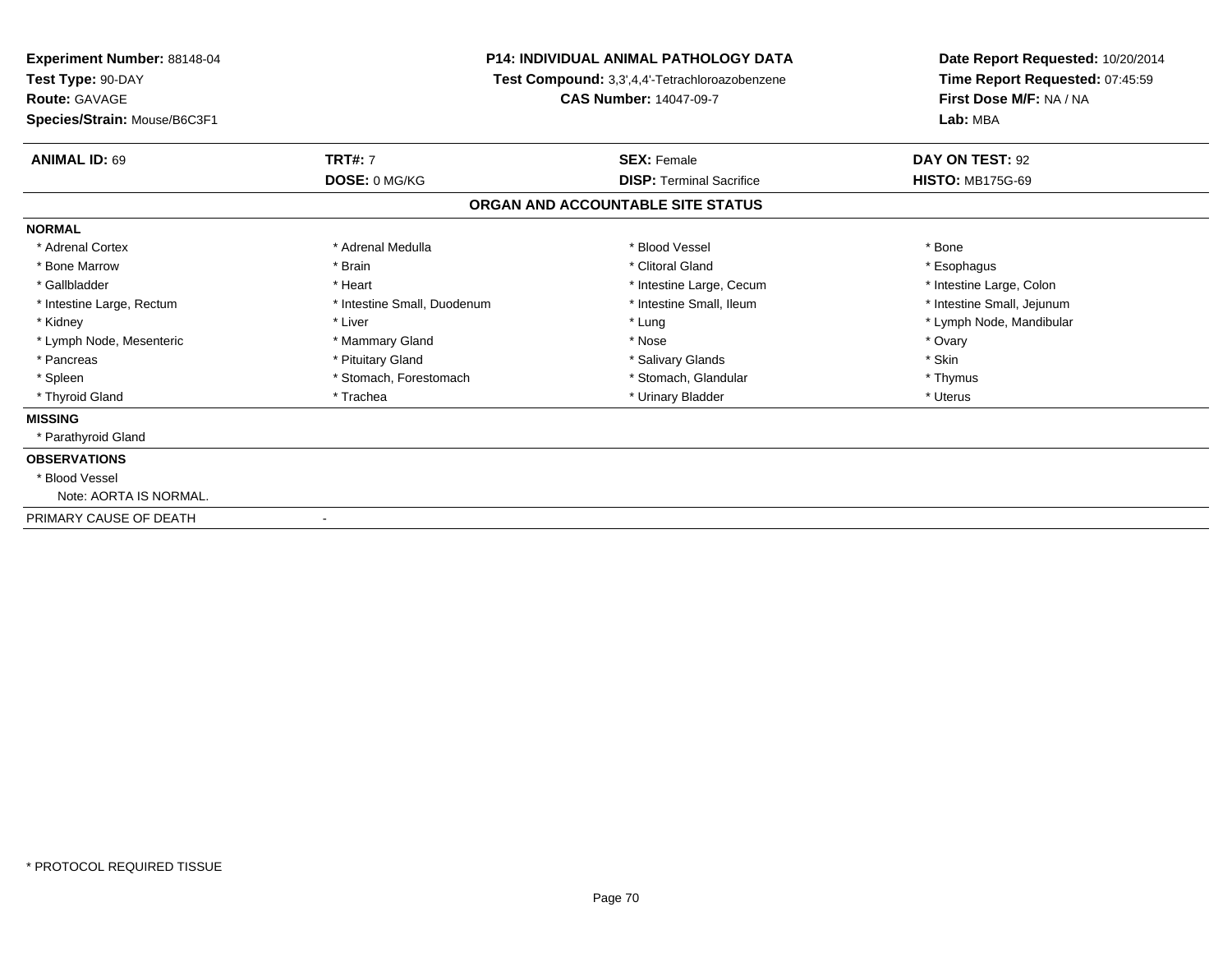| <b>Experiment Number: 88148-04</b><br>Test Type: 90-DAY |                             | <b>P14: INDIVIDUAL ANIMAL PATHOLOGY DATA</b><br>Test Compound: 3,3',4,4'-Tetrachloroazobenzene | Date Report Requested: 10/20/2014<br>Time Report Requested: 07:45:59<br>First Dose M/F: NA / NA<br>Lab: MBA |
|---------------------------------------------------------|-----------------------------|------------------------------------------------------------------------------------------------|-------------------------------------------------------------------------------------------------------------|
| Route: GAVAGE<br>Species/Strain: Mouse/B6C3F1           |                             | <b>CAS Number: 14047-09-7</b>                                                                  |                                                                                                             |
| <b>ANIMAL ID: 69</b>                                    | <b>TRT#: 7</b>              | <b>SEX: Female</b>                                                                             | DAY ON TEST: 92                                                                                             |
|                                                         | DOSE: 0 MG/KG               | <b>DISP: Terminal Sacrifice</b>                                                                | <b>HISTO: MB175G-69</b>                                                                                     |
|                                                         |                             | ORGAN AND ACCOUNTABLE SITE STATUS                                                              |                                                                                                             |
| <b>NORMAL</b>                                           |                             |                                                                                                |                                                                                                             |
| * Adrenal Cortex                                        | * Adrenal Medulla           | * Blood Vessel                                                                                 | * Bone                                                                                                      |
| * Bone Marrow                                           | * Brain                     | * Clitoral Gland                                                                               | * Esophagus                                                                                                 |
| * Gallbladder                                           | * Heart                     | * Intestine Large, Cecum                                                                       | * Intestine Large, Colon                                                                                    |
| * Intestine Large, Rectum                               | * Intestine Small, Duodenum | * Intestine Small, Ileum                                                                       | * Intestine Small, Jejunum                                                                                  |
| * Kidney                                                | * Liver                     | * Lung                                                                                         | * Lymph Node, Mandibular                                                                                    |
| * Lymph Node, Mesenteric                                | * Mammary Gland             | * Nose                                                                                         | * Ovary                                                                                                     |
| * Pancreas                                              | * Pituitary Gland           | * Salivary Glands                                                                              | * Skin                                                                                                      |
| * Spleen                                                | * Stomach, Forestomach      | * Stomach, Glandular                                                                           | * Thymus                                                                                                    |
| * Thyroid Gland                                         | * Trachea                   | * Urinary Bladder                                                                              | * Uterus                                                                                                    |
| <b>MISSING</b>                                          |                             |                                                                                                |                                                                                                             |
| * Parathyroid Gland                                     |                             |                                                                                                |                                                                                                             |
| <b>OBSERVATIONS</b>                                     |                             |                                                                                                |                                                                                                             |
| * Blood Vessel                                          |                             |                                                                                                |                                                                                                             |
| Note: AORTA IS NORMAL.                                  |                             |                                                                                                |                                                                                                             |
| PRIMARY CAUSE OF DEATH                                  |                             |                                                                                                |                                                                                                             |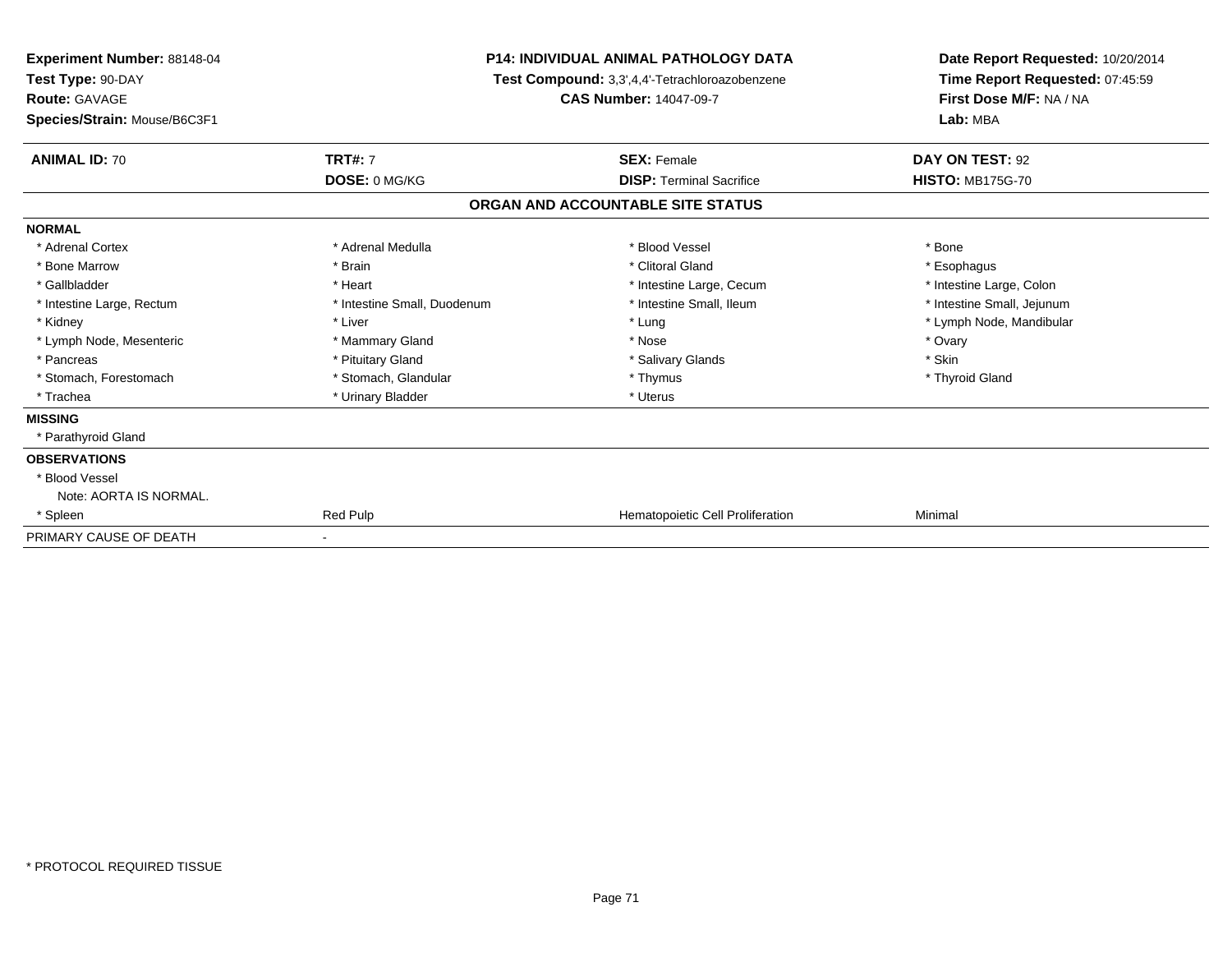| <b>Experiment Number: 88148-04</b><br>Test Type: 90-DAY<br><b>Route: GAVAGE</b> | P14: INDIVIDUAL ANIMAL PATHOLOGY DATA<br>Test Compound: 3,3',4,4'-Tetrachloroazobenzene<br><b>CAS Number: 14047-09-7</b> |                                   | Date Report Requested: 10/20/2014<br>Time Report Requested: 07:45:59<br>First Dose M/F: NA / NA |  |
|---------------------------------------------------------------------------------|--------------------------------------------------------------------------------------------------------------------------|-----------------------------------|-------------------------------------------------------------------------------------------------|--|
| Species/Strain: Mouse/B6C3F1                                                    |                                                                                                                          |                                   | Lab: MBA                                                                                        |  |
| <b>ANIMAL ID: 70</b>                                                            | <b>TRT#: 7</b>                                                                                                           | <b>SEX: Female</b>                | DAY ON TEST: 92                                                                                 |  |
|                                                                                 | DOSE: 0 MG/KG                                                                                                            | <b>DISP: Terminal Sacrifice</b>   | <b>HISTO: MB175G-70</b>                                                                         |  |
|                                                                                 |                                                                                                                          | ORGAN AND ACCOUNTABLE SITE STATUS |                                                                                                 |  |
| <b>NORMAL</b>                                                                   |                                                                                                                          |                                   |                                                                                                 |  |
| * Adrenal Cortex                                                                | * Adrenal Medulla                                                                                                        | * Blood Vessel                    | * Bone                                                                                          |  |
| * Bone Marrow                                                                   | * Brain                                                                                                                  | * Clitoral Gland                  | * Esophagus                                                                                     |  |
| * Gallbladder                                                                   | * Heart                                                                                                                  | * Intestine Large, Cecum          | * Intestine Large, Colon                                                                        |  |
| * Intestine Large, Rectum                                                       | * Intestine Small, Duodenum                                                                                              | * Intestine Small. Ileum          | * Intestine Small, Jejunum                                                                      |  |
| * Kidney                                                                        | * Liver                                                                                                                  | * Lung                            | * Lymph Node, Mandibular                                                                        |  |
| * Lymph Node, Mesenteric                                                        | * Mammary Gland                                                                                                          | * Nose                            | * Ovary                                                                                         |  |
| * Pancreas                                                                      | * Pituitary Gland                                                                                                        | * Salivary Glands                 | * Skin                                                                                          |  |
| * Stomach, Forestomach                                                          | * Stomach, Glandular                                                                                                     | * Thymus                          | * Thyroid Gland                                                                                 |  |
| * Trachea                                                                       | * Urinary Bladder                                                                                                        | * Uterus                          |                                                                                                 |  |
| <b>MISSING</b>                                                                  |                                                                                                                          |                                   |                                                                                                 |  |
| * Parathyroid Gland                                                             |                                                                                                                          |                                   |                                                                                                 |  |
| <b>OBSERVATIONS</b>                                                             |                                                                                                                          |                                   |                                                                                                 |  |
| * Blood Vessel                                                                  |                                                                                                                          |                                   |                                                                                                 |  |
| Note: AORTA IS NORMAL.                                                          |                                                                                                                          |                                   |                                                                                                 |  |
| * Spleen                                                                        | Red Pulp                                                                                                                 | Hematopoietic Cell Proliferation  | Minimal                                                                                         |  |
| PRIMARY CAUSE OF DEATH                                                          |                                                                                                                          |                                   |                                                                                                 |  |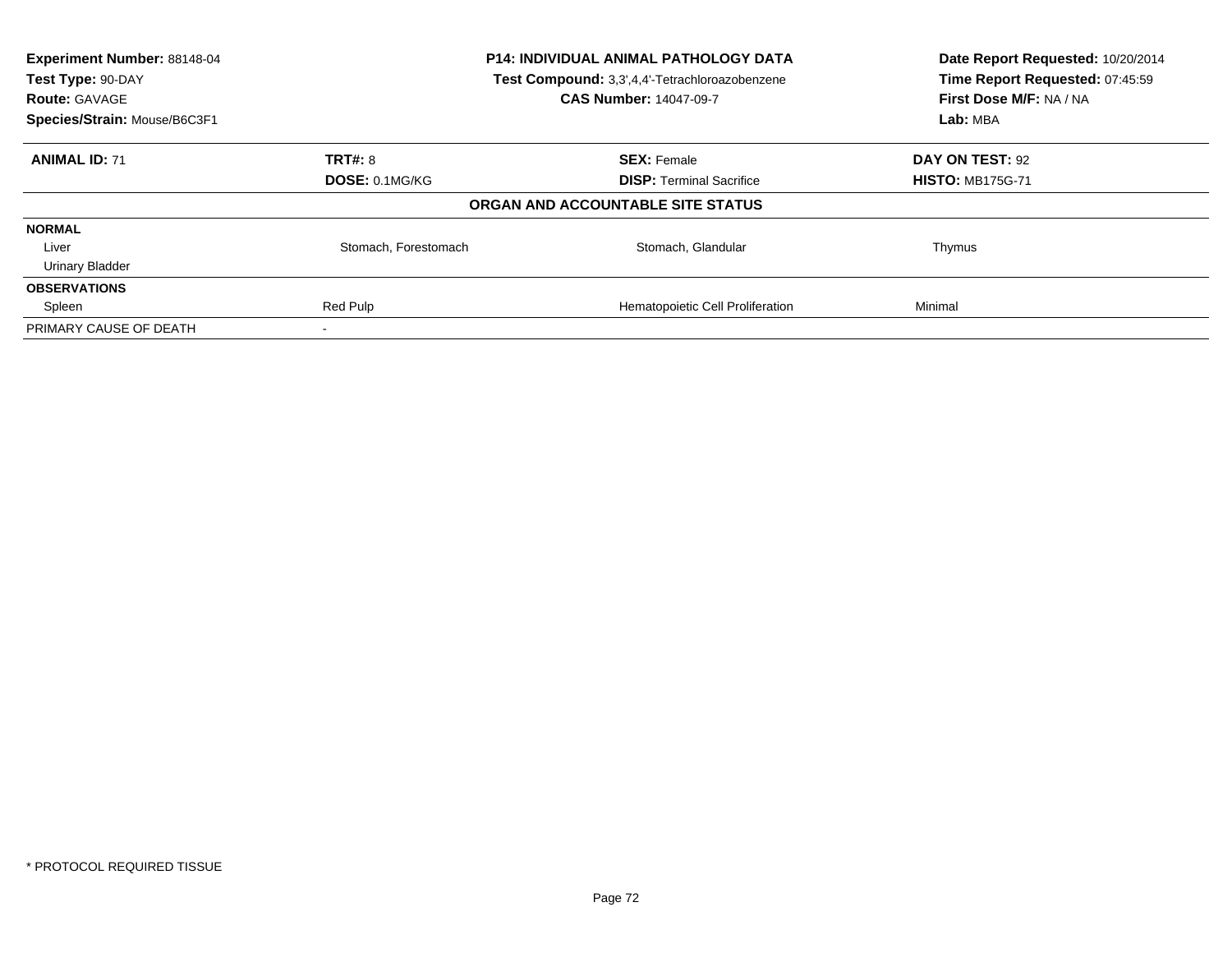| Experiment Number: 88148-04<br>Test Type: 90-DAY<br><b>Route: GAVAGE</b> | <b>P14: INDIVIDUAL ANIMAL PATHOLOGY DATA</b><br>Test Compound: 3,3',4,4'-Tetrachloroazobenzene<br><b>CAS Number: 14047-09-7</b> |                                   | Date Report Requested: 10/20/2014<br>Time Report Requested: 07:45:59<br>First Dose M/F: NA / NA |
|--------------------------------------------------------------------------|---------------------------------------------------------------------------------------------------------------------------------|-----------------------------------|-------------------------------------------------------------------------------------------------|
| Species/Strain: Mouse/B6C3F1                                             |                                                                                                                                 |                                   | Lab: MBA                                                                                        |
| <b>ANIMAL ID: 71</b>                                                     | <b>TRT#: 8</b>                                                                                                                  | <b>SEX: Female</b>                | DAY ON TEST: 92                                                                                 |
|                                                                          | DOSE: 0.1MG/KG                                                                                                                  | <b>DISP:</b> Terminal Sacrifice   | <b>HISTO: MB175G-71</b>                                                                         |
|                                                                          |                                                                                                                                 | ORGAN AND ACCOUNTABLE SITE STATUS |                                                                                                 |
| <b>NORMAL</b>                                                            |                                                                                                                                 |                                   |                                                                                                 |
| Liver                                                                    | Stomach, Forestomach                                                                                                            | Stomach, Glandular                | Thymus                                                                                          |
| <b>Urinary Bladder</b>                                                   |                                                                                                                                 |                                   |                                                                                                 |
| <b>OBSERVATIONS</b>                                                      |                                                                                                                                 |                                   |                                                                                                 |
| Spleen                                                                   | Red Pulp                                                                                                                        | Hematopoietic Cell Proliferation  | Minimal                                                                                         |
| PRIMARY CAUSE OF DEATH                                                   |                                                                                                                                 |                                   |                                                                                                 |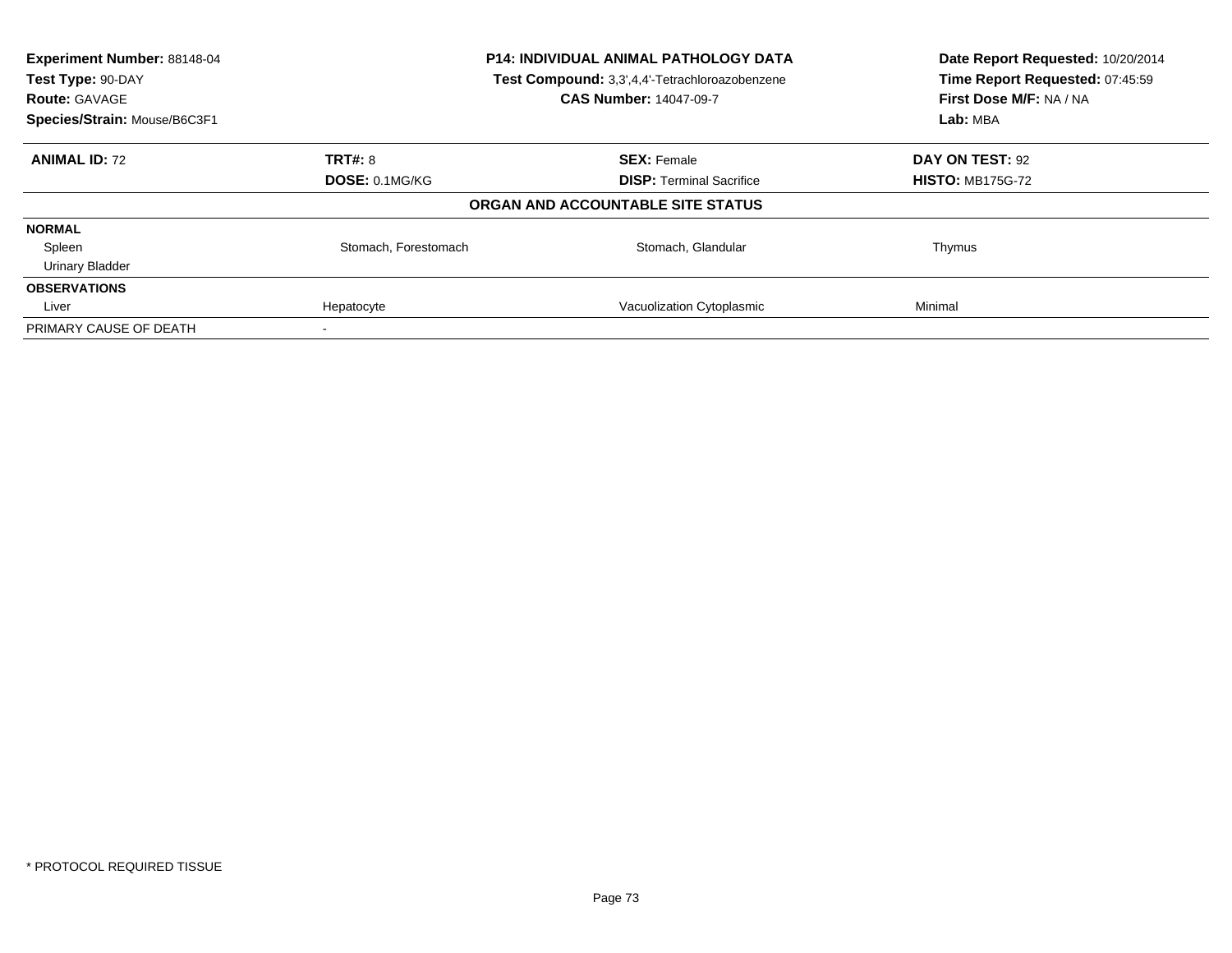| Experiment Number: 88148-04<br>Test Type: 90-DAY<br><b>Route: GAVAGE</b> | P14: INDIVIDUAL ANIMAL PATHOLOGY DATA<br>Test Compound: 3,3',4,4'-Tetrachloroazobenzene<br><b>CAS Number: 14047-09-7</b> |                                   | Date Report Requested: 10/20/2014<br>Time Report Requested: 07:45:59<br>First Dose M/F: NA / NA |
|--------------------------------------------------------------------------|--------------------------------------------------------------------------------------------------------------------------|-----------------------------------|-------------------------------------------------------------------------------------------------|
| Species/Strain: Mouse/B6C3F1                                             |                                                                                                                          |                                   | Lab: MBA                                                                                        |
| <b>ANIMAL ID: 72</b>                                                     | <b>TRT#: 8</b>                                                                                                           | <b>SEX: Female</b>                | DAY ON TEST: 92                                                                                 |
|                                                                          | DOSE: 0.1MG/KG                                                                                                           | <b>DISP:</b> Terminal Sacrifice   | <b>HISTO: MB175G-72</b>                                                                         |
|                                                                          |                                                                                                                          | ORGAN AND ACCOUNTABLE SITE STATUS |                                                                                                 |
| <b>NORMAL</b>                                                            |                                                                                                                          |                                   |                                                                                                 |
| Spleen                                                                   | Stomach, Forestomach                                                                                                     | Stomach, Glandular                | Thymus                                                                                          |
| <b>Urinary Bladder</b>                                                   |                                                                                                                          |                                   |                                                                                                 |
| <b>OBSERVATIONS</b>                                                      |                                                                                                                          |                                   |                                                                                                 |
| Liver                                                                    | Hepatocyte                                                                                                               | Vacuolization Cytoplasmic         | Minimal                                                                                         |
| PRIMARY CAUSE OF DEATH                                                   |                                                                                                                          |                                   |                                                                                                 |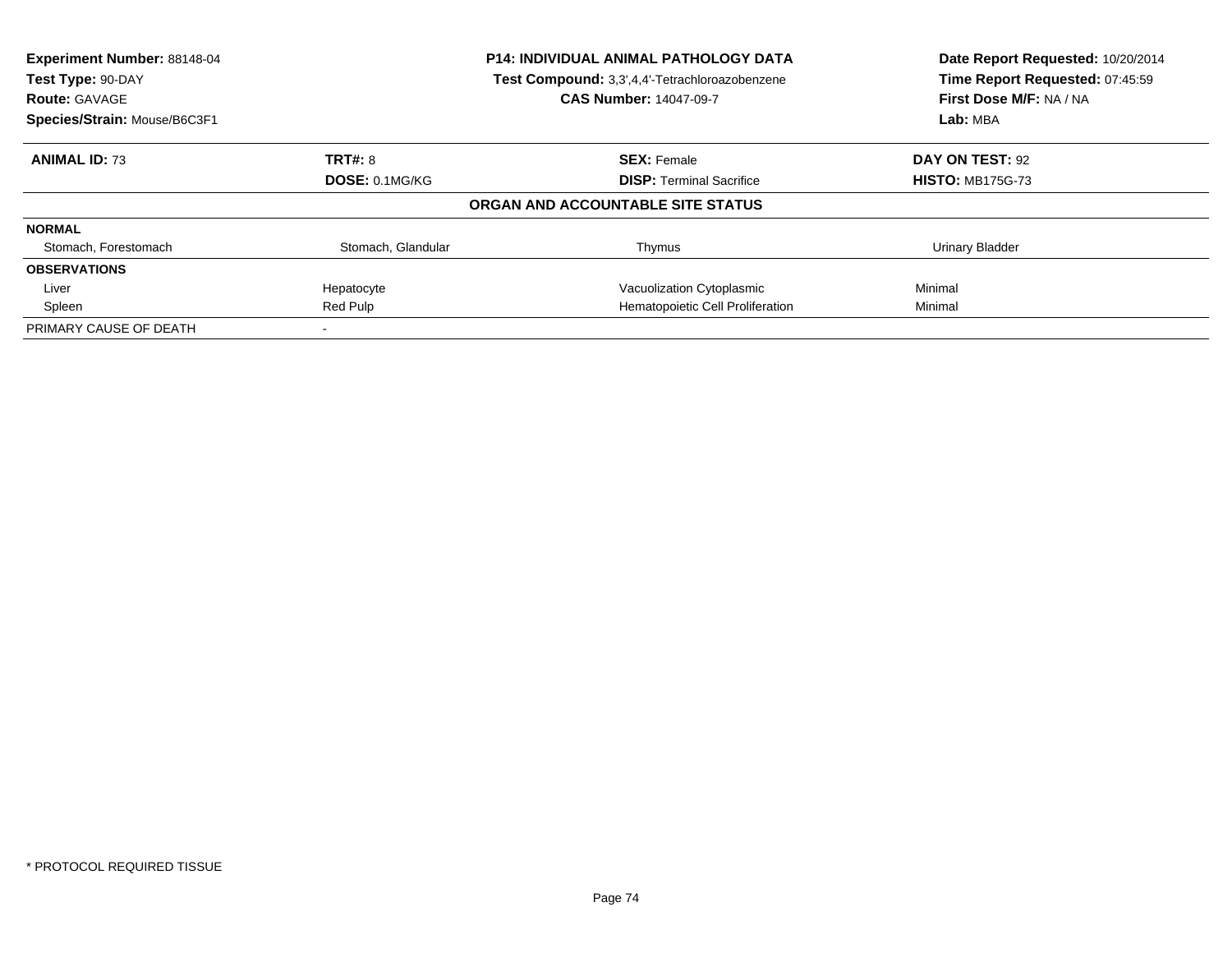| Experiment Number: 88148-04<br><b>P14: INDIVIDUAL ANIMAL PATHOLOGY DATA</b><br>Test Compound: 3,3',4,4'-Tetrachloroazobenzene<br>Test Type: 90-DAY<br><b>CAS Number: 14047-09-7</b><br><b>Route: GAVAGE</b> |                    |                                   | Date Report Requested: 10/20/2014<br>Time Report Requested: 07:45:59<br>First Dose M/F: NA / NA |
|-------------------------------------------------------------------------------------------------------------------------------------------------------------------------------------------------------------|--------------------|-----------------------------------|-------------------------------------------------------------------------------------------------|
|                                                                                                                                                                                                             |                    |                                   |                                                                                                 |
| Species/Strain: Mouse/B6C3F1                                                                                                                                                                                |                    |                                   | Lab: MBA                                                                                        |
| <b>ANIMAL ID: 73</b>                                                                                                                                                                                        | <b>TRT#: 8</b>     | <b>SEX: Female</b>                | DAY ON TEST: 92                                                                                 |
|                                                                                                                                                                                                             | DOSE: 0.1MG/KG     | <b>DISP:</b> Terminal Sacrifice   | <b>HISTO: MB175G-73</b>                                                                         |
|                                                                                                                                                                                                             |                    | ORGAN AND ACCOUNTABLE SITE STATUS |                                                                                                 |
| <b>NORMAL</b>                                                                                                                                                                                               |                    |                                   |                                                                                                 |
| Stomach, Forestomach                                                                                                                                                                                        | Stomach, Glandular | Thymus                            | <b>Urinary Bladder</b>                                                                          |
| <b>OBSERVATIONS</b>                                                                                                                                                                                         |                    |                                   |                                                                                                 |
| Liver                                                                                                                                                                                                       | Hepatocyte         | Vacuolization Cytoplasmic         | Minimal                                                                                         |
| Spleen                                                                                                                                                                                                      | Red Pulp           | Hematopoietic Cell Proliferation  | Minimal                                                                                         |
| PRIMARY CAUSE OF DEATH                                                                                                                                                                                      |                    |                                   |                                                                                                 |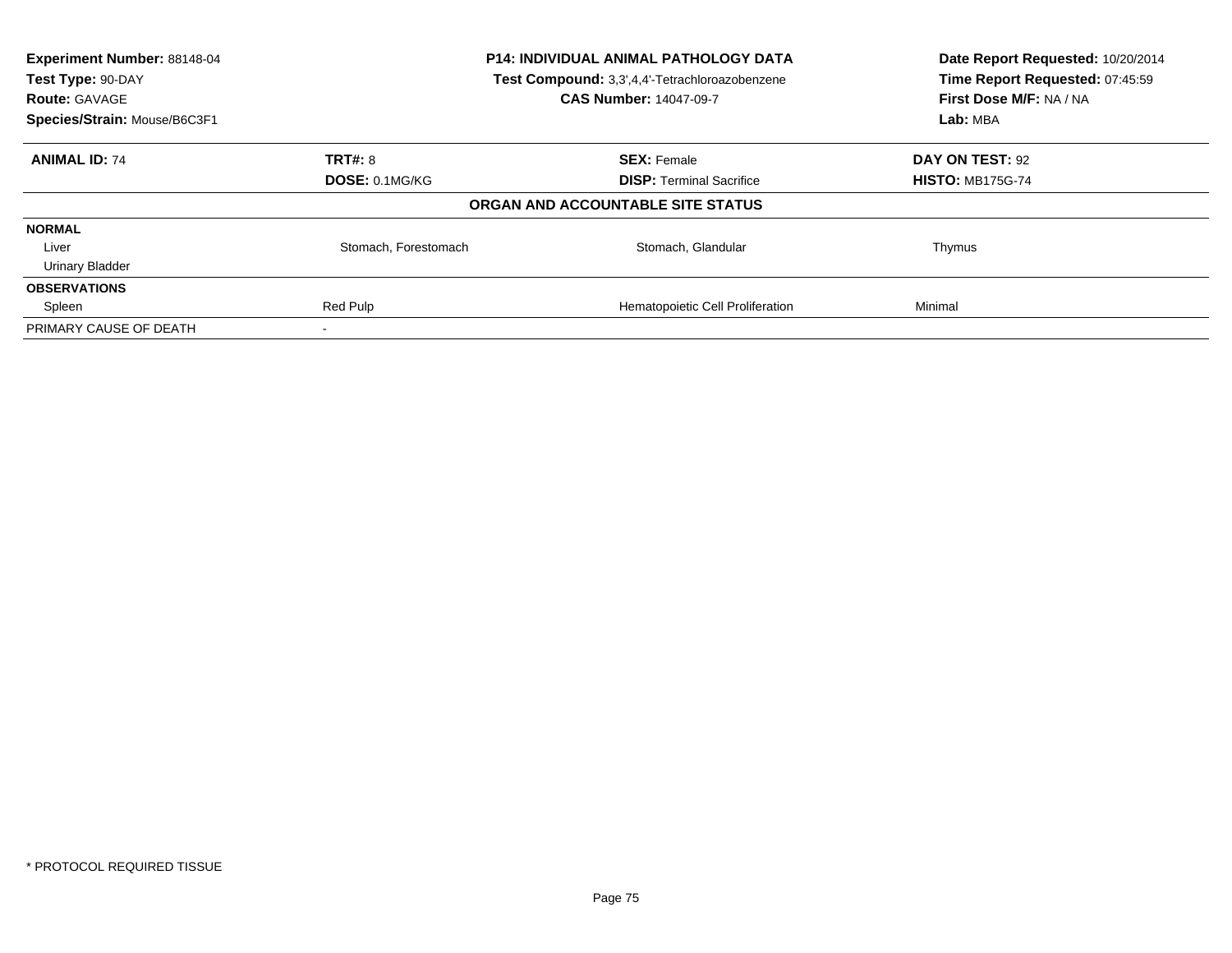| Experiment Number: 88148-04<br>Test Type: 90-DAY<br><b>Route: GAVAGE</b> | <b>P14: INDIVIDUAL ANIMAL PATHOLOGY DATA</b><br>Test Compound: 3,3',4,4'-Tetrachloroazobenzene<br><b>CAS Number: 14047-09-7</b> |                                   | Date Report Requested: 10/20/2014<br>Time Report Requested: 07:45:59<br>First Dose M/F: NA / NA |
|--------------------------------------------------------------------------|---------------------------------------------------------------------------------------------------------------------------------|-----------------------------------|-------------------------------------------------------------------------------------------------|
| Species/Strain: Mouse/B6C3F1                                             |                                                                                                                                 |                                   | Lab: MBA                                                                                        |
| <b>ANIMAL ID: 74</b>                                                     | <b>TRT#: 8</b>                                                                                                                  | <b>SEX: Female</b>                | DAY ON TEST: 92                                                                                 |
|                                                                          | DOSE: 0.1MG/KG                                                                                                                  | <b>DISP:</b> Terminal Sacrifice   | <b>HISTO: MB175G-74</b>                                                                         |
|                                                                          |                                                                                                                                 | ORGAN AND ACCOUNTABLE SITE STATUS |                                                                                                 |
| <b>NORMAL</b>                                                            |                                                                                                                                 |                                   |                                                                                                 |
| Liver                                                                    | Stomach, Forestomach                                                                                                            | Stomach, Glandular                | Thymus                                                                                          |
| <b>Urinary Bladder</b>                                                   |                                                                                                                                 |                                   |                                                                                                 |
| <b>OBSERVATIONS</b>                                                      |                                                                                                                                 |                                   |                                                                                                 |
| Spleen                                                                   | Red Pulp                                                                                                                        | Hematopoietic Cell Proliferation  | Minimal                                                                                         |
| PRIMARY CAUSE OF DEATH                                                   |                                                                                                                                 |                                   |                                                                                                 |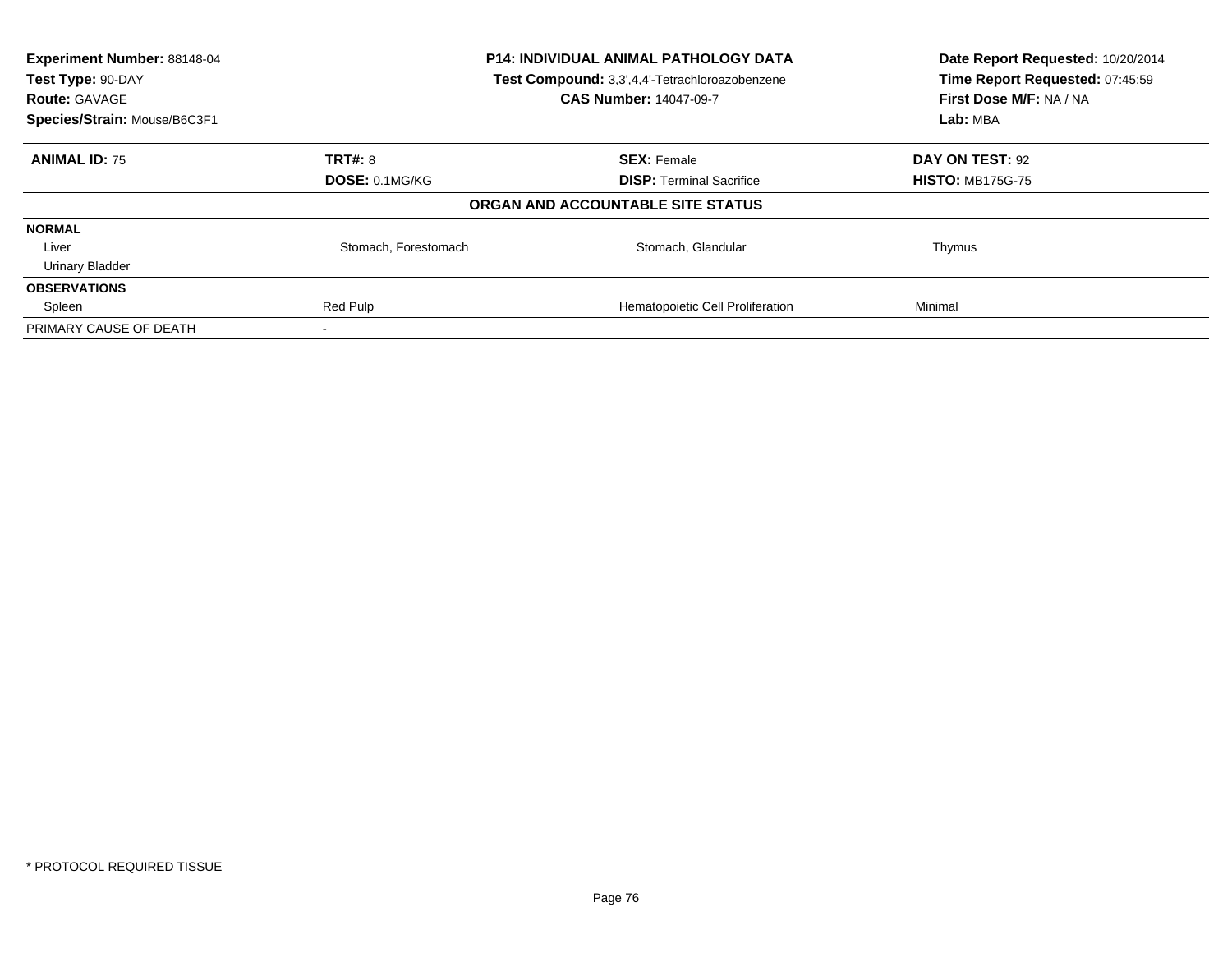| Experiment Number: 88148-04<br>Test Type: 90-DAY<br><b>Route: GAVAGE</b> | P14: INDIVIDUAL ANIMAL PATHOLOGY DATA<br>Test Compound: 3,3',4,4'-Tetrachloroazobenzene<br><b>CAS Number: 14047-09-7</b> |                                   | Date Report Requested: 10/20/2014<br>Time Report Requested: 07:45:59<br>First Dose M/F: NA / NA |  |
|--------------------------------------------------------------------------|--------------------------------------------------------------------------------------------------------------------------|-----------------------------------|-------------------------------------------------------------------------------------------------|--|
| Species/Strain: Mouse/B6C3F1                                             |                                                                                                                          |                                   | Lab: MBA                                                                                        |  |
| <b>ANIMAL ID: 75</b>                                                     | <b>TRT#: 8</b>                                                                                                           | <b>SEX: Female</b>                | DAY ON TEST: 92                                                                                 |  |
|                                                                          | DOSE: 0.1MG/KG                                                                                                           | <b>DISP:</b> Terminal Sacrifice   | <b>HISTO: MB175G-75</b>                                                                         |  |
|                                                                          |                                                                                                                          | ORGAN AND ACCOUNTABLE SITE STATUS |                                                                                                 |  |
| <b>NORMAL</b>                                                            |                                                                                                                          |                                   |                                                                                                 |  |
| Liver                                                                    | Stomach, Forestomach                                                                                                     | Stomach, Glandular                | Thymus                                                                                          |  |
| <b>Urinary Bladder</b>                                                   |                                                                                                                          |                                   |                                                                                                 |  |
| <b>OBSERVATIONS</b>                                                      |                                                                                                                          |                                   |                                                                                                 |  |
| Spleen                                                                   | Red Pulp                                                                                                                 | Hematopoietic Cell Proliferation  | Minimal                                                                                         |  |
| PRIMARY CAUSE OF DEATH                                                   |                                                                                                                          |                                   |                                                                                                 |  |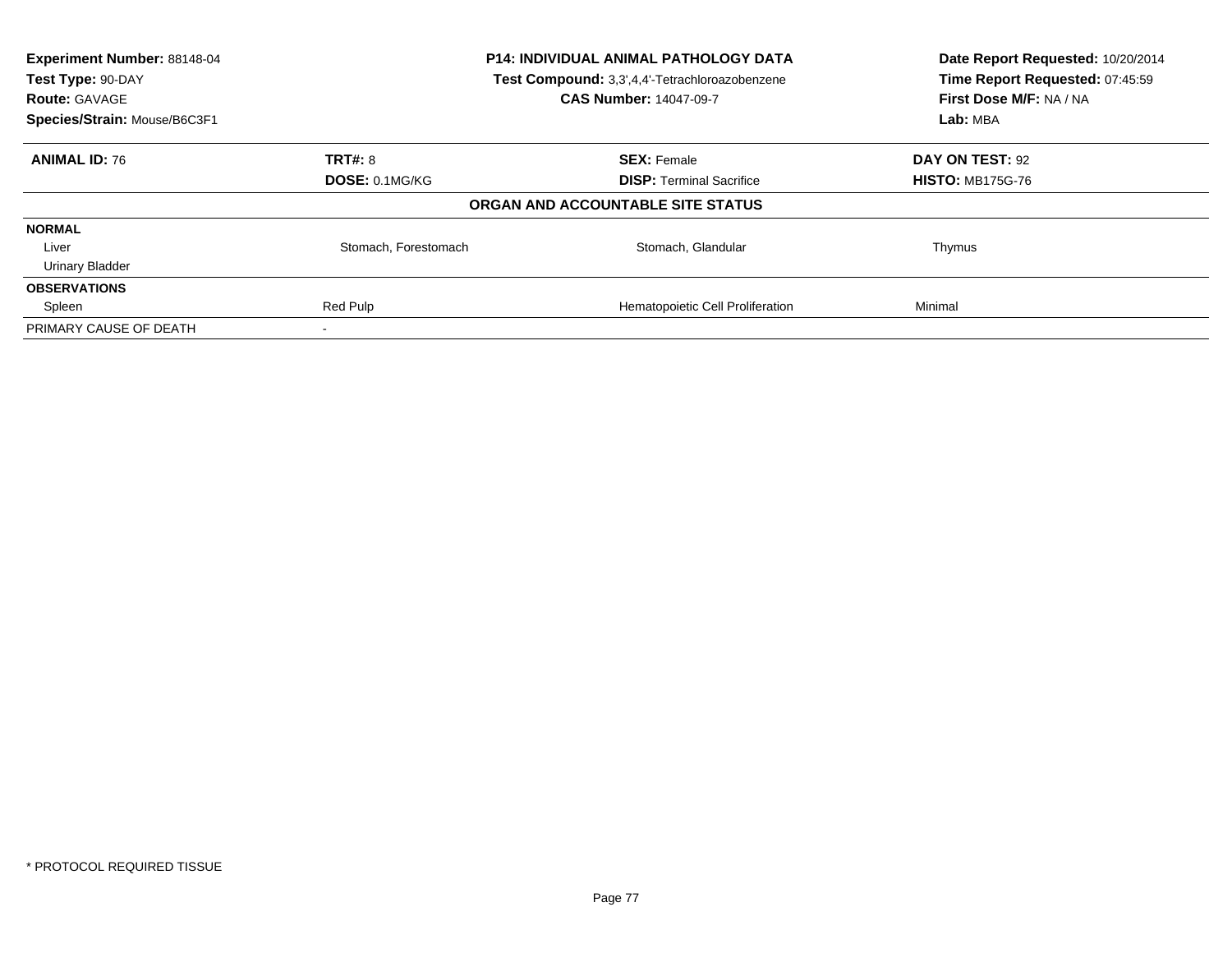| Experiment Number: 88148-04<br>Test Type: 90-DAY<br><b>Route: GAVAGE</b> | P14: INDIVIDUAL ANIMAL PATHOLOGY DATA<br>Test Compound: 3,3',4,4'-Tetrachloroazobenzene<br><b>CAS Number: 14047-09-7</b> |                                   | Date Report Requested: 10/20/2014<br>Time Report Requested: 07:45:59<br>First Dose M/F: NA / NA |  |
|--------------------------------------------------------------------------|--------------------------------------------------------------------------------------------------------------------------|-----------------------------------|-------------------------------------------------------------------------------------------------|--|
| Species/Strain: Mouse/B6C3F1                                             |                                                                                                                          |                                   | Lab: MBA                                                                                        |  |
| <b>ANIMAL ID: 76</b>                                                     | <b>TRT#: 8</b>                                                                                                           | <b>SEX: Female</b>                | DAY ON TEST: 92                                                                                 |  |
|                                                                          | DOSE: 0.1MG/KG                                                                                                           | <b>DISP:</b> Terminal Sacrifice   | <b>HISTO: MB175G-76</b>                                                                         |  |
|                                                                          |                                                                                                                          | ORGAN AND ACCOUNTABLE SITE STATUS |                                                                                                 |  |
| <b>NORMAL</b>                                                            |                                                                                                                          |                                   |                                                                                                 |  |
| Liver                                                                    | Stomach, Forestomach                                                                                                     | Stomach, Glandular                | Thymus                                                                                          |  |
| <b>Urinary Bladder</b>                                                   |                                                                                                                          |                                   |                                                                                                 |  |
| <b>OBSERVATIONS</b>                                                      |                                                                                                                          |                                   |                                                                                                 |  |
| Spleen                                                                   | Red Pulp                                                                                                                 | Hematopoietic Cell Proliferation  | Minimal                                                                                         |  |
| PRIMARY CAUSE OF DEATH                                                   |                                                                                                                          |                                   |                                                                                                 |  |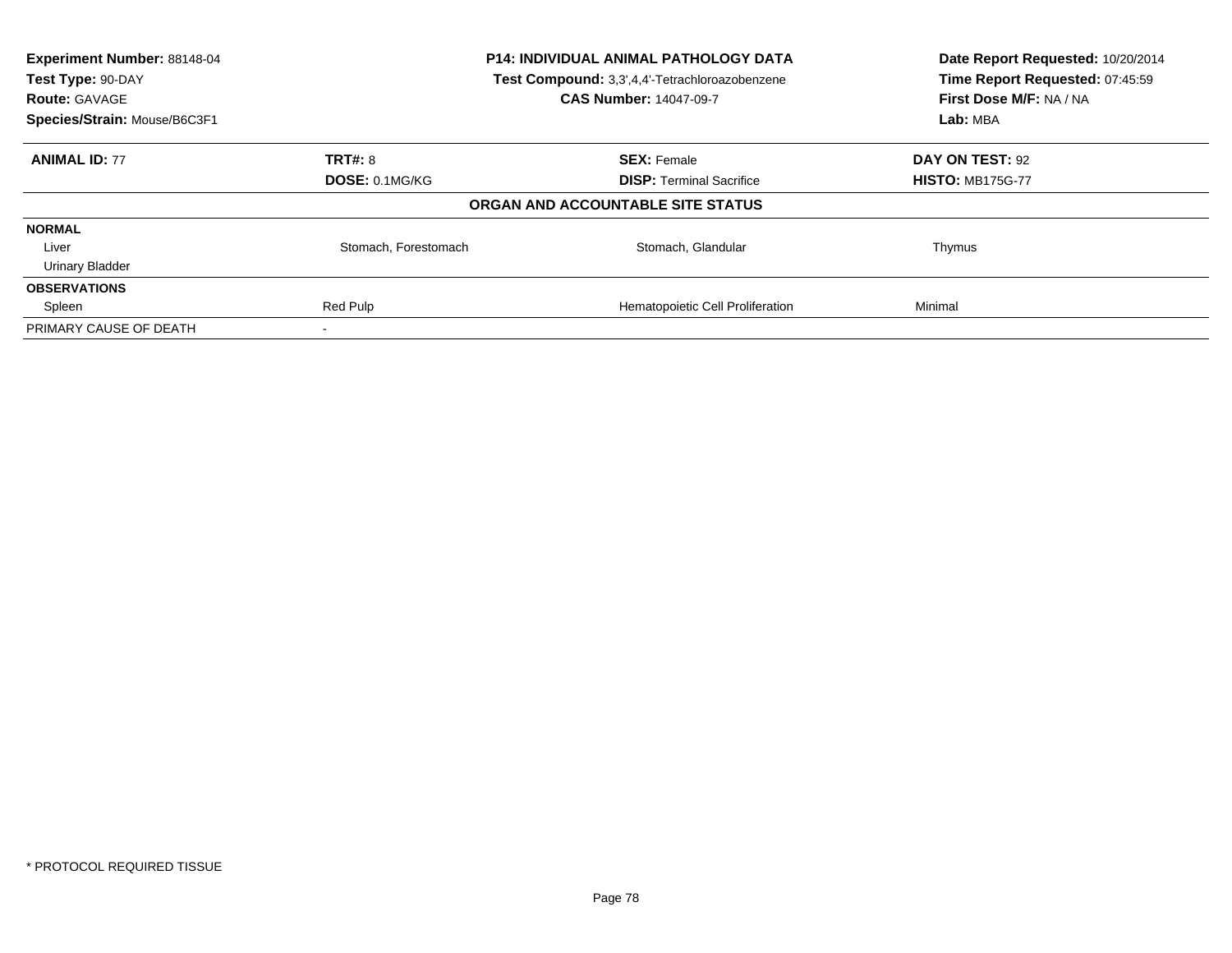| Experiment Number: 88148-04<br>Test Type: 90-DAY<br><b>Route: GAVAGE</b> | P14: INDIVIDUAL ANIMAL PATHOLOGY DATA<br>Test Compound: 3,3',4,4'-Tetrachloroazobenzene<br><b>CAS Number: 14047-09-7</b> |                                   | Date Report Requested: 10/20/2014<br>Time Report Requested: 07:45:59<br>First Dose M/F: NA / NA |  |
|--------------------------------------------------------------------------|--------------------------------------------------------------------------------------------------------------------------|-----------------------------------|-------------------------------------------------------------------------------------------------|--|
| Species/Strain: Mouse/B6C3F1                                             |                                                                                                                          |                                   | Lab: MBA                                                                                        |  |
| <b>ANIMAL ID: 77</b>                                                     | <b>TRT#: 8</b>                                                                                                           | <b>SEX: Female</b>                | DAY ON TEST: 92                                                                                 |  |
|                                                                          | DOSE: 0.1MG/KG                                                                                                           | <b>DISP:</b> Terminal Sacrifice   | <b>HISTO: MB175G-77</b>                                                                         |  |
|                                                                          |                                                                                                                          | ORGAN AND ACCOUNTABLE SITE STATUS |                                                                                                 |  |
| <b>NORMAL</b>                                                            |                                                                                                                          |                                   |                                                                                                 |  |
| Liver                                                                    | Stomach, Forestomach                                                                                                     | Stomach, Glandular                | Thymus                                                                                          |  |
| <b>Urinary Bladder</b>                                                   |                                                                                                                          |                                   |                                                                                                 |  |
| <b>OBSERVATIONS</b>                                                      |                                                                                                                          |                                   |                                                                                                 |  |
| Spleen                                                                   | Red Pulp                                                                                                                 | Hematopoietic Cell Proliferation  | Minimal                                                                                         |  |
| PRIMARY CAUSE OF DEATH                                                   |                                                                                                                          |                                   |                                                                                                 |  |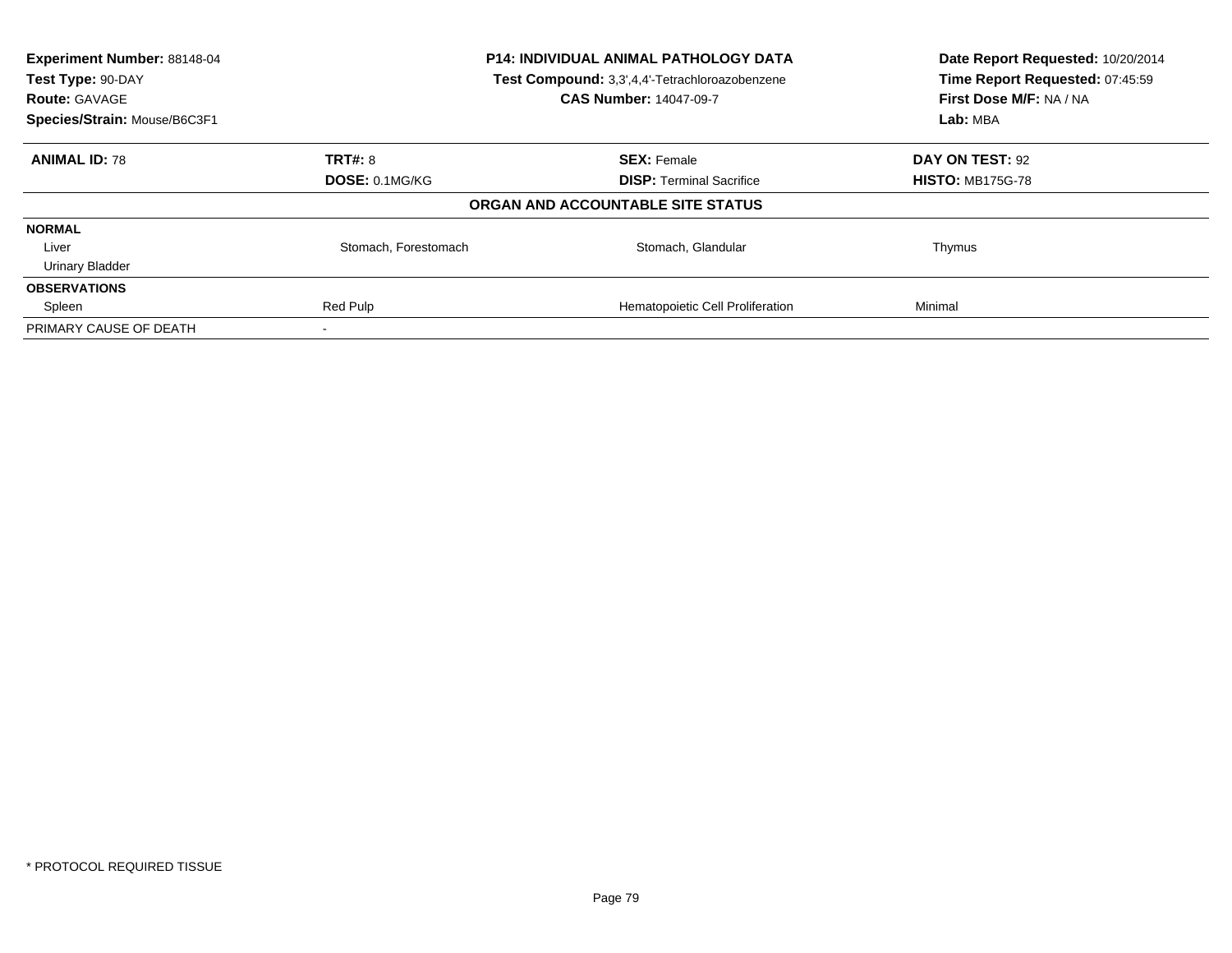| Experiment Number: 88148-04<br>Test Type: 90-DAY<br><b>Route: GAVAGE</b> | P14: INDIVIDUAL ANIMAL PATHOLOGY DATA<br>Test Compound: 3,3',4,4'-Tetrachloroazobenzene<br><b>CAS Number: 14047-09-7</b> |                                   | Date Report Requested: 10/20/2014<br>Time Report Requested: 07:45:59<br>First Dose M/F: NA / NA |  |
|--------------------------------------------------------------------------|--------------------------------------------------------------------------------------------------------------------------|-----------------------------------|-------------------------------------------------------------------------------------------------|--|
| Species/Strain: Mouse/B6C3F1                                             |                                                                                                                          |                                   | Lab: MBA                                                                                        |  |
| <b>ANIMAL ID: 78</b>                                                     | <b>TRT#: 8</b>                                                                                                           | <b>SEX: Female</b>                | DAY ON TEST: 92                                                                                 |  |
|                                                                          | DOSE: 0.1MG/KG                                                                                                           | <b>DISP:</b> Terminal Sacrifice   | <b>HISTO: MB175G-78</b>                                                                         |  |
|                                                                          |                                                                                                                          | ORGAN AND ACCOUNTABLE SITE STATUS |                                                                                                 |  |
| <b>NORMAL</b>                                                            |                                                                                                                          |                                   |                                                                                                 |  |
| Liver                                                                    | Stomach, Forestomach                                                                                                     | Stomach, Glandular                | Thymus                                                                                          |  |
| <b>Urinary Bladder</b>                                                   |                                                                                                                          |                                   |                                                                                                 |  |
| <b>OBSERVATIONS</b>                                                      |                                                                                                                          |                                   |                                                                                                 |  |
| Spleen                                                                   | Red Pulp                                                                                                                 | Hematopoietic Cell Proliferation  | Minimal                                                                                         |  |
| PRIMARY CAUSE OF DEATH                                                   |                                                                                                                          |                                   |                                                                                                 |  |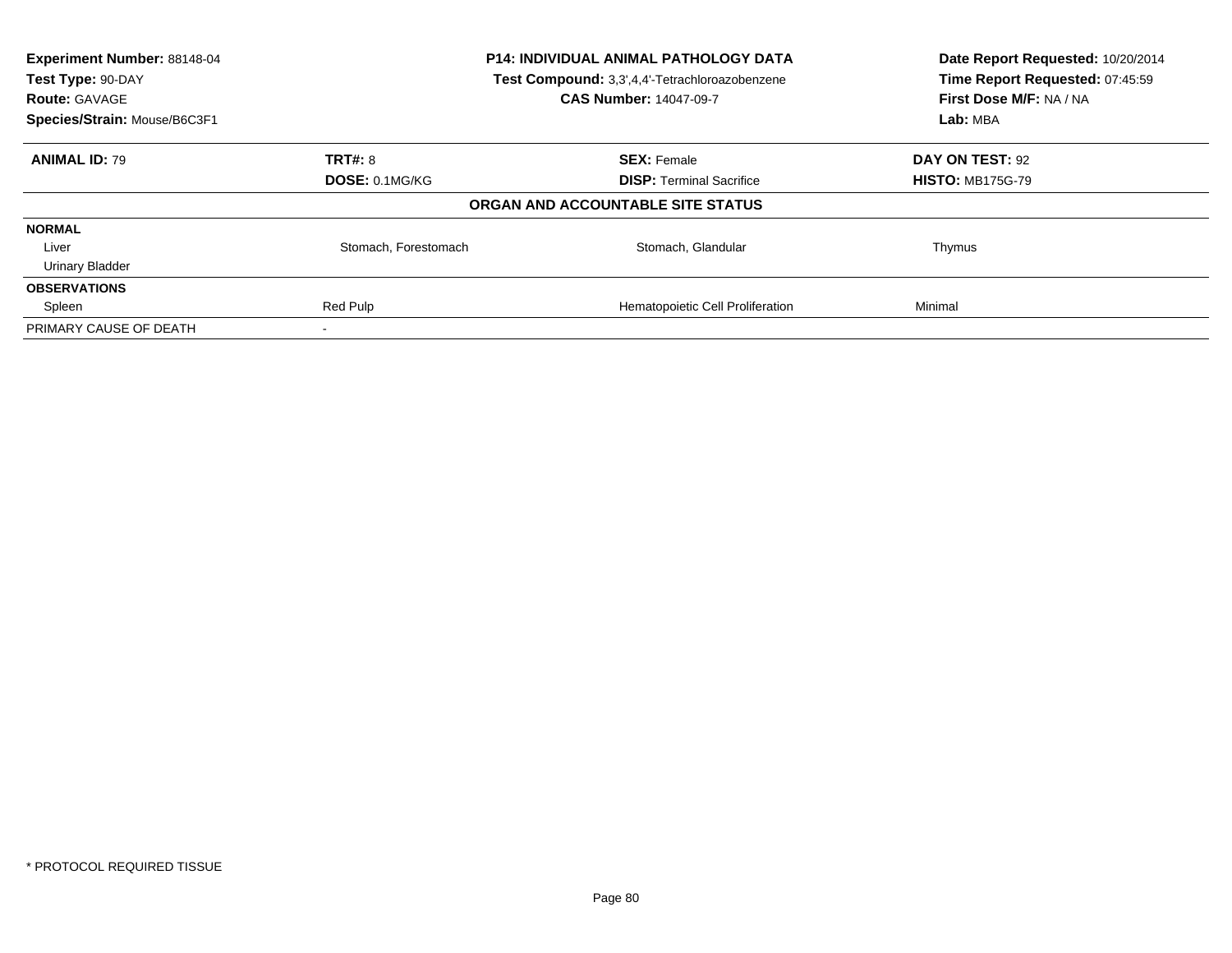| Experiment Number: 88148-04<br>Test Type: 90-DAY<br><b>Route: GAVAGE</b> | P14: INDIVIDUAL ANIMAL PATHOLOGY DATA<br>Test Compound: 3,3',4,4'-Tetrachloroazobenzene<br><b>CAS Number: 14047-09-7</b> |                                   | Date Report Requested: 10/20/2014<br>Time Report Requested: 07:45:59<br>First Dose M/F: NA / NA |  |
|--------------------------------------------------------------------------|--------------------------------------------------------------------------------------------------------------------------|-----------------------------------|-------------------------------------------------------------------------------------------------|--|
| Species/Strain: Mouse/B6C3F1                                             |                                                                                                                          |                                   | Lab: MBA                                                                                        |  |
| <b>ANIMAL ID: 79</b>                                                     | <b>TRT#: 8</b>                                                                                                           | <b>SEX: Female</b>                | DAY ON TEST: 92                                                                                 |  |
|                                                                          | DOSE: 0.1MG/KG                                                                                                           | <b>DISP:</b> Terminal Sacrifice   | <b>HISTO: MB175G-79</b>                                                                         |  |
|                                                                          |                                                                                                                          | ORGAN AND ACCOUNTABLE SITE STATUS |                                                                                                 |  |
| <b>NORMAL</b>                                                            |                                                                                                                          |                                   |                                                                                                 |  |
| Liver                                                                    | Stomach, Forestomach                                                                                                     | Stomach, Glandular                | Thymus                                                                                          |  |
| <b>Urinary Bladder</b>                                                   |                                                                                                                          |                                   |                                                                                                 |  |
| <b>OBSERVATIONS</b>                                                      |                                                                                                                          |                                   |                                                                                                 |  |
| Spleen                                                                   | Red Pulp                                                                                                                 | Hematopoietic Cell Proliferation  | Minimal                                                                                         |  |
| PRIMARY CAUSE OF DEATH                                                   |                                                                                                                          |                                   |                                                                                                 |  |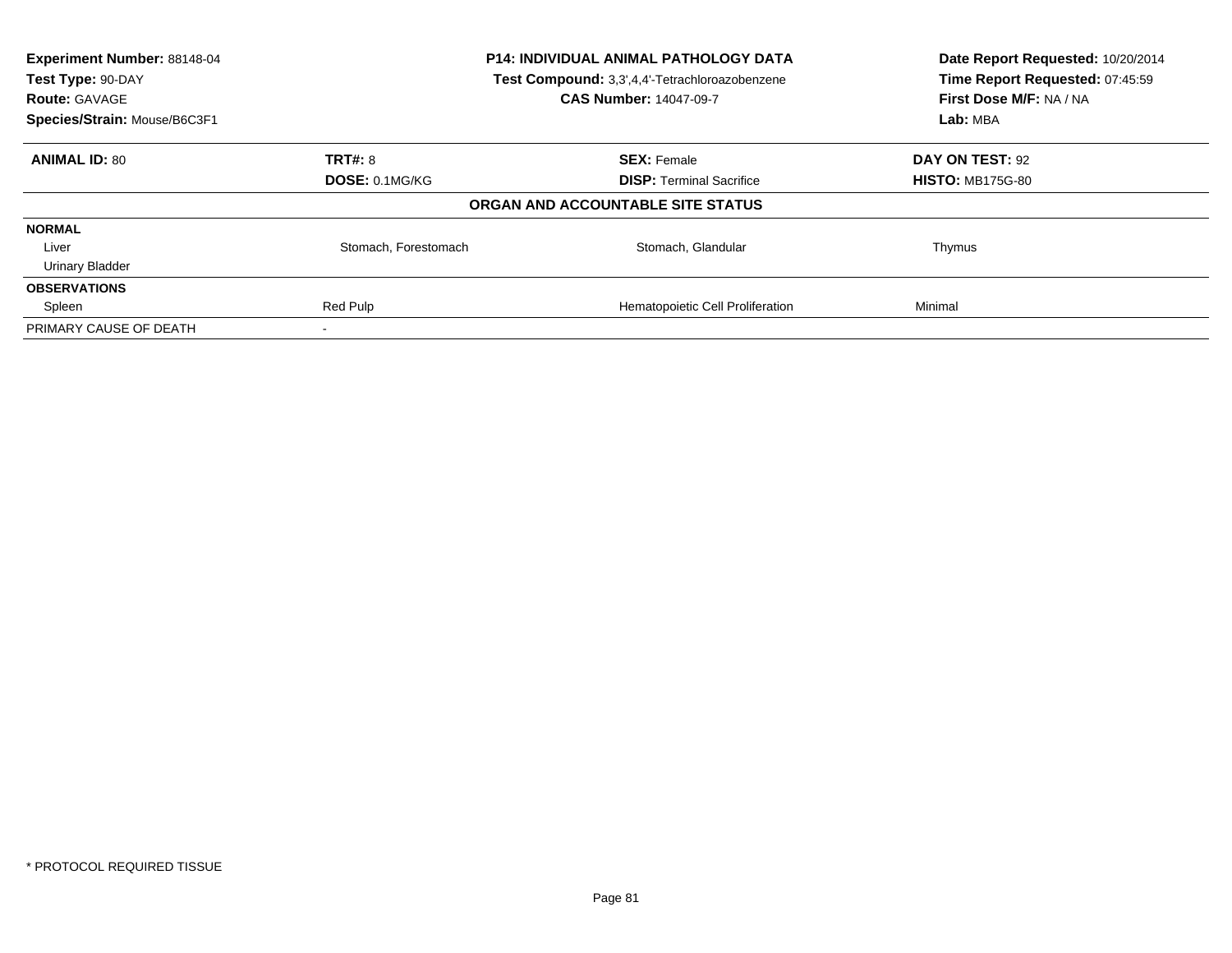| Experiment Number: 88148-04<br>Test Type: 90-DAY<br><b>Route: GAVAGE</b> | P14: INDIVIDUAL ANIMAL PATHOLOGY DATA<br>Test Compound: 3,3',4,4'-Tetrachloroazobenzene<br><b>CAS Number: 14047-09-7</b> |                                   | Date Report Requested: 10/20/2014<br>Time Report Requested: 07:45:59<br>First Dose M/F: NA / NA |  |
|--------------------------------------------------------------------------|--------------------------------------------------------------------------------------------------------------------------|-----------------------------------|-------------------------------------------------------------------------------------------------|--|
| Species/Strain: Mouse/B6C3F1                                             |                                                                                                                          |                                   | Lab: MBA                                                                                        |  |
| <b>ANIMAL ID: 80</b>                                                     | <b>TRT#: 8</b>                                                                                                           | <b>SEX: Female</b>                | DAY ON TEST: 92                                                                                 |  |
|                                                                          | DOSE: 0.1MG/KG                                                                                                           | <b>DISP:</b> Terminal Sacrifice   | <b>HISTO: MB175G-80</b>                                                                         |  |
|                                                                          |                                                                                                                          | ORGAN AND ACCOUNTABLE SITE STATUS |                                                                                                 |  |
| <b>NORMAL</b>                                                            |                                                                                                                          |                                   |                                                                                                 |  |
| Liver                                                                    | Stomach, Forestomach                                                                                                     | Stomach, Glandular                | Thymus                                                                                          |  |
| <b>Urinary Bladder</b>                                                   |                                                                                                                          |                                   |                                                                                                 |  |
| <b>OBSERVATIONS</b>                                                      |                                                                                                                          |                                   |                                                                                                 |  |
| Spleen                                                                   | Red Pulp                                                                                                                 | Hematopoietic Cell Proliferation  | Minimal                                                                                         |  |
| PRIMARY CAUSE OF DEATH                                                   |                                                                                                                          |                                   |                                                                                                 |  |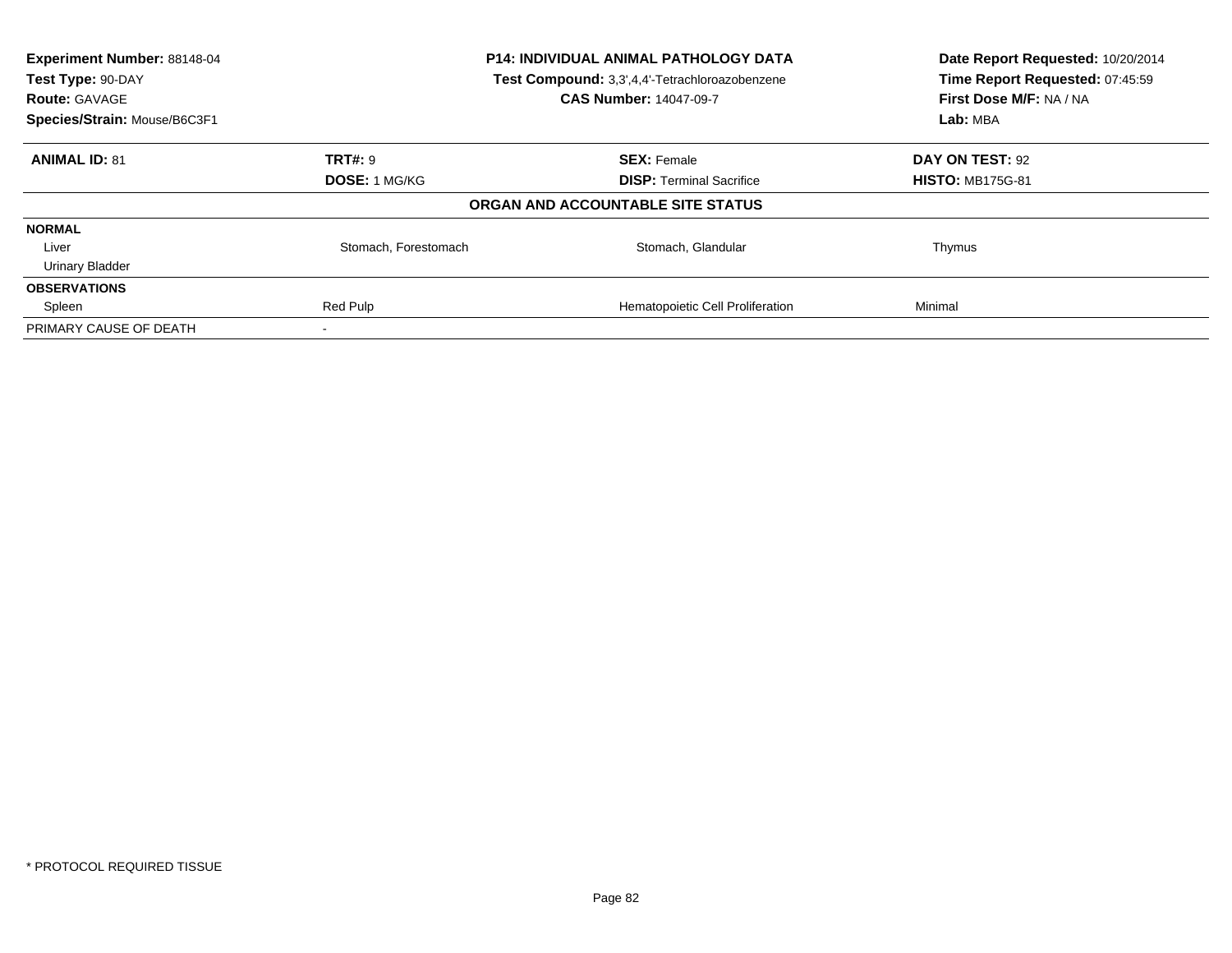| Experiment Number: 88148-04<br>Test Type: 90-DAY<br><b>Route: GAVAGE</b> | P14: INDIVIDUAL ANIMAL PATHOLOGY DATA<br>Test Compound: 3,3',4,4'-Tetrachloroazobenzene<br><b>CAS Number: 14047-09-7</b> |                                   | Date Report Requested: 10/20/2014<br>Time Report Requested: 07:45:59<br>First Dose M/F: NA / NA |
|--------------------------------------------------------------------------|--------------------------------------------------------------------------------------------------------------------------|-----------------------------------|-------------------------------------------------------------------------------------------------|
| Species/Strain: Mouse/B6C3F1                                             |                                                                                                                          |                                   | Lab: MBA                                                                                        |
| <b>ANIMAL ID: 81</b>                                                     | <b>TRT#: 9</b>                                                                                                           | <b>SEX: Female</b>                | DAY ON TEST: 92                                                                                 |
|                                                                          | <b>DOSE: 1 MG/KG</b>                                                                                                     | <b>DISP:</b> Terminal Sacrifice   | <b>HISTO: MB175G-81</b>                                                                         |
|                                                                          |                                                                                                                          | ORGAN AND ACCOUNTABLE SITE STATUS |                                                                                                 |
| <b>NORMAL</b>                                                            |                                                                                                                          |                                   |                                                                                                 |
| Liver                                                                    | Stomach, Forestomach                                                                                                     | Stomach, Glandular                | Thymus                                                                                          |
| <b>Urinary Bladder</b>                                                   |                                                                                                                          |                                   |                                                                                                 |
| <b>OBSERVATIONS</b>                                                      |                                                                                                                          |                                   |                                                                                                 |
| Spleen                                                                   | Red Pulp                                                                                                                 | Hematopoietic Cell Proliferation  | Minimal                                                                                         |
| PRIMARY CAUSE OF DEATH                                                   |                                                                                                                          |                                   |                                                                                                 |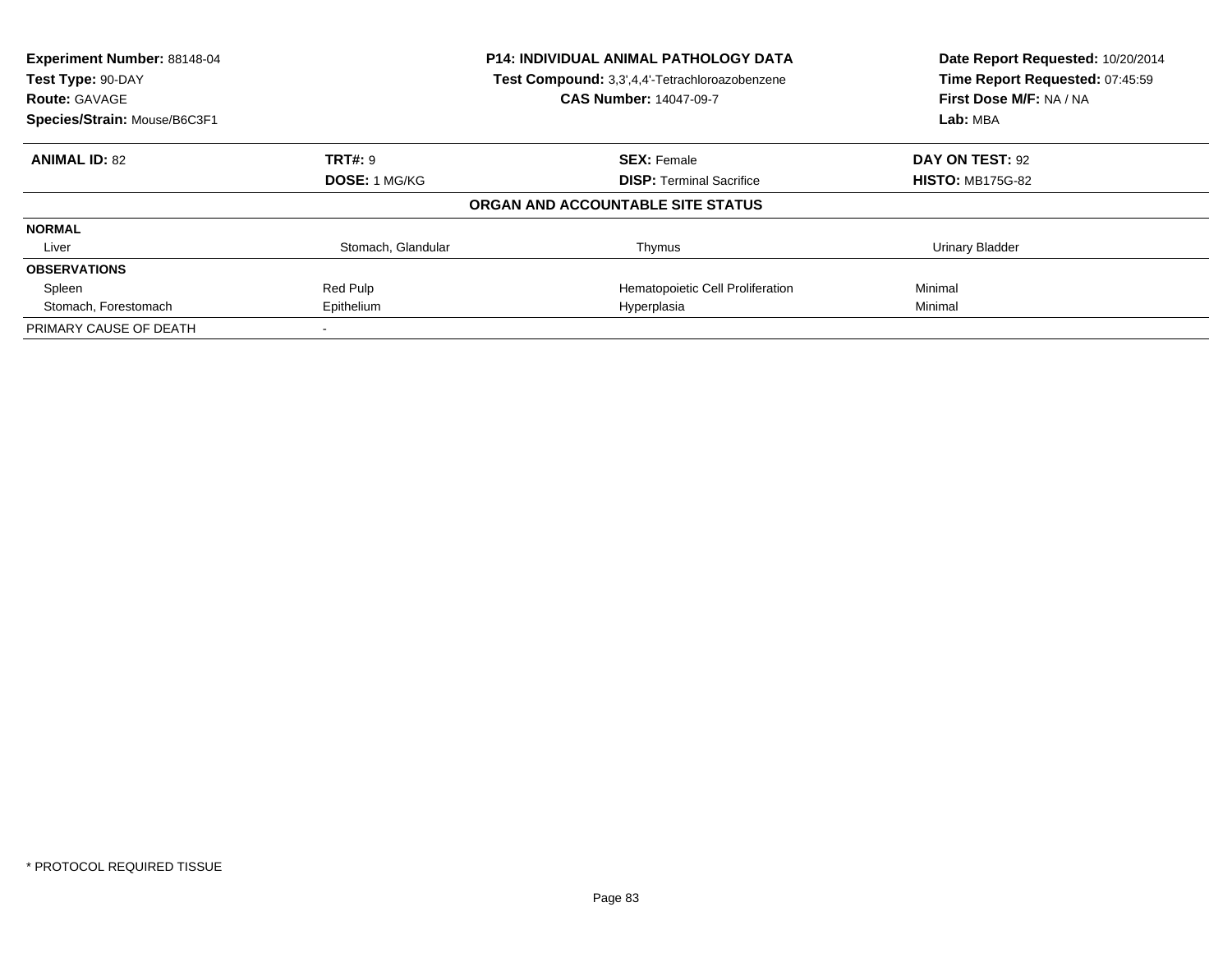| Experiment Number: 88148-04<br>Test Type: 90-DAY     |                      | <b>P14: INDIVIDUAL ANIMAL PATHOLOGY DATA</b><br>Test Compound: 3,3',4,4'-Tetrachloroazobenzene<br><b>CAS Number: 14047-09-7</b> | Date Report Requested: 10/20/2014<br>Time Report Requested: 07:45:59<br>First Dose M/F: NA / NA |
|------------------------------------------------------|----------------------|---------------------------------------------------------------------------------------------------------------------------------|-------------------------------------------------------------------------------------------------|
| <b>Route: GAVAGE</b><br>Species/Strain: Mouse/B6C3F1 |                      |                                                                                                                                 | Lab: MBA                                                                                        |
| <b>ANIMAL ID: 82</b>                                 | <b>TRT#: 9</b>       | <b>SEX: Female</b>                                                                                                              | DAY ON TEST: 92                                                                                 |
|                                                      | <b>DOSE: 1 MG/KG</b> | <b>DISP:</b> Terminal Sacrifice                                                                                                 | <b>HISTO: MB175G-82</b>                                                                         |
|                                                      |                      | ORGAN AND ACCOUNTABLE SITE STATUS                                                                                               |                                                                                                 |
| <b>NORMAL</b>                                        |                      |                                                                                                                                 |                                                                                                 |
| Liver                                                | Stomach, Glandular   | Thymus                                                                                                                          | Urinary Bladder                                                                                 |
| <b>OBSERVATIONS</b>                                  |                      |                                                                                                                                 |                                                                                                 |
| Spleen                                               | Red Pulp             | Hematopoietic Cell Proliferation                                                                                                | Minimal                                                                                         |
| Stomach, Forestomach                                 | Epithelium           | Hyperplasia                                                                                                                     | Minimal                                                                                         |
| PRIMARY CAUSE OF DEATH                               |                      |                                                                                                                                 |                                                                                                 |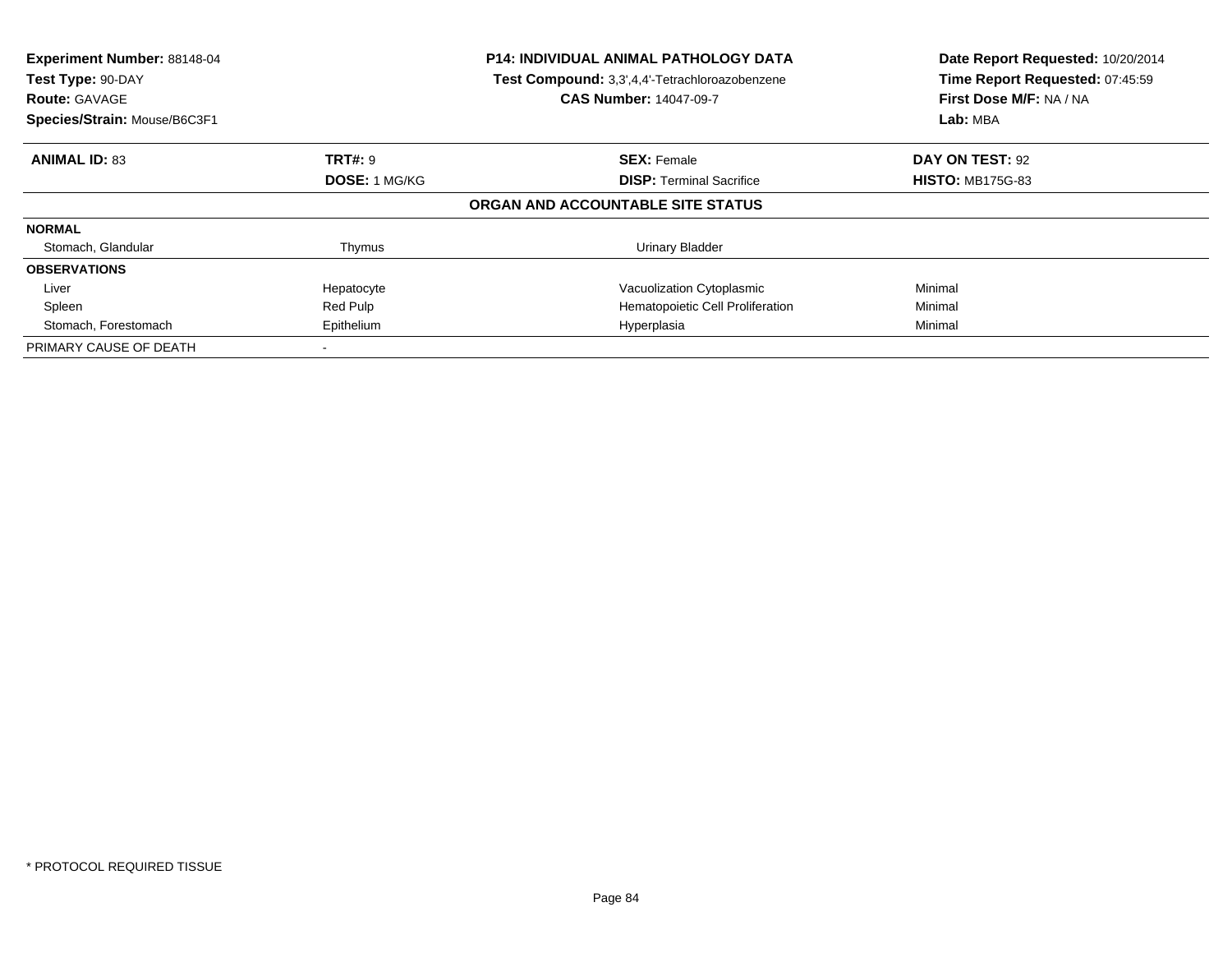| Experiment Number: 88148-04<br>Test Type: 90-DAY<br><b>Route: GAVAGE</b><br>Species/Strain: Mouse/B6C3F1 |                      | <b>P14: INDIVIDUAL ANIMAL PATHOLOGY DATA</b><br>Test Compound: 3,3',4,4'-Tetrachloroazobenzene<br><b>CAS Number: 14047-09-7</b> | Date Report Requested: 10/20/2014<br>Time Report Requested: 07:45:59<br>First Dose M/F: NA / NA<br>Lab: MBA |
|----------------------------------------------------------------------------------------------------------|----------------------|---------------------------------------------------------------------------------------------------------------------------------|-------------------------------------------------------------------------------------------------------------|
| <b>ANIMAL ID: 83</b>                                                                                     | <b>TRT#: 9</b>       | <b>SEX: Female</b>                                                                                                              | DAY ON TEST: 92                                                                                             |
|                                                                                                          | <b>DOSE: 1 MG/KG</b> | <b>DISP:</b> Terminal Sacrifice                                                                                                 | <b>HISTO: MB175G-83</b>                                                                                     |
|                                                                                                          |                      | ORGAN AND ACCOUNTABLE SITE STATUS                                                                                               |                                                                                                             |
| <b>NORMAL</b>                                                                                            |                      |                                                                                                                                 |                                                                                                             |
| Stomach, Glandular                                                                                       | Thymus               | Urinary Bladder                                                                                                                 |                                                                                                             |
| <b>OBSERVATIONS</b>                                                                                      |                      |                                                                                                                                 |                                                                                                             |
| Liver                                                                                                    | Hepatocyte           | Vacuolization Cytoplasmic                                                                                                       | Minimal                                                                                                     |
| Spleen                                                                                                   | Red Pulp             | Hematopoietic Cell Proliferation                                                                                                | Minimal                                                                                                     |
| Stomach, Forestomach                                                                                     | Epithelium           | Hyperplasia                                                                                                                     | Minimal                                                                                                     |
| PRIMARY CAUSE OF DEATH                                                                                   |                      |                                                                                                                                 |                                                                                                             |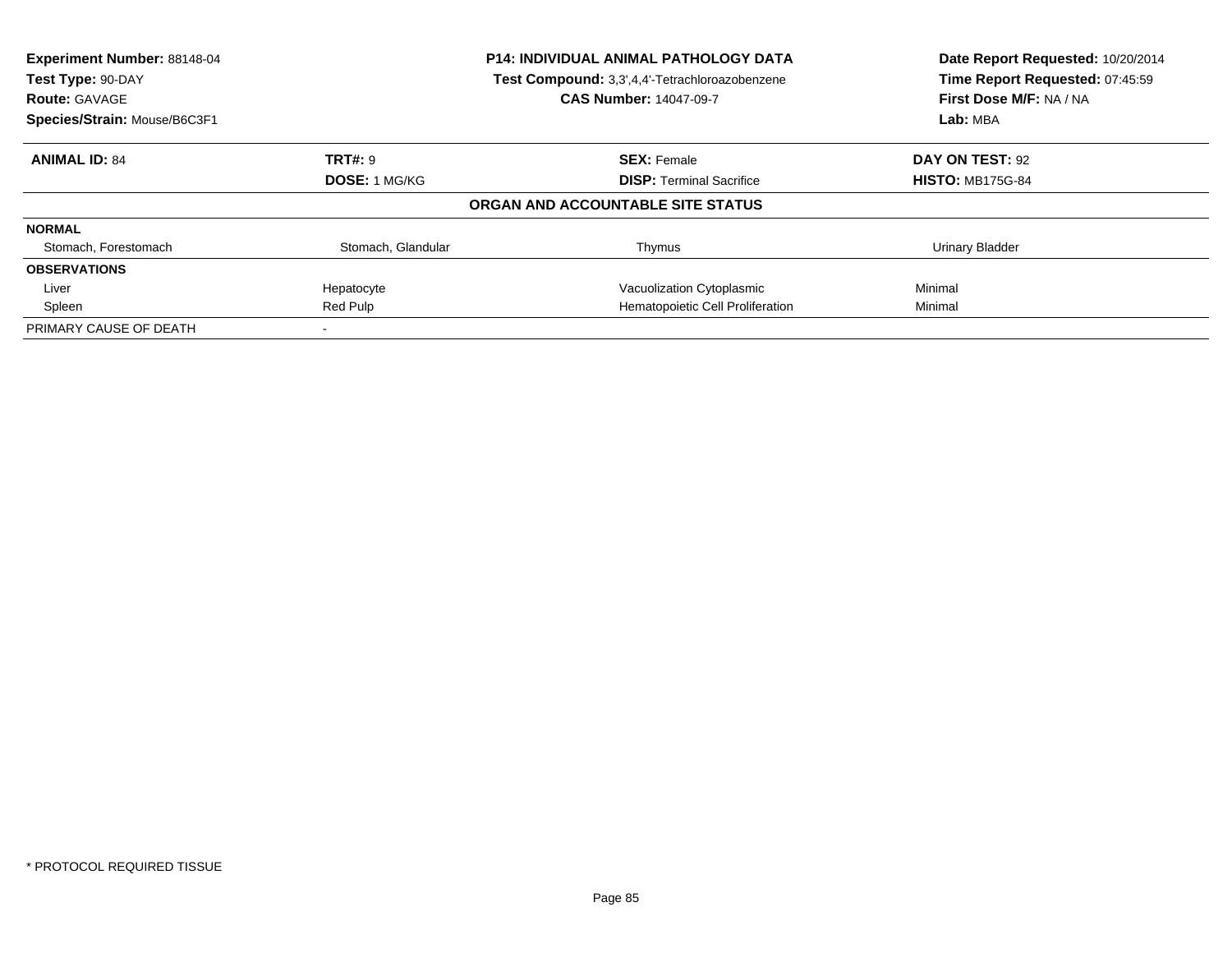| Experiment Number: 88148-04<br><b>P14: INDIVIDUAL ANIMAL PATHOLOGY DATA</b><br>Test Compound: 3,3',4,4'-Tetrachloroazobenzene<br>Test Type: 90-DAY |                      |                                   | Date Report Requested: 10/20/2014 |
|----------------------------------------------------------------------------------------------------------------------------------------------------|----------------------|-----------------------------------|-----------------------------------|
|                                                                                                                                                    |                      |                                   | Time Report Requested: 07:45:59   |
| <b>Route: GAVAGE</b>                                                                                                                               |                      | <b>CAS Number: 14047-09-7</b>     | First Dose M/F: NA / NA           |
| Species/Strain: Mouse/B6C3F1                                                                                                                       |                      |                                   | Lab: MBA                          |
| <b>ANIMAL ID: 84</b>                                                                                                                               | <b>TRT#: 9</b>       | <b>SEX: Female</b>                | DAY ON TEST: 92                   |
|                                                                                                                                                    | <b>DOSE: 1 MG/KG</b> | <b>DISP:</b> Terminal Sacrifice   | <b>HISTO: MB175G-84</b>           |
|                                                                                                                                                    |                      | ORGAN AND ACCOUNTABLE SITE STATUS |                                   |
| <b>NORMAL</b>                                                                                                                                      |                      |                                   |                                   |
| Stomach, Forestomach                                                                                                                               | Stomach, Glandular   | Thymus                            | Urinary Bladder                   |
| <b>OBSERVATIONS</b>                                                                                                                                |                      |                                   |                                   |
| Liver                                                                                                                                              | Hepatocyte           | Vacuolization Cytoplasmic         | Minimal                           |
| Spleen                                                                                                                                             | Red Pulp             | Hematopoietic Cell Proliferation  | Minimal                           |
| PRIMARY CAUSE OF DEATH                                                                                                                             |                      |                                   |                                   |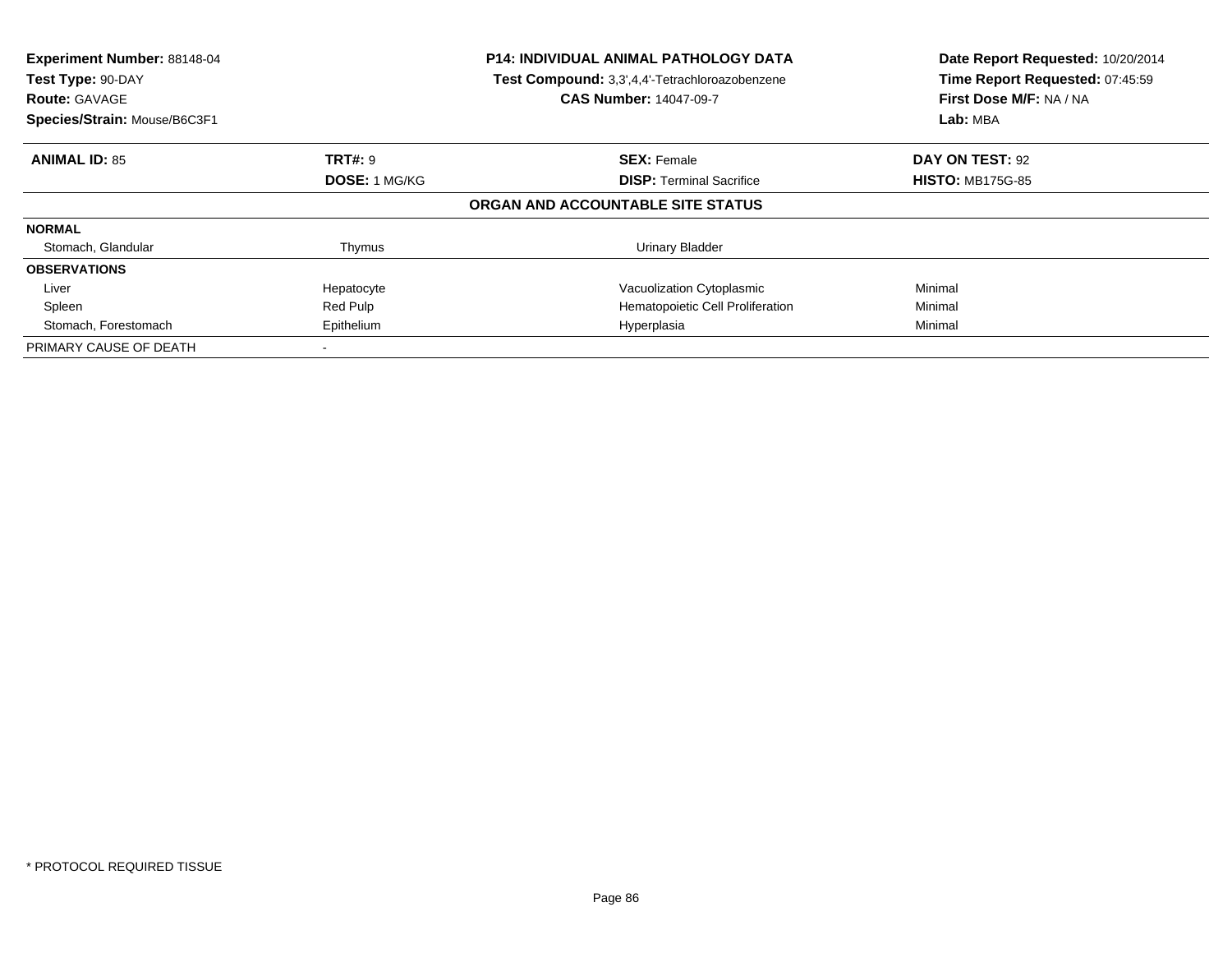| Experiment Number: 88148-04<br>Test Type: 90-DAY<br><b>Route: GAVAGE</b><br>Species/Strain: Mouse/B6C3F1 |                      | <b>P14: INDIVIDUAL ANIMAL PATHOLOGY DATA</b><br>Test Compound: 3,3',4,4'-Tetrachloroazobenzene<br><b>CAS Number: 14047-09-7</b> | Date Report Requested: 10/20/2014<br>Time Report Requested: 07:45:59<br>First Dose M/F: NA / NA<br>Lab: MBA |
|----------------------------------------------------------------------------------------------------------|----------------------|---------------------------------------------------------------------------------------------------------------------------------|-------------------------------------------------------------------------------------------------------------|
| <b>ANIMAL ID: 85</b>                                                                                     | <b>TRT#: 9</b>       | <b>SEX: Female</b>                                                                                                              | DAY ON TEST: 92                                                                                             |
|                                                                                                          | <b>DOSE: 1 MG/KG</b> | <b>DISP:</b> Terminal Sacrifice                                                                                                 | <b>HISTO: MB175G-85</b>                                                                                     |
|                                                                                                          |                      | ORGAN AND ACCOUNTABLE SITE STATUS                                                                                               |                                                                                                             |
| <b>NORMAL</b>                                                                                            |                      |                                                                                                                                 |                                                                                                             |
| Stomach, Glandular                                                                                       | Thymus               | Urinary Bladder                                                                                                                 |                                                                                                             |
| <b>OBSERVATIONS</b>                                                                                      |                      |                                                                                                                                 |                                                                                                             |
| Liver                                                                                                    | Hepatocyte           | Vacuolization Cytoplasmic                                                                                                       | Minimal                                                                                                     |
| Spleen                                                                                                   | Red Pulp             | Hematopoietic Cell Proliferation                                                                                                | Minimal                                                                                                     |
| Stomach, Forestomach                                                                                     | Epithelium           | Hyperplasia                                                                                                                     | Minimal                                                                                                     |
| PRIMARY CAUSE OF DEATH                                                                                   |                      |                                                                                                                                 |                                                                                                             |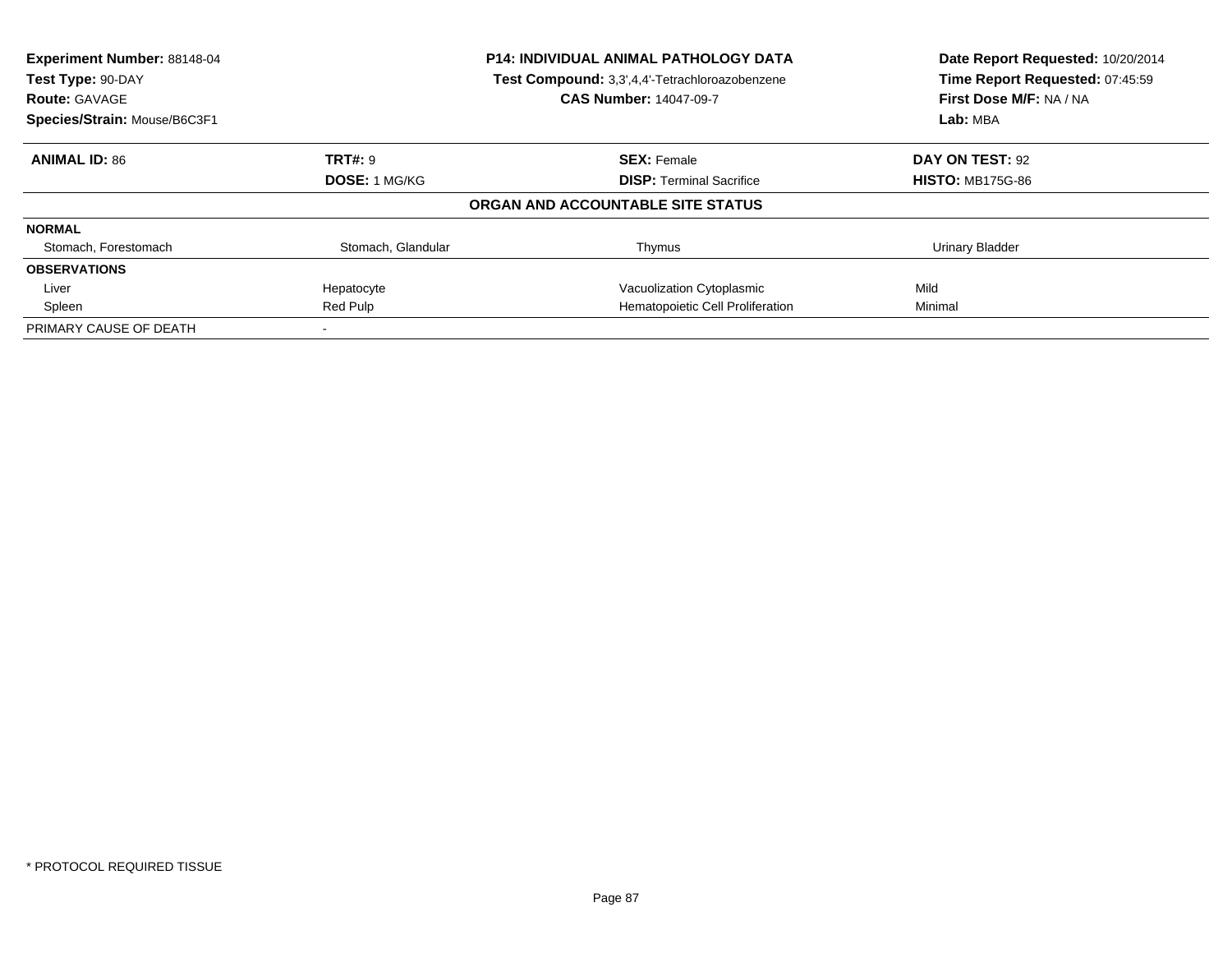| Experiment Number: 88148-04  |                                                                                                      | <b>P14: INDIVIDUAL ANIMAL PATHOLOGY DATA</b> | Date Report Requested: 10/20/2014                          |
|------------------------------|------------------------------------------------------------------------------------------------------|----------------------------------------------|------------------------------------------------------------|
| <b>Route: GAVAGE</b>         | Test Compound: 3,3',4,4'-Tetrachloroazobenzene<br>Test Type: 90-DAY<br><b>CAS Number: 14047-09-7</b> |                                              | Time Report Requested: 07:45:59<br>First Dose M/F: NA / NA |
| Species/Strain: Mouse/B6C3F1 |                                                                                                      |                                              | Lab: MBA                                                   |
| <b>ANIMAL ID: 86</b>         | <b>TRT#: 9</b>                                                                                       | <b>SEX: Female</b>                           | DAY ON TEST: 92                                            |
|                              | <b>DOSE: 1 MG/KG</b>                                                                                 | <b>DISP:</b> Terminal Sacrifice              | <b>HISTO: MB175G-86</b>                                    |
|                              |                                                                                                      | ORGAN AND ACCOUNTABLE SITE STATUS            |                                                            |
| <b>NORMAL</b>                |                                                                                                      |                                              |                                                            |
| Stomach, Forestomach         | Stomach, Glandular                                                                                   | Thymus                                       | <b>Urinary Bladder</b>                                     |
| <b>OBSERVATIONS</b>          |                                                                                                      |                                              |                                                            |
| Liver                        | Hepatocyte                                                                                           | Vacuolization Cytoplasmic                    | Mild                                                       |
| Spleen                       | Red Pulp                                                                                             | Hematopoietic Cell Proliferation             | Minimal                                                    |
| PRIMARY CAUSE OF DEATH       |                                                                                                      |                                              |                                                            |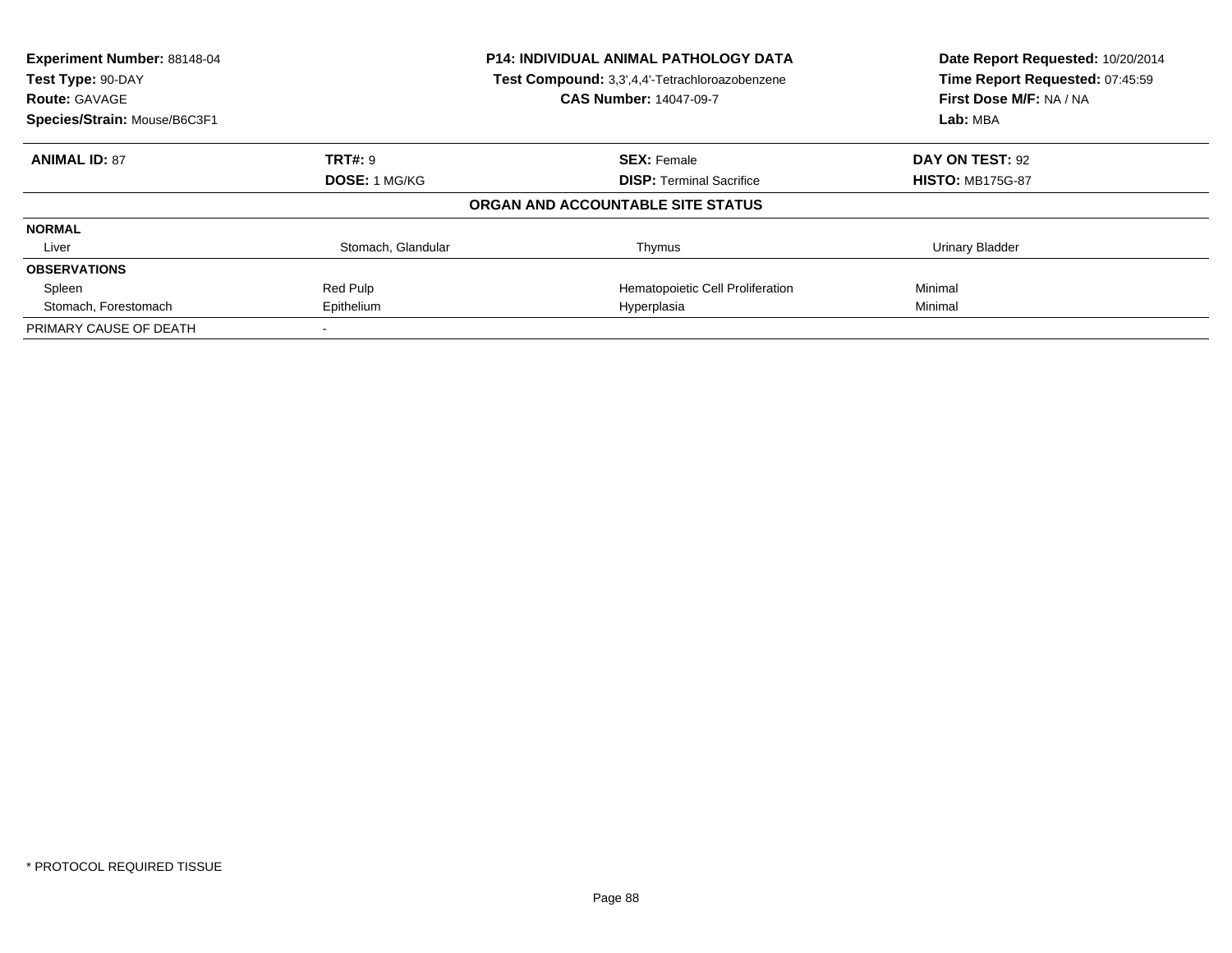| Experiment Number: 88148-04<br><b>P14: INDIVIDUAL ANIMAL PATHOLOGY DATA</b><br>Test Compound: 3,3',4,4'-Tetrachloroazobenzene<br>Test Type: 90-DAY |                      | Date Report Requested: 10/20/2014<br>Time Report Requested: 07:45:59 |                         |
|----------------------------------------------------------------------------------------------------------------------------------------------------|----------------------|----------------------------------------------------------------------|-------------------------|
| <b>Route: GAVAGE</b>                                                                                                                               |                      | <b>CAS Number: 14047-09-7</b>                                        | First Dose M/F: NA / NA |
| Species/Strain: Mouse/B6C3F1                                                                                                                       |                      |                                                                      | Lab: MBA                |
| <b>ANIMAL ID: 87</b>                                                                                                                               | <b>TRT#: 9</b>       | <b>SEX: Female</b>                                                   | DAY ON TEST: 92         |
|                                                                                                                                                    | <b>DOSE: 1 MG/KG</b> | <b>DISP:</b> Terminal Sacrifice                                      | <b>HISTO: MB175G-87</b> |
|                                                                                                                                                    |                      | ORGAN AND ACCOUNTABLE SITE STATUS                                    |                         |
| <b>NORMAL</b>                                                                                                                                      |                      |                                                                      |                         |
| Liver                                                                                                                                              | Stomach, Glandular   | Thymus                                                               | Urinary Bladder         |
| <b>OBSERVATIONS</b>                                                                                                                                |                      |                                                                      |                         |
| Spleen                                                                                                                                             | Red Pulp             | Hematopoietic Cell Proliferation                                     | Minimal                 |
| Stomach, Forestomach                                                                                                                               | Epithelium           | Hyperplasia                                                          | Minimal                 |
| PRIMARY CAUSE OF DEATH                                                                                                                             |                      |                                                                      |                         |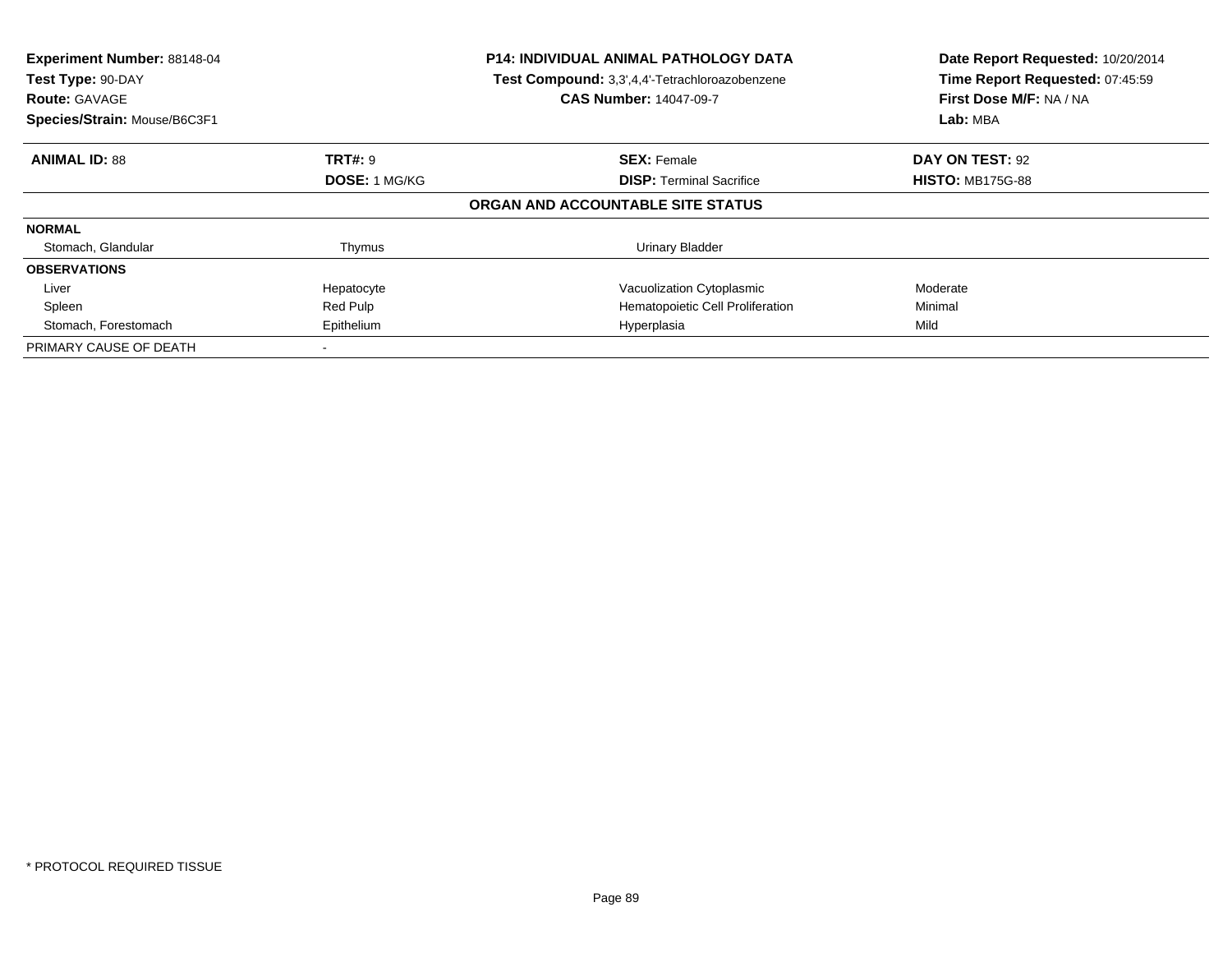| Experiment Number: 88148-04<br>Test Type: 90-DAY<br><b>Route: GAVAGE</b><br>Species/Strain: Mouse/B6C3F1 |                      | <b>P14: INDIVIDUAL ANIMAL PATHOLOGY DATA</b><br>Test Compound: 3,3',4,4'-Tetrachloroazobenzene<br><b>CAS Number: 14047-09-7</b> | Date Report Requested: 10/20/2014<br>Time Report Requested: 07:45:59<br>First Dose M/F: NA / NA<br>Lab: MBA |
|----------------------------------------------------------------------------------------------------------|----------------------|---------------------------------------------------------------------------------------------------------------------------------|-------------------------------------------------------------------------------------------------------------|
| <b>ANIMAL ID: 88</b>                                                                                     | <b>TRT#: 9</b>       | <b>SEX: Female</b>                                                                                                              | DAY ON TEST: 92                                                                                             |
|                                                                                                          | <b>DOSE: 1 MG/KG</b> | <b>DISP:</b> Terminal Sacrifice                                                                                                 | <b>HISTO: MB175G-88</b>                                                                                     |
|                                                                                                          |                      | ORGAN AND ACCOUNTABLE SITE STATUS                                                                                               |                                                                                                             |
| <b>NORMAL</b>                                                                                            |                      |                                                                                                                                 |                                                                                                             |
| Stomach, Glandular                                                                                       | Thymus               | Urinary Bladder                                                                                                                 |                                                                                                             |
| <b>OBSERVATIONS</b>                                                                                      |                      |                                                                                                                                 |                                                                                                             |
| Liver                                                                                                    | Hepatocyte           | Vacuolization Cytoplasmic                                                                                                       | Moderate                                                                                                    |
| Spleen                                                                                                   | Red Pulp             | Hematopoietic Cell Proliferation                                                                                                | Minimal                                                                                                     |
| Stomach, Forestomach                                                                                     | Epithelium           | Hyperplasia                                                                                                                     | Mild                                                                                                        |
| PRIMARY CAUSE OF DEATH                                                                                   |                      |                                                                                                                                 |                                                                                                             |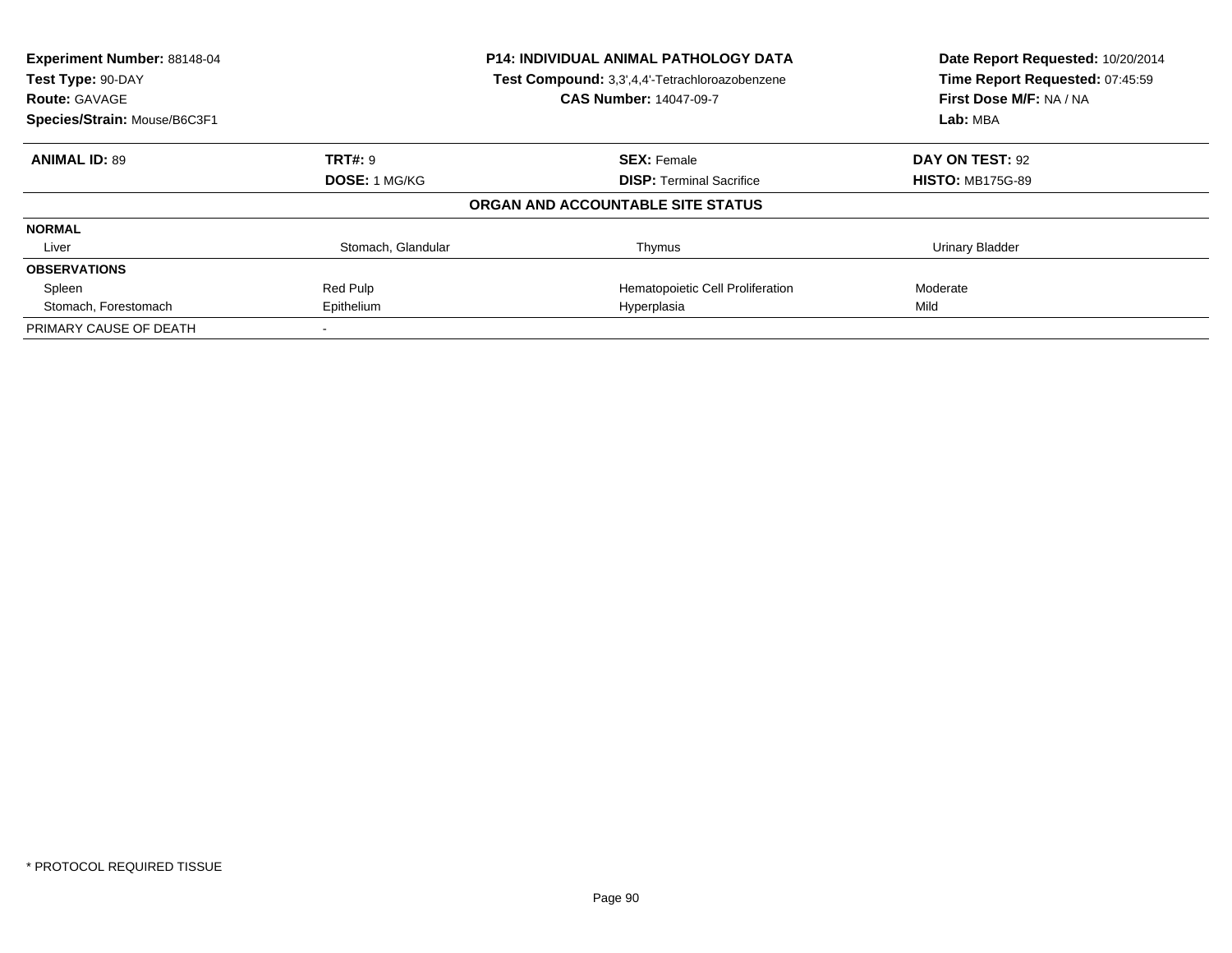| Experiment Number: 88148-04<br>Test Type: 90-DAY |                      | <b>P14: INDIVIDUAL ANIMAL PATHOLOGY DATA</b><br>Test Compound: 3,3',4,4'-Tetrachloroazobenzene | Date Report Requested: 10/20/2014<br>Time Report Requested: 07:45:59 |
|--------------------------------------------------|----------------------|------------------------------------------------------------------------------------------------|----------------------------------------------------------------------|
| <b>Route: GAVAGE</b>                             |                      | <b>CAS Number: 14047-09-7</b>                                                                  | First Dose M/F: NA / NA                                              |
| Species/Strain: Mouse/B6C3F1                     |                      |                                                                                                | Lab: MBA                                                             |
| <b>ANIMAL ID: 89</b>                             | <b>TRT#: 9</b>       | <b>SEX: Female</b>                                                                             | DAY ON TEST: 92                                                      |
|                                                  | <b>DOSE: 1 MG/KG</b> | <b>DISP:</b> Terminal Sacrifice                                                                | <b>HISTO: MB175G-89</b>                                              |
|                                                  |                      | ORGAN AND ACCOUNTABLE SITE STATUS                                                              |                                                                      |
| <b>NORMAL</b>                                    |                      |                                                                                                |                                                                      |
| Liver                                            | Stomach, Glandular   | Thymus                                                                                         | Urinary Bladder                                                      |
| <b>OBSERVATIONS</b>                              |                      |                                                                                                |                                                                      |
| Spleen                                           | Red Pulp             | Hematopoietic Cell Proliferation                                                               | Moderate                                                             |
| Stomach, Forestomach                             | Epithelium           | Hyperplasia                                                                                    | Mild                                                                 |
| PRIMARY CAUSE OF DEATH                           |                      |                                                                                                |                                                                      |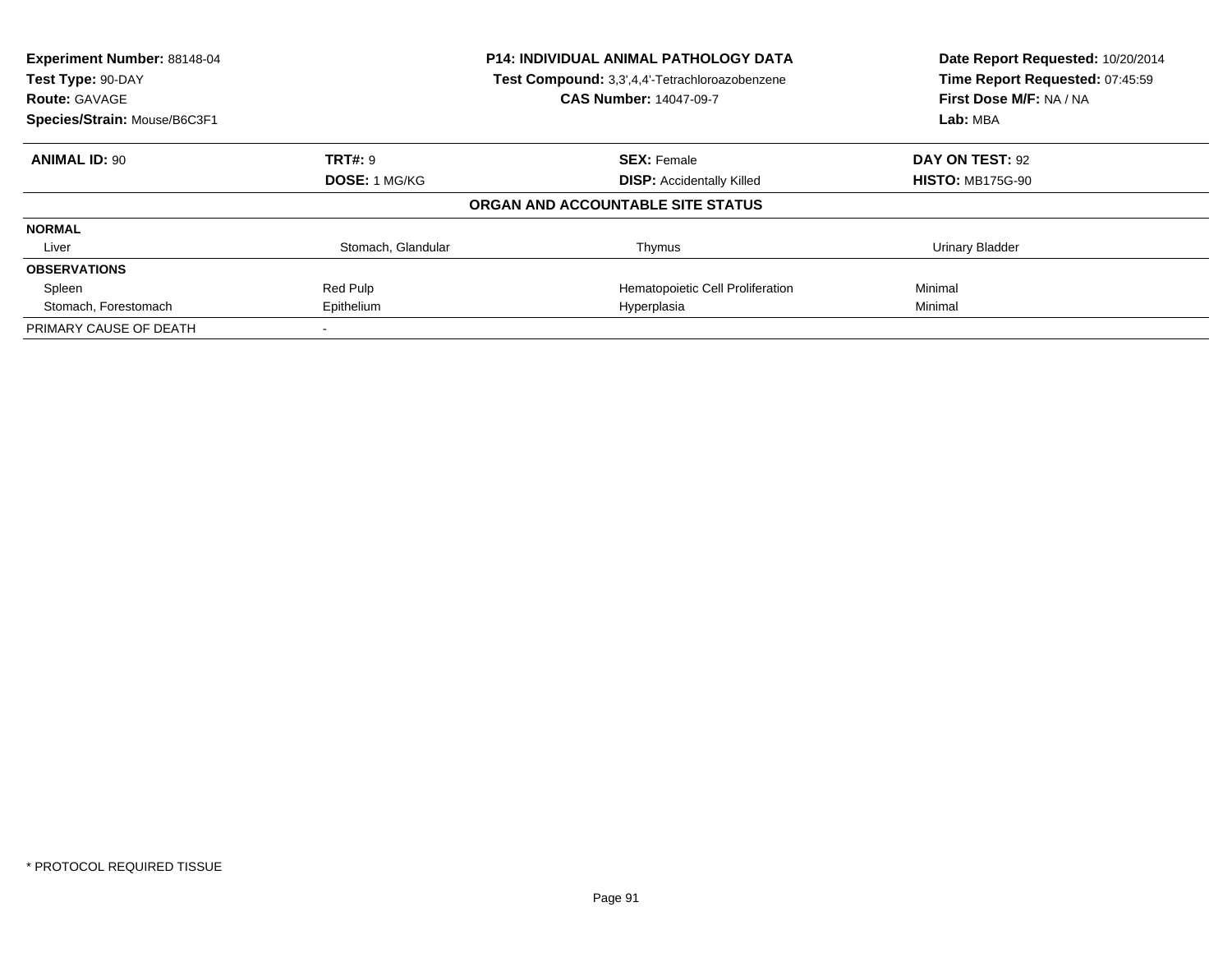| Experiment Number: 88148-04<br><b>P14: INDIVIDUAL ANIMAL PATHOLOGY DATA</b><br>Test Compound: 3,3',4,4'-Tetrachloroazobenzene<br>Test Type: 90-DAY<br><b>CAS Number: 14047-09-7</b><br><b>Route: GAVAGE</b> |                      | Date Report Requested: 10/20/2014<br>Time Report Requested: 07:45:59<br>First Dose M/F: NA / NA |                         |
|-------------------------------------------------------------------------------------------------------------------------------------------------------------------------------------------------------------|----------------------|-------------------------------------------------------------------------------------------------|-------------------------|
| Species/Strain: Mouse/B6C3F1                                                                                                                                                                                |                      |                                                                                                 | Lab: MBA                |
| <b>ANIMAL ID: 90</b>                                                                                                                                                                                        | <b>TRT#: 9</b>       | <b>SEX: Female</b>                                                                              | DAY ON TEST: 92         |
|                                                                                                                                                                                                             | <b>DOSE: 1 MG/KG</b> | <b>DISP: Accidentally Killed</b>                                                                | <b>HISTO: MB175G-90</b> |
|                                                                                                                                                                                                             |                      | ORGAN AND ACCOUNTABLE SITE STATUS                                                               |                         |
| <b>NORMAL</b>                                                                                                                                                                                               |                      |                                                                                                 |                         |
| Liver                                                                                                                                                                                                       | Stomach, Glandular   | Thymus                                                                                          | Urinary Bladder         |
| <b>OBSERVATIONS</b>                                                                                                                                                                                         |                      |                                                                                                 |                         |
| Spleen                                                                                                                                                                                                      | Red Pulp             | Hematopoietic Cell Proliferation                                                                | Minimal                 |
| Stomach, Forestomach                                                                                                                                                                                        | Epithelium           | Hyperplasia                                                                                     | Minimal                 |
| PRIMARY CAUSE OF DEATH                                                                                                                                                                                      |                      |                                                                                                 |                         |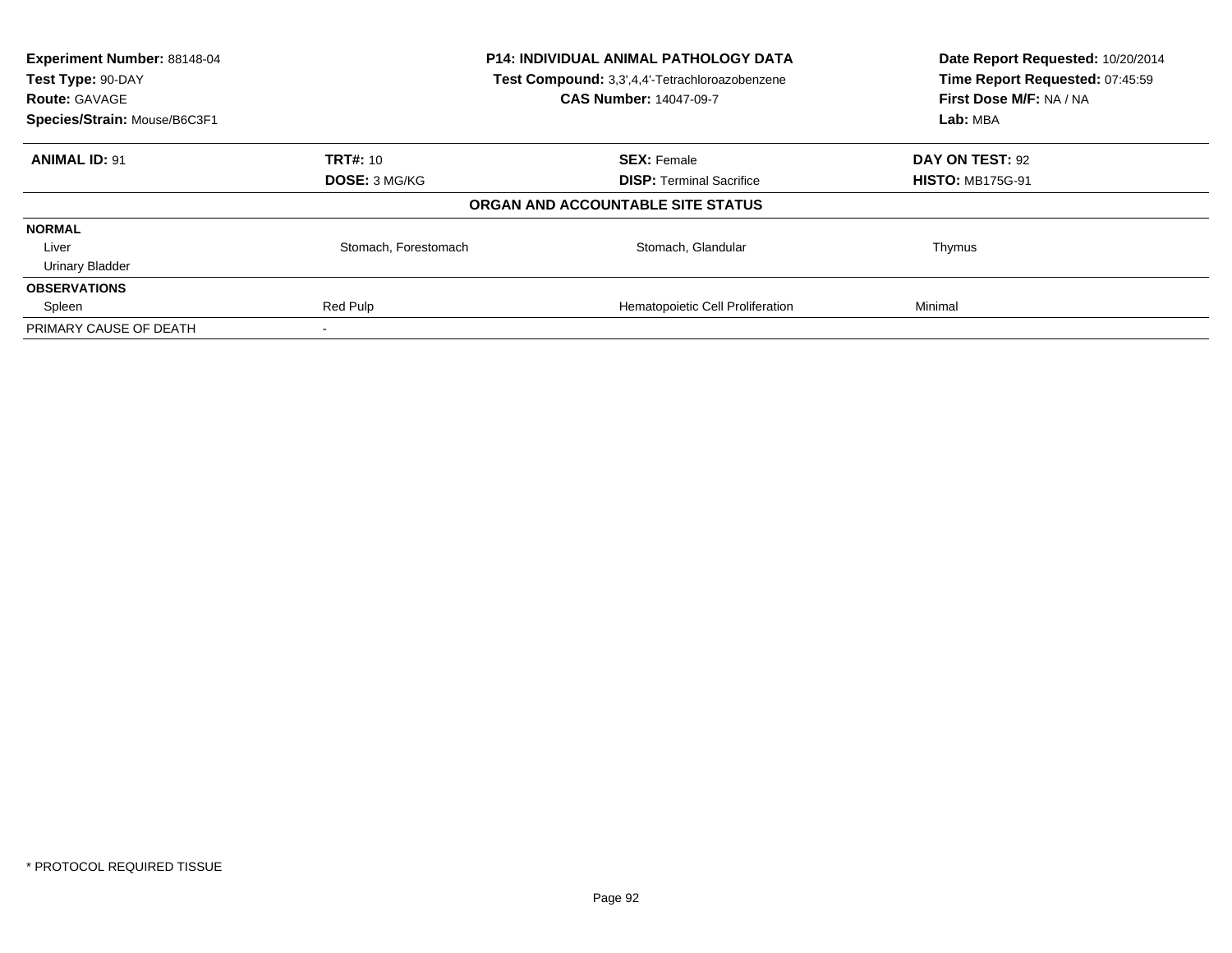| Experiment Number: 88148-04<br>Test Type: 90-DAY<br><b>Route: GAVAGE</b> | P14: INDIVIDUAL ANIMAL PATHOLOGY DATA<br>Test Compound: 3,3',4,4'-Tetrachloroazobenzene<br><b>CAS Number: 14047-09-7</b> |                                   | Date Report Requested: 10/20/2014<br>Time Report Requested: 07:45:59<br>First Dose M/F: NA / NA |
|--------------------------------------------------------------------------|--------------------------------------------------------------------------------------------------------------------------|-----------------------------------|-------------------------------------------------------------------------------------------------|
| Species/Strain: Mouse/B6C3F1                                             |                                                                                                                          |                                   | Lab: MBA                                                                                        |
| <b>ANIMAL ID: 91</b>                                                     | <b>TRT#: 10</b>                                                                                                          | <b>SEX: Female</b>                | DAY ON TEST: 92                                                                                 |
|                                                                          | <b>DOSE: 3 MG/KG</b>                                                                                                     | <b>DISP:</b> Terminal Sacrifice   | <b>HISTO: MB175G-91</b>                                                                         |
|                                                                          |                                                                                                                          | ORGAN AND ACCOUNTABLE SITE STATUS |                                                                                                 |
| <b>NORMAL</b>                                                            |                                                                                                                          |                                   |                                                                                                 |
| Liver                                                                    | Stomach, Forestomach                                                                                                     | Stomach, Glandular                | Thymus                                                                                          |
| <b>Urinary Bladder</b>                                                   |                                                                                                                          |                                   |                                                                                                 |
| <b>OBSERVATIONS</b>                                                      |                                                                                                                          |                                   |                                                                                                 |
| Spleen                                                                   | Red Pulp                                                                                                                 | Hematopoietic Cell Proliferation  | Minimal                                                                                         |
| PRIMARY CAUSE OF DEATH                                                   |                                                                                                                          |                                   |                                                                                                 |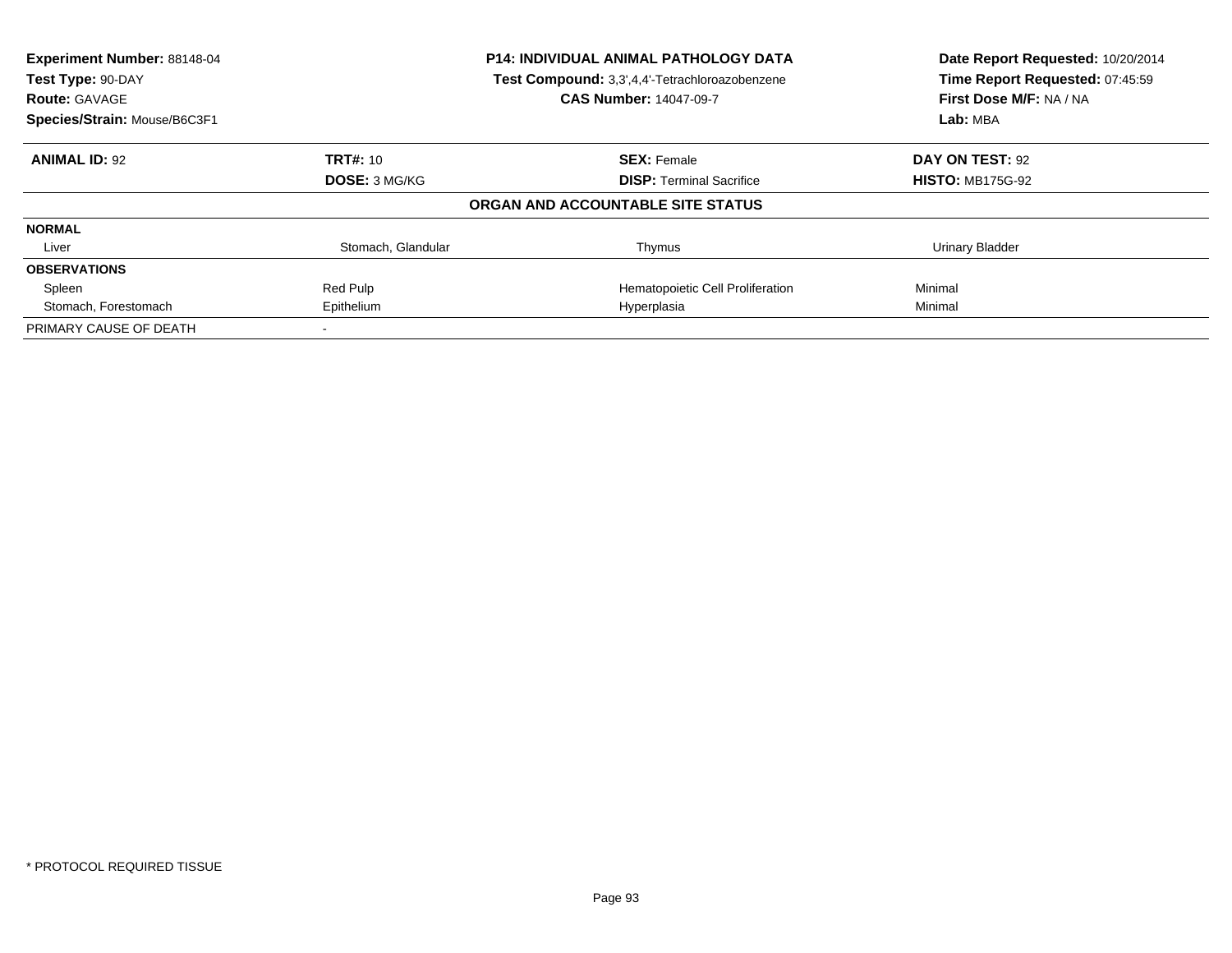| <b>Experiment Number: 88148-04</b> |                      | <b>P14: INDIVIDUAL ANIMAL PATHOLOGY DATA</b>   | Date Report Requested: 10/20/2014<br>Time Report Requested: 07:45:59 |
|------------------------------------|----------------------|------------------------------------------------|----------------------------------------------------------------------|
| Test Type: 90-DAY                  |                      | Test Compound: 3,3',4,4'-Tetrachloroazobenzene |                                                                      |
| <b>Route: GAVAGE</b>               |                      | <b>CAS Number: 14047-09-7</b>                  | First Dose M/F: NA / NA                                              |
| Species/Strain: Mouse/B6C3F1       |                      |                                                | Lab: MBA                                                             |
| <b>ANIMAL ID: 92</b>               | <b>TRT#: 10</b>      | <b>SEX: Female</b>                             | DAY ON TEST: 92                                                      |
|                                    | <b>DOSE: 3 MG/KG</b> | <b>DISP:</b> Terminal Sacrifice                | <b>HISTO: MB175G-92</b>                                              |
|                                    |                      | ORGAN AND ACCOUNTABLE SITE STATUS              |                                                                      |
| <b>NORMAL</b>                      |                      |                                                |                                                                      |
| Liver                              | Stomach, Glandular   | Thymus                                         | <b>Urinary Bladder</b>                                               |
| <b>OBSERVATIONS</b>                |                      |                                                |                                                                      |
| Spleen                             | Red Pulp             | Hematopoietic Cell Proliferation               | Minimal                                                              |
| Stomach, Forestomach               | Epithelium           | Hyperplasia                                    | Minimal                                                              |
| PRIMARY CAUSE OF DEATH             |                      |                                                |                                                                      |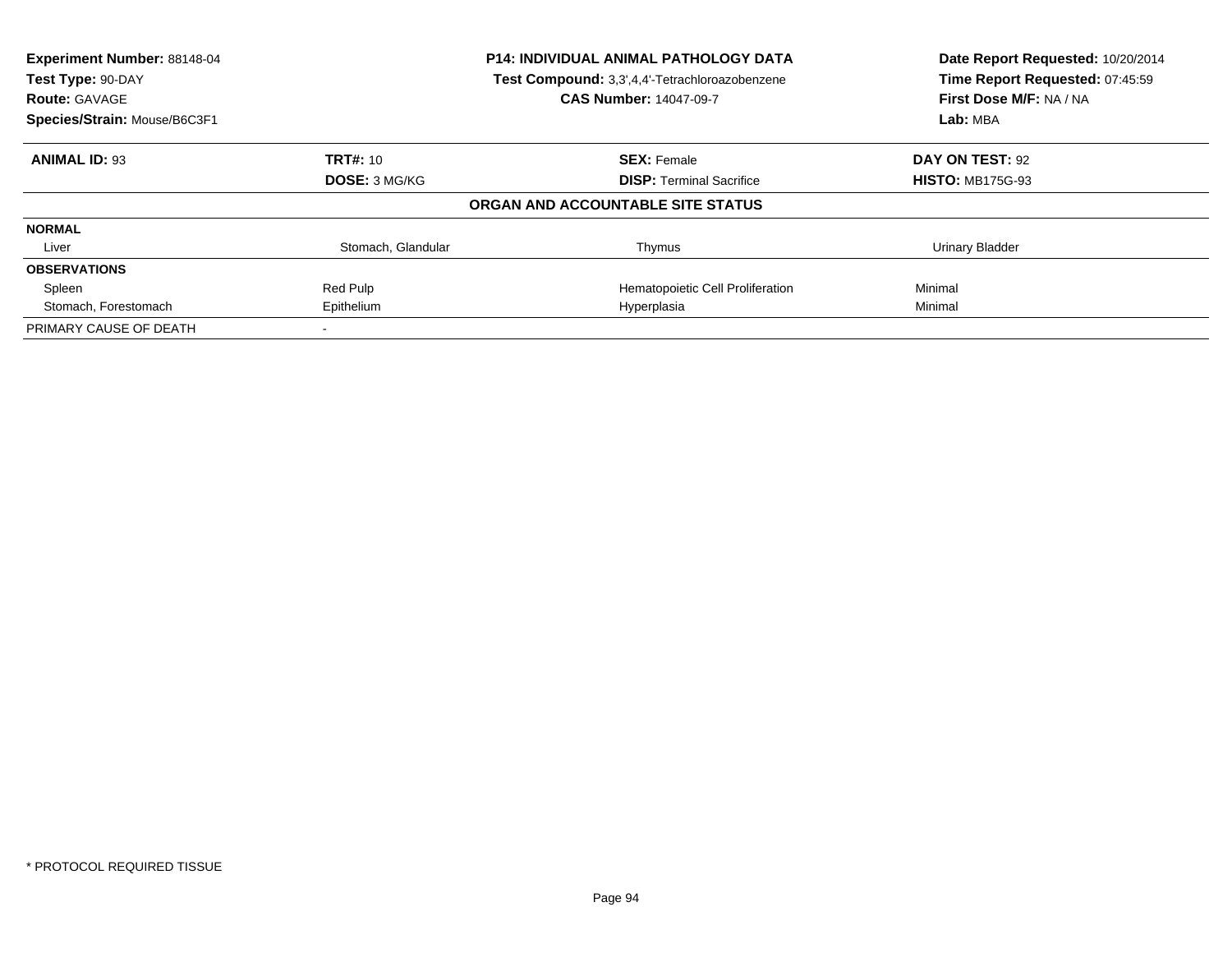| Experiment Number: 88148-04<br><b>P14: INDIVIDUAL ANIMAL PATHOLOGY DATA</b><br>Test Compound: 3,3',4,4'-Tetrachloroazobenzene<br>Test Type: 90-DAY |                      | Date Report Requested: 10/20/2014<br>Time Report Requested: 07:45:59 |                                     |
|----------------------------------------------------------------------------------------------------------------------------------------------------|----------------------|----------------------------------------------------------------------|-------------------------------------|
| <b>Route: GAVAGE</b><br>Species/Strain: Mouse/B6C3F1                                                                                               |                      | <b>CAS Number: 14047-09-7</b>                                        | First Dose M/F: NA / NA<br>Lab: MBA |
|                                                                                                                                                    |                      |                                                                      |                                     |
| <b>ANIMAL ID: 93</b>                                                                                                                               | <b>TRT#: 10</b>      | <b>SEX: Female</b>                                                   | DAY ON TEST: 92                     |
|                                                                                                                                                    | <b>DOSE: 3 MG/KG</b> | <b>DISP:</b> Terminal Sacrifice                                      | <b>HISTO: MB175G-93</b>             |
|                                                                                                                                                    |                      | ORGAN AND ACCOUNTABLE SITE STATUS                                    |                                     |
| <b>NORMAL</b>                                                                                                                                      |                      |                                                                      |                                     |
| Liver                                                                                                                                              | Stomach, Glandular   | Thymus                                                               | Urinary Bladder                     |
| <b>OBSERVATIONS</b>                                                                                                                                |                      |                                                                      |                                     |
| Spleen                                                                                                                                             | Red Pulp             | Hematopoietic Cell Proliferation                                     | Minimal                             |
| Stomach, Forestomach                                                                                                                               | Epithelium           | Hyperplasia                                                          | Minimal                             |
| PRIMARY CAUSE OF DEATH                                                                                                                             |                      |                                                                      |                                     |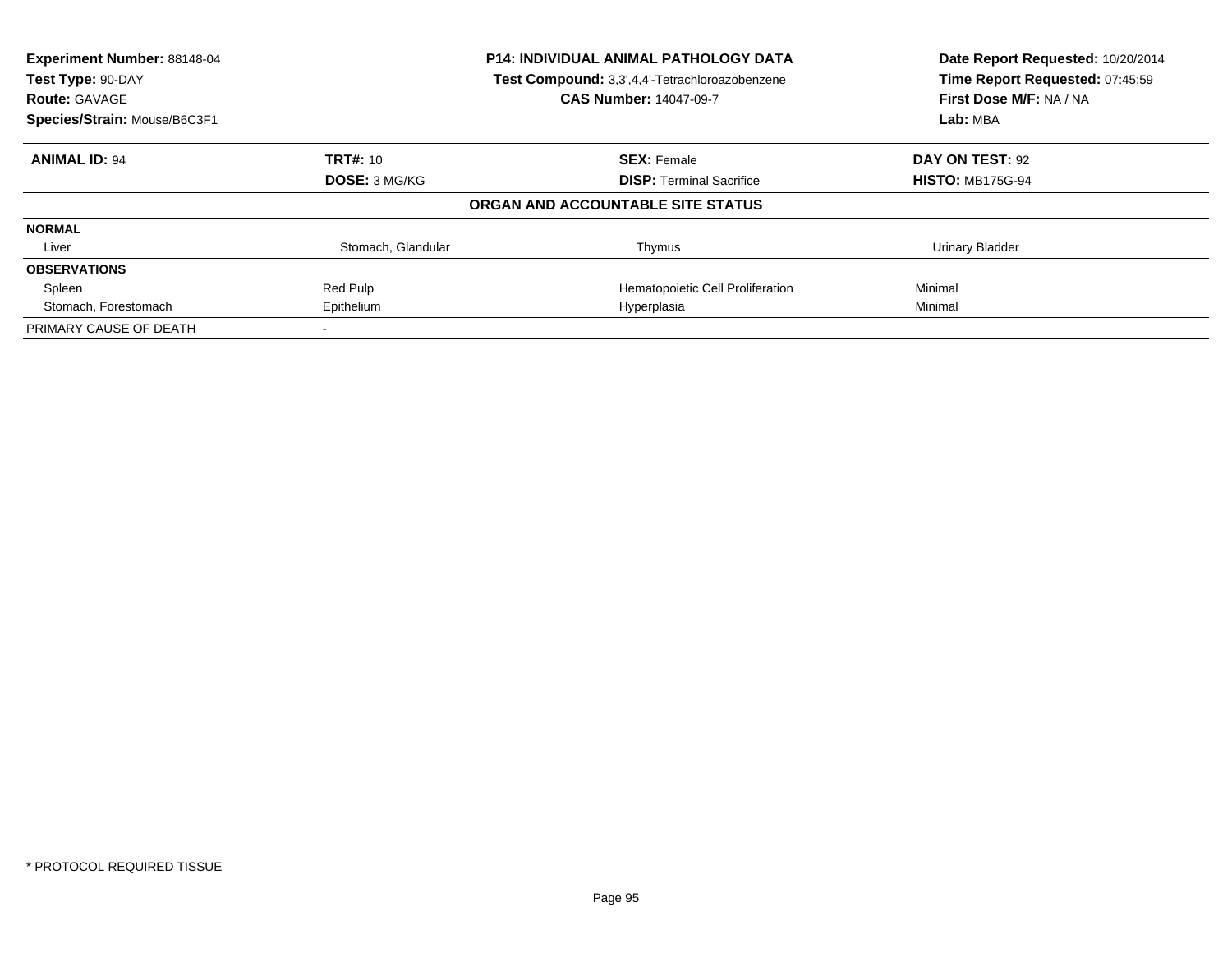| Experiment Number: 88148-04<br><b>P14: INDIVIDUAL ANIMAL PATHOLOGY DATA</b><br>Test Compound: 3,3',4,4'-Tetrachloroazobenzene<br>Test Type: 90-DAY |                      | Date Report Requested: 10/20/2014<br>Time Report Requested: 07:45:59 |                         |
|----------------------------------------------------------------------------------------------------------------------------------------------------|----------------------|----------------------------------------------------------------------|-------------------------|
| <b>Route: GAVAGE</b>                                                                                                                               |                      | <b>CAS Number: 14047-09-7</b>                                        | First Dose M/F: NA / NA |
| Species/Strain: Mouse/B6C3F1                                                                                                                       |                      |                                                                      | Lab: MBA                |
| <b>ANIMAL ID: 94</b>                                                                                                                               | <b>TRT#: 10</b>      | <b>SEX: Female</b>                                                   | DAY ON TEST: 92         |
|                                                                                                                                                    | <b>DOSE: 3 MG/KG</b> | <b>DISP:</b> Terminal Sacrifice                                      | <b>HISTO: MB175G-94</b> |
|                                                                                                                                                    |                      | ORGAN AND ACCOUNTABLE SITE STATUS                                    |                         |
| <b>NORMAL</b>                                                                                                                                      |                      |                                                                      |                         |
| Liver                                                                                                                                              | Stomach, Glandular   | Thymus                                                               | Urinary Bladder         |
| <b>OBSERVATIONS</b>                                                                                                                                |                      |                                                                      |                         |
| Spleen                                                                                                                                             | Red Pulp             | Hematopoietic Cell Proliferation                                     | Minimal                 |
| Stomach, Forestomach                                                                                                                               | Epithelium           | Hyperplasia                                                          | Minimal                 |
| PRIMARY CAUSE OF DEATH                                                                                                                             |                      |                                                                      |                         |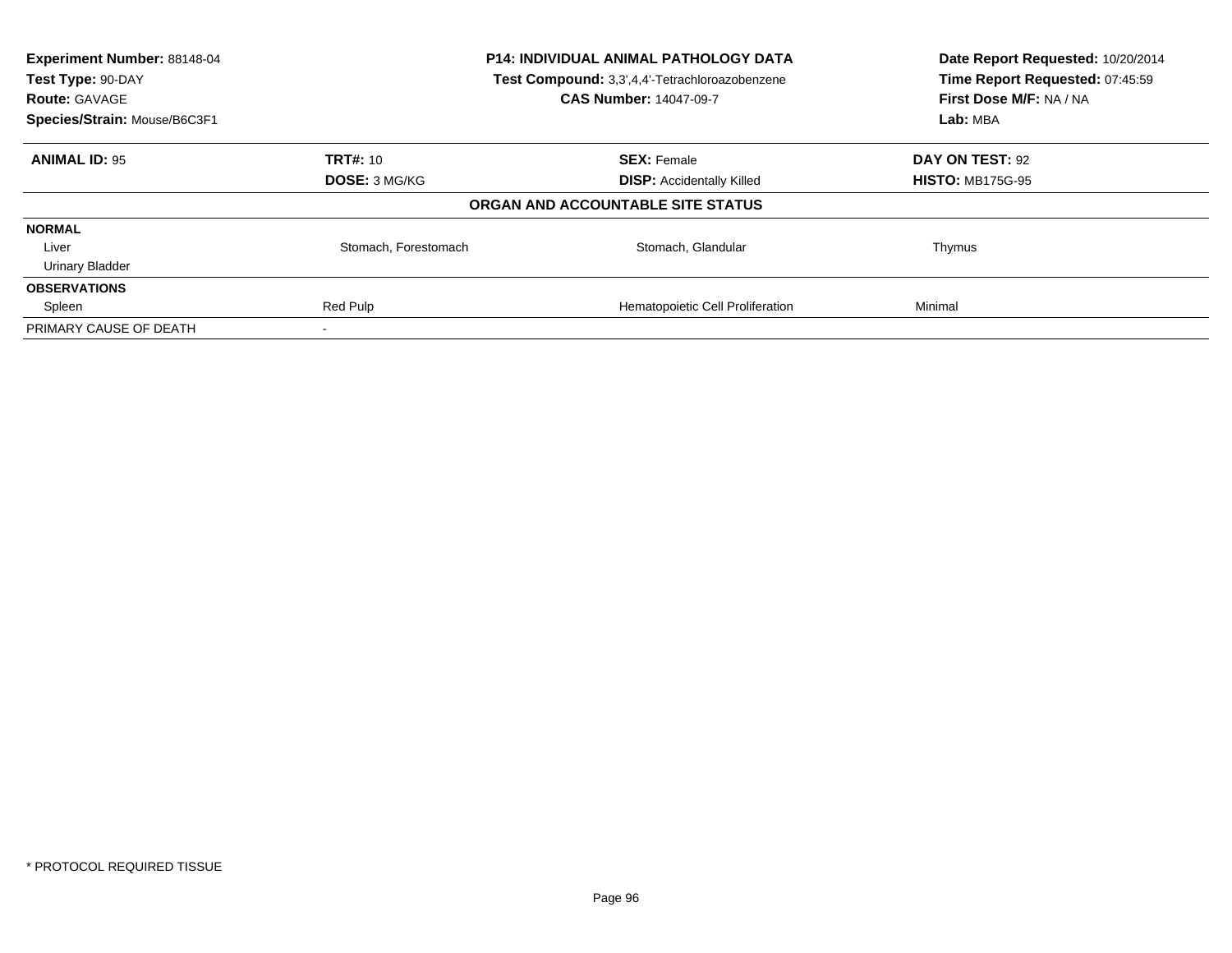| Experiment Number: 88148-04<br>Test Type: 90-DAY<br><b>Route: GAVAGE</b> | P14: INDIVIDUAL ANIMAL PATHOLOGY DATA<br>Test Compound: 3,3',4,4'-Tetrachloroazobenzene<br><b>CAS Number: 14047-09-7</b> |                                   | Date Report Requested: 10/20/2014<br>Time Report Requested: 07:45:59<br>First Dose M/F: NA / NA |
|--------------------------------------------------------------------------|--------------------------------------------------------------------------------------------------------------------------|-----------------------------------|-------------------------------------------------------------------------------------------------|
| Species/Strain: Mouse/B6C3F1                                             |                                                                                                                          |                                   | Lab: MBA                                                                                        |
| <b>ANIMAL ID: 95</b>                                                     | <b>TRT#: 10</b>                                                                                                          | <b>SEX: Female</b>                | DAY ON TEST: 92                                                                                 |
|                                                                          | DOSE: 3 MG/KG                                                                                                            | <b>DISP: Accidentally Killed</b>  | <b>HISTO: MB175G-95</b>                                                                         |
|                                                                          |                                                                                                                          | ORGAN AND ACCOUNTABLE SITE STATUS |                                                                                                 |
| <b>NORMAL</b>                                                            |                                                                                                                          |                                   |                                                                                                 |
| Liver                                                                    | Stomach, Forestomach                                                                                                     | Stomach, Glandular                | Thymus                                                                                          |
| <b>Urinary Bladder</b>                                                   |                                                                                                                          |                                   |                                                                                                 |
| <b>OBSERVATIONS</b>                                                      |                                                                                                                          |                                   |                                                                                                 |
| Spleen                                                                   | Red Pulp                                                                                                                 | Hematopoietic Cell Proliferation  | Minimal                                                                                         |
| PRIMARY CAUSE OF DEATH                                                   |                                                                                                                          |                                   |                                                                                                 |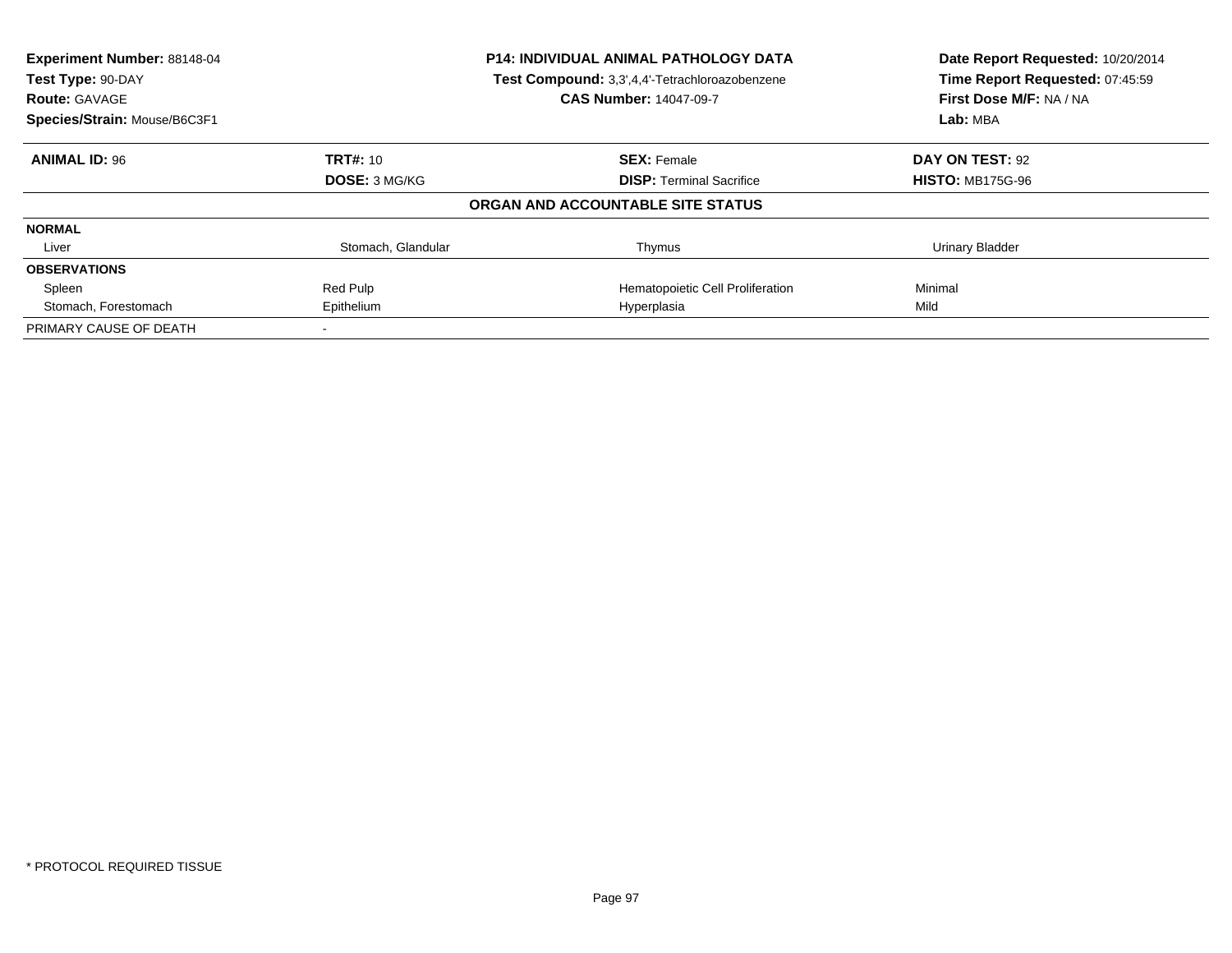| <b>Experiment Number: 88148-04</b> |                      | <b>P14: INDIVIDUAL ANIMAL PATHOLOGY DATA</b>   | Date Report Requested: 10/20/2014<br>Time Report Requested: 07:45:59 |
|------------------------------------|----------------------|------------------------------------------------|----------------------------------------------------------------------|
| Test Type: 90-DAY                  |                      | Test Compound: 3,3',4,4'-Tetrachloroazobenzene |                                                                      |
| <b>Route: GAVAGE</b>               |                      | <b>CAS Number: 14047-09-7</b>                  | First Dose M/F: NA / NA                                              |
| Species/Strain: Mouse/B6C3F1       |                      |                                                | Lab: MBA                                                             |
| <b>ANIMAL ID: 96</b>               | <b>TRT#: 10</b>      | <b>SEX: Female</b>                             | DAY ON TEST: 92                                                      |
|                                    | <b>DOSE: 3 MG/KG</b> | <b>DISP:</b> Terminal Sacrifice                | <b>HISTO: MB175G-96</b>                                              |
|                                    |                      | ORGAN AND ACCOUNTABLE SITE STATUS              |                                                                      |
| <b>NORMAL</b>                      |                      |                                                |                                                                      |
| Liver                              | Stomach, Glandular   | Thymus                                         | <b>Urinary Bladder</b>                                               |
| <b>OBSERVATIONS</b>                |                      |                                                |                                                                      |
| Spleen                             | Red Pulp             | Hematopoietic Cell Proliferation               | Minimal                                                              |
| Stomach, Forestomach               | Epithelium           | Hyperplasia                                    | Mild                                                                 |
| PRIMARY CAUSE OF DEATH             |                      |                                                |                                                                      |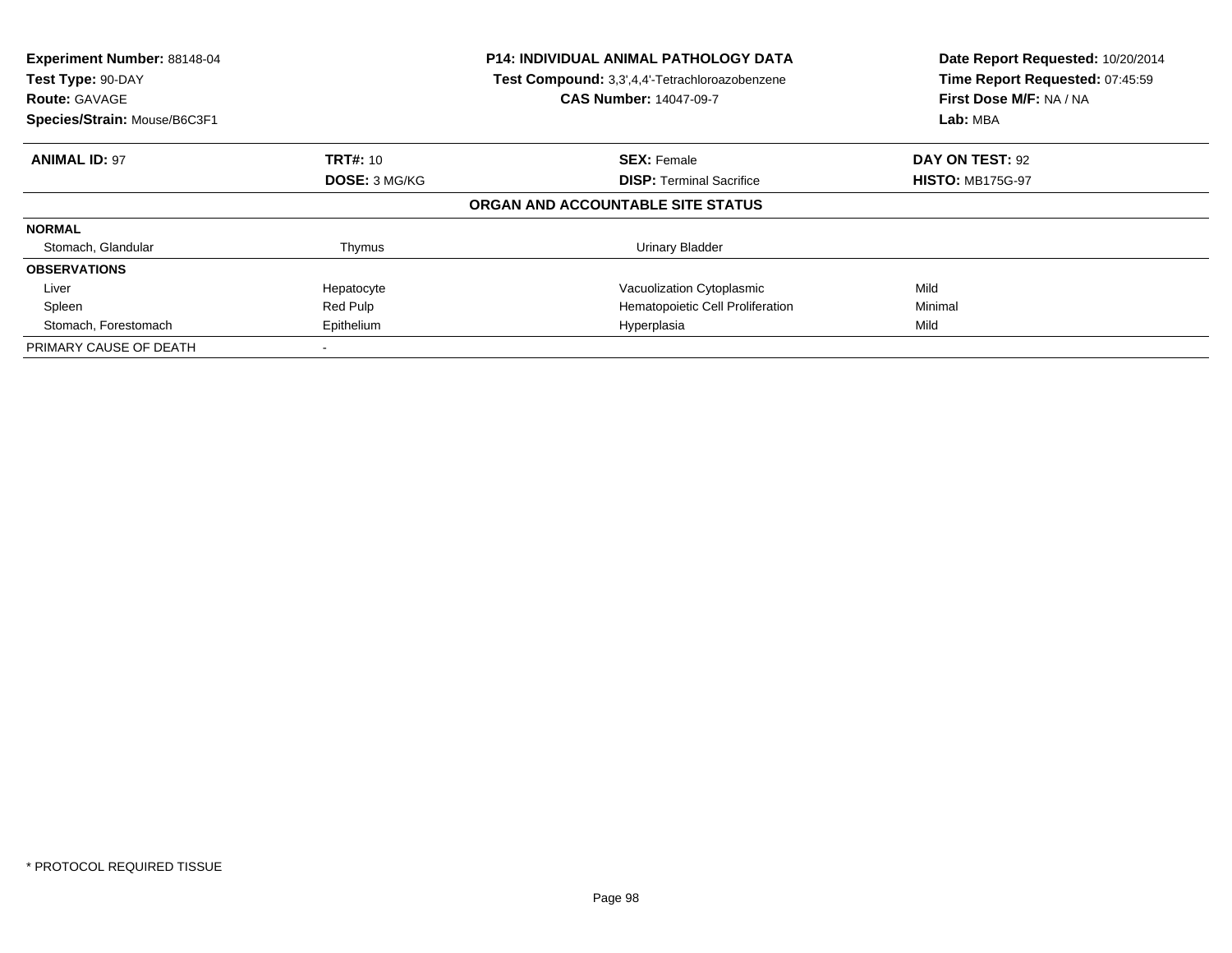| Experiment Number: 88148-04<br>Test Type: 90-DAY<br><b>Route: GAVAGE</b><br>Species/Strain: Mouse/B6C3F1 |                      | <b>P14: INDIVIDUAL ANIMAL PATHOLOGY DATA</b><br>Test Compound: 3,3',4,4'-Tetrachloroazobenzene<br><b>CAS Number: 14047-09-7</b> | Date Report Requested: 10/20/2014<br>Time Report Requested: 07:45:59<br>First Dose M/F: NA / NA<br>Lab: MBA |
|----------------------------------------------------------------------------------------------------------|----------------------|---------------------------------------------------------------------------------------------------------------------------------|-------------------------------------------------------------------------------------------------------------|
|                                                                                                          |                      |                                                                                                                                 |                                                                                                             |
| <b>ANIMAL ID: 97</b>                                                                                     | <b>TRT#: 10</b>      | <b>SEX: Female</b>                                                                                                              | <b>DAY ON TEST: 92</b>                                                                                      |
|                                                                                                          | <b>DOSE: 3 MG/KG</b> | <b>DISP:</b> Terminal Sacrifice                                                                                                 | <b>HISTO: MB175G-97</b>                                                                                     |
|                                                                                                          |                      | ORGAN AND ACCOUNTABLE SITE STATUS                                                                                               |                                                                                                             |
| <b>NORMAL</b>                                                                                            |                      |                                                                                                                                 |                                                                                                             |
| Stomach, Glandular                                                                                       | Thymus               | Urinary Bladder                                                                                                                 |                                                                                                             |
| <b>OBSERVATIONS</b>                                                                                      |                      |                                                                                                                                 |                                                                                                             |
| Liver                                                                                                    | Hepatocyte           | Vacuolization Cytoplasmic                                                                                                       | Mild                                                                                                        |
| Spleen                                                                                                   | Red Pulp             | Hematopoietic Cell Proliferation                                                                                                | Minimal                                                                                                     |
| Stomach, Forestomach                                                                                     | Epithelium           | Hyperplasia                                                                                                                     | Mild                                                                                                        |
| PRIMARY CAUSE OF DEATH                                                                                   |                      |                                                                                                                                 |                                                                                                             |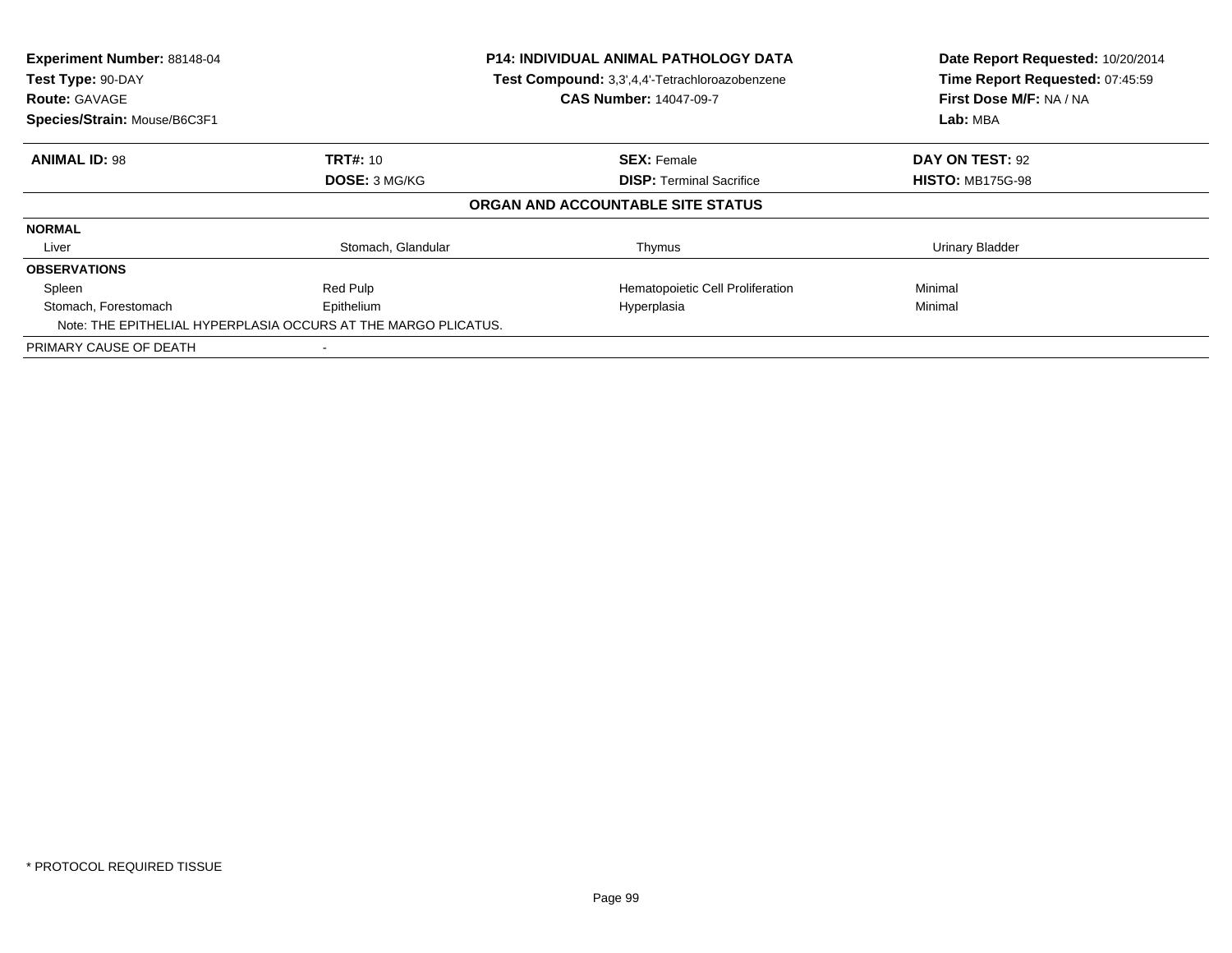| Experiment Number: 88148-04<br>Test Type: 90-DAY<br><b>Route: GAVAGE</b><br>Species/Strain: Mouse/B6C3F1 |                                                                              | <b>P14: INDIVIDUAL ANIMAL PATHOLOGY DATA</b><br>Test Compound: 3,3',4,4'-Tetrachloroazobenzene<br><b>CAS Number: 14047-09-7</b> | Date Report Requested: 10/20/2014<br>Time Report Requested: 07:45:59<br>First Dose M/F: NA / NA<br>Lab: MBA |
|----------------------------------------------------------------------------------------------------------|------------------------------------------------------------------------------|---------------------------------------------------------------------------------------------------------------------------------|-------------------------------------------------------------------------------------------------------------|
| <b>ANIMAL ID: 98</b>                                                                                     | <b>TRT#: 10</b>                                                              | <b>SEX: Female</b>                                                                                                              | DAY ON TEST: 92                                                                                             |
|                                                                                                          | <b>DOSE: 3 MG/KG</b>                                                         | <b>DISP:</b> Terminal Sacrifice                                                                                                 | <b>HISTO: MB175G-98</b>                                                                                     |
|                                                                                                          |                                                                              | ORGAN AND ACCOUNTABLE SITE STATUS                                                                                               |                                                                                                             |
| <b>NORMAL</b>                                                                                            |                                                                              |                                                                                                                                 |                                                                                                             |
| Liver                                                                                                    | Stomach, Glandular                                                           | Thymus                                                                                                                          | <b>Urinary Bladder</b>                                                                                      |
| <b>OBSERVATIONS</b>                                                                                      |                                                                              |                                                                                                                                 |                                                                                                             |
| Spleen                                                                                                   | Red Pulp                                                                     | Hematopoietic Cell Proliferation                                                                                                | Minimal                                                                                                     |
| Stomach, Forestomach                                                                                     | Epithelium<br>Note: THE EPITHELIAL HYPERPLASIA OCCURS AT THE MARGO PLICATUS. | Hyperplasia                                                                                                                     | Minimal                                                                                                     |
| PRIMARY CAUSE OF DEATH                                                                                   |                                                                              |                                                                                                                                 |                                                                                                             |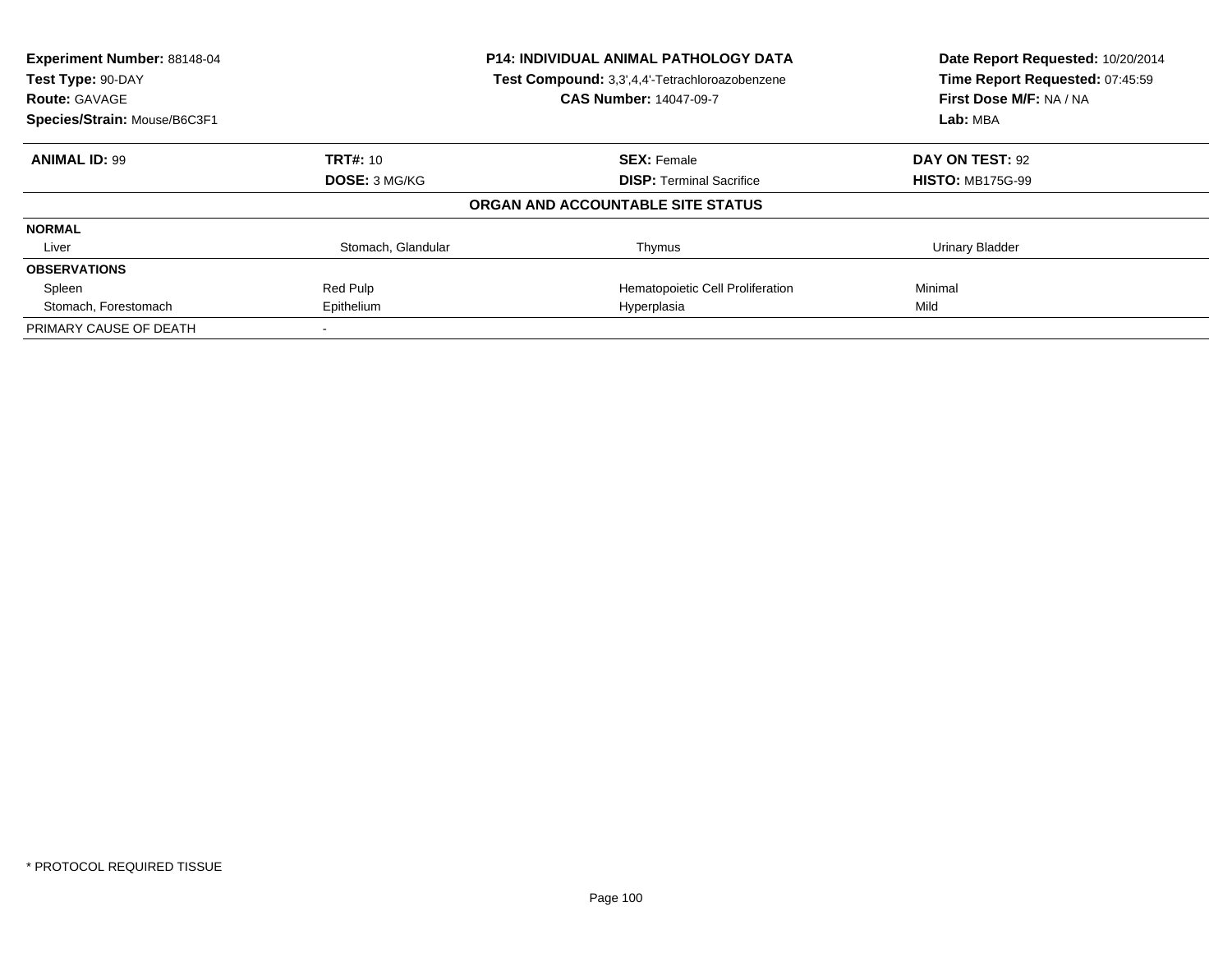| <b>Experiment Number: 88148-04</b> |                      | <b>P14: INDIVIDUAL ANIMAL PATHOLOGY DATA</b>   | Date Report Requested: 10/20/2014<br>Time Report Requested: 07:45:59 |
|------------------------------------|----------------------|------------------------------------------------|----------------------------------------------------------------------|
| Test Type: 90-DAY                  |                      | Test Compound: 3,3',4,4'-Tetrachloroazobenzene |                                                                      |
| <b>Route: GAVAGE</b>               |                      | <b>CAS Number: 14047-09-7</b>                  | First Dose M/F: NA / NA                                              |
| Species/Strain: Mouse/B6C3F1       |                      |                                                | Lab: MBA                                                             |
| <b>ANIMAL ID: 99</b>               | <b>TRT#: 10</b>      | <b>SEX: Female</b>                             | DAY ON TEST: 92                                                      |
|                                    | <b>DOSE: 3 MG/KG</b> | <b>DISP:</b> Terminal Sacrifice                | <b>HISTO: MB175G-99</b>                                              |
|                                    |                      | ORGAN AND ACCOUNTABLE SITE STATUS              |                                                                      |
| <b>NORMAL</b>                      |                      |                                                |                                                                      |
| Liver                              | Stomach, Glandular   | Thymus                                         | <b>Urinary Bladder</b>                                               |
| <b>OBSERVATIONS</b>                |                      |                                                |                                                                      |
| Spleen                             | Red Pulp             | Hematopoietic Cell Proliferation               | Minimal                                                              |
| Stomach, Forestomach               | Epithelium           | Hyperplasia                                    | Mild                                                                 |
| PRIMARY CAUSE OF DEATH             |                      |                                                |                                                                      |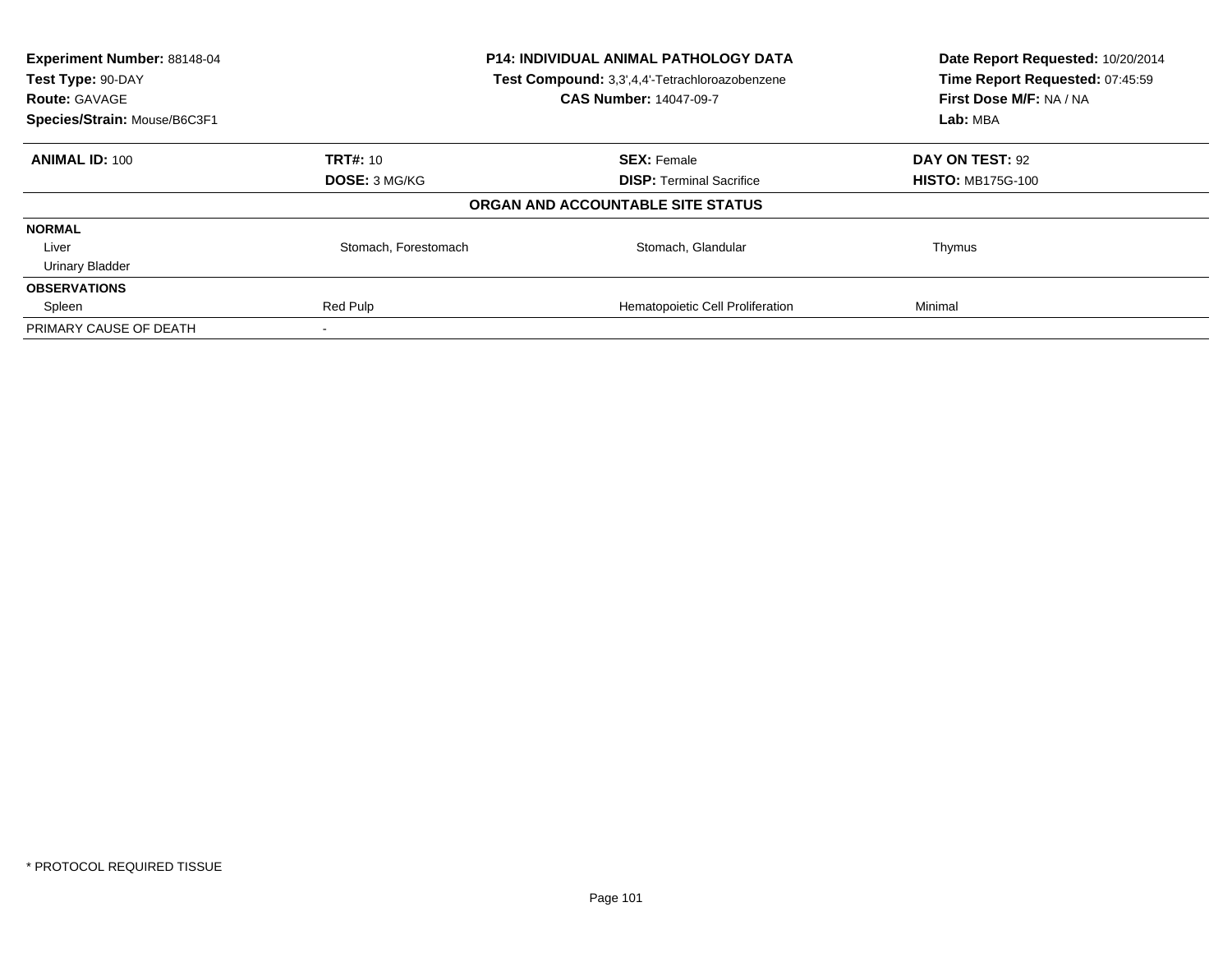| Experiment Number: 88148-04<br>Test Type: 90-DAY<br><b>Route: GAVAGE</b> | P14: INDIVIDUAL ANIMAL PATHOLOGY DATA<br>Test Compound: 3,3',4,4'-Tetrachloroazobenzene<br><b>CAS Number: 14047-09-7</b> |                                   | Date Report Requested: 10/20/2014<br>Time Report Requested: 07:45:59<br>First Dose M/F: NA / NA |
|--------------------------------------------------------------------------|--------------------------------------------------------------------------------------------------------------------------|-----------------------------------|-------------------------------------------------------------------------------------------------|
| Species/Strain: Mouse/B6C3F1                                             |                                                                                                                          |                                   | Lab: MBA                                                                                        |
| <b>ANIMAL ID: 100</b>                                                    | <b>TRT#: 10</b>                                                                                                          | <b>SEX: Female</b>                | DAY ON TEST: 92                                                                                 |
|                                                                          | <b>DOSE: 3 MG/KG</b>                                                                                                     | <b>DISP:</b> Terminal Sacrifice   | <b>HISTO: MB175G-100</b>                                                                        |
|                                                                          |                                                                                                                          | ORGAN AND ACCOUNTABLE SITE STATUS |                                                                                                 |
| <b>NORMAL</b>                                                            |                                                                                                                          |                                   |                                                                                                 |
| Liver                                                                    | Stomach, Forestomach                                                                                                     | Stomach, Glandular                | Thymus                                                                                          |
| <b>Urinary Bladder</b>                                                   |                                                                                                                          |                                   |                                                                                                 |
| <b>OBSERVATIONS</b>                                                      |                                                                                                                          |                                   |                                                                                                 |
| Spleen                                                                   | Red Pulp                                                                                                                 | Hematopoietic Cell Proliferation  | Minimal                                                                                         |
| PRIMARY CAUSE OF DEATH                                                   |                                                                                                                          |                                   |                                                                                                 |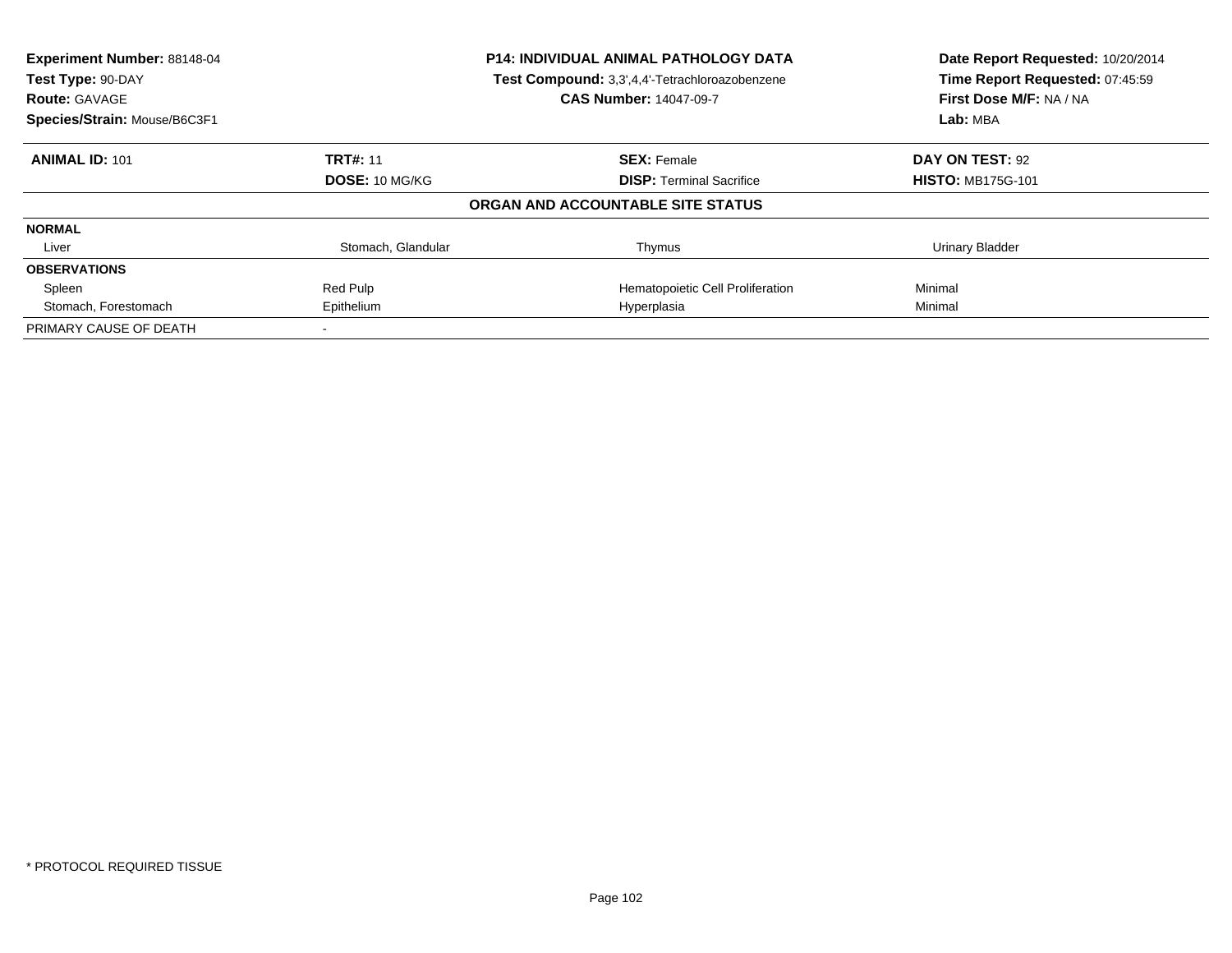| Experiment Number: 88148-04<br>Test Type: 90-DAY     |                    | <b>P14: INDIVIDUAL ANIMAL PATHOLOGY DATA</b><br>Test Compound: 3,3',4,4'-Tetrachloroazobenzene | Date Report Requested: 10/20/2014<br>Time Report Requested: 07:45:59 |
|------------------------------------------------------|--------------------|------------------------------------------------------------------------------------------------|----------------------------------------------------------------------|
| <b>Route: GAVAGE</b><br>Species/Strain: Mouse/B6C3F1 |                    | <b>CAS Number: 14047-09-7</b>                                                                  | First Dose M/F: NA / NA<br>Lab: MBA                                  |
|                                                      |                    |                                                                                                |                                                                      |
| <b>ANIMAL ID: 101</b>                                | <b>TRT#: 11</b>    | <b>SEX: Female</b>                                                                             | DAY ON TEST: 92                                                      |
|                                                      | DOSE: 10 MG/KG     | <b>DISP:</b> Terminal Sacrifice                                                                | <b>HISTO: MB175G-101</b>                                             |
|                                                      |                    | ORGAN AND ACCOUNTABLE SITE STATUS                                                              |                                                                      |
| <b>NORMAL</b>                                        |                    |                                                                                                |                                                                      |
| Liver                                                | Stomach, Glandular | Thymus                                                                                         | Urinary Bladder                                                      |
| <b>OBSERVATIONS</b>                                  |                    |                                                                                                |                                                                      |
| Spleen                                               | Red Pulp           | Hematopoietic Cell Proliferation                                                               | Minimal                                                              |
| Stomach, Forestomach                                 | Epithelium         | Hyperplasia                                                                                    | Minimal                                                              |
| PRIMARY CAUSE OF DEATH                               |                    |                                                                                                |                                                                      |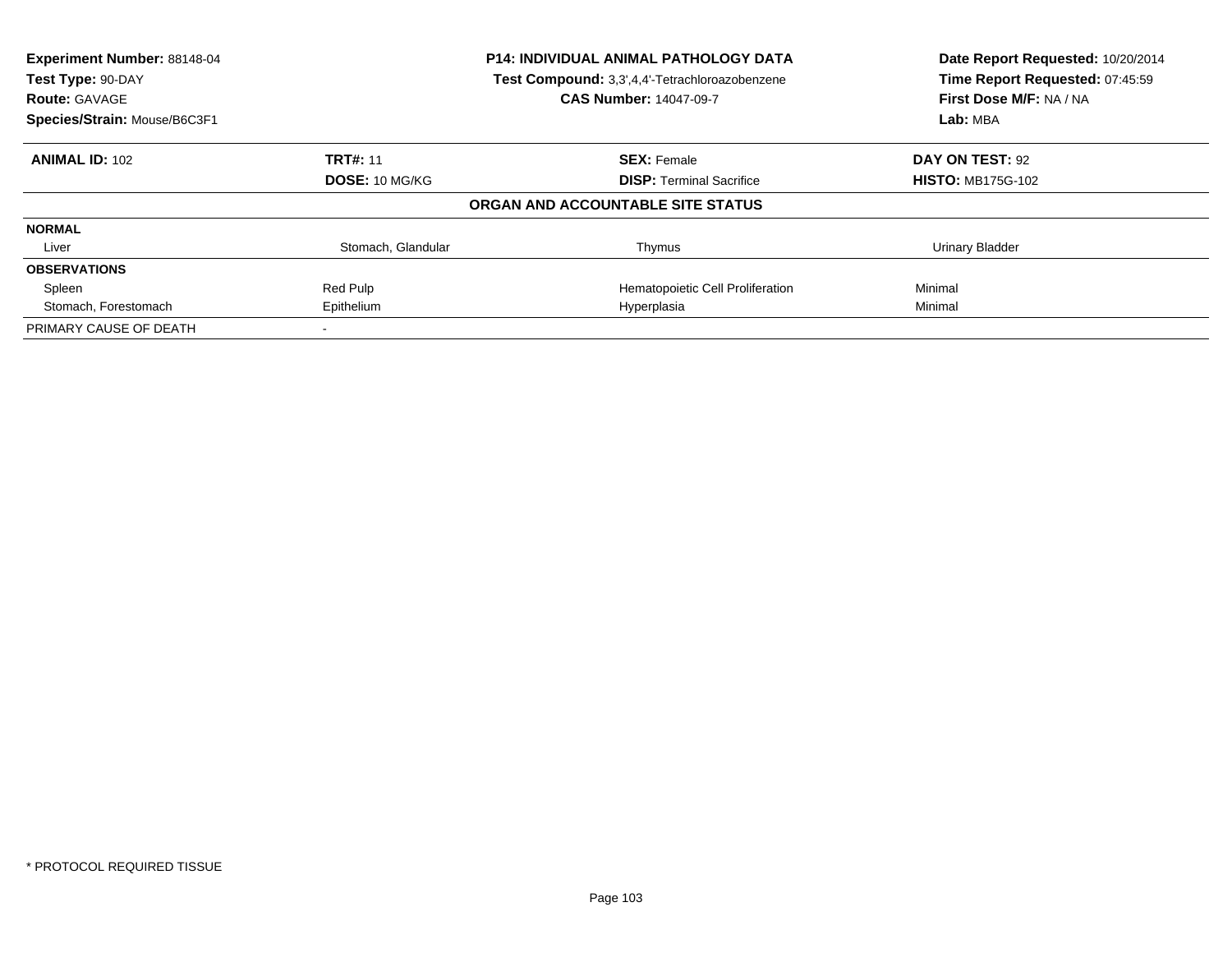| Experiment Number: 88148-04<br>Test Type: 90-DAY |                    | P14: INDIVIDUAL ANIMAL PATHOLOGY DATA<br>Test Compound: 3,3',4,4'-Tetrachloroazobenzene | Date Report Requested: 10/20/2014<br>Time Report Requested: 07:45:59 |
|--------------------------------------------------|--------------------|-----------------------------------------------------------------------------------------|----------------------------------------------------------------------|
| <b>Route: GAVAGE</b>                             |                    | <b>CAS Number: 14047-09-7</b>                                                           | First Dose M/F: NA / NA                                              |
| Species/Strain: Mouse/B6C3F1                     |                    |                                                                                         | Lab: MBA                                                             |
| <b>ANIMAL ID: 102</b>                            | <b>TRT#: 11</b>    | <b>SEX: Female</b>                                                                      | DAY ON TEST: 92                                                      |
|                                                  | DOSE: 10 MG/KG     | <b>DISP:</b> Terminal Sacrifice                                                         | <b>HISTO: MB175G-102</b>                                             |
|                                                  |                    | ORGAN AND ACCOUNTABLE SITE STATUS                                                       |                                                                      |
| <b>NORMAL</b>                                    |                    |                                                                                         |                                                                      |
| Liver                                            | Stomach, Glandular | Thymus                                                                                  | <b>Urinary Bladder</b>                                               |
| <b>OBSERVATIONS</b>                              |                    |                                                                                         |                                                                      |
| Spleen                                           | Red Pulp           | Hematopoietic Cell Proliferation                                                        | Minimal                                                              |
| Stomach, Forestomach                             | Epithelium         | Hyperplasia                                                                             | Minimal                                                              |
| PRIMARY CAUSE OF DEATH                           |                    |                                                                                         |                                                                      |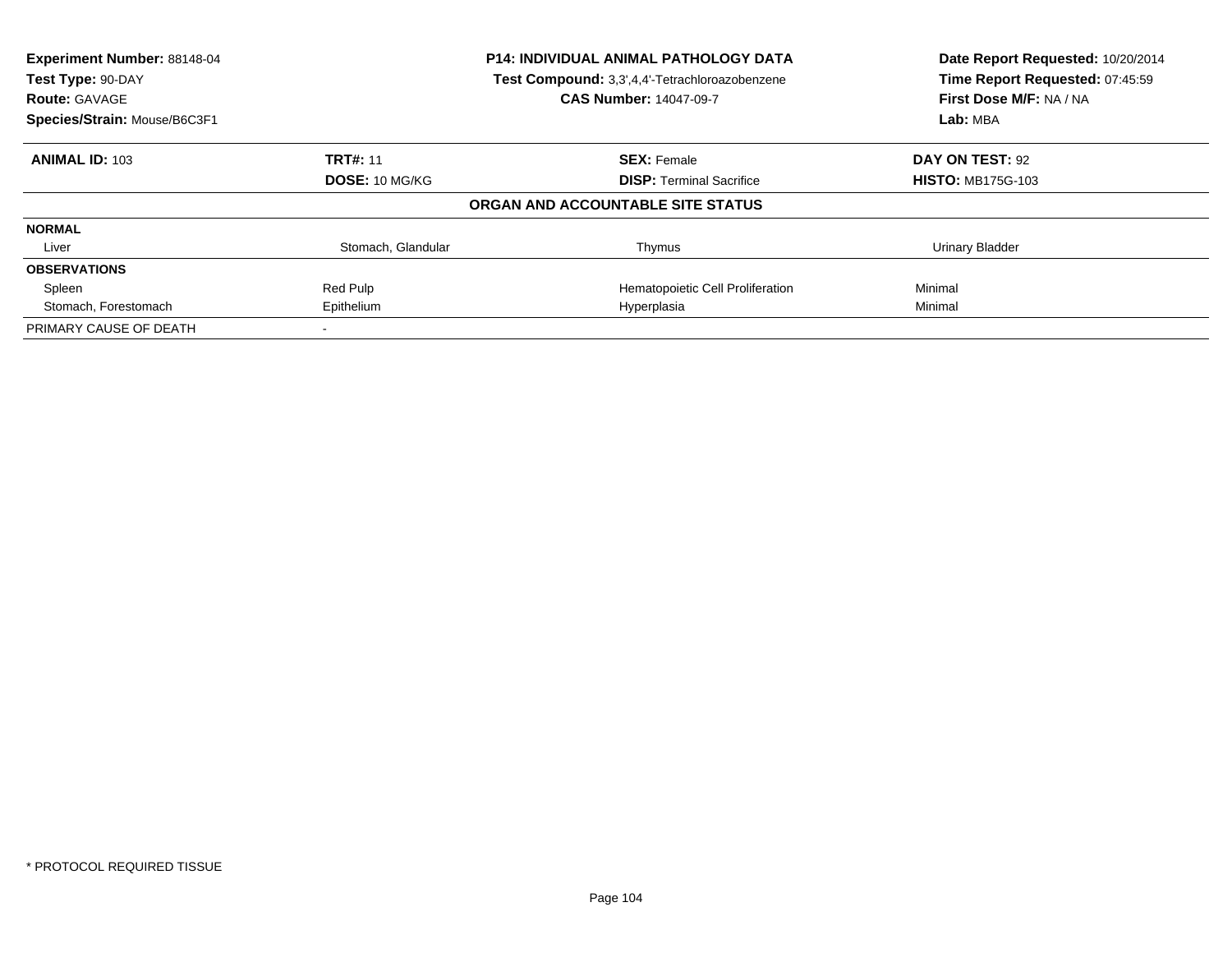| Experiment Number: 88148-04<br>Test Type: 90-DAY |                    | P14: INDIVIDUAL ANIMAL PATHOLOGY DATA<br>Test Compound: 3,3',4,4'-Tetrachloroazobenzene | Date Report Requested: 10/20/2014<br>Time Report Requested: 07:45:59 |
|--------------------------------------------------|--------------------|-----------------------------------------------------------------------------------------|----------------------------------------------------------------------|
| <b>Route: GAVAGE</b>                             |                    | <b>CAS Number: 14047-09-7</b>                                                           | First Dose M/F: NA / NA                                              |
| Species/Strain: Mouse/B6C3F1                     |                    |                                                                                         | Lab: MBA                                                             |
| <b>ANIMAL ID: 103</b>                            | <b>TRT#: 11</b>    | <b>SEX: Female</b>                                                                      | DAY ON TEST: 92                                                      |
|                                                  | DOSE: 10 MG/KG     | <b>DISP:</b> Terminal Sacrifice                                                         | <b>HISTO: MB175G-103</b>                                             |
|                                                  |                    | ORGAN AND ACCOUNTABLE SITE STATUS                                                       |                                                                      |
| <b>NORMAL</b>                                    |                    |                                                                                         |                                                                      |
| Liver                                            | Stomach, Glandular | Thymus                                                                                  | <b>Urinary Bladder</b>                                               |
| <b>OBSERVATIONS</b>                              |                    |                                                                                         |                                                                      |
| Spleen                                           | Red Pulp           | Hematopoietic Cell Proliferation                                                        | Minimal                                                              |
| Stomach, Forestomach                             | Epithelium         | Hyperplasia                                                                             | Minimal                                                              |
| PRIMARY CAUSE OF DEATH                           |                    |                                                                                         |                                                                      |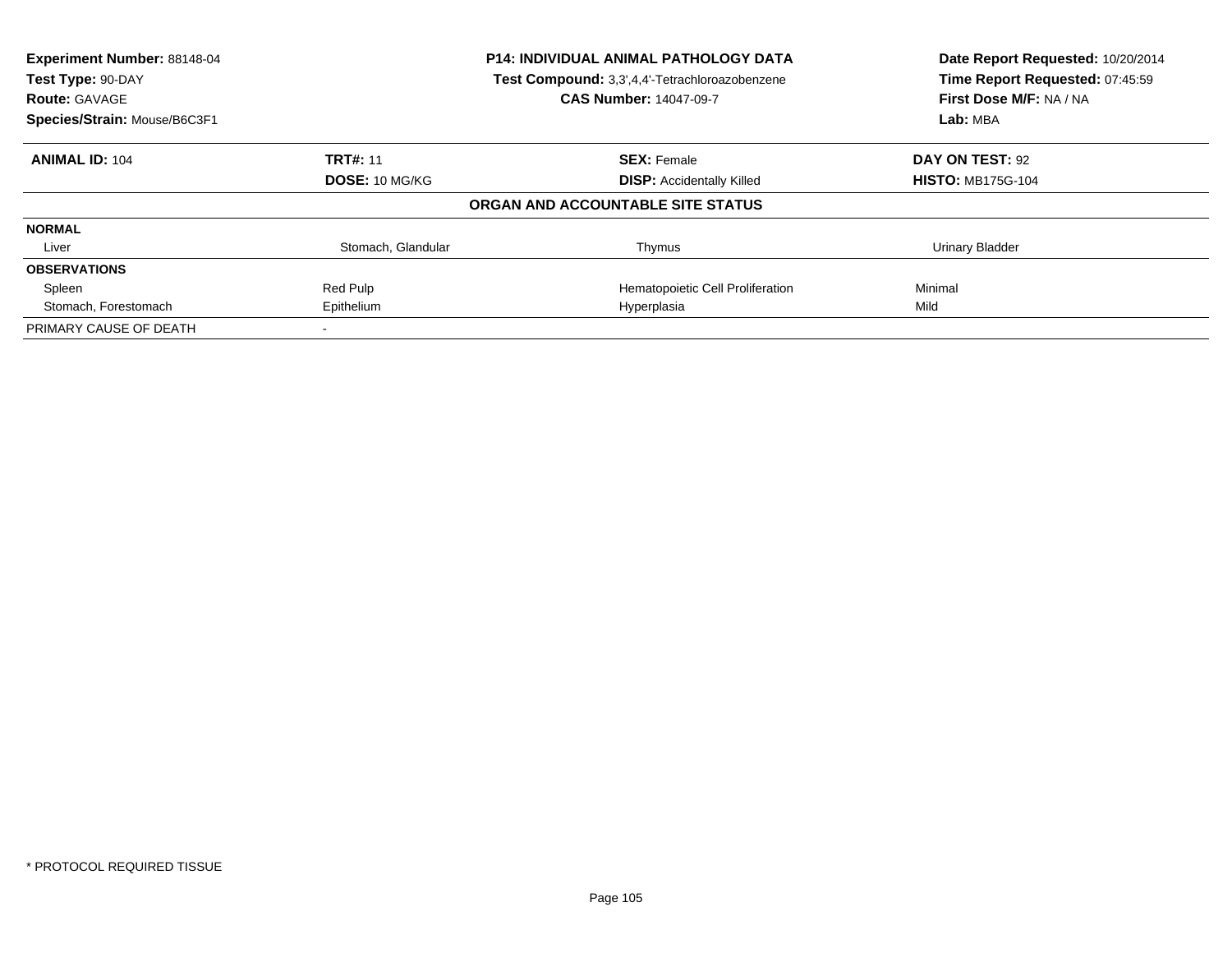| Experiment Number: 88148-04<br>Test Type: 90-DAY<br><b>Route: GAVAGE</b> |                    | <b>P14: INDIVIDUAL ANIMAL PATHOLOGY DATA</b><br>Test Compound: 3,3',4,4'-Tetrachloroazobenzene<br><b>CAS Number: 14047-09-7</b> | Date Report Requested: 10/20/2014<br>Time Report Requested: 07:45:59<br>First Dose M/F: NA / NA |
|--------------------------------------------------------------------------|--------------------|---------------------------------------------------------------------------------------------------------------------------------|-------------------------------------------------------------------------------------------------|
| Species/Strain: Mouse/B6C3F1                                             |                    |                                                                                                                                 | Lab: MBA                                                                                        |
| <b>ANIMAL ID: 104</b>                                                    | <b>TRT#: 11</b>    | <b>SEX: Female</b>                                                                                                              | DAY ON TEST: 92                                                                                 |
|                                                                          | DOSE: 10 MG/KG     | <b>DISP: Accidentally Killed</b>                                                                                                | <b>HISTO: MB175G-104</b>                                                                        |
|                                                                          |                    | ORGAN AND ACCOUNTABLE SITE STATUS                                                                                               |                                                                                                 |
| <b>NORMAL</b>                                                            |                    |                                                                                                                                 |                                                                                                 |
| Liver                                                                    | Stomach, Glandular | Thymus                                                                                                                          | Urinary Bladder                                                                                 |
| <b>OBSERVATIONS</b>                                                      |                    |                                                                                                                                 |                                                                                                 |
| Spleen                                                                   | Red Pulp           | Hematopoietic Cell Proliferation                                                                                                | Minimal                                                                                         |
| Stomach, Forestomach                                                     | Epithelium         | Hyperplasia                                                                                                                     | Mild                                                                                            |
| PRIMARY CAUSE OF DEATH                                                   |                    |                                                                                                                                 |                                                                                                 |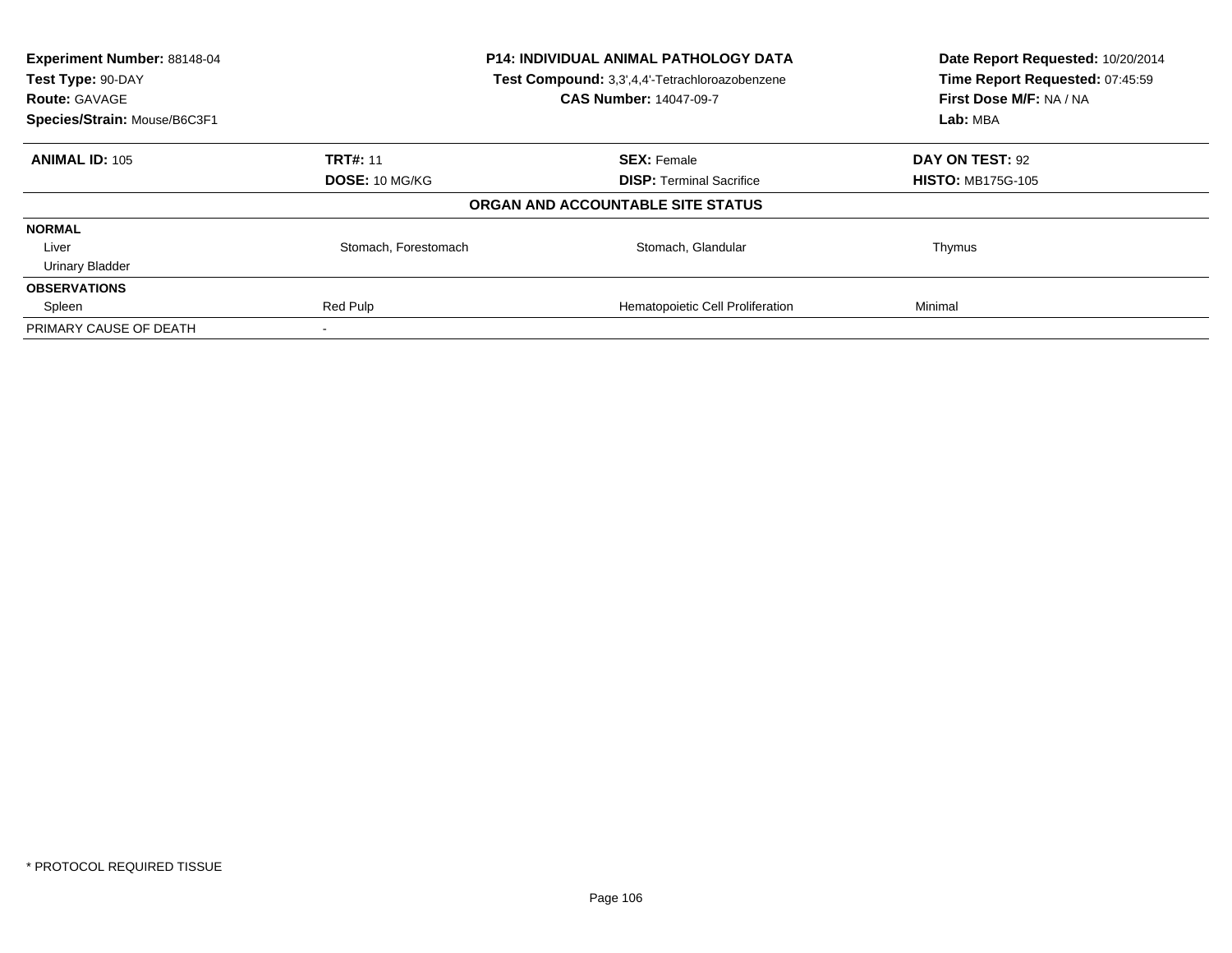| Experiment Number: 88148-04<br>Test Type: 90-DAY<br><b>Route: GAVAGE</b> | P14: INDIVIDUAL ANIMAL PATHOLOGY DATA<br>Test Compound: 3,3',4,4'-Tetrachloroazobenzene<br><b>CAS Number: 14047-09-7</b> |                                   | Date Report Requested: 10/20/2014<br>Time Report Requested: 07:45:59<br>First Dose M/F: NA / NA |
|--------------------------------------------------------------------------|--------------------------------------------------------------------------------------------------------------------------|-----------------------------------|-------------------------------------------------------------------------------------------------|
| Species/Strain: Mouse/B6C3F1                                             |                                                                                                                          |                                   | Lab: MBA                                                                                        |
| <b>ANIMAL ID: 105</b>                                                    | <b>TRT#: 11</b>                                                                                                          | <b>SEX: Female</b>                | DAY ON TEST: 92                                                                                 |
|                                                                          | DOSE: 10 MG/KG                                                                                                           | <b>DISP:</b> Terminal Sacrifice   | <b>HISTO: MB175G-105</b>                                                                        |
|                                                                          |                                                                                                                          | ORGAN AND ACCOUNTABLE SITE STATUS |                                                                                                 |
| <b>NORMAL</b>                                                            |                                                                                                                          |                                   |                                                                                                 |
| Liver                                                                    | Stomach, Forestomach                                                                                                     | Stomach, Glandular                | Thymus                                                                                          |
| <b>Urinary Bladder</b>                                                   |                                                                                                                          |                                   |                                                                                                 |
| <b>OBSERVATIONS</b>                                                      |                                                                                                                          |                                   |                                                                                                 |
| Spleen                                                                   | Red Pulp                                                                                                                 | Hematopoietic Cell Proliferation  | Minimal                                                                                         |
| PRIMARY CAUSE OF DEATH                                                   |                                                                                                                          |                                   |                                                                                                 |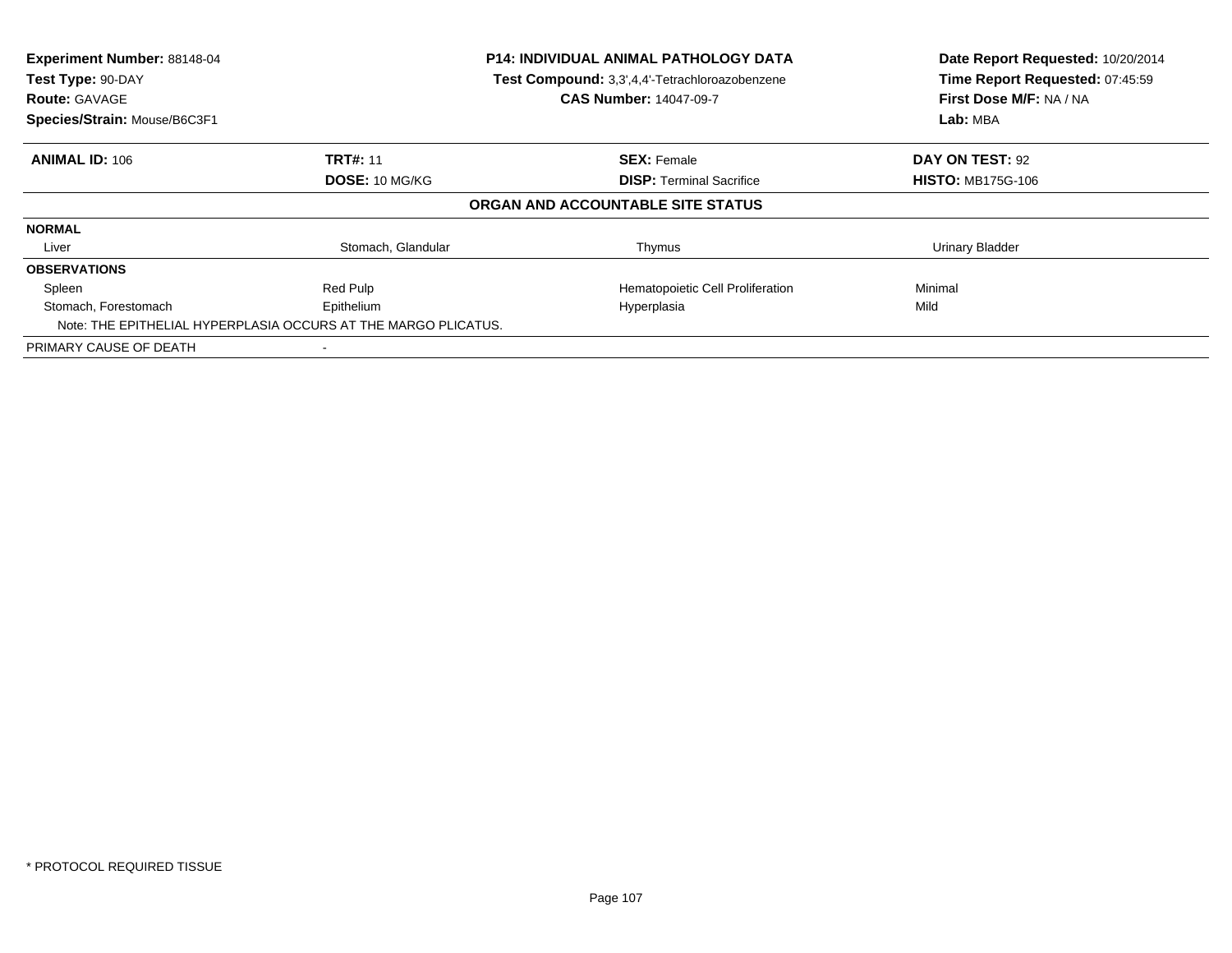| Experiment Number: 88148-04<br>Test Type: 90-DAY<br><b>Route: GAVAGE</b><br>Species/Strain: Mouse/B6C3F1 |                                                                              | <b>P14: INDIVIDUAL ANIMAL PATHOLOGY DATA</b><br>Test Compound: 3,3',4,4'-Tetrachloroazobenzene<br><b>CAS Number: 14047-09-7</b> | Date Report Requested: 10/20/2014<br>Time Report Requested: 07:45:59<br>First Dose M/F: NA / NA<br>Lab: MBA |
|----------------------------------------------------------------------------------------------------------|------------------------------------------------------------------------------|---------------------------------------------------------------------------------------------------------------------------------|-------------------------------------------------------------------------------------------------------------|
| <b>ANIMAL ID: 106</b>                                                                                    | <b>TRT#: 11</b>                                                              | <b>SEX: Female</b>                                                                                                              | DAY ON TEST: 92                                                                                             |
|                                                                                                          | <b>DOSE: 10 MG/KG</b>                                                        | <b>DISP:</b> Terminal Sacrifice                                                                                                 | <b>HISTO: MB175G-106</b>                                                                                    |
|                                                                                                          |                                                                              | ORGAN AND ACCOUNTABLE SITE STATUS                                                                                               |                                                                                                             |
| <b>NORMAL</b>                                                                                            |                                                                              |                                                                                                                                 |                                                                                                             |
| Liver                                                                                                    | Stomach, Glandular                                                           | Thymus                                                                                                                          | <b>Urinary Bladder</b>                                                                                      |
| <b>OBSERVATIONS</b>                                                                                      |                                                                              |                                                                                                                                 |                                                                                                             |
| Spleen                                                                                                   | Red Pulp                                                                     | Hematopoietic Cell Proliferation                                                                                                | Minimal                                                                                                     |
| Stomach, Forestomach                                                                                     | Epithelium<br>Note: THE EPITHELIAL HYPERPLASIA OCCURS AT THE MARGO PLICATUS. | Hyperplasia                                                                                                                     | Mild                                                                                                        |
| PRIMARY CAUSE OF DEATH                                                                                   |                                                                              |                                                                                                                                 |                                                                                                             |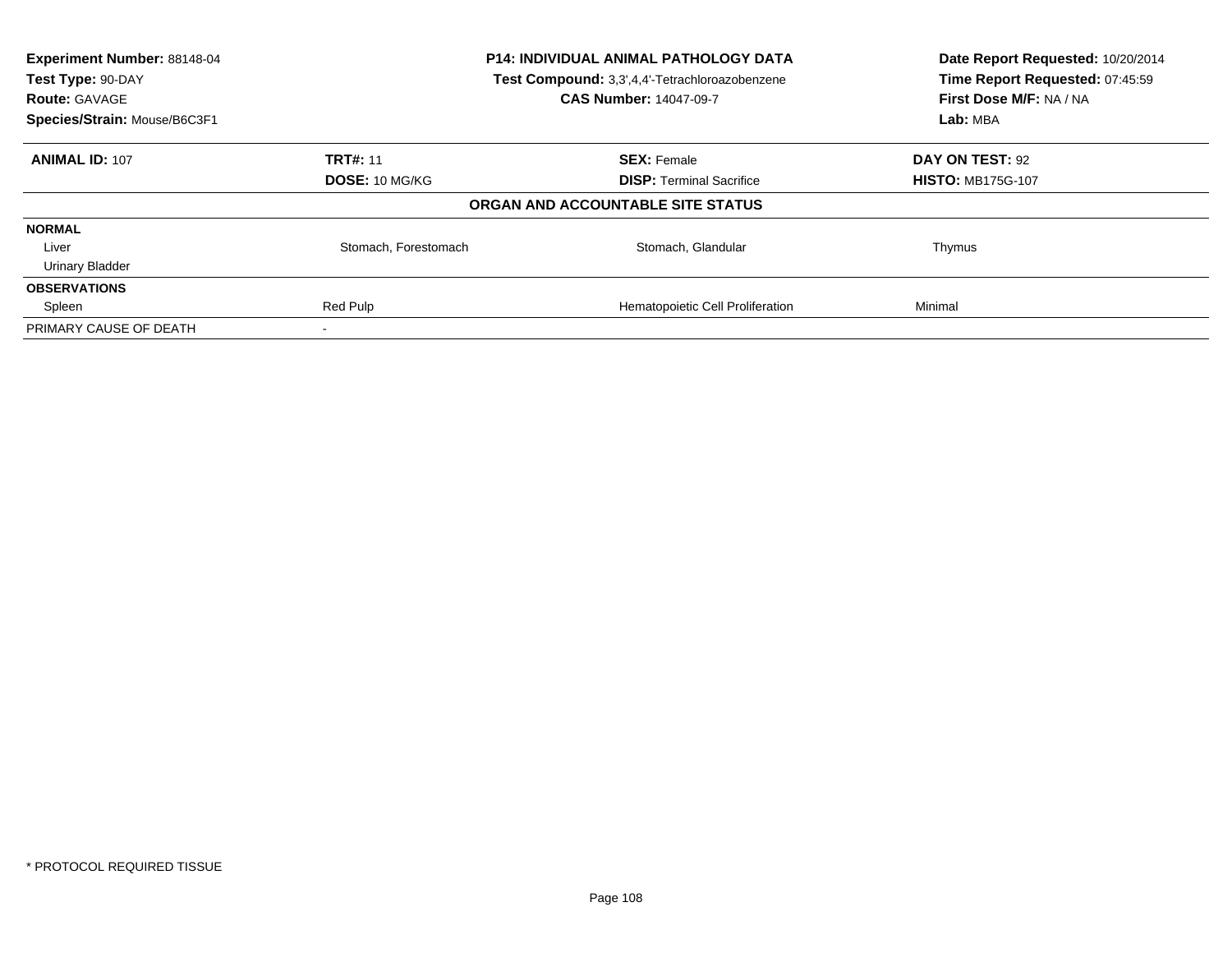| Experiment Number: 88148-04<br>Test Type: 90-DAY<br><b>Route: GAVAGE</b> | P14: INDIVIDUAL ANIMAL PATHOLOGY DATA<br>Test Compound: 3,3',4,4'-Tetrachloroazobenzene<br><b>CAS Number: 14047-09-7</b> |                                   | Date Report Requested: 10/20/2014<br>Time Report Requested: 07:45:59<br>First Dose M/F: NA / NA |
|--------------------------------------------------------------------------|--------------------------------------------------------------------------------------------------------------------------|-----------------------------------|-------------------------------------------------------------------------------------------------|
| Species/Strain: Mouse/B6C3F1                                             |                                                                                                                          |                                   | Lab: MBA                                                                                        |
| <b>ANIMAL ID: 107</b>                                                    | <b>TRT#: 11</b>                                                                                                          | <b>SEX: Female</b>                | DAY ON TEST: 92                                                                                 |
|                                                                          | DOSE: 10 MG/KG                                                                                                           | <b>DISP:</b> Terminal Sacrifice   | <b>HISTO: MB175G-107</b>                                                                        |
|                                                                          |                                                                                                                          | ORGAN AND ACCOUNTABLE SITE STATUS |                                                                                                 |
| <b>NORMAL</b>                                                            |                                                                                                                          |                                   |                                                                                                 |
| Liver                                                                    | Stomach, Forestomach                                                                                                     | Stomach, Glandular                | Thymus                                                                                          |
| <b>Urinary Bladder</b>                                                   |                                                                                                                          |                                   |                                                                                                 |
| <b>OBSERVATIONS</b>                                                      |                                                                                                                          |                                   |                                                                                                 |
| Spleen                                                                   | Red Pulp                                                                                                                 | Hematopoietic Cell Proliferation  | Minimal                                                                                         |
| PRIMARY CAUSE OF DEATH                                                   |                                                                                                                          |                                   |                                                                                                 |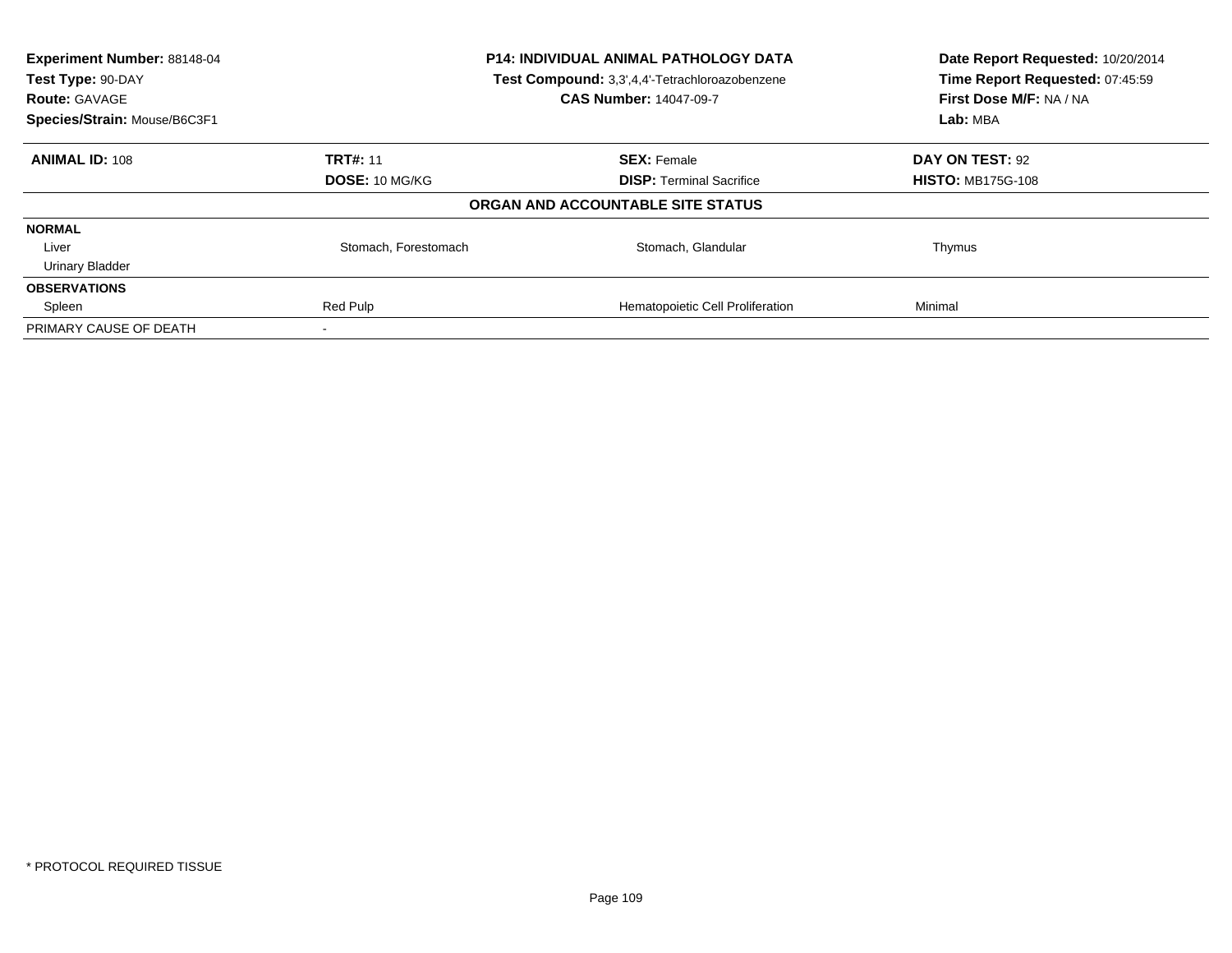| Experiment Number: 88148-04<br>Test Type: 90-DAY<br><b>Route: GAVAGE</b> | P14: INDIVIDUAL ANIMAL PATHOLOGY DATA<br>Test Compound: 3,3',4,4'-Tetrachloroazobenzene<br><b>CAS Number: 14047-09-7</b> |                                   | Date Report Requested: 10/20/2014<br>Time Report Requested: 07:45:59<br>First Dose M/F: NA / NA |
|--------------------------------------------------------------------------|--------------------------------------------------------------------------------------------------------------------------|-----------------------------------|-------------------------------------------------------------------------------------------------|
| Species/Strain: Mouse/B6C3F1                                             |                                                                                                                          |                                   | Lab: MBA                                                                                        |
| <b>ANIMAL ID: 108</b>                                                    | <b>TRT#: 11</b>                                                                                                          | <b>SEX: Female</b>                | DAY ON TEST: 92                                                                                 |
|                                                                          | <b>DOSE: 10 MG/KG</b>                                                                                                    | <b>DISP:</b> Terminal Sacrifice   | <b>HISTO: MB175G-108</b>                                                                        |
|                                                                          |                                                                                                                          | ORGAN AND ACCOUNTABLE SITE STATUS |                                                                                                 |
| <b>NORMAL</b>                                                            |                                                                                                                          |                                   |                                                                                                 |
| Liver                                                                    | Stomach, Forestomach                                                                                                     | Stomach, Glandular                | Thymus                                                                                          |
| <b>Urinary Bladder</b>                                                   |                                                                                                                          |                                   |                                                                                                 |
| <b>OBSERVATIONS</b>                                                      |                                                                                                                          |                                   |                                                                                                 |
| Spleen                                                                   | Red Pulp                                                                                                                 | Hematopoietic Cell Proliferation  | Minimal                                                                                         |
| PRIMARY CAUSE OF DEATH                                                   |                                                                                                                          |                                   |                                                                                                 |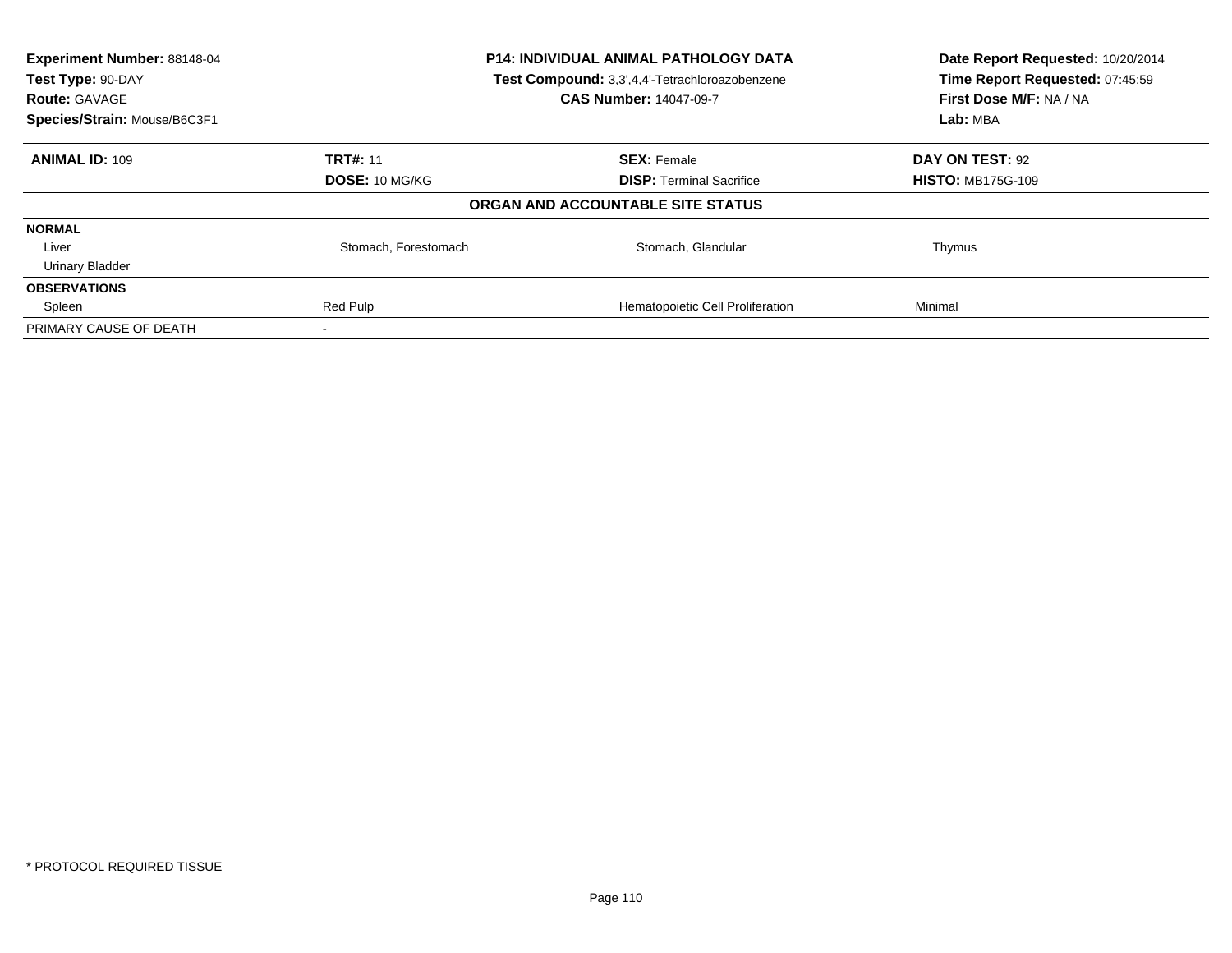| Experiment Number: 88148-04<br>Test Type: 90-DAY<br><b>Route: GAVAGE</b> | P14: INDIVIDUAL ANIMAL PATHOLOGY DATA<br>Test Compound: 3,3',4,4'-Tetrachloroazobenzene<br><b>CAS Number: 14047-09-7</b> |                                   | Date Report Requested: 10/20/2014<br>Time Report Requested: 07:45:59<br>First Dose M/F: NA / NA |  |
|--------------------------------------------------------------------------|--------------------------------------------------------------------------------------------------------------------------|-----------------------------------|-------------------------------------------------------------------------------------------------|--|
| Species/Strain: Mouse/B6C3F1                                             |                                                                                                                          |                                   | Lab: MBA                                                                                        |  |
| <b>ANIMAL ID: 109</b>                                                    | <b>TRT#: 11</b>                                                                                                          | <b>SEX: Female</b>                | DAY ON TEST: 92                                                                                 |  |
|                                                                          | <b>DOSE: 10 MG/KG</b>                                                                                                    | <b>DISP:</b> Terminal Sacrifice   | <b>HISTO: MB175G-109</b>                                                                        |  |
|                                                                          |                                                                                                                          | ORGAN AND ACCOUNTABLE SITE STATUS |                                                                                                 |  |
| <b>NORMAL</b>                                                            |                                                                                                                          |                                   |                                                                                                 |  |
| Liver                                                                    | Stomach, Forestomach                                                                                                     | Stomach, Glandular                | Thymus                                                                                          |  |
| <b>Urinary Bladder</b>                                                   |                                                                                                                          |                                   |                                                                                                 |  |
| <b>OBSERVATIONS</b>                                                      |                                                                                                                          |                                   |                                                                                                 |  |
| Spleen                                                                   | Red Pulp                                                                                                                 | Hematopoietic Cell Proliferation  | Minimal                                                                                         |  |
| PRIMARY CAUSE OF DEATH                                                   |                                                                                                                          |                                   |                                                                                                 |  |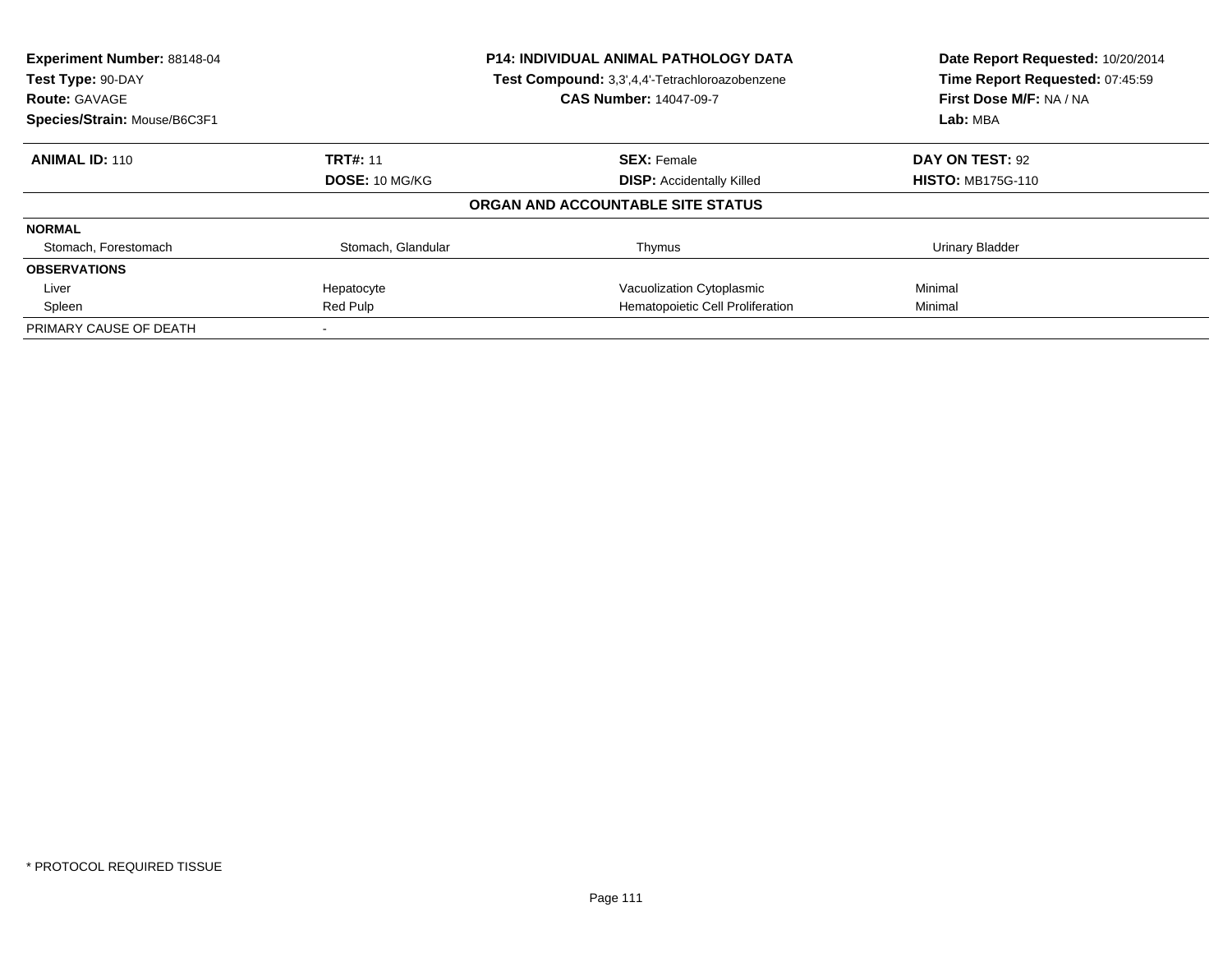| Experiment Number: 88148-04<br>Test Type: 90-DAY |                               | <b>P14: INDIVIDUAL ANIMAL PATHOLOGY DATA</b><br>Test Compound: 3,3',4,4'-Tetrachloroazobenzene | Date Report Requested: 10/20/2014<br>Time Report Requested: 07:45:59<br>First Dose M/F: NA / NA |
|--------------------------------------------------|-------------------------------|------------------------------------------------------------------------------------------------|-------------------------------------------------------------------------------------------------|
| <b>Route: GAVAGE</b>                             | <b>CAS Number: 14047-09-7</b> |                                                                                                |                                                                                                 |
| Species/Strain: Mouse/B6C3F1                     |                               |                                                                                                | Lab: MBA                                                                                        |
| <b>ANIMAL ID: 110</b>                            | <b>TRT#: 11</b>               | <b>SEX: Female</b>                                                                             | DAY ON TEST: 92                                                                                 |
|                                                  | DOSE: 10 MG/KG                | <b>DISP:</b> Accidentally Killed                                                               | <b>HISTO: MB175G-110</b>                                                                        |
|                                                  |                               | ORGAN AND ACCOUNTABLE SITE STATUS                                                              |                                                                                                 |
| <b>NORMAL</b>                                    |                               |                                                                                                |                                                                                                 |
| Stomach, Forestomach                             | Stomach, Glandular            | Thymus                                                                                         | <b>Urinary Bladder</b>                                                                          |
| <b>OBSERVATIONS</b>                              |                               |                                                                                                |                                                                                                 |
| Liver                                            | Hepatocyte                    | Vacuolization Cytoplasmic                                                                      | Minimal                                                                                         |
| Spleen                                           | Red Pulp                      | Hematopoietic Cell Proliferation                                                               | Minimal                                                                                         |
| PRIMARY CAUSE OF DEATH                           |                               |                                                                                                |                                                                                                 |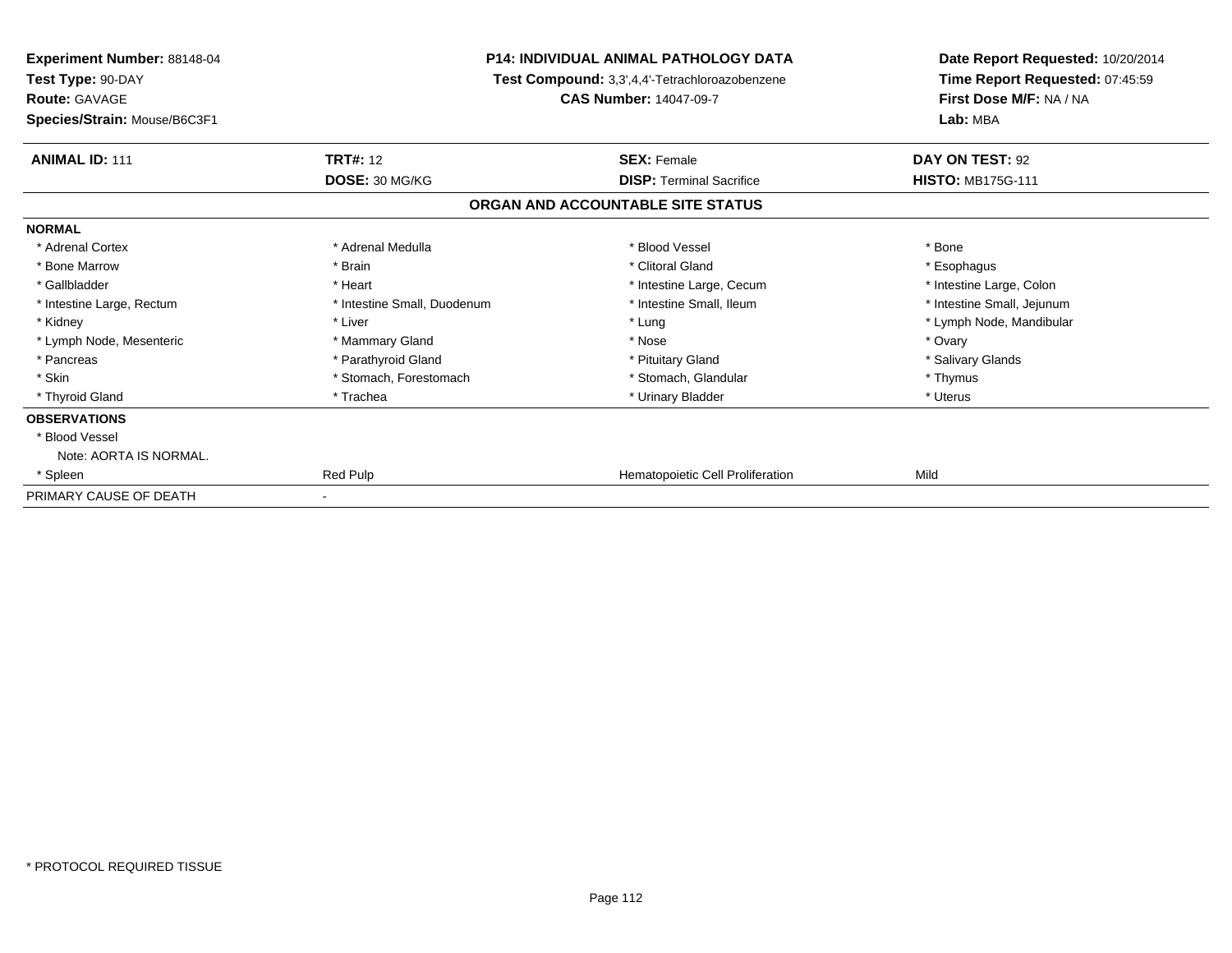| <b>Experiment Number: 88148-04</b><br>Test Type: 90-DAY<br><b>Route: GAVAGE</b><br>Species/Strain: Mouse/B6C3F1 | <b>P14: INDIVIDUAL ANIMAL PATHOLOGY DATA</b><br>Test Compound: 3,3',4,4'-Tetrachloroazobenzene<br><b>CAS Number: 14047-09-7</b> |                                   | Date Report Requested: 10/20/2014<br>Time Report Requested: 07:45:59<br>First Dose M/F: NA / NA<br>Lab: MBA |  |
|-----------------------------------------------------------------------------------------------------------------|---------------------------------------------------------------------------------------------------------------------------------|-----------------------------------|-------------------------------------------------------------------------------------------------------------|--|
| <b>ANIMAL ID: 111</b>                                                                                           | <b>TRT#: 12</b>                                                                                                                 | <b>SEX: Female</b>                | DAY ON TEST: 92                                                                                             |  |
|                                                                                                                 | DOSE: 30 MG/KG                                                                                                                  | <b>DISP: Terminal Sacrifice</b>   | <b>HISTO: MB175G-111</b>                                                                                    |  |
|                                                                                                                 |                                                                                                                                 | ORGAN AND ACCOUNTABLE SITE STATUS |                                                                                                             |  |
| <b>NORMAL</b>                                                                                                   |                                                                                                                                 |                                   |                                                                                                             |  |
| * Adrenal Cortex                                                                                                | * Adrenal Medulla                                                                                                               | * Blood Vessel                    | * Bone                                                                                                      |  |
| * Bone Marrow                                                                                                   | * Brain                                                                                                                         | * Clitoral Gland                  | * Esophagus                                                                                                 |  |
| * Gallbladder                                                                                                   | * Heart                                                                                                                         | * Intestine Large, Cecum          | * Intestine Large, Colon                                                                                    |  |
| * Intestine Large, Rectum                                                                                       | * Intestine Small, Duodenum                                                                                                     | * Intestine Small, Ileum          | * Intestine Small, Jejunum                                                                                  |  |
| * Kidney                                                                                                        | * Liver                                                                                                                         | * Lung                            | * Lymph Node, Mandibular                                                                                    |  |
| * Lymph Node, Mesenteric                                                                                        | * Mammary Gland                                                                                                                 | * Nose                            | * Ovary                                                                                                     |  |
| * Pancreas                                                                                                      | * Parathyroid Gland                                                                                                             | * Pituitary Gland                 | * Salivary Glands                                                                                           |  |
| * Skin                                                                                                          | * Stomach, Forestomach                                                                                                          | * Stomach. Glandular              | * Thymus                                                                                                    |  |
| * Thyroid Gland                                                                                                 | * Trachea                                                                                                                       | * Urinary Bladder                 | * Uterus                                                                                                    |  |
| <b>OBSERVATIONS</b>                                                                                             |                                                                                                                                 |                                   |                                                                                                             |  |
| * Blood Vessel                                                                                                  |                                                                                                                                 |                                   |                                                                                                             |  |
| Note: AORTA IS NORMAL.                                                                                          |                                                                                                                                 |                                   |                                                                                                             |  |
| * Spleen                                                                                                        | Red Pulp                                                                                                                        | Hematopoietic Cell Proliferation  | Mild                                                                                                        |  |
| PRIMARY CAUSE OF DEATH                                                                                          |                                                                                                                                 |                                   |                                                                                                             |  |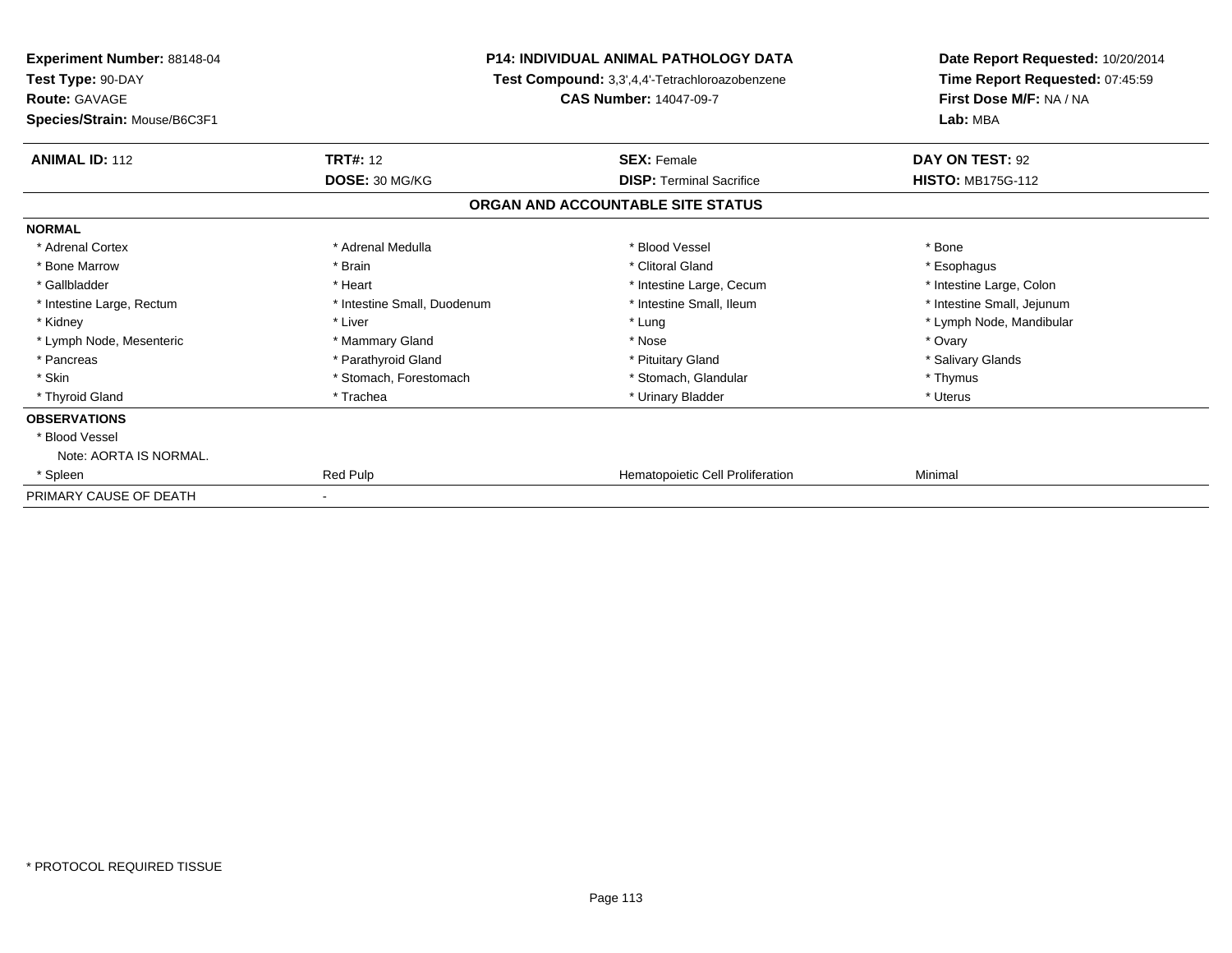| <b>Experiment Number: 88148-04</b><br>Test Type: 90-DAY<br><b>Route: GAVAGE</b><br>Species/Strain: Mouse/B6C3F1 | <b>P14: INDIVIDUAL ANIMAL PATHOLOGY DATA</b><br>Test Compound: 3,3',4,4'-Tetrachloroazobenzene<br><b>CAS Number: 14047-09-7</b> |                                   | Date Report Requested: 10/20/2014<br>Time Report Requested: 07:45:59<br>First Dose M/F: NA / NA<br>Lab: MBA |  |
|-----------------------------------------------------------------------------------------------------------------|---------------------------------------------------------------------------------------------------------------------------------|-----------------------------------|-------------------------------------------------------------------------------------------------------------|--|
| <b>ANIMAL ID: 112</b>                                                                                           | <b>TRT#: 12</b>                                                                                                                 | <b>SEX: Female</b>                | DAY ON TEST: 92                                                                                             |  |
|                                                                                                                 | DOSE: 30 MG/KG                                                                                                                  | <b>DISP: Terminal Sacrifice</b>   | <b>HISTO: MB175G-112</b>                                                                                    |  |
|                                                                                                                 |                                                                                                                                 | ORGAN AND ACCOUNTABLE SITE STATUS |                                                                                                             |  |
| <b>NORMAL</b>                                                                                                   |                                                                                                                                 |                                   |                                                                                                             |  |
| * Adrenal Cortex                                                                                                | * Adrenal Medulla                                                                                                               | * Blood Vessel                    | * Bone                                                                                                      |  |
| * Bone Marrow                                                                                                   | * Brain                                                                                                                         | * Clitoral Gland                  | * Esophagus                                                                                                 |  |
| * Gallbladder                                                                                                   | * Heart                                                                                                                         | * Intestine Large, Cecum          | * Intestine Large, Colon                                                                                    |  |
| * Intestine Large, Rectum                                                                                       | * Intestine Small, Duodenum                                                                                                     | * Intestine Small, Ileum          | * Intestine Small, Jejunum                                                                                  |  |
| * Kidney                                                                                                        | * Liver                                                                                                                         | * Lung                            | * Lymph Node, Mandibular                                                                                    |  |
| * Lymph Node, Mesenteric                                                                                        | * Mammary Gland                                                                                                                 | * Nose                            | * Ovary                                                                                                     |  |
| * Pancreas                                                                                                      | * Parathyroid Gland                                                                                                             | * Pituitary Gland                 | * Salivary Glands                                                                                           |  |
| * Skin                                                                                                          | * Stomach, Forestomach                                                                                                          | * Stomach. Glandular              | * Thymus                                                                                                    |  |
| * Thyroid Gland                                                                                                 | * Trachea                                                                                                                       | * Urinary Bladder                 | * Uterus                                                                                                    |  |
| <b>OBSERVATIONS</b>                                                                                             |                                                                                                                                 |                                   |                                                                                                             |  |
| * Blood Vessel                                                                                                  |                                                                                                                                 |                                   |                                                                                                             |  |
| Note: AORTA IS NORMAL.                                                                                          |                                                                                                                                 |                                   |                                                                                                             |  |
| * Spleen                                                                                                        | Red Pulp                                                                                                                        | Hematopoietic Cell Proliferation  | Minimal                                                                                                     |  |
| PRIMARY CAUSE OF DEATH                                                                                          |                                                                                                                                 |                                   |                                                                                                             |  |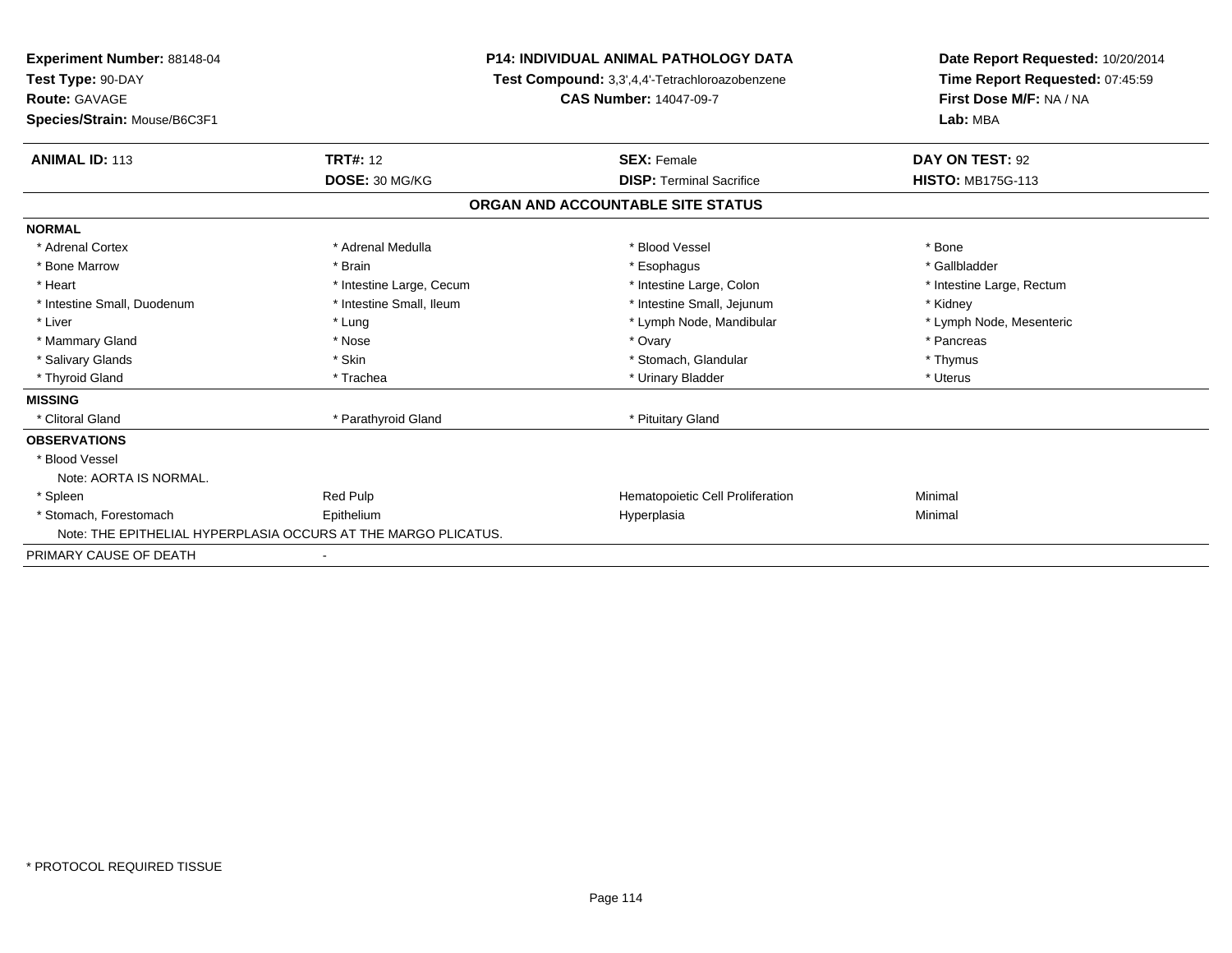| <b>Experiment Number: 88148-04</b><br>Test Type: 90-DAY<br><b>Route: GAVAGE</b><br>Species/Strain: Mouse/B6C3F1 | <b>P14: INDIVIDUAL ANIMAL PATHOLOGY DATA</b><br>Test Compound: 3,3',4,4'-Tetrachloroazobenzene<br><b>CAS Number: 14047-09-7</b> |                                   | Date Report Requested: 10/20/2014<br>Time Report Requested: 07:45:59<br>First Dose M/F: NA / NA<br>Lab: MBA |  |
|-----------------------------------------------------------------------------------------------------------------|---------------------------------------------------------------------------------------------------------------------------------|-----------------------------------|-------------------------------------------------------------------------------------------------------------|--|
| <b>ANIMAL ID: 113</b>                                                                                           | <b>TRT#: 12</b>                                                                                                                 | <b>SEX: Female</b>                | DAY ON TEST: 92                                                                                             |  |
|                                                                                                                 | DOSE: 30 MG/KG                                                                                                                  | <b>DISP: Terminal Sacrifice</b>   | <b>HISTO: MB175G-113</b>                                                                                    |  |
|                                                                                                                 |                                                                                                                                 | ORGAN AND ACCOUNTABLE SITE STATUS |                                                                                                             |  |
| <b>NORMAL</b>                                                                                                   |                                                                                                                                 |                                   |                                                                                                             |  |
| * Adrenal Cortex                                                                                                | * Adrenal Medulla                                                                                                               | * Blood Vessel                    | * Bone                                                                                                      |  |
| * Bone Marrow                                                                                                   | * Brain                                                                                                                         | * Esophagus                       | * Gallbladder                                                                                               |  |
| * Heart                                                                                                         | * Intestine Large, Cecum                                                                                                        | * Intestine Large, Colon          | * Intestine Large, Rectum                                                                                   |  |
| * Intestine Small, Duodenum                                                                                     | * Intestine Small, Ileum                                                                                                        | * Intestine Small, Jejunum        | * Kidney                                                                                                    |  |
| * Liver                                                                                                         | * Lung                                                                                                                          | * Lymph Node, Mandibular          | * Lymph Node, Mesenteric                                                                                    |  |
| * Mammary Gland                                                                                                 | * Nose                                                                                                                          | * Ovary                           | * Pancreas                                                                                                  |  |
| * Salivary Glands                                                                                               | * Skin                                                                                                                          | * Stomach, Glandular              | * Thymus                                                                                                    |  |
| * Thyroid Gland                                                                                                 | * Trachea                                                                                                                       | * Urinary Bladder                 | * Uterus                                                                                                    |  |
| <b>MISSING</b>                                                                                                  |                                                                                                                                 |                                   |                                                                                                             |  |
| * Clitoral Gland                                                                                                | * Parathyroid Gland                                                                                                             | * Pituitary Gland                 |                                                                                                             |  |
| <b>OBSERVATIONS</b>                                                                                             |                                                                                                                                 |                                   |                                                                                                             |  |
| * Blood Vessel                                                                                                  |                                                                                                                                 |                                   |                                                                                                             |  |
| Note: AORTA IS NORMAL.                                                                                          |                                                                                                                                 |                                   |                                                                                                             |  |
| * Spleen                                                                                                        | <b>Red Pulp</b>                                                                                                                 | Hematopoietic Cell Proliferation  | Minimal                                                                                                     |  |
| * Stomach, Forestomach                                                                                          | Epithelium                                                                                                                      | Hyperplasia                       | Minimal                                                                                                     |  |
|                                                                                                                 | Note: THE EPITHELIAL HYPERPLASIA OCCURS AT THE MARGO PLICATUS.                                                                  |                                   |                                                                                                             |  |
| PRIMARY CAUSE OF DEATH                                                                                          |                                                                                                                                 |                                   |                                                                                                             |  |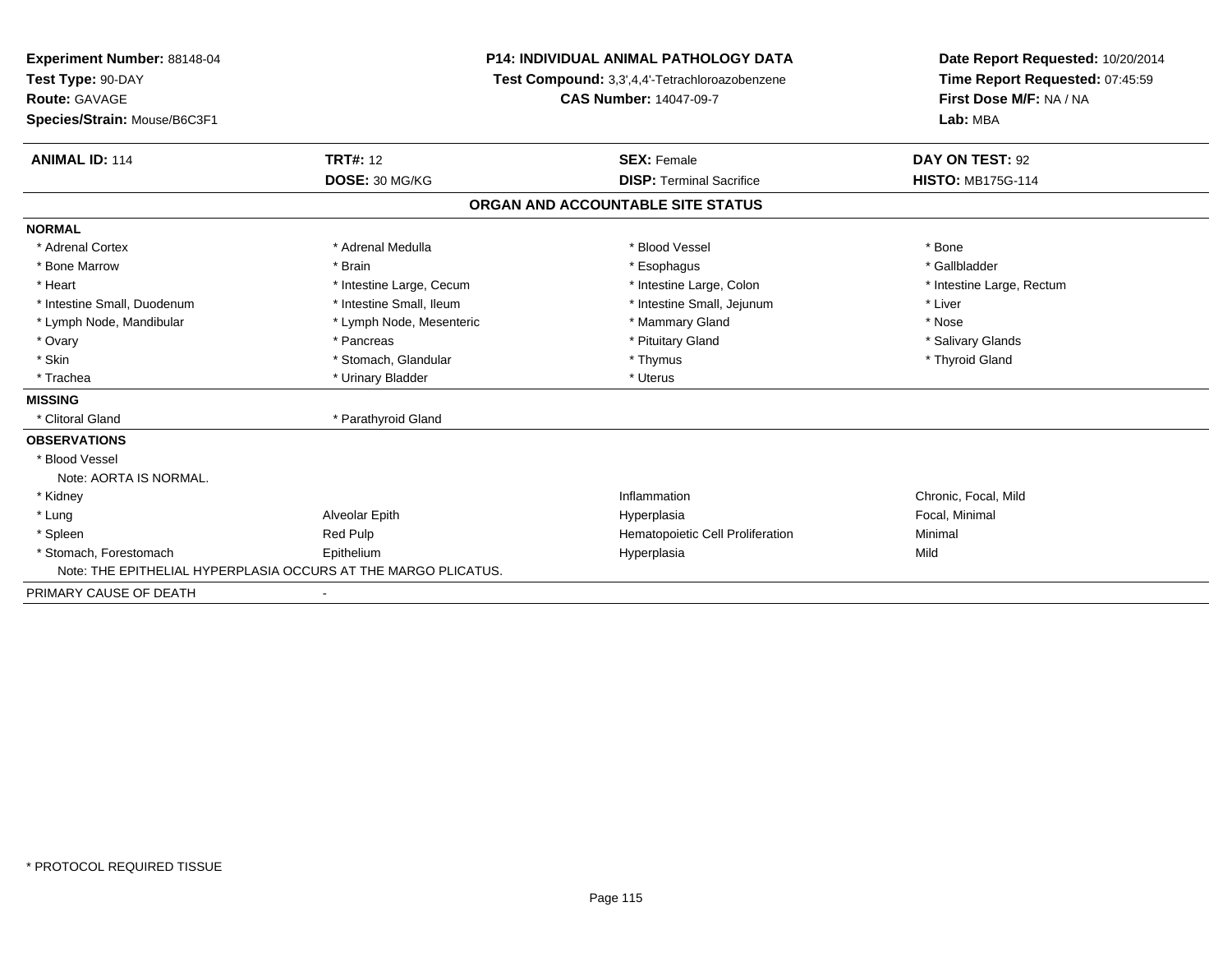| Experiment Number: 88148-04<br>Test Type: 90-DAY |                                                                | P14: INDIVIDUAL ANIMAL PATHOLOGY DATA          | Date Report Requested: 10/20/2014<br>Time Report Requested: 07:45:59 |
|--------------------------------------------------|----------------------------------------------------------------|------------------------------------------------|----------------------------------------------------------------------|
|                                                  |                                                                | Test Compound: 3,3',4,4'-Tetrachloroazobenzene |                                                                      |
| Route: GAVAGE                                    |                                                                | <b>CAS Number: 14047-09-7</b>                  | First Dose M/F: NA / NA                                              |
| Species/Strain: Mouse/B6C3F1                     |                                                                |                                                | Lab: MBA                                                             |
| <b>ANIMAL ID: 114</b>                            | <b>TRT#: 12</b>                                                | <b>SEX: Female</b>                             | DAY ON TEST: 92                                                      |
|                                                  | DOSE: 30 MG/KG                                                 | <b>DISP: Terminal Sacrifice</b>                | <b>HISTO: MB175G-114</b>                                             |
|                                                  |                                                                | ORGAN AND ACCOUNTABLE SITE STATUS              |                                                                      |
| <b>NORMAL</b>                                    |                                                                |                                                |                                                                      |
| * Adrenal Cortex                                 | * Adrenal Medulla                                              | * Blood Vessel                                 | * Bone                                                               |
| * Bone Marrow                                    | * Brain                                                        | * Esophagus                                    | * Gallbladder                                                        |
| * Heart                                          | * Intestine Large, Cecum                                       | * Intestine Large, Colon                       | * Intestine Large, Rectum                                            |
| * Intestine Small, Duodenum                      | * Intestine Small, Ileum                                       | * Intestine Small, Jejunum                     | * Liver                                                              |
| * Lymph Node, Mandibular                         | * Lymph Node, Mesenteric                                       | * Mammary Gland                                | * Nose                                                               |
| * Ovary                                          | * Pancreas                                                     | * Pituitary Gland                              | * Salivary Glands                                                    |
| * Skin                                           | * Stomach, Glandular                                           | * Thymus                                       | * Thyroid Gland                                                      |
| * Trachea                                        | * Urinary Bladder                                              | * Uterus                                       |                                                                      |
| <b>MISSING</b>                                   |                                                                |                                                |                                                                      |
| * Clitoral Gland                                 | * Parathyroid Gland                                            |                                                |                                                                      |
| <b>OBSERVATIONS</b>                              |                                                                |                                                |                                                                      |
| * Blood Vessel                                   |                                                                |                                                |                                                                      |
| Note: AORTA IS NORMAL.                           |                                                                |                                                |                                                                      |
| * Kidney                                         |                                                                | Inflammation                                   | Chronic, Focal, Mild                                                 |
| * Lung                                           | Alveolar Epith                                                 | Hyperplasia                                    | Focal, Minimal                                                       |
| * Spleen                                         | Red Pulp                                                       | Hematopoietic Cell Proliferation               | Minimal                                                              |
| * Stomach, Forestomach                           | Epithelium                                                     | Hyperplasia                                    | Mild                                                                 |
|                                                  | Note: THE EPITHELIAL HYPERPLASIA OCCURS AT THE MARGO PLICATUS. |                                                |                                                                      |
| PRIMARY CAUSE OF DEATH                           |                                                                |                                                |                                                                      |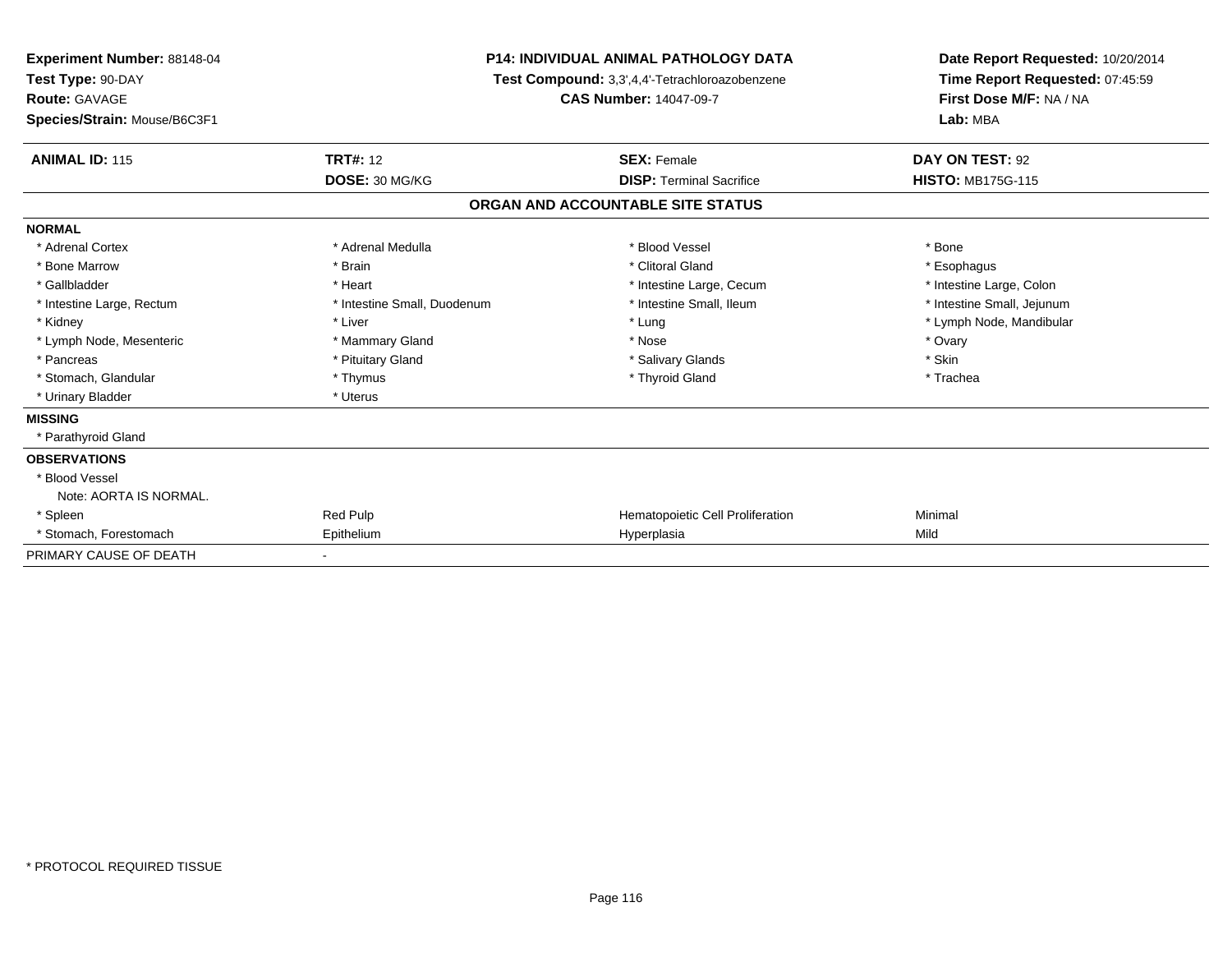| Experiment Number: 88148-04<br>Test Type: 90-DAY<br>Route: GAVAGE<br>Species/Strain: Mouse/B6C3F1 |                             | <b>P14: INDIVIDUAL ANIMAL PATHOLOGY DATA</b><br>Test Compound: 3,3',4,4'-Tetrachloroazobenzene<br><b>CAS Number: 14047-09-7</b> | Date Report Requested: 10/20/2014<br>Time Report Requested: 07:45:59<br>First Dose M/F: NA / NA<br>Lab: MBA |
|---------------------------------------------------------------------------------------------------|-----------------------------|---------------------------------------------------------------------------------------------------------------------------------|-------------------------------------------------------------------------------------------------------------|
| <b>ANIMAL ID: 115</b>                                                                             | <b>TRT#: 12</b>             | <b>SEX: Female</b>                                                                                                              | DAY ON TEST: 92                                                                                             |
|                                                                                                   | DOSE: 30 MG/KG              | <b>DISP: Terminal Sacrifice</b>                                                                                                 | <b>HISTO: MB175G-115</b>                                                                                    |
|                                                                                                   |                             | ORGAN AND ACCOUNTABLE SITE STATUS                                                                                               |                                                                                                             |
| <b>NORMAL</b>                                                                                     |                             |                                                                                                                                 |                                                                                                             |
| * Adrenal Cortex                                                                                  | * Adrenal Medulla           | * Blood Vessel                                                                                                                  | * Bone                                                                                                      |
| * Bone Marrow                                                                                     | * Brain                     | * Clitoral Gland                                                                                                                | * Esophagus                                                                                                 |
| * Gallbladder                                                                                     | * Heart                     | * Intestine Large, Cecum                                                                                                        | * Intestine Large, Colon                                                                                    |
| * Intestine Large, Rectum                                                                         | * Intestine Small, Duodenum | * Intestine Small, Ileum                                                                                                        | * Intestine Small, Jejunum                                                                                  |
| * Kidney                                                                                          | * Liver                     | * Lung                                                                                                                          | * Lymph Node, Mandibular                                                                                    |
| * Lymph Node, Mesenteric                                                                          | * Mammary Gland             | * Nose                                                                                                                          | * Ovary                                                                                                     |
| * Pancreas                                                                                        | * Pituitary Gland           | * Salivary Glands                                                                                                               | * Skin                                                                                                      |
| * Stomach, Glandular                                                                              | * Thymus                    | * Thyroid Gland                                                                                                                 | * Trachea                                                                                                   |
| * Urinary Bladder                                                                                 | * Uterus                    |                                                                                                                                 |                                                                                                             |
| <b>MISSING</b>                                                                                    |                             |                                                                                                                                 |                                                                                                             |
| * Parathyroid Gland                                                                               |                             |                                                                                                                                 |                                                                                                             |
| <b>OBSERVATIONS</b>                                                                               |                             |                                                                                                                                 |                                                                                                             |
| * Blood Vessel                                                                                    |                             |                                                                                                                                 |                                                                                                             |
| Note: AORTA IS NORMAL.                                                                            |                             |                                                                                                                                 |                                                                                                             |
| * Spleen                                                                                          | Red Pulp                    | Hematopoietic Cell Proliferation                                                                                                | Minimal                                                                                                     |
| * Stomach, Forestomach                                                                            | Epithelium                  | Hyperplasia                                                                                                                     | Mild                                                                                                        |
| PRIMARY CAUSE OF DEATH                                                                            |                             |                                                                                                                                 |                                                                                                             |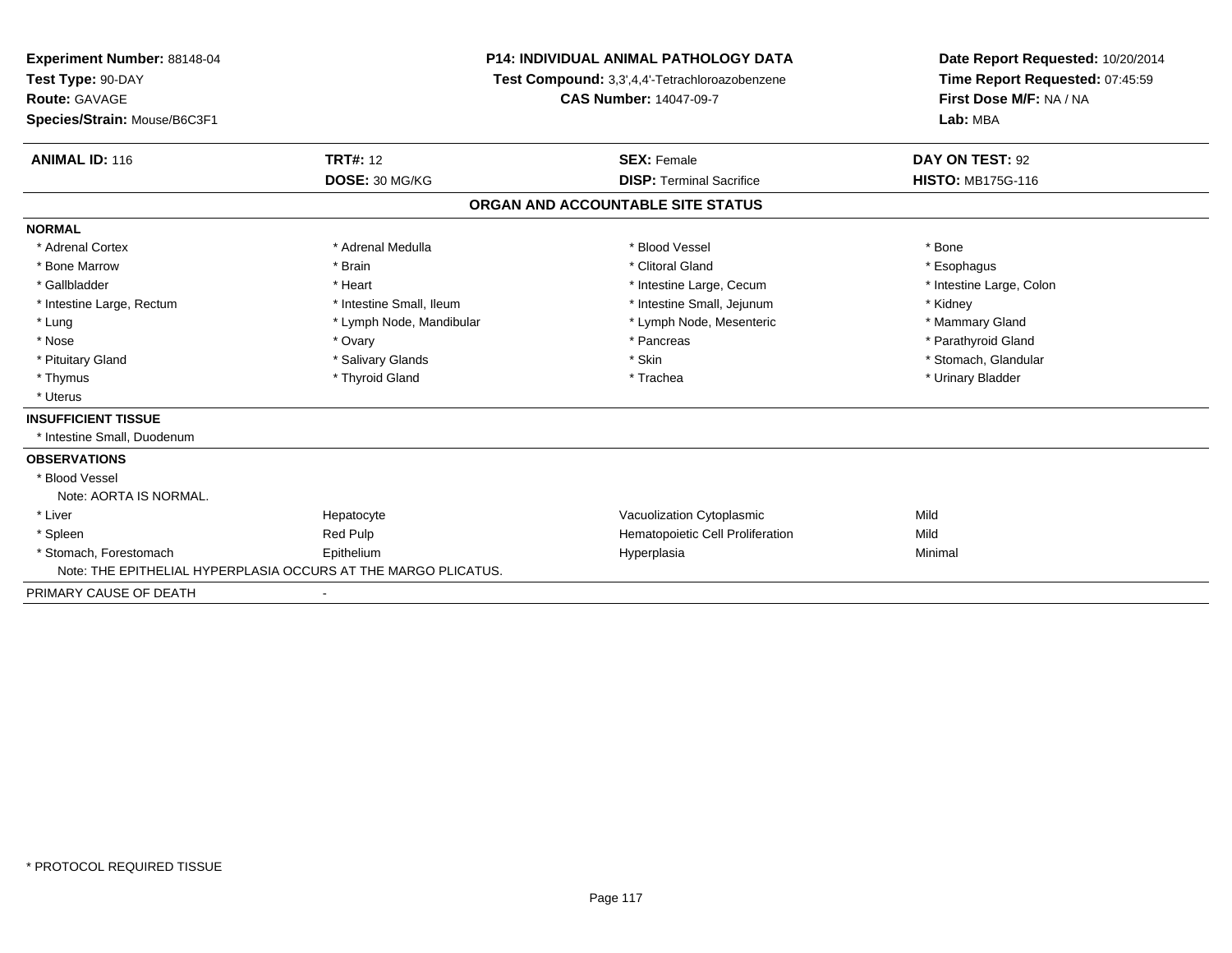| Experiment Number: 88148-04                                    |                          | <b>P14: INDIVIDUAL ANIMAL PATHOLOGY DATA</b>   | Date Report Requested: 10/20/2014                          |  |
|----------------------------------------------------------------|--------------------------|------------------------------------------------|------------------------------------------------------------|--|
| Test Type: 90-DAY                                              |                          | Test Compound: 3,3',4,4'-Tetrachloroazobenzene | Time Report Requested: 07:45:59<br>First Dose M/F: NA / NA |  |
| Route: GAVAGE                                                  |                          | <b>CAS Number: 14047-09-7</b>                  |                                                            |  |
| Species/Strain: Mouse/B6C3F1                                   |                          |                                                | Lab: MBA                                                   |  |
| <b>ANIMAL ID: 116</b>                                          | <b>TRT#: 12</b>          | <b>SEX: Female</b>                             | DAY ON TEST: 92                                            |  |
|                                                                | DOSE: 30 MG/KG           | <b>DISP: Terminal Sacrifice</b>                | <b>HISTO: MB175G-116</b>                                   |  |
|                                                                |                          | ORGAN AND ACCOUNTABLE SITE STATUS              |                                                            |  |
| <b>NORMAL</b>                                                  |                          |                                                |                                                            |  |
| * Adrenal Cortex                                               | * Adrenal Medulla        | * Blood Vessel                                 | * Bone                                                     |  |
| * Bone Marrow                                                  | * Brain                  | * Clitoral Gland                               | * Esophagus                                                |  |
| * Gallbladder                                                  | * Heart                  | * Intestine Large, Cecum                       | * Intestine Large, Colon                                   |  |
| * Intestine Large, Rectum                                      | * Intestine Small, Ileum | * Intestine Small, Jejunum                     | * Kidney                                                   |  |
| * Lung                                                         | * Lymph Node, Mandibular | * Lymph Node, Mesenteric                       | * Mammary Gland                                            |  |
| * Nose                                                         | * Ovary                  | * Pancreas                                     | * Parathyroid Gland                                        |  |
| * Pituitary Gland                                              | * Salivary Glands        | * Skin                                         | * Stomach, Glandular                                       |  |
| * Thymus                                                       | * Thyroid Gland          | * Trachea                                      | * Urinary Bladder                                          |  |
| * Uterus                                                       |                          |                                                |                                                            |  |
| <b>INSUFFICIENT TISSUE</b>                                     |                          |                                                |                                                            |  |
| * Intestine Small, Duodenum                                    |                          |                                                |                                                            |  |
| <b>OBSERVATIONS</b>                                            |                          |                                                |                                                            |  |
| * Blood Vessel                                                 |                          |                                                |                                                            |  |
| Note: AORTA IS NORMAL.                                         |                          |                                                |                                                            |  |
| * Liver                                                        | Hepatocyte               | Vacuolization Cytoplasmic                      | Mild                                                       |  |
| * Spleen                                                       | Red Pulp                 | Hematopoietic Cell Proliferation               | Mild                                                       |  |
| * Stomach, Forestomach                                         | Epithelium               | Hyperplasia                                    | Minimal                                                    |  |
| Note: THE EPITHELIAL HYPERPLASIA OCCURS AT THE MARGO PLICATUS. |                          |                                                |                                                            |  |
| PRIMARY CAUSE OF DEATH                                         |                          |                                                |                                                            |  |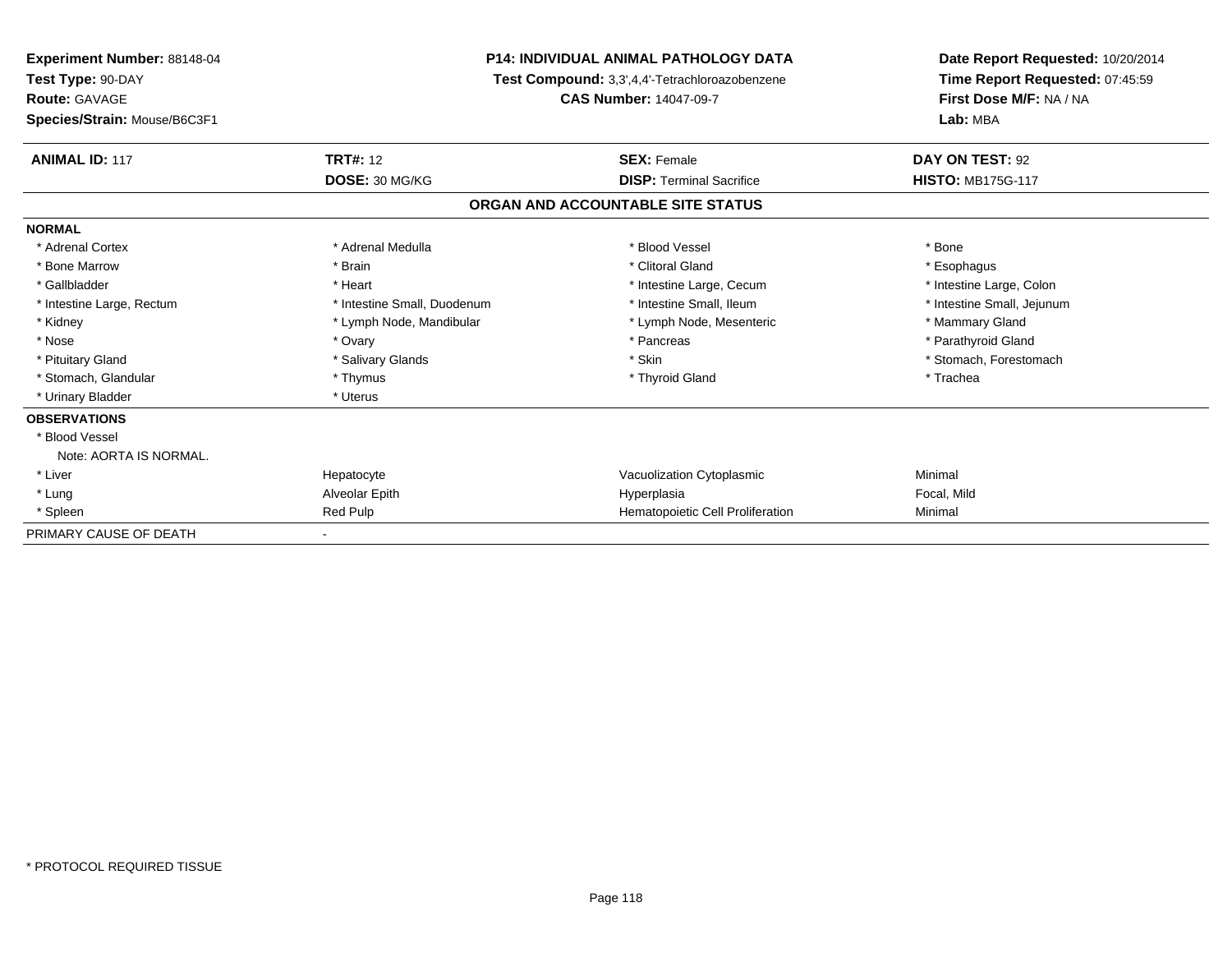| <b>Experiment Number: 88148-04</b><br>Test Type: 90-DAY<br><b>Route: GAVAGE</b> |                             | <b>P14: INDIVIDUAL ANIMAL PATHOLOGY DATA</b><br>Test Compound: 3,3',4,4'-Tetrachloroazobenzene<br><b>CAS Number: 14047-09-7</b> | Date Report Requested: 10/20/2014<br>Time Report Requested: 07:45:59<br>First Dose M/F: NA / NA |  |
|---------------------------------------------------------------------------------|-----------------------------|---------------------------------------------------------------------------------------------------------------------------------|-------------------------------------------------------------------------------------------------|--|
| Species/Strain: Mouse/B6C3F1                                                    |                             |                                                                                                                                 | Lab: MBA                                                                                        |  |
| <b>ANIMAL ID: 117</b>                                                           | <b>TRT#: 12</b>             | <b>SEX: Female</b>                                                                                                              | DAY ON TEST: 92                                                                                 |  |
|                                                                                 | DOSE: 30 MG/KG              | <b>DISP: Terminal Sacrifice</b>                                                                                                 | <b>HISTO: MB175G-117</b>                                                                        |  |
|                                                                                 |                             | ORGAN AND ACCOUNTABLE SITE STATUS                                                                                               |                                                                                                 |  |
| <b>NORMAL</b>                                                                   |                             |                                                                                                                                 |                                                                                                 |  |
| * Adrenal Cortex                                                                | * Adrenal Medulla           | * Blood Vessel                                                                                                                  | * Bone                                                                                          |  |
| * Bone Marrow                                                                   | * Brain                     | * Clitoral Gland                                                                                                                | * Esophagus                                                                                     |  |
| * Gallbladder                                                                   | * Heart                     | * Intestine Large, Cecum                                                                                                        | * Intestine Large, Colon                                                                        |  |
| * Intestine Large, Rectum                                                       | * Intestine Small, Duodenum | * Intestine Small. Ileum                                                                                                        | * Intestine Small, Jejunum                                                                      |  |
| * Kidney                                                                        | * Lymph Node, Mandibular    | * Lymph Node, Mesenteric                                                                                                        | * Mammary Gland                                                                                 |  |
| * Nose                                                                          | * Ovary                     | * Pancreas                                                                                                                      | * Parathyroid Gland                                                                             |  |
| * Pituitary Gland                                                               | * Salivary Glands           | * Skin                                                                                                                          | * Stomach, Forestomach                                                                          |  |
| * Stomach, Glandular                                                            | * Thymus                    | * Thyroid Gland                                                                                                                 | * Trachea                                                                                       |  |
| * Urinary Bladder                                                               | * Uterus                    |                                                                                                                                 |                                                                                                 |  |
| <b>OBSERVATIONS</b>                                                             |                             |                                                                                                                                 |                                                                                                 |  |
| * Blood Vessel                                                                  |                             |                                                                                                                                 |                                                                                                 |  |
| Note: AORTA IS NORMAL.                                                          |                             |                                                                                                                                 |                                                                                                 |  |
| * Liver                                                                         | Hepatocyte                  | Vacuolization Cytoplasmic                                                                                                       | Minimal                                                                                         |  |
| * Lung                                                                          | Alveolar Epith              | Hyperplasia                                                                                                                     | Focal, Mild                                                                                     |  |
| * Spleen                                                                        | Red Pulp                    | Hematopoietic Cell Proliferation                                                                                                | Minimal                                                                                         |  |
| PRIMARY CAUSE OF DEATH                                                          |                             |                                                                                                                                 |                                                                                                 |  |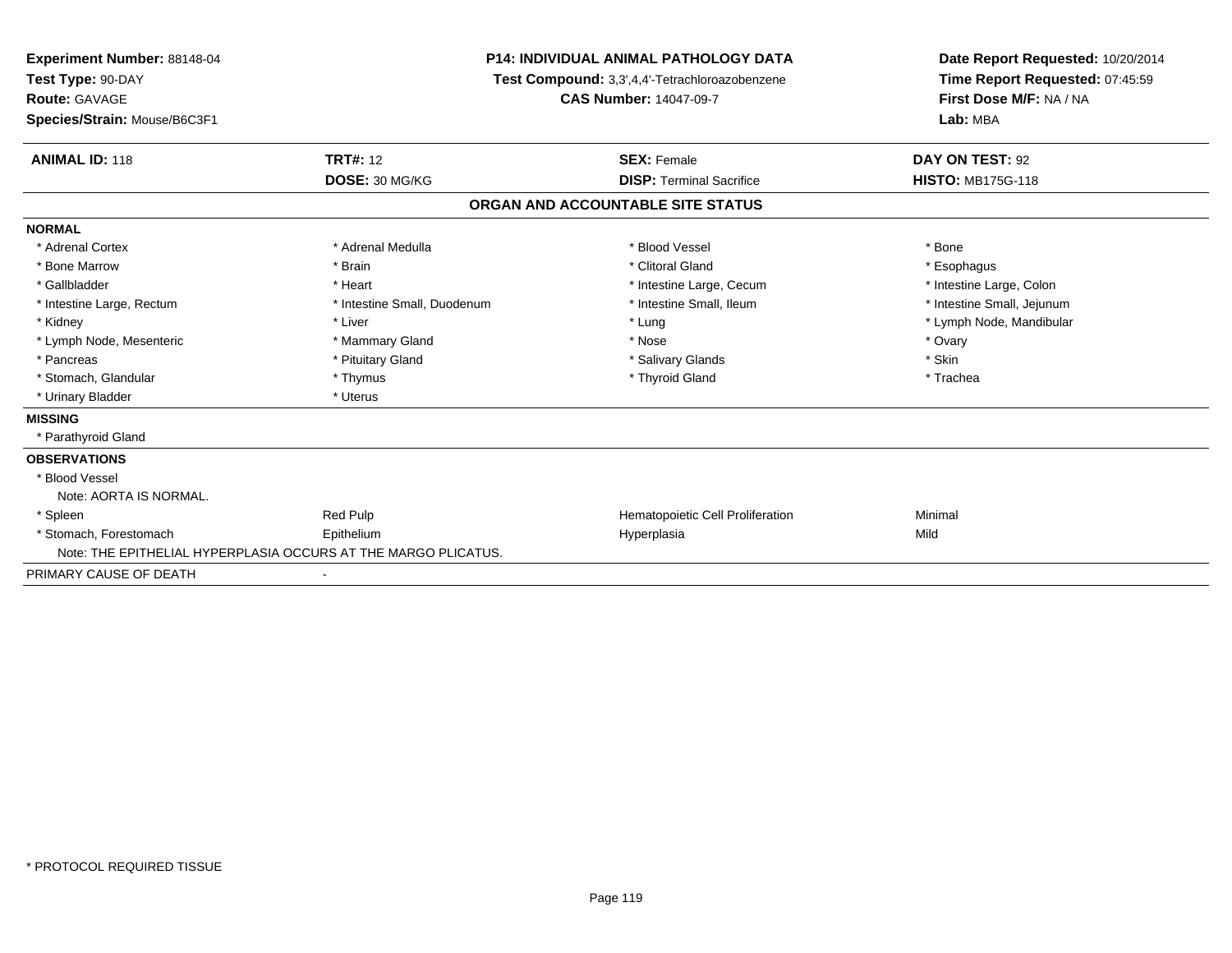| <b>Experiment Number: 88148-04</b><br>Test Type: 90-DAY |                                                                | <b>P14: INDIVIDUAL ANIMAL PATHOLOGY DATA</b>   | Date Report Requested: 10/20/2014<br>Time Report Requested: 07:45:59 |  |
|---------------------------------------------------------|----------------------------------------------------------------|------------------------------------------------|----------------------------------------------------------------------|--|
|                                                         |                                                                | Test Compound: 3,3',4,4'-Tetrachloroazobenzene |                                                                      |  |
| Route: GAVAGE                                           |                                                                | <b>CAS Number: 14047-09-7</b>                  | First Dose M/F: NA / NA                                              |  |
| Species/Strain: Mouse/B6C3F1                            |                                                                |                                                | Lab: MBA                                                             |  |
| <b>ANIMAL ID: 118</b>                                   | <b>TRT#: 12</b>                                                | <b>SEX: Female</b>                             | DAY ON TEST: 92                                                      |  |
|                                                         | DOSE: 30 MG/KG                                                 | <b>DISP: Terminal Sacrifice</b>                | <b>HISTO: MB175G-118</b>                                             |  |
|                                                         |                                                                | ORGAN AND ACCOUNTABLE SITE STATUS              |                                                                      |  |
| <b>NORMAL</b>                                           |                                                                |                                                |                                                                      |  |
| * Adrenal Cortex                                        | * Adrenal Medulla                                              | * Blood Vessel                                 | * Bone                                                               |  |
| * Bone Marrow                                           | * Brain                                                        | * Clitoral Gland                               | * Esophagus                                                          |  |
| * Gallbladder                                           | * Heart                                                        | * Intestine Large, Cecum                       | * Intestine Large, Colon                                             |  |
| * Intestine Large, Rectum                               | * Intestine Small, Duodenum                                    | * Intestine Small, Ileum                       | * Intestine Small, Jejunum                                           |  |
| * Kidney                                                | * Liver                                                        | * Lung                                         | * Lymph Node, Mandibular                                             |  |
| * Lymph Node, Mesenteric                                | * Mammary Gland                                                | * Nose                                         | * Ovary                                                              |  |
| * Pancreas                                              | * Pituitary Gland                                              | * Salivary Glands                              | * Skin                                                               |  |
| * Stomach, Glandular                                    | * Thymus                                                       | * Thyroid Gland                                | * Trachea                                                            |  |
| * Urinary Bladder                                       | * Uterus                                                       |                                                |                                                                      |  |
| <b>MISSING</b>                                          |                                                                |                                                |                                                                      |  |
| * Parathyroid Gland                                     |                                                                |                                                |                                                                      |  |
| <b>OBSERVATIONS</b>                                     |                                                                |                                                |                                                                      |  |
| * Blood Vessel                                          |                                                                |                                                |                                                                      |  |
| Note: AORTA IS NORMAL.                                  |                                                                |                                                |                                                                      |  |
| * Spleen                                                | Red Pulp                                                       | Hematopoietic Cell Proliferation               | Minimal                                                              |  |
| * Stomach, Forestomach                                  | Epithelium                                                     | Hyperplasia                                    | Mild                                                                 |  |
|                                                         | Note: THE EPITHELIAL HYPERPLASIA OCCURS AT THE MARGO PLICATUS. |                                                |                                                                      |  |
| PRIMARY CAUSE OF DEATH                                  |                                                                |                                                |                                                                      |  |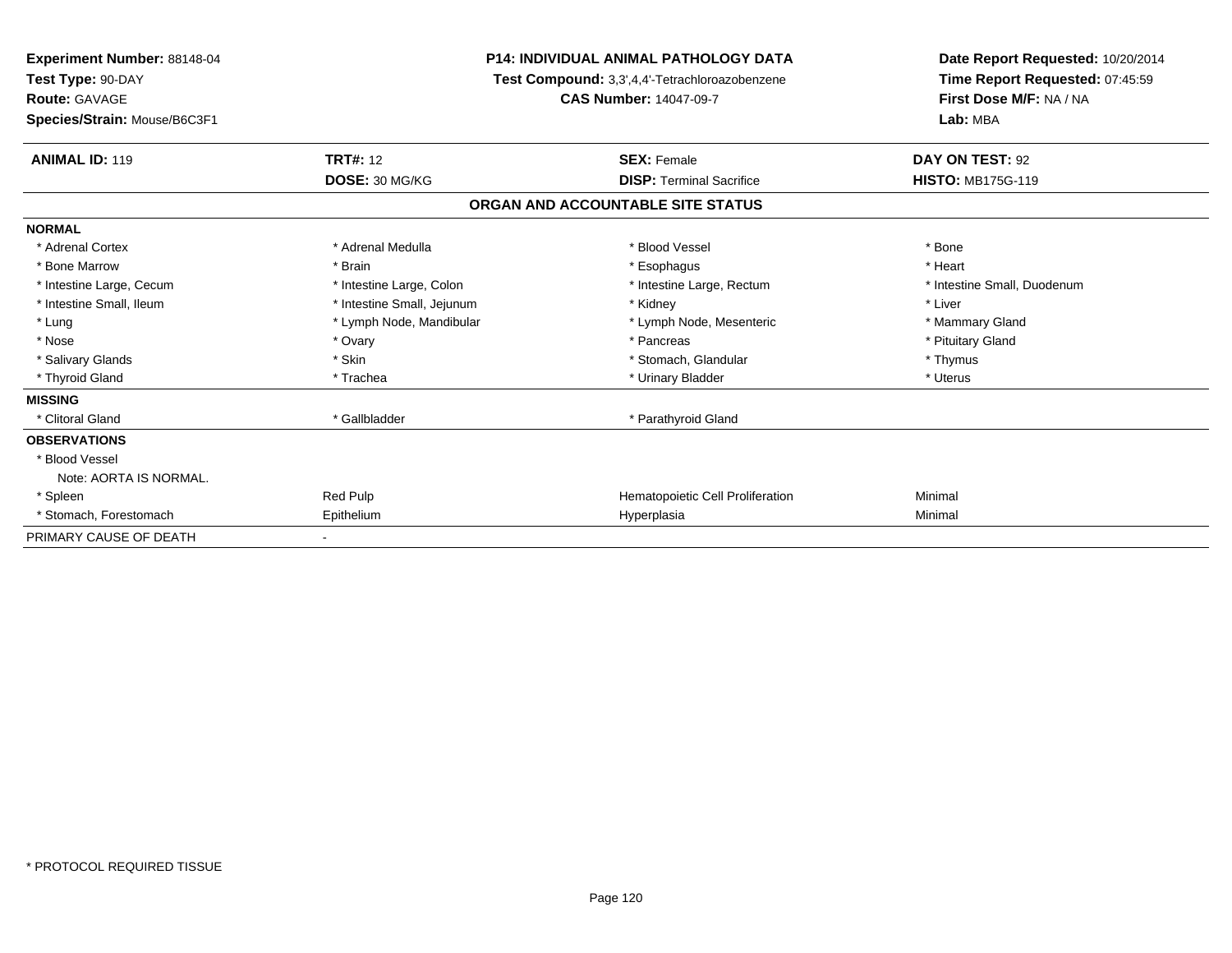| <b>Experiment Number: 88148-04</b><br>Test Type: 90-DAY<br><b>Route: GAVAGE</b><br>Species/Strain: Mouse/B6C3F1 | <b>P14: INDIVIDUAL ANIMAL PATHOLOGY DATA</b><br>Test Compound: 3,3',4,4'-Tetrachloroazobenzene<br><b>CAS Number: 14047-09-7</b> |                                   | Date Report Requested: 10/20/2014<br>Time Report Requested: 07:45:59<br>First Dose M/F: NA / NA<br>Lab: MBA |  |
|-----------------------------------------------------------------------------------------------------------------|---------------------------------------------------------------------------------------------------------------------------------|-----------------------------------|-------------------------------------------------------------------------------------------------------------|--|
| <b>ANIMAL ID: 119</b>                                                                                           | <b>TRT#: 12</b>                                                                                                                 | <b>SEX: Female</b>                | DAY ON TEST: 92                                                                                             |  |
|                                                                                                                 | DOSE: 30 MG/KG                                                                                                                  | <b>DISP: Terminal Sacrifice</b>   | <b>HISTO: MB175G-119</b>                                                                                    |  |
|                                                                                                                 |                                                                                                                                 | ORGAN AND ACCOUNTABLE SITE STATUS |                                                                                                             |  |
| <b>NORMAL</b>                                                                                                   |                                                                                                                                 |                                   |                                                                                                             |  |
| * Adrenal Cortex                                                                                                | * Adrenal Medulla                                                                                                               | * Blood Vessel                    | * Bone                                                                                                      |  |
| * Bone Marrow                                                                                                   | * Brain                                                                                                                         | * Esophagus                       | * Heart                                                                                                     |  |
| * Intestine Large, Cecum                                                                                        | * Intestine Large, Colon                                                                                                        | * Intestine Large, Rectum         | * Intestine Small, Duodenum                                                                                 |  |
| * Intestine Small, Ileum                                                                                        | * Intestine Small, Jejunum                                                                                                      | * Kidney                          | * Liver                                                                                                     |  |
| * Lung                                                                                                          | * Lymph Node, Mandibular                                                                                                        | * Lymph Node, Mesenteric          | * Mammary Gland                                                                                             |  |
| * Nose                                                                                                          | * Ovary                                                                                                                         | * Pancreas                        | * Pituitary Gland                                                                                           |  |
| * Salivary Glands                                                                                               | * Skin                                                                                                                          | * Stomach, Glandular              | * Thymus                                                                                                    |  |
| * Thyroid Gland                                                                                                 | * Trachea                                                                                                                       | * Urinary Bladder                 | * Uterus                                                                                                    |  |
| <b>MISSING</b>                                                                                                  |                                                                                                                                 |                                   |                                                                                                             |  |
| * Clitoral Gland                                                                                                | * Gallbladder                                                                                                                   | * Parathyroid Gland               |                                                                                                             |  |
| <b>OBSERVATIONS</b>                                                                                             |                                                                                                                                 |                                   |                                                                                                             |  |
| * Blood Vessel                                                                                                  |                                                                                                                                 |                                   |                                                                                                             |  |
| Note: AORTA IS NORMAL.                                                                                          |                                                                                                                                 |                                   |                                                                                                             |  |
| * Spleen                                                                                                        | Red Pulp                                                                                                                        | Hematopoietic Cell Proliferation  | Minimal                                                                                                     |  |
| * Stomach, Forestomach                                                                                          | Epithelium                                                                                                                      | Hyperplasia                       | Minimal                                                                                                     |  |
| PRIMARY CAUSE OF DEATH                                                                                          |                                                                                                                                 |                                   |                                                                                                             |  |